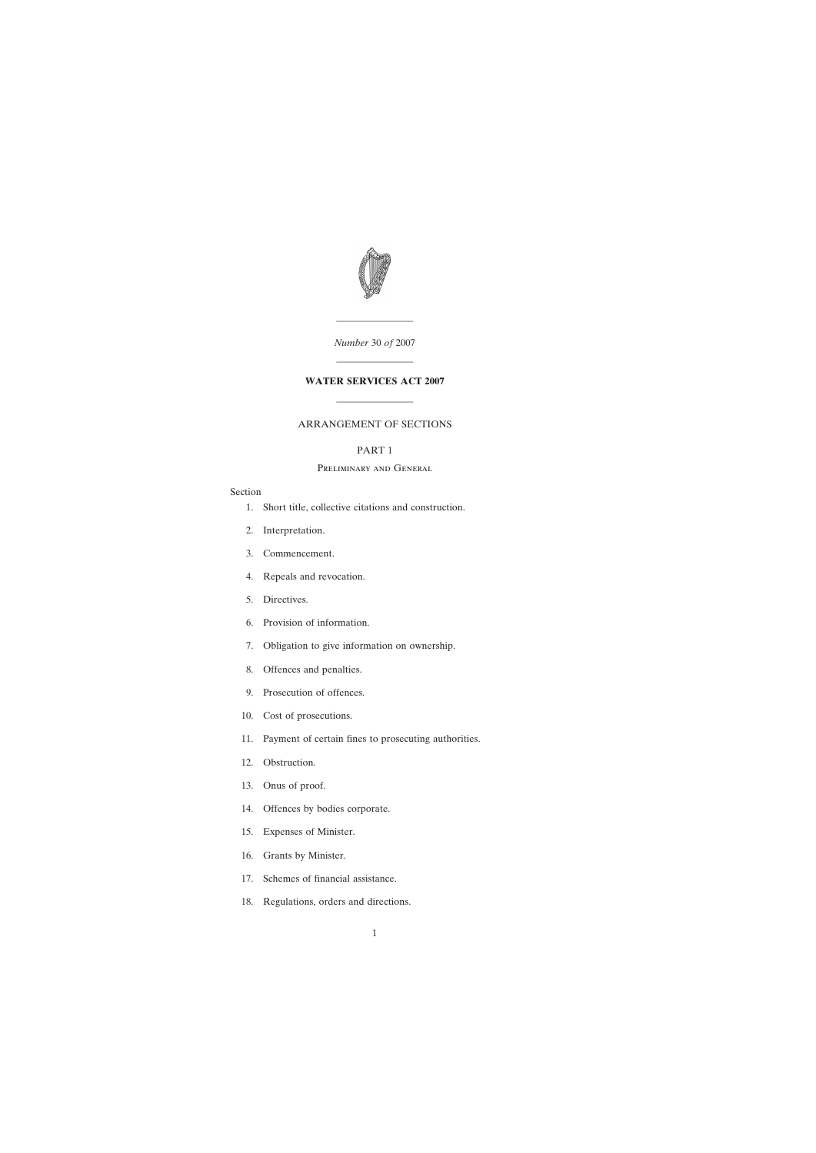

*Number* 30 *of* 2007

————————

————————

## **WATER SERVICES ACT 2007**

————————

## ARRANGEMENT OF SECTIONS

## PART 1

## Preliminary and General

#### Section

- [1. Short title, collective citations and construction.](#page-8-0)
- [2. Interpretation.](#page-9-0)
- [3. Commencement.](#page-14-0)
- [4. Repeals and revocation.](#page-14-0)
- [5. Directives.](#page-14-0)
- [6. Provision of information.](#page-15-0)
- [7. Obligation to give information on ownership.](#page-17-0)
- [8. Offences and penalties.](#page-17-0)
- [9. Prosecution of offences.](#page-18-0)
- [10. Cost of prosecutions.](#page-18-0)
- [11. Payment of certain fines to prosecuting authorities.](#page-19-0)
- [12. Obstruction.](#page-19-0)
- [13. Onus of proof.](#page-19-0)
- [14. Offences by bodies corporate.](#page-20-0)
- [15. Expenses of Minister.](#page-20-0)
- [16. Grants by Minister.](#page-20-0)
- [17. Schemes of financial assistance.](#page-20-0)
- [18. Regulations, orders and directions.](#page-21-0)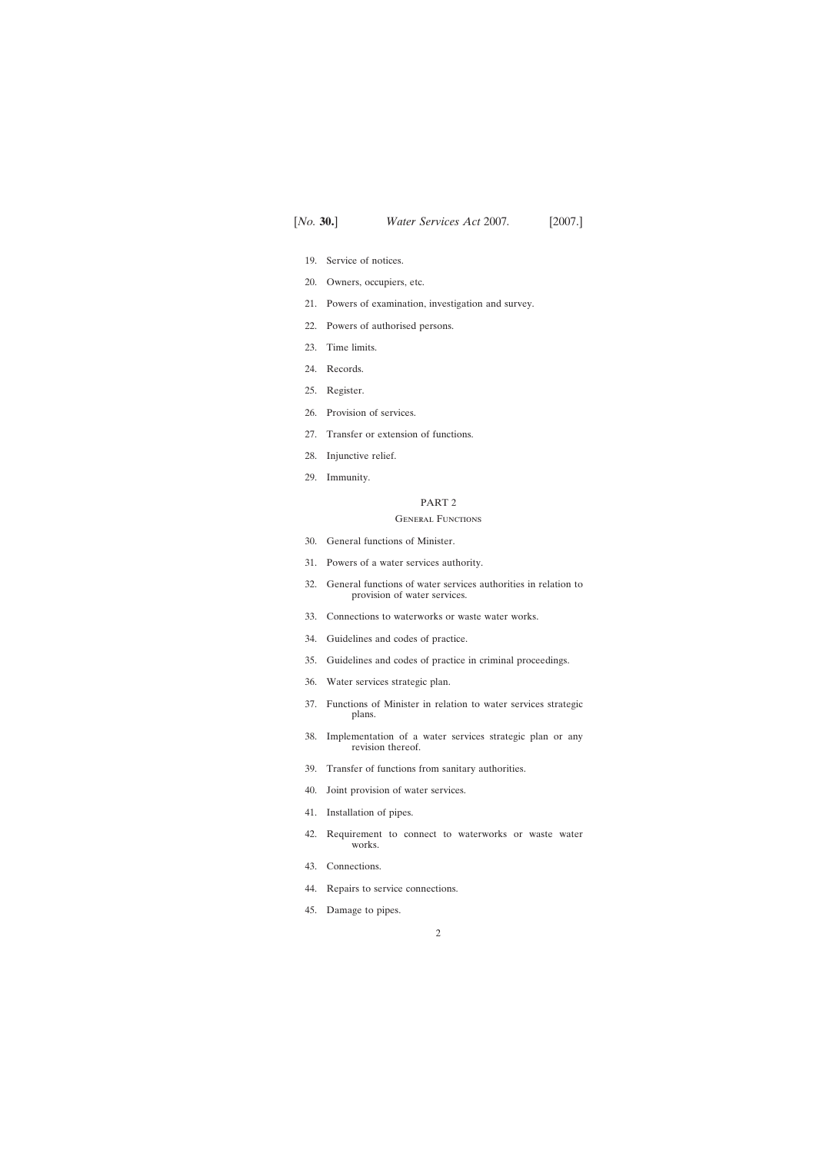- [19. Service of notices.](#page-21-0)
- [20. Owners, occupiers, etc.](#page-22-0)
- [21. Powers of examination, investigation and survey.](#page-23-0)
- [22. Powers of authorised persons.](#page-23-0)
- [23. Time limits.](#page-26-0)
- [24. Records.](#page-26-0)
- [25. Register.](#page-27-0)
- [26. Provision of services.](#page-27-0)
- [27. Transfer or extension of functions.](#page-28-0)
- [28. Injunctive relief.](#page-28-0)
- [29. Immunity.](#page-29-0)

#### General Functions

- [30. General functions of Minister.](#page-30-0)
- [31. Powers of a water services authority.](#page-33-0)
- [32. General functions of water services authorities in relation to](#page-37-0) provision of water services.
- [33. Connections to waterworks or waste water works.](#page-41-0)
- [34. Guidelines and codes of practice.](#page-41-0)
- [35. Guidelines and codes of practice in criminal proceedings.](#page-42-0)
- [36. Water services strategic plan.](#page-42-0)
- [37. Functions of Minister in relation to water services strategic](#page-47-0) plans.
- [38. Implementation of a water services strategic plan or any](#page-48-0) revision thereof.
- [39. Transfer of functions from sanitary authorities.](#page-48-0)
- [40. Joint provision of water services.](#page-49-0)
- [41. Installation of pipes.](#page-49-0)
- [42. Requirement to connect to waterworks or waste water](#page-52-0) works.
- [43. Connections.](#page-55-0)
- [44. Repairs to service connections.](#page-57-0)
- [45. Damage to pipes.](#page-58-0)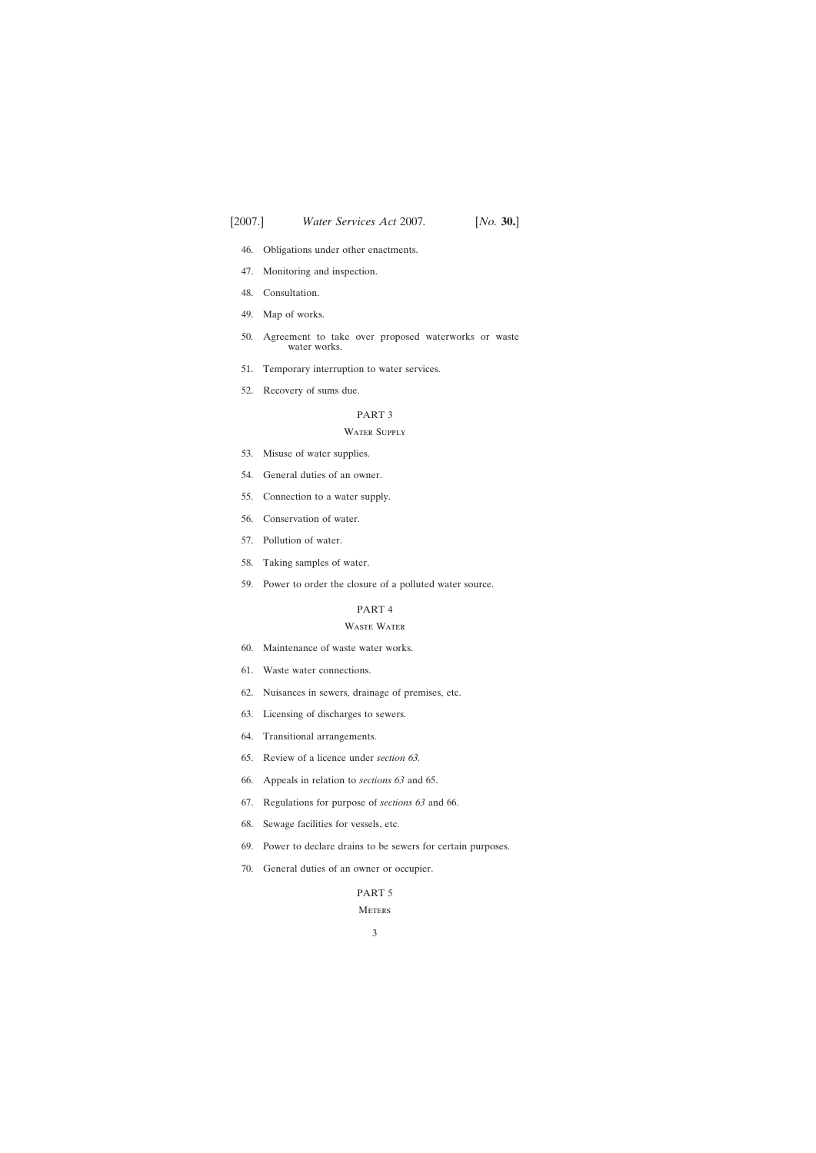- [46. Obligations under other enactments.](#page-58-0)
- [47. Monitoring and inspection.](#page-58-0)
- [48. Consultation.](#page-59-0)
- [49. Map of works.](#page-59-0)
- [50. Agreement to take over proposed waterworks or waste](#page-60-0) water works.
- [51. Temporary interruption to water services.](#page-60-0)
- [52. Recovery of sums due.](#page-61-0)

#### WATER SUPPLY

- [53. Misuse of water supplies.](#page-61-0)
- [54. General duties of an owner.](#page-62-0)
- [55. Connection to a water supply.](#page-63-0)
- [56. Conservation of water.](#page-66-0)
- [57. Pollution of water.](#page-70-0)
- [58. Taking samples of water.](#page-70-0)
- [59. Power to order the closure of a polluted water source.](#page-71-0)

## PART 4

## Waste Water

- [60. Maintenance of waste water works.](#page-72-0)
- [61. Waste water connections.](#page-72-0)
- [62. Nuisances in sewers, drainage of premises, etc.](#page-74-0)
- [63. Licensing of discharges to sewers.](#page-76-0)
- [64. Transitional arrangements.](#page-79-0)
- [65. Review of a licence under](#page-80-0) *section 63.*
- [66. Appeals in relation to](#page-82-0) *sections 63* and 65.
- [67. Regulations for purpose of](#page-82-0) *sections 63* and 66.
- [68. Sewage facilities for vessels, etc.](#page-83-0)
- [69. Power to declare drains to be sewers for certain purposes.](#page-84-0)
- [70. General duties of an owner or occupier.](#page-85-0)

## PART 5

**METERS**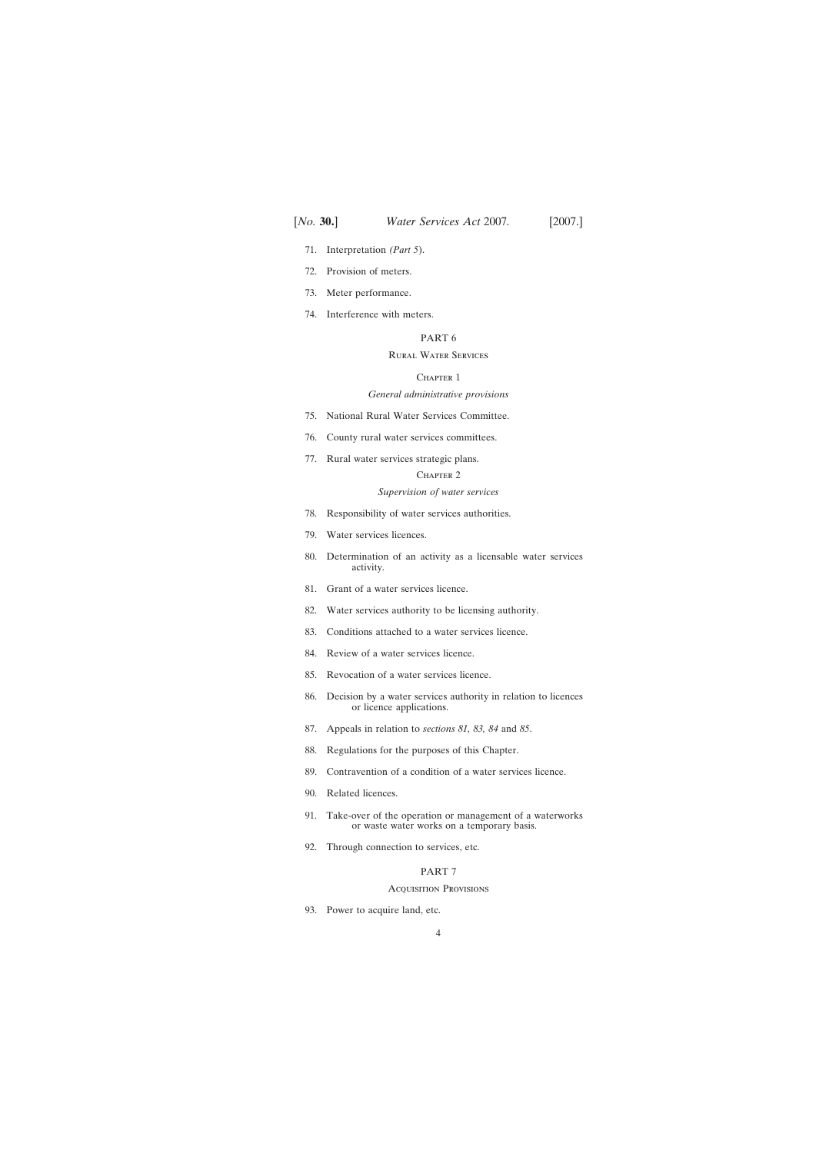- [71. Interpretation](#page-87-0) *(Part 5*).
- [72. Provision of meters.](#page-87-0)
- [73. Meter performance.](#page-89-0)
- [74. Interference with meters.](#page-89-0)

## Rural Water Services

#### CHAPTER 1

#### *General administrative provisions*

- [75. National Rural Water Services Committee.](#page-90-0)
- [76. County rural water services committees.](#page-91-0)
- [77. Rural water services strategic plans.](#page-92-0)

#### CHAPTER<sub>2</sub>

## *Supervision of water services*

- [78. Responsibility of water services authorities.](#page-92-0)
- [79. Water services licences.](#page-92-0)
- [80. Determination of an activity as a licensable water services](#page-94-0) activity.
- [81. Grant of a water services licence.](#page-95-0)
- [82. Water services authority to be licensing authority.](#page-95-0)
- [83. Conditions attached to a water services licence.](#page-96-0)
- [84. Review of a water services licence.](#page-97-0)
- [85. Revocation of a water services licence.](#page-98-0)
- [86. Decision by a water services authority in relation to licences](#page-98-0) or licence applications.
- [87. Appeals in relation to](#page-98-0) *sections 81, 83, 84* and *85*.
- [88. Regulations for the purposes of this Chapter.](#page-99-0)
- [89. Contravention of a condition of a water services licence.](#page-100-0)
- [90. Related licences.](#page-100-0)
- [91. Take-over of the operation or management of a waterworks](#page-100-0) or waste water works on a temporary basis.
- [92. Through connection to services, etc.](#page-102-0)

## PART 7

#### Acquisition Provisions

[93. Power to acquire land, etc.](#page-107-0)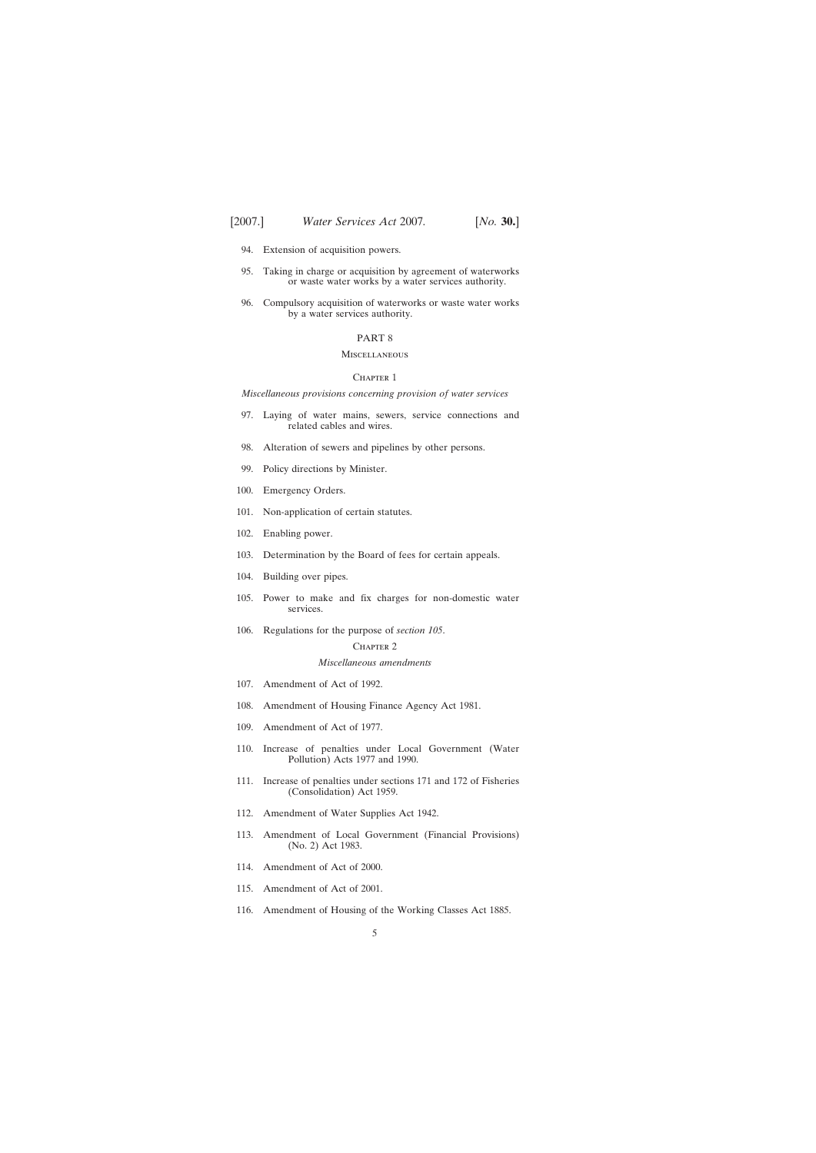- [94. Extension of acquisition powers.](#page-107-0)
- [95. Taking in charge or acquisition by agreement of waterworks](#page-108-0) or waste water works by a water services authority.
- [96. Compulsory acquisition of waterworks or waste water works](#page-109-0) by a water services authority.

#### **MISCELLANEOUS**

#### CHAPTER 1

*Miscellaneous provisions concerning provision of water services*

- [97. Laying of water mains, sewers, service connections and](#page-109-0) related cables and wires.
- [98. Alteration of sewers and pipelines by other persons.](#page-111-0)
- [99. Policy directions by Minister.](#page-112-0)
- [100. Emergency Orders.](#page-113-0)
- [101. Non-application of certain statutes.](#page-113-0)
- [102. Enabling power.](#page-113-0)
- [103. Determination by the Board of fees for certain appeals.](#page-114-0)
- [104. Building over pipes.](#page-114-0)
- [105. Power to make and fix charges for non-domestic water](#page-116-0) services.
- [106. Regulations for the purpose of](#page-119-0) *section 105*.

#### CHAPTER<sub>2</sub>

#### *Miscellaneous amendments*

- [107. Amendment of Act of 1992.](#page-120-0)
- [108. Amendment of Housing Finance Agency Act 1981.](#page-125-0)
- [109. Amendment of Act of 1977.](#page-125-0)
- [110. Increase of penalties under Local Government \(Water](#page-125-0) Pollution) Acts 1977 and 1990.
- [111. Increase of penalties under sections 171 and 172 of Fisheries](#page-129-0) (Consolidation) Act 1959.
- [112. Amendment of Water Supplies Act 1942.](#page-129-0)
- [113. Amendment of Local Government \(Financial Provisions\)](#page-129-0) (No. 2) Act 1983.
- [114. Amendment of Act of 2000.](#page-130-0)
- [115. Amendment of Act of 2001.](#page-130-0)
- [116. Amendment of Housing of the Working Classes Act 1885.](#page-132-0)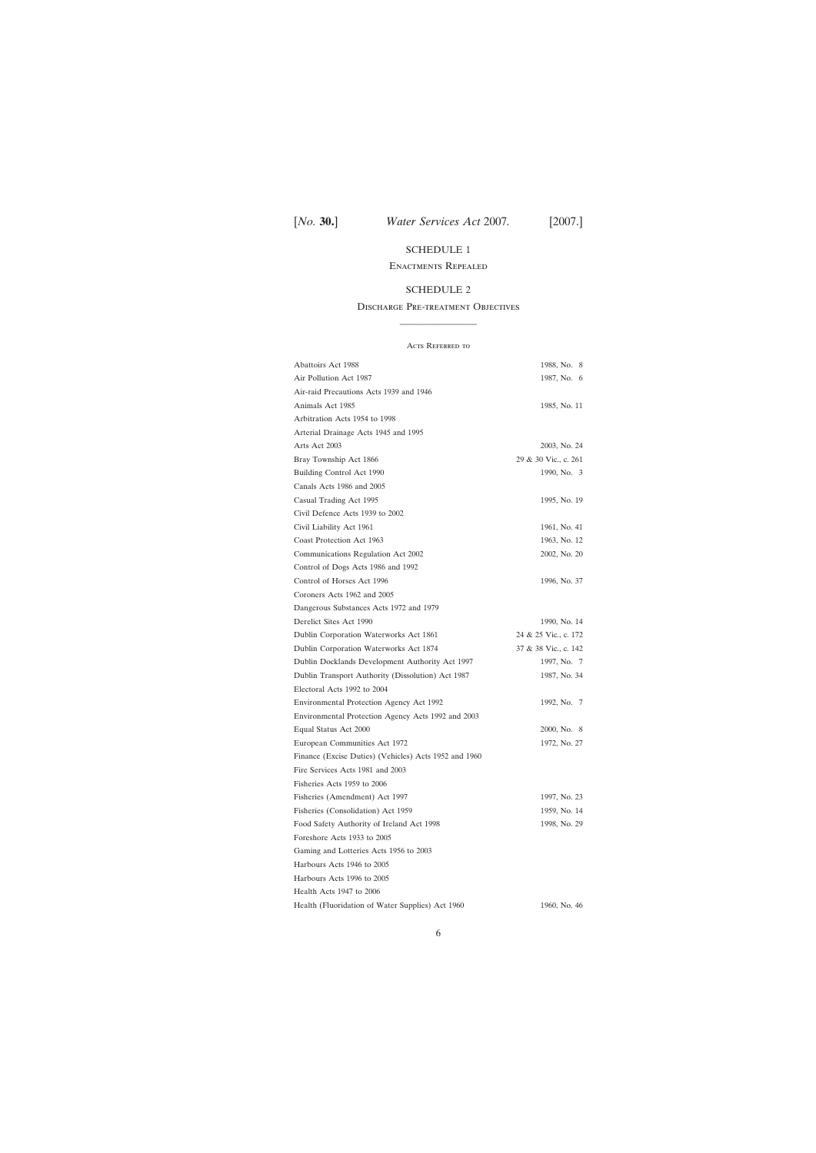## [SCHEDULE 1](#page-133-0)

#### Enactments Repealed

#### [SCHEDULE 2](#page-134-0)

## Discharge Pre-treatment Objectives ————————

Acts Referred to Abattoirs Act 1988 1988, No. 8 Air Pollution Act 1987 1987, No. 6 Air-raid Precautions Acts 1939 and 1946 Animals Act 1985 1985, No. 11 Arbitration Acts 1954 to 1998 Arterial Drainage Acts 1945 and 1995 Arts Act 2003 2003, No. 24 Bray Township Act 1866 29 & 30 Vic., c. 261 Building Control Act 1990 1990, No. 3 Canals Acts 1986 and 2005 Casual Trading Act 1995 1995, No. 19 Civil Defence Acts 1939 to 2002 Civil Liability Act 1961 1961, No. 41 Coast Protection Act 1963 1963, No. 12 Communications Regulation Act 2002 2002, No. 20 Control of Dogs Acts 1986 and 1992 Control of Horses Act 1996 1996, No. 37 Coroners Acts 1962 and 2005 Dangerous Substances Acts 1972 and 1979 Derelict Sites Act 1990 1990, No. 14 Dublin Corporation Waterworks Act 1861 24 & 25 Vic., c. 172 Dublin Corporation Waterworks Act 1874 37 & 38 Vic., c. 142 Dublin Docklands Development Authority Act 1997 1997, No. 7 Dublin Transport Authority (Dissolution) Act 1987 1987, No. 34 Electoral Acts 1992 to 2004 Environmental Protection Agency Act 1992 1992, No. 7 Environmental Protection Agency Acts 1992 and 2003 Equal Status Act 2000 2000, No. 8 European Communities Act 1972 1972, No. 27 Finance (Excise Duties) (Vehicles) Acts 1952 and 1960 Fire Services Acts 1981 and 2003 Fisheries Acts 1959 to 2006 Fisheries (Amendment) Act 1997 1997, No. 23 Fisheries (Consolidation) Act 1959 1959, No. 14 Food Safety Authority of Ireland Act 1998 1998, No. 29 Foreshore Acts 1933 to 2005 Gaming and Lotteries Acts 1956 to 2003 Harbours Acts 1946 to 2005 Harbours Acts 1996 to 2005 Health Acts 1947 to 2006 Health (Fluoridation of Water Supplies) Act 1960 1960, No. 46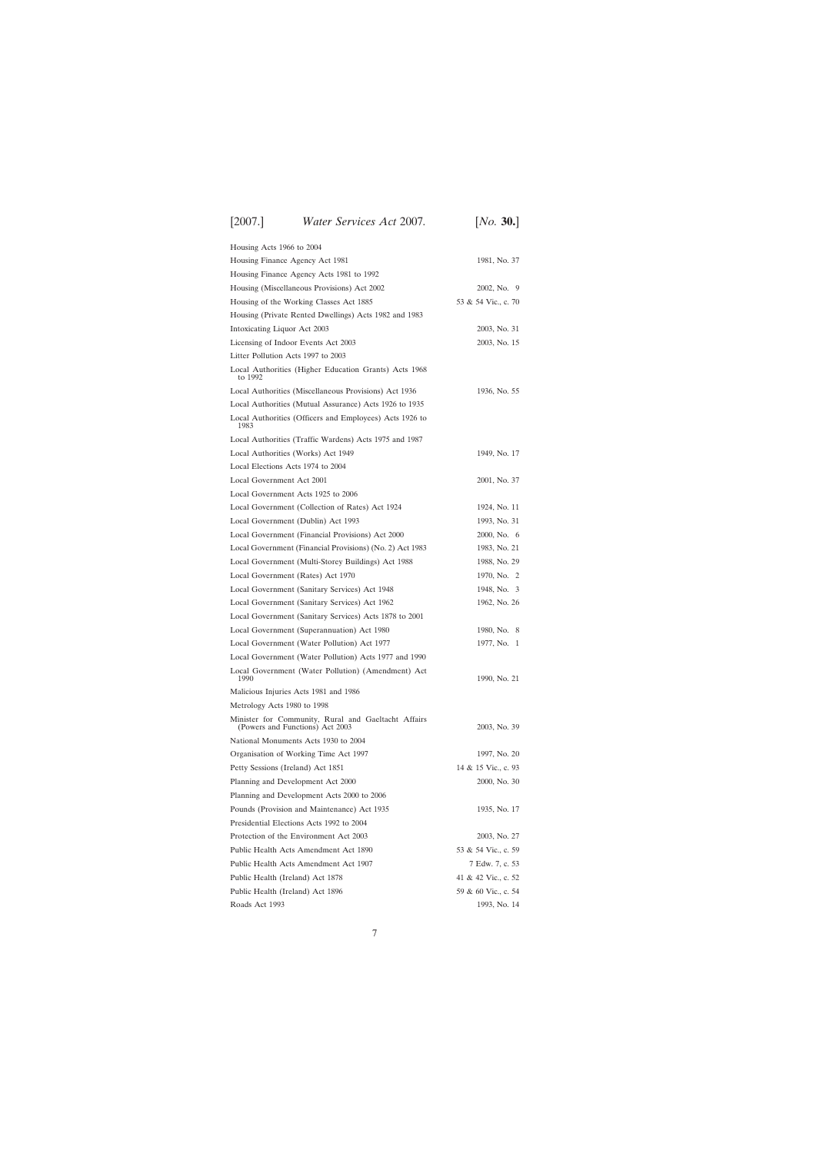# [2007.] [ *Water Services Act* 2007*. No.* **30.**]

| Housing Acts 1966 to 2004                                                              |                     |
|----------------------------------------------------------------------------------------|---------------------|
| Housing Finance Agency Act 1981                                                        | 1981, No. 37        |
| Housing Finance Agency Acts 1981 to 1992                                               |                     |
| Housing (Miscellaneous Provisions) Act 2002                                            | 2002, No. 9         |
| Housing of the Working Classes Act 1885                                                | 53 & 54 Vic., c. 70 |
| Housing (Private Rented Dwellings) Acts 1982 and 1983                                  |                     |
| Intoxicating Liquor Act 2003                                                           | 2003, No. 31        |
| Licensing of Indoor Events Act 2003                                                    | 2003, No. 15        |
| Litter Pollution Acts 1997 to 2003                                                     |                     |
| Local Authorities (Higher Education Grants) Acts 1968                                  |                     |
| to 1992                                                                                |                     |
| Local Authorities (Miscellaneous Provisions) Act 1936                                  | 1936, No. 55        |
| Local Authorities (Mutual Assurance) Acts 1926 to 1935                                 |                     |
| Local Authorities (Officers and Employees) Acts 1926 to<br>1983                        |                     |
| Local Authorities (Traffic Wardens) Acts 1975 and 1987                                 |                     |
| Local Authorities (Works) Act 1949                                                     | 1949, No. 17        |
| Local Elections Acts 1974 to 2004                                                      |                     |
| Local Government Act 2001                                                              | 2001, No. 37        |
| Local Government Acts 1925 to 2006                                                     |                     |
| Local Government (Collection of Rates) Act 1924                                        | 1924, No. 11        |
| Local Government (Dublin) Act 1993                                                     | 1993, No. 31        |
| Local Government (Financial Provisions) Act 2000                                       | 2000, No. 6         |
| Local Government (Financial Provisions) (No. 2) Act 1983                               | 1983, No. 21        |
| Local Government (Multi-Storey Buildings) Act 1988                                     | 1988, No. 29        |
| Local Government (Rates) Act 1970                                                      | 1970, No. 2         |
| Local Government (Sanitary Services) Act 1948                                          | 1948, No. 3         |
| Local Government (Sanitary Services) Act 1962                                          | 1962, No. 26        |
| Local Government (Sanitary Services) Acts 1878 to 2001                                 |                     |
| Local Government (Superannuation) Act 1980                                             | 1980, No. 8         |
| Local Government (Water Pollution) Act 1977                                            | 1977, No.<br>-1     |
| Local Government (Water Pollution) Acts 1977 and 1990                                  |                     |
| Local Government (Water Pollution) (Amendment) Act<br>1990                             | 1990, No. 21        |
| Malicious Injuries Acts 1981 and 1986                                                  |                     |
| Metrology Acts 1980 to 1998                                                            |                     |
| Minister for Community, Rural and Gaeltacht Affairs<br>(Powers and Functions) Act 2003 | 2003, No. 39        |
| National Monuments Acts 1930 to 2004                                                   |                     |
| Organisation of Working Time Act 1997                                                  | 1997, No. 20        |
| Petty Sessions (Ireland) Act 1851                                                      | 14 & 15 Vic., c. 93 |
| Planning and Development Act 2000                                                      | 2000, No. 30        |
| Planning and Development Acts 2000 to 2006                                             |                     |
| Pounds (Provision and Maintenance) Act 1935                                            | 1935, No. 17        |
| Presidential Elections Acts 1992 to 2004                                               |                     |
| Protection of the Environment Act 2003                                                 | 2003, No. 27        |
| Public Health Acts Amendment Act 1890                                                  | 53 & 54 Vic., c. 59 |
| Public Health Acts Amendment Act 1907                                                  | 7 Edw. 7, c. 53     |
| Public Health (Ireland) Act 1878                                                       | 41 & 42 Vic., c. 52 |
| Public Health (Ireland) Act 1896                                                       | 59 & 60 Vic., c. 54 |
| Roads Act 1993                                                                         | 1993, No. 14        |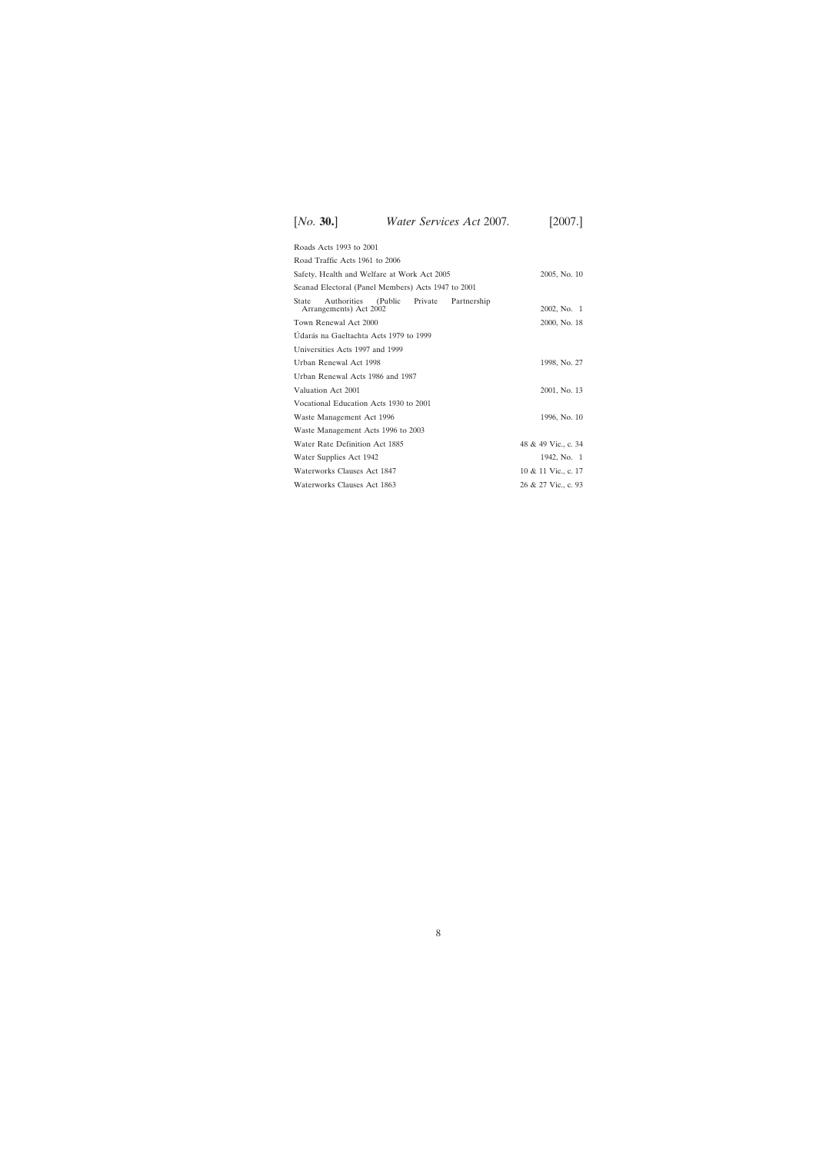| Roads Acts 1993 to 2001                                                          |                     |
|----------------------------------------------------------------------------------|---------------------|
| Road Traffic Acts 1961 to 2006                                                   |                     |
| Safety, Health and Welfare at Work Act 2005                                      | 2005, No. 10        |
| Seanad Electoral (Panel Members) Acts 1947 to 2001                               |                     |
| (Public Private<br>Authorities<br>Partnership<br>State<br>Arrangements) Act 2002 | 2002, No. 1         |
| Town Renewal Act 2000                                                            | 2000, No. 18        |
| Údarás na Gaeltachta Acts 1979 to 1999                                           |                     |
| Universities Acts 1997 and 1999                                                  |                     |
| Urban Renewal Act 1998                                                           | 1998, No. 27        |
| Urban Renewal Acts 1986 and 1987                                                 |                     |
| Valuation Act 2001                                                               | 2001, No. 13        |
| Vocational Education Acts 1930 to 2001                                           |                     |
| Waste Management Act 1996                                                        | 1996, No. 10        |
| Waste Management Acts 1996 to 2003                                               |                     |
| Water Rate Definition Act 1885                                                   | 48 & 49 Vic., c. 34 |
| Water Supplies Act 1942                                                          | 1942, No. 1         |
| Waterworks Clauses Act 1847                                                      | 10 & 11 Vic., c. 17 |
| Waterworks Clauses Act 1863                                                      | 26 & 27 Vic., c. 93 |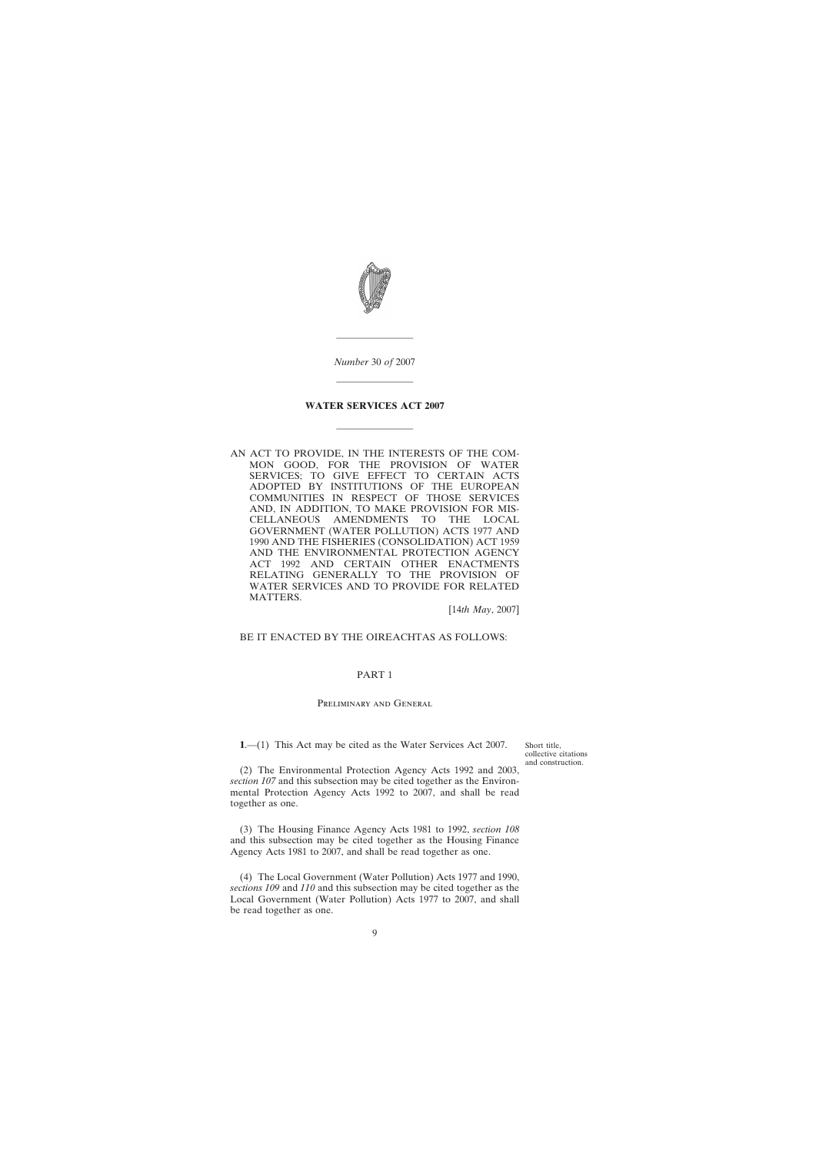<span id="page-8-0"></span>

*Number* 30 *of* 2007

————————

————————

## **WATER SERVICES ACT 2007**

————————

AN ACT TO PROVIDE, IN THE INTERESTS OF THE COM-MON GOOD, FOR THE PROVISION OF WATER SERVICES; TO GIVE EFFECT TO CERTAIN ACTS ADOPTED BY INSTITUTIONS OF THE EUROPEAN COMMUNITIES IN RESPECT OF THOSE SERVICES AND, IN ADDITION, TO MAKE PROVISION FOR MIS-CELLANEOUS AMENDMENTS TO THE LOCAL GOVERNMENT (WATER POLLUTION) ACTS 1977 AND 1990 AND THE FISHERIES (CONSOLIDATION) ACT 1959 AND THE ENVIRONMENTAL PROTECTION AGENCY ACT 1992 AND CERTAIN OTHER ENACTMENTS RELATING GENERALLY TO THE PROVISION OF WATER SERVICES AND TO PROVIDE FOR RELATED MATTERS.

[14*th May*, 2007]

#### BE IT ENACTED BY THE OIREACHTAS AS FOLLOWS:

#### PART 1

#### Preliminary and General

**1**.—(1) This Act may be cited as the Water Services Act 2007.

Short title, collective citations and construction.

(2) The Environmental Protection Agency Acts 1992 and 2003, *section 107* and this subsection may be cited together as the Environmental Protection Agency Acts 1992 to 2007, and shall be read together as one.

(3) The Housing Finance Agency Acts 1981 to 1992, *section 108* and this subsection may be cited together as the Housing Finance Agency Acts 1981 to 2007, and shall be read together as one.

(4) The Local Government (Water Pollution) Acts 1977 and 1990, *sections 109* and *110* and this subsection may be cited together as the Local Government (Water Pollution) Acts 1977 to 2007, and shall be read together as one.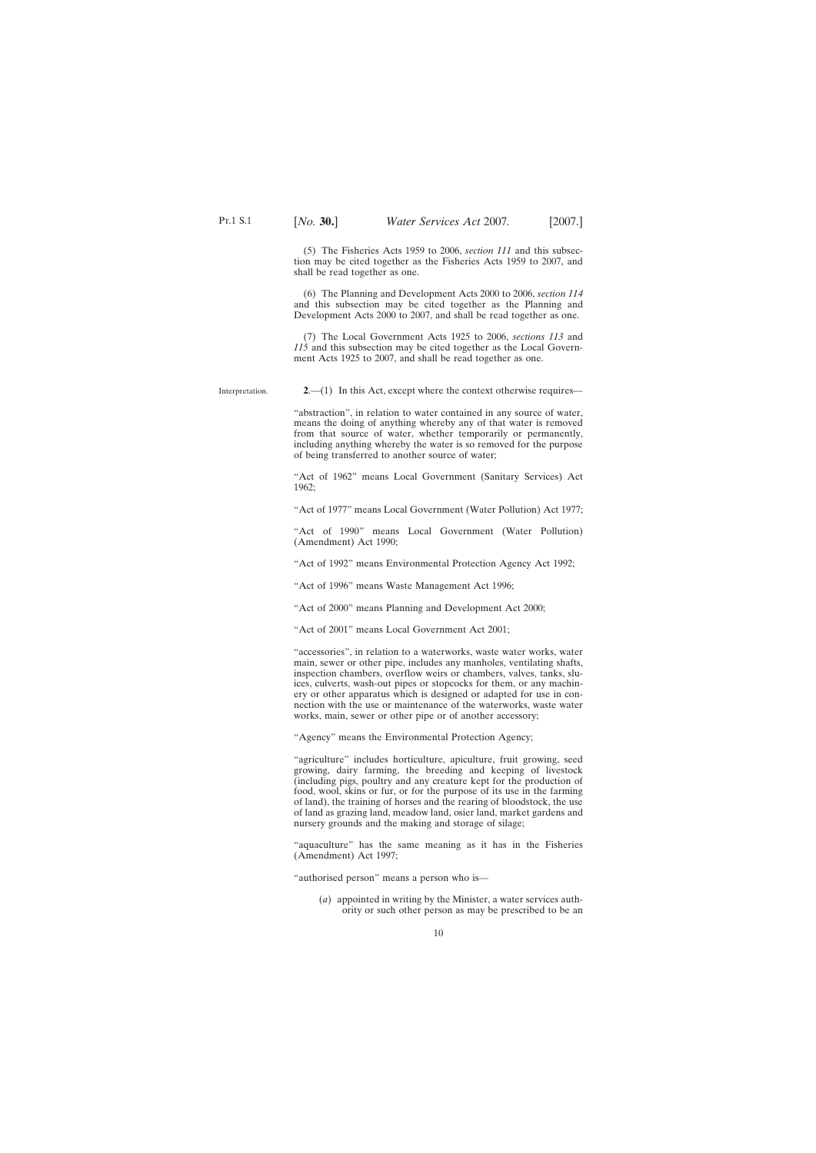<span id="page-9-0"></span>(5) The Fisheries Acts 1959 to 2006, *section 111* and this subsection may be cited together as the Fisheries Acts 1959 to 2007, and shall be read together as one.

(6) The Planning and Development Acts 2000 to 2006, *section 114* and this subsection may be cited together as the Planning and Development Acts 2000 to 2007, and shall be read together as one.

(7) The Local Government Acts 1925 to 2006, *sections 113* and *115* and this subsection may be cited together as the Local Government Acts 1925 to 2007, and shall be read together as one.

Interpretation. **2**.—(1) In this Act, except where the context otherwise requires—

> "abstraction", in relation to water contained in any source of water, means the doing of anything whereby any of that water is removed from that source of water, whether temporarily or permanently, including anything whereby the water is so removed for the purpose of being transferred to another source of water;

> "Act of 1962" means Local Government (Sanitary Services) Act 1962;

> "Act of 1977" means Local Government (Water Pollution) Act 1977;

"Act of 1990" means Local Government (Water Pollution) (Amendment) Act 1990;

"Act of 1992" means Environmental Protection Agency Act 1992;

"Act of 1996" means Waste Management Act 1996;

"Act of 2000" means Planning and Development Act 2000;

"Act of 2001" means Local Government Act 2001;

"accessories", in relation to a waterworks, waste water works, water main, sewer or other pipe, includes any manholes, ventilating shafts, inspection chambers, overflow weirs or chambers, valves, tanks, sluices, culverts, wash-out pipes or stopcocks for them, or any machinery or other apparatus which is designed or adapted for use in connection with the use or maintenance of the waterworks, waste water works, main, sewer or other pipe or of another accessory;

"Agency" means the Environmental Protection Agency;

"agriculture" includes horticulture, apiculture, fruit growing, seed growing, dairy farming, the breeding and keeping of livestock (including pigs, poultry and any creature kept for the production of food, wool, skins or fur, or for the purpose of its use in the farming of land), the training of horses and the rearing of bloodstock, the use of land as grazing land, meadow land, osier land, market gardens and nursery grounds and the making and storage of silage;

"aquaculture" has the same meaning as it has in the Fisheries (Amendment) Act 1997;

"authorised person" means a person who is—

(*a*) appointed in writing by the Minister, a water services authority or such other person as may be prescribed to be an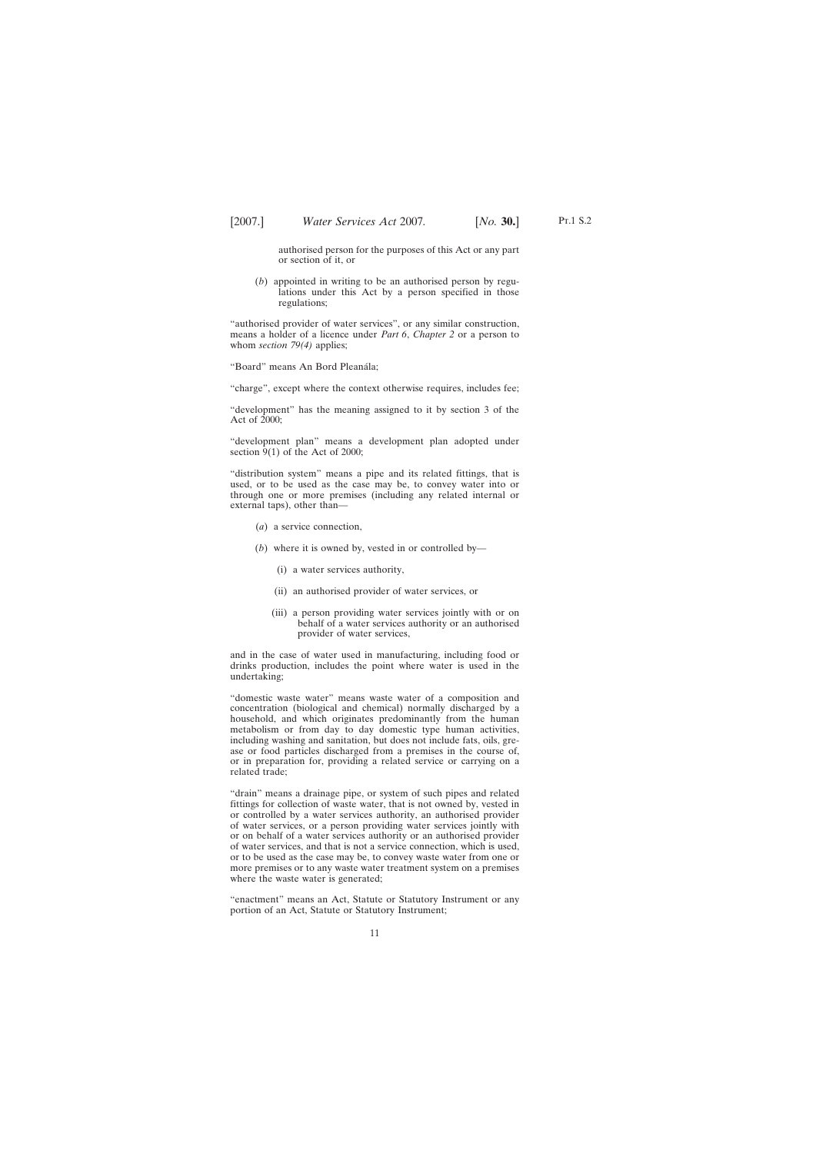authorised person for the purposes of this Act or any part or section of it, or

(*b*) appointed in writing to be an authorised person by regulations under this Act by a person specified in those regulations;

"authorised provider of water services", or any similar construction, means a holder of a licence under *Part 6*, *Chapter 2* or a person to whom *section* 79(4) applies;

"Board" means An Bord Pleanála;

"charge", except where the context otherwise requires, includes fee;

"development" has the meaning assigned to it by section 3 of the Act of 2000;

"development plan" means a development plan adopted under section  $9(1)$  of the Act of 2000;

"distribution system" means a pipe and its related fittings, that is used, or to be used as the case may be, to convey water into or through one or more premises (including any related internal or external taps), other than—

- (*a*) a service connection,
- (*b*) where it is owned by, vested in or controlled by—
	- (i) a water services authority,
	- (ii) an authorised provider of water services, or
	- (iii) a person providing water services jointly with or on behalf of a water services authority or an authorised provider of water services,

and in the case of water used in manufacturing, including food or drinks production, includes the point where water is used in the undertaking;

"domestic waste water" means waste water of a composition and concentration (biological and chemical) normally discharged by a household, and which originates predominantly from the human metabolism or from day to day domestic type human activities, including washing and sanitation, but does not include fats, oils, grease or food particles discharged from a premises in the course of, or in preparation for, providing a related service or carrying on a related trade;

"drain" means a drainage pipe, or system of such pipes and related fittings for collection of waste water, that is not owned by, vested in or controlled by a water services authority, an authorised provider of water services, or a person providing water services jointly with or on behalf of a water services authority or an authorised provider of water services, and that is not a service connection, which is used, or to be used as the case may be, to convey waste water from one or more premises or to any waste water treatment system on a premises where the waste water is generated;

"enactment" means an Act, Statute or Statutory Instrument or any portion of an Act, Statute or Statutory Instrument;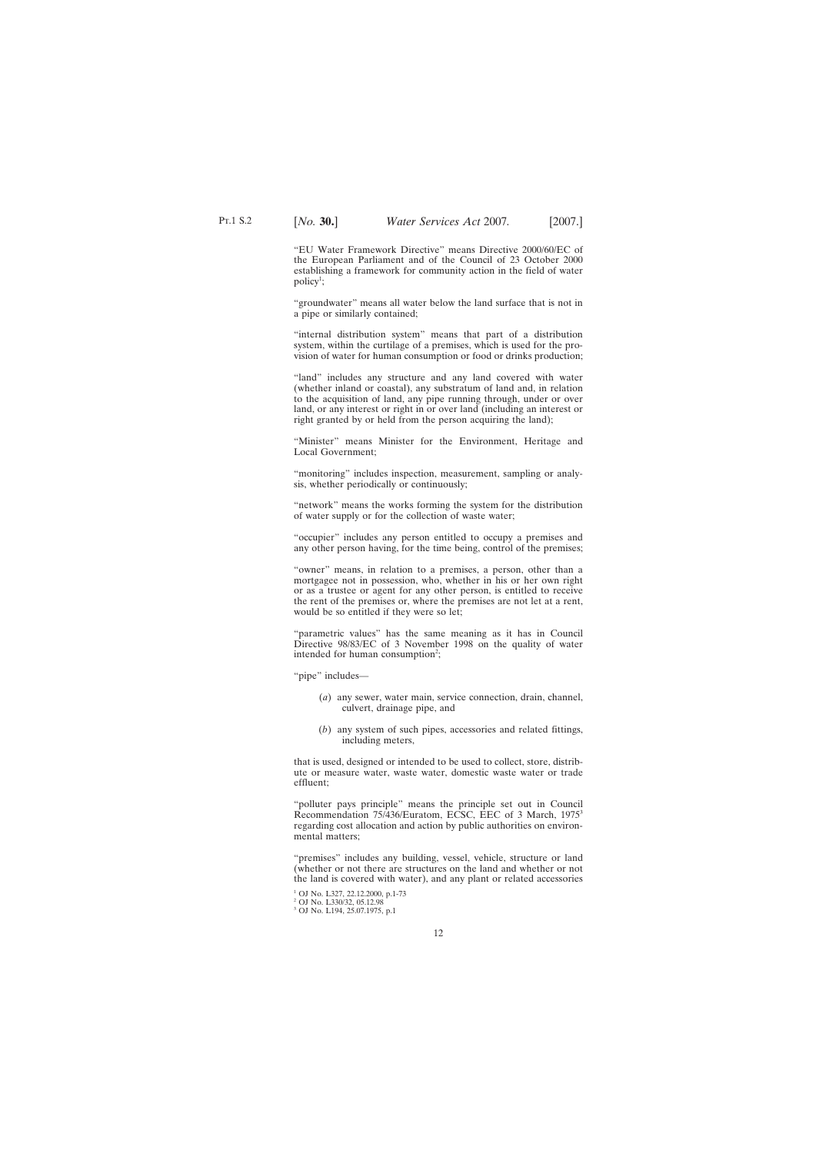"EU Water Framework Directive" means Directive 2000/60/EC of the European Parliament and of the Council of 23 October 2000 establishing a framework for community action in the field of water  $\text{policy}^1$ ;

"groundwater" means all water below the land surface that is not in a pipe or similarly contained;

"internal distribution system" means that part of a distribution system, within the curtilage of a premises, which is used for the provision of water for human consumption or food or drinks production;

"land" includes any structure and any land covered with water (whether inland or coastal), any substratum of land and, in relation to the acquisition of land, any pipe running through, under or over land, or any interest or right in or over land (including an interest or right granted by or held from the person acquiring the land);

"Minister" means Minister for the Environment, Heritage and Local Government;

"monitoring" includes inspection, measurement, sampling or analysis, whether periodically or continuously;

"network" means the works forming the system for the distribution of water supply or for the collection of waste water;

"occupier" includes any person entitled to occupy a premises and any other person having, for the time being, control of the premises;

"owner" means, in relation to a premises, a person, other than a mortgagee not in possession, who, whether in his or her own right or as a trustee or agent for any other person, is entitled to receive the rent of the premises or, where the premises are not let at a rent, would be so entitled if they were so let;

"parametric values" has the same meaning as it has in Council Directive 98/83/EC of 3 November 1998 on the quality of water intended for human consumption<sup>2</sup>;

"pipe" includes—

- (*a*) any sewer, water main, service connection, drain, channel, culvert, drainage pipe, and
- (*b*) any system of such pipes, accessories and related fittings, including meters,

that is used, designed or intended to be used to collect, store, distribute or measure water, waste water, domestic waste water or trade effluent;

"polluter pays principle" means the principle set out in Council Recommendation 75/436/Euratom, ECSC, EEC of 3 March, 19753 regarding cost allocation and action by public authorities on environmental matters;

"premises" includes any building, vessel, vehicle, structure or land (whether or not there are structures on the land and whether or not the land is covered with water), and any plant or related accessories

<sup>1</sup> OJ No. L327, 22.12.2000, p.1-73

<sup>2</sup> OJ No. L330/32, 05.12.98

<sup>&</sup>lt;sup>3</sup> OJ No. L194, 25.07.1975, p.1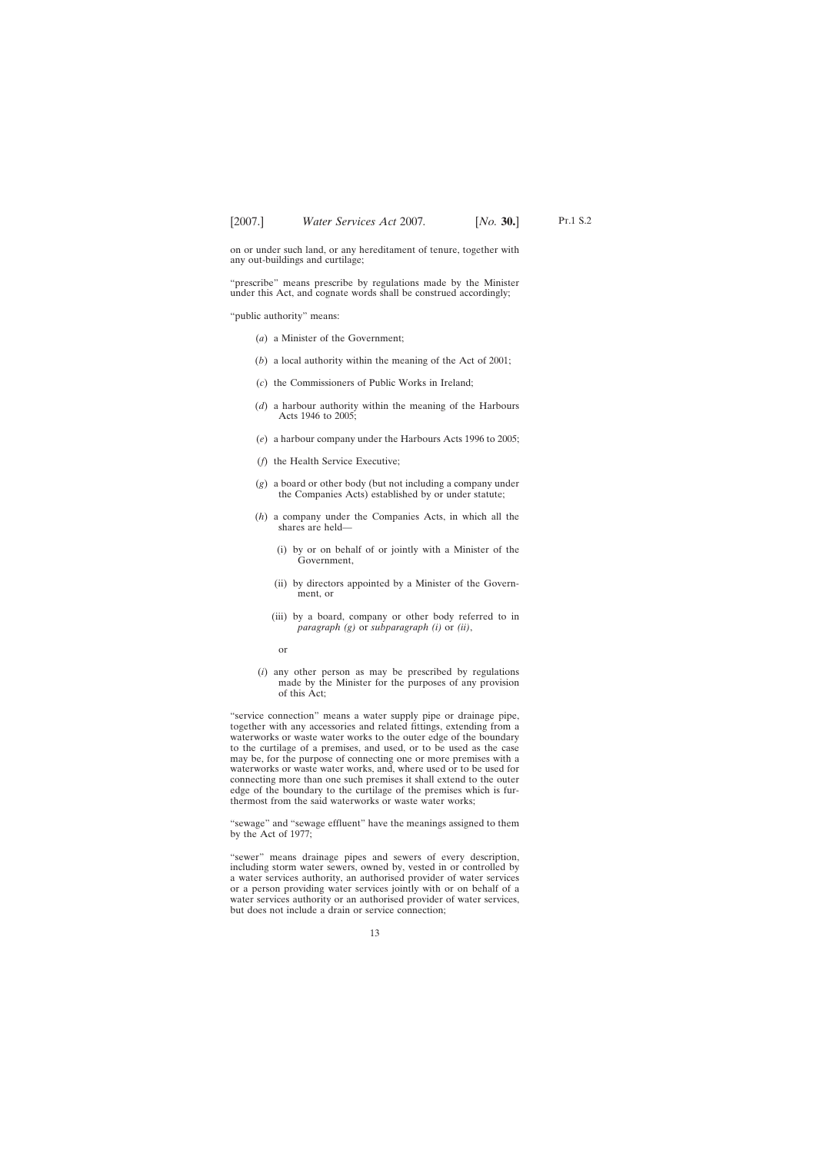on or under such land, or any hereditament of tenure, together with any out-buildings and curtilage;

"prescribe" means prescribe by regulations made by the Minister under this Act, and cognate words shall be construed accordingly;

"public authority" means:

- (*a*) a Minister of the Government;
- (*b*) a local authority within the meaning of the Act of 2001;
- (*c*) the Commissioners of Public Works in Ireland;
- (*d*) a harbour authority within the meaning of the Harbours Acts 1946 to 2005;
- (*e*) a harbour company under the Harbours Acts 1996 to 2005;
- (*f*) the Health Service Executive;
- (*g*) a board or other body (but not including a company under the Companies Acts) established by or under statute;
- (*h*) a company under the Companies Acts, in which all the shares are held—
	- (i) by or on behalf of or jointly with a Minister of the Government,
	- (ii) by directors appointed by a Minister of the Government, or
	- (iii) by a board, company or other body referred to in *paragraph (g)* or *subparagraph (i)* or *(ii)*,
		- or
- (*i*) any other person as may be prescribed by regulations made by the Minister for the purposes of any provision of this Act;

"service connection" means a water supply pipe or drainage pipe, together with any accessories and related fittings, extending from a waterworks or waste water works to the outer edge of the boundary to the curtilage of a premises, and used, or to be used as the case may be, for the purpose of connecting one or more premises with a waterworks or waste water works, and, where used or to be used for connecting more than one such premises it shall extend to the outer edge of the boundary to the curtilage of the premises which is furthermost from the said waterworks or waste water works;

"sewage" and "sewage effluent" have the meanings assigned to them by the Act of 1977;

"sewer" means drainage pipes and sewers of every description, including storm water sewers, owned by, vested in or controlled by a water services authority, an authorised provider of water services or a person providing water services jointly with or on behalf of a water services authority or an authorised provider of water services, but does not include a drain or service connection;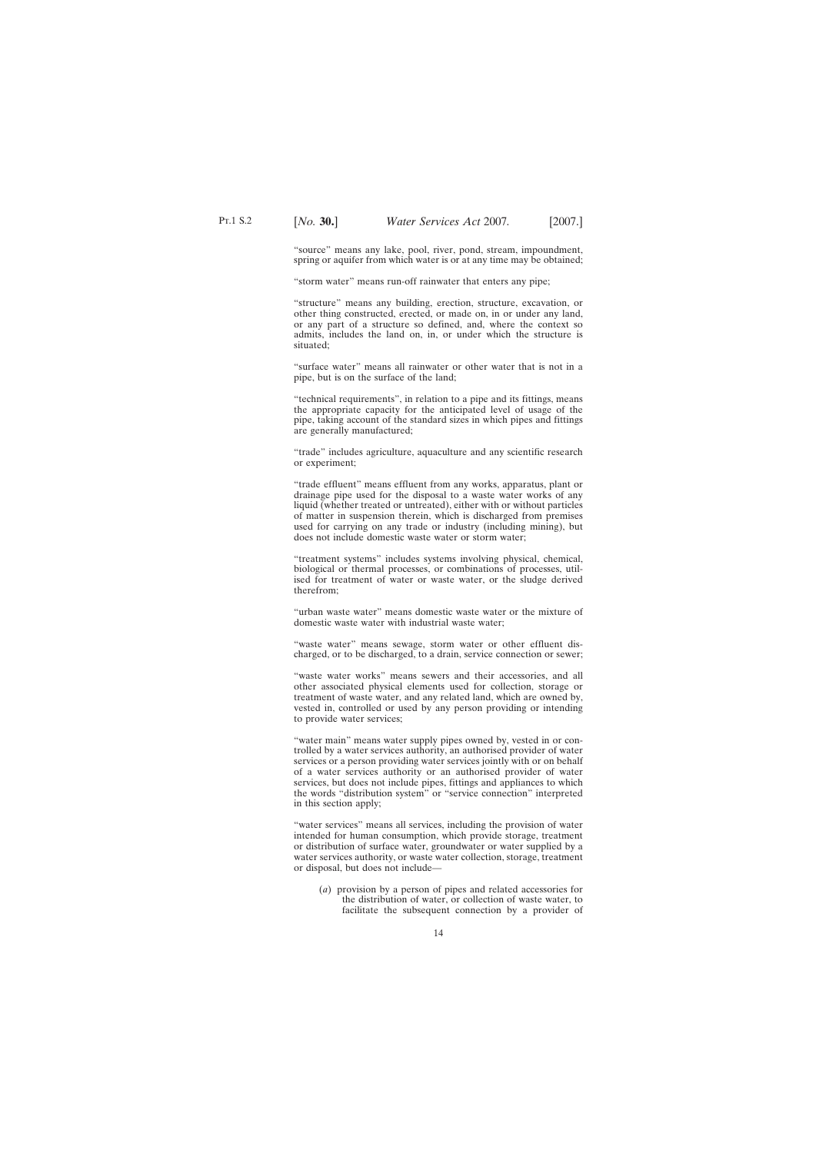"source" means any lake, pool, river, pond, stream, impoundment, spring or aquifer from which water is or at any time may be obtained;

"storm water" means run-off rainwater that enters any pipe;

"structure" means any building, erection, structure, excavation, or other thing constructed, erected, or made on, in or under any land, or any part of a structure so defined, and, where the context so admits, includes the land on, in, or under which the structure is situated;

"surface water" means all rainwater or other water that is not in a pipe, but is on the surface of the land;

"technical requirements", in relation to a pipe and its fittings, means the appropriate capacity for the anticipated level of usage of the pipe, taking account of the standard sizes in which pipes and fittings are generally manufactured;

"trade" includes agriculture, aquaculture and any scientific research or experiment;

"trade effluent" means effluent from any works, apparatus, plant or drainage pipe used for the disposal to a waste water works of any liquid (whether treated or untreated), either with or without particles of matter in suspension therein, which is discharged from premises used for carrying on any trade or industry (including mining), but does not include domestic waste water or storm water;

"treatment systems" includes systems involving physical, chemical, biological or thermal processes, or combinations of processes, utilised for treatment of water or waste water, or the sludge derived therefrom;

"urban waste water" means domestic waste water or the mixture of domestic waste water with industrial waste water;

"waste water" means sewage, storm water or other effluent discharged, or to be discharged, to a drain, service connection or sewer;

"waste water works" means sewers and their accessories, and all other associated physical elements used for collection, storage or treatment of waste water, and any related land, which are owned by, vested in, controlled or used by any person providing or intending to provide water services;

"water main" means water supply pipes owned by, vested in or controlled by a water services authority, an authorised provider of water services or a person providing water services jointly with or on behalf of a water services authority or an authorised provider of water services, but does not include pipes, fittings and appliances to which the words "distribution system" or "service connection" interpreted in this section apply;

"water services" means all services, including the provision of water intended for human consumption, which provide storage, treatment or distribution of surface water, groundwater or water supplied by a water services authority, or waste water collection, storage, treatment or disposal, but does not include—

(*a*) provision by a person of pipes and related accessories for the distribution of water, or collection of waste water, to facilitate the subsequent connection by a provider of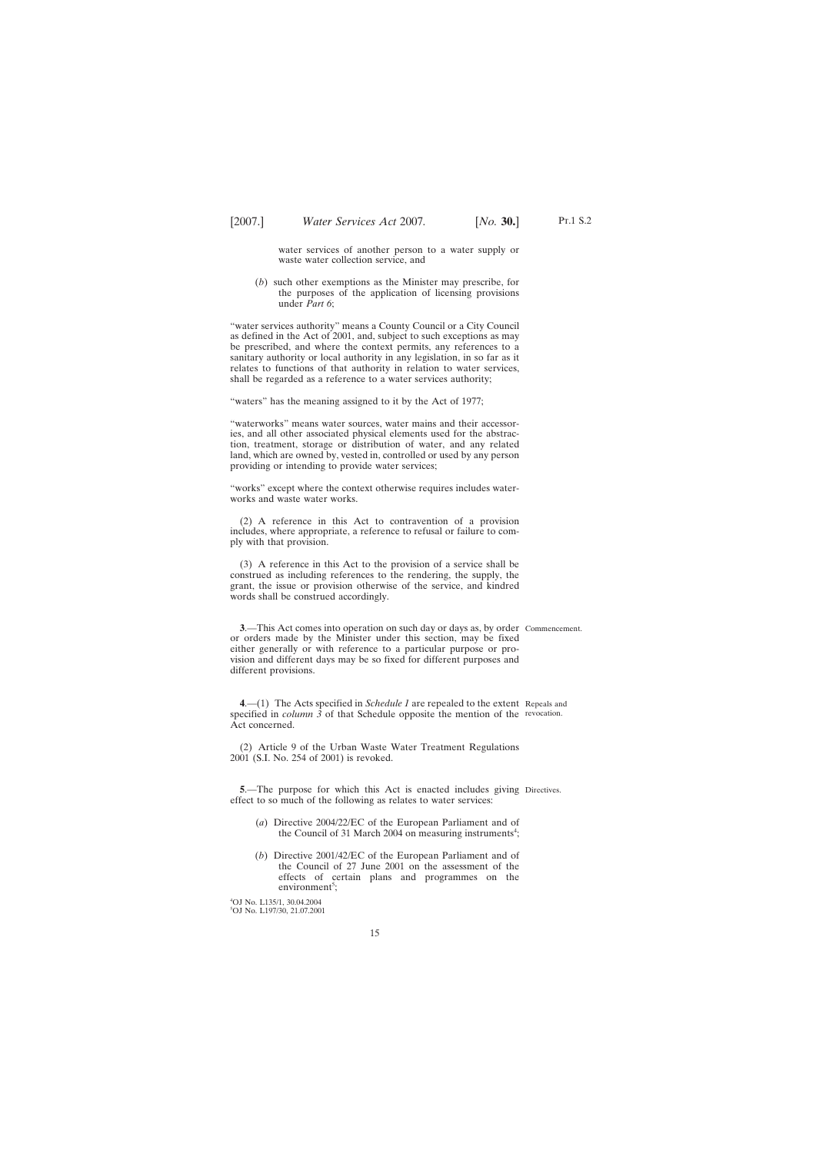water services of another person to a water supply or waste water collection service, and

<span id="page-14-0"></span>(*b*) such other exemptions as the Minister may prescribe, for the purposes of the application of licensing provisions under *Part 6*;

"water services authority" means a County Council or a City Council as defined in the Act of 2001, and, subject to such exceptions as may be prescribed, and where the context permits, any references to a sanitary authority or local authority in any legislation, in so far as it relates to functions of that authority in relation to water services, shall be regarded as a reference to a water services authority;

"waters" has the meaning assigned to it by the Act of 1977;

"waterworks" means water sources, water mains and their accessories, and all other associated physical elements used for the abstraction, treatment, storage or distribution of water, and any related land, which are owned by, vested in, controlled or used by any person providing or intending to provide water services;

"works" except where the context otherwise requires includes waterworks and waste water works.

(2) A reference in this Act to contravention of a provision includes, where appropriate, a reference to refusal or failure to comply with that provision.

(3) A reference in this Act to the provision of a service shall be construed as including references to the rendering, the supply, the grant, the issue or provision otherwise of the service, and kindred words shall be construed accordingly.

**3**.—This Act comes into operation on such day or days as, by order Commencement. or orders made by the Minister under this section, may be fixed either generally or with reference to a particular purpose or provision and different days may be so fixed for different purposes and different provisions.

**4**.—(1) The Acts specified in *Schedule 1* are repealed to the extent Repeals and specified in *column 3* of that Schedule opposite the mention of the revocation. Act concerned.

(2) Article 9 of the Urban Waste Water Treatment Regulations 2001 (S.I. No. 254 of 2001) is revoked.

**5.**—The purpose for which this Act is enacted includes giving Directives. effect to so much of the following as relates to water services:

- (*a*) Directive 2004/22/EC of the European Parliament and of the Council of 31 March 2004 on measuring instruments<sup>4</sup>;
- (*b*) Directive 2001/42/EC of the European Parliament and of the Council of 27 June 2001 on the assessment of the effects of certain plans and programmes on the environment<sup>5</sup>;

4 OJ No. L135/1, 30.04.2004 5 OJ No. L197/30, 21.07.2001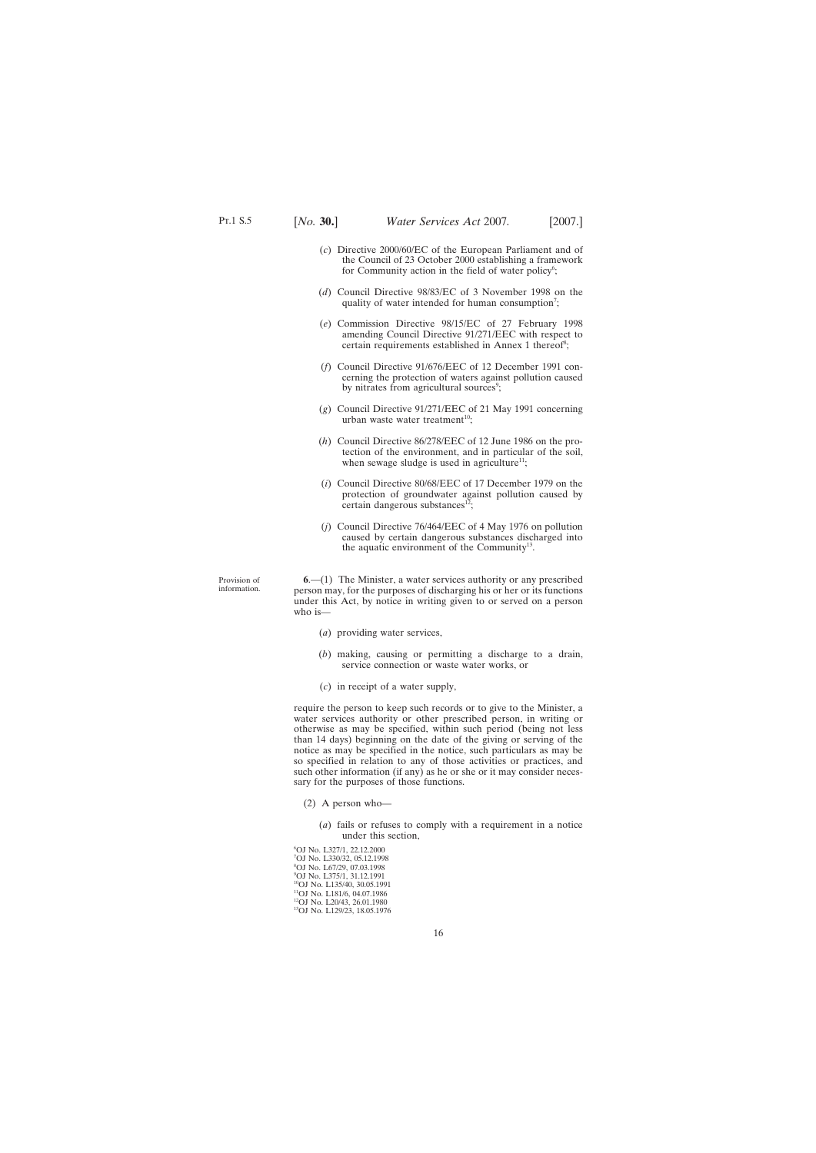- <span id="page-15-0"></span>(*c*) Directive 2000/60/EC of the European Parliament and of the Council of 23 October 2000 establishing a framework for Community action in the field of water policy<sup>6</sup>;
- (*d*) Council Directive 98/83/EC of 3 November 1998 on the quality of water intended for human consumption<sup>7</sup>;
- (*e*) Commission Directive 98/15/EC of 27 February 1998 amending Council Directive 91/271/EEC with respect to certain requirements established in Annex 1 thereof<sup>8</sup>;
- (*f*) Council Directive 91/676/EEC of 12 December 1991 concerning the protection of waters against pollution caused by nitrates from agricultural sources<sup>9</sup>;
- (*g*) Council Directive 91/271/EEC of 21 May 1991 concerning urban waste water treatment<sup>10</sup>;
- (*h*) Council Directive 86/278/EEC of 12 June 1986 on the protection of the environment, and in particular of the soil, when sewage sludge is used in agriculture<sup>11</sup>;
- (*i*) Council Directive 80/68/EEC of 17 December 1979 on the protection of groundwater against pollution caused by certain dangerous substances $^{12}$ ;
- (*j*) Council Directive 76/464/EEC of 4 May 1976 on pollution caused by certain dangerous substances discharged into the aquatic environment of the Community<sup>13</sup>.

Provision of information.

**6**.—(1) The Minister, a water services authority or any prescribed person may, for the purposes of discharging his or her or its functions under this Act, by notice in writing given to or served on a person who is-

- (*a*) providing water services,
- (*b*) making, causing or permitting a discharge to a drain, service connection or waste water works, or
- (*c*) in receipt of a water supply,

require the person to keep such records or to give to the Minister, a water services authority or other prescribed person, in writing or otherwise as may be specified, within such period (being not less than 14 days) beginning on the date of the giving or serving of the notice as may be specified in the notice, such particulars as may be so specified in relation to any of those activities or practices, and such other information (if any) as he or she or it may consider necessary for the purposes of those functions.

- (2) A person who—
	- (*a*) fails or refuses to comply with a requirement in a notice under this section,

6 OJ No. L327/1, 22.12.2000 7 OJ No. L330/32, 05.12.1998 8 OJ No. L67/29, 07.03.1998 9 OJ No. L375/1, 31.12.1991 10OJ No. L135/40, 30.05.1991 <sup>11</sup>OJ No. L181/6, 04.07.1986 12OJ No. L20/43, 26.01.1980 13OJ No. L129/23, 18.05.1976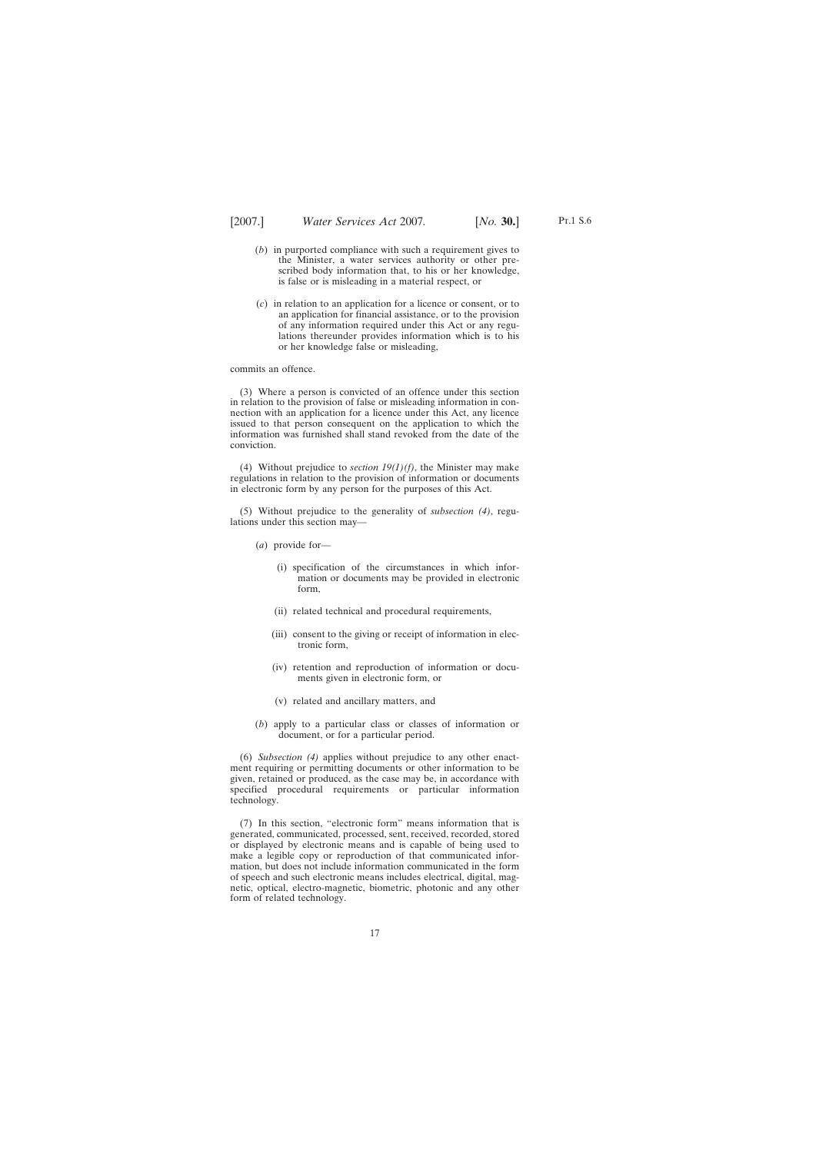Pt.1 S.6

- (*b*) in purported compliance with such a requirement gives to the Minister, a water services authority or other prescribed body information that, to his or her knowledge, is false or is misleading in a material respect, or
- (*c*) in relation to an application for a licence or consent, or to an application for financial assistance, or to the provision of any information required under this Act or any regulations thereunder provides information which is to his or her knowledge false or misleading,

commits an offence.

(3) Where a person is convicted of an offence under this section in relation to the provision of false or misleading information in connection with an application for a licence under this Act, any licence issued to that person consequent on the application to which the information was furnished shall stand revoked from the date of the conviction.

(4) Without prejudice to *section 19(1)(f)*, the Minister may make regulations in relation to the provision of information or documents in electronic form by any person for the purposes of this Act.

(5) Without prejudice to the generality of *subsection (4)*, regulations under this section may—

- (*a*) provide for—
	- (i) specification of the circumstances in which information or documents may be provided in electronic form,
	- (ii) related technical and procedural requirements,
	- (iii) consent to the giving or receipt of information in electronic form,
	- (iv) retention and reproduction of information or documents given in electronic form, or
	- (v) related and ancillary matters, and
- (*b*) apply to a particular class or classes of information or document, or for a particular period.

(6) *Subsection (4)* applies without prejudice to any other enactment requiring or permitting documents or other information to be given, retained or produced, as the case may be, in accordance with specified procedural requirements or particular information technology.

(7) In this section, "electronic form" means information that is generated, communicated, processed, sent, received, recorded, stored or displayed by electronic means and is capable of being used to make a legible copy or reproduction of that communicated information, but does not include information communicated in the form of speech and such electronic means includes electrical, digital, magnetic, optical, electro-magnetic, biometric, photonic and any other form of related technology.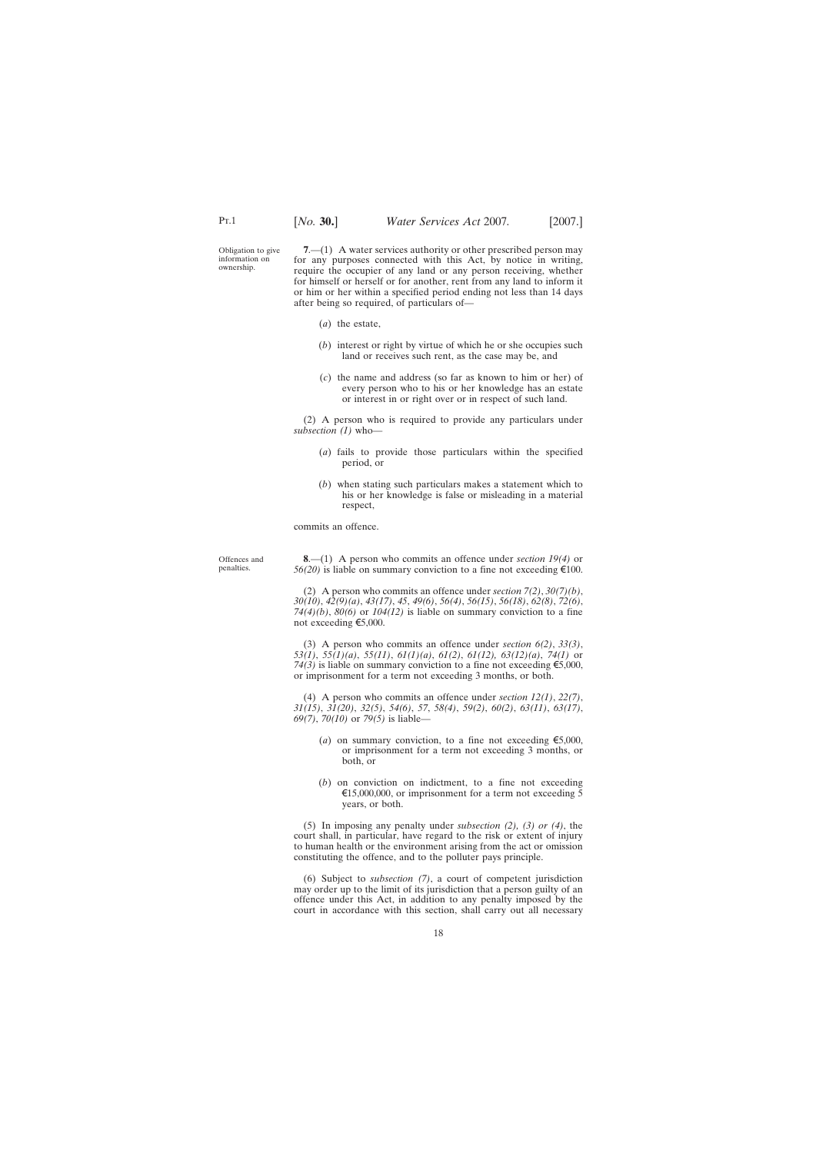<span id="page-17-0"></span>Obligation to give information on ownership.

**7.**—(1) A water services authority or other prescribed person may for any purposes connected with this Act, by notice in writing, require the occupier of any land or any person receiving, whether for himself or herself or for another, rent from any land to inform it or him or her within a specified period ending not less than 14 days after being so required, of particulars of—

- (*a*) the estate,
- (*b*) interest or right by virtue of which he or she occupies such land or receives such rent, as the case may be, and
- (*c*) the name and address (so far as known to him or her) of every person who to his or her knowledge has an estate or interest in or right over or in respect of such land.

(2) A person who is required to provide any particulars under *subsection (1)* who—

- (*a*) fails to provide those particulars within the specified period, or
- (*b*) when stating such particulars makes a statement which to his or her knowledge is false or misleading in a material respect,

commits an offence.

Offences and penalties.

**8**.—(1) A person who commits an offence under *section 19(4)* or  $56(20)$  is liable on summary conviction to a fine not exceeding  $\epsilon$ 100.

(2) A person who commits an offence under *section 7(2)*, *30(7)(b)*, *30(10)*, *42(9)(a)*, *43(17)*, *45*, *49(6)*, *56(4)*, *56(15)*, *56(18)*, *62(8)*, *72(6)*, *74(4)(b)*, *80(6)* or *104(12)* is liable on summary conviction to a fine not exceeding  $\epsilon$ 5,000.

(3) A person who commits an offence under *section 6(2)*, *33(3)*, *53(1)*, *55(1)(a)*, *55(11)*, *61(1)(a)*, *61(2)*, *61(12), 63(12)(a)*, *74(1)* or *74(3)* is liable on summary conviction to a fine not exceeding  $\epsilon$ 5,000, or imprisonment for a term not exceeding 3 months, or both.

(4) A person who commits an offence under *section 12(1)*, *22(7)*, *31(15)*, *31(20)*, *32(5)*, *54(6)*, *57*, *58(4)*, *59(2)*, *60(2)*, *63(11)*, *63(17)*, *69(7)*, *70(10)* or *79(5)* is liable—

- (*a*) on summary conviction, to a fine not exceeding  $\epsilon$ 5,000, or imprisonment for a term not exceeding 3 months, or both, or
- (*b*) on conviction on indictment, to a fine not exceeding  $\text{\textsterling}15,000,000$ , or imprisonment for a term not exceeding 5 years, or both.

(5) In imposing any penalty under *subsection (2), (3) or (4)*, the court shall, in particular, have regard to the risk or extent of injury to human health or the environment arising from the act or omission constituting the offence, and to the polluter pays principle.

(6) Subject to *subsection (7)*, a court of competent jurisdiction may order up to the limit of its jurisdiction that a person guilty of an offence under this Act, in addition to any penalty imposed by the court in accordance with this section, shall carry out all necessary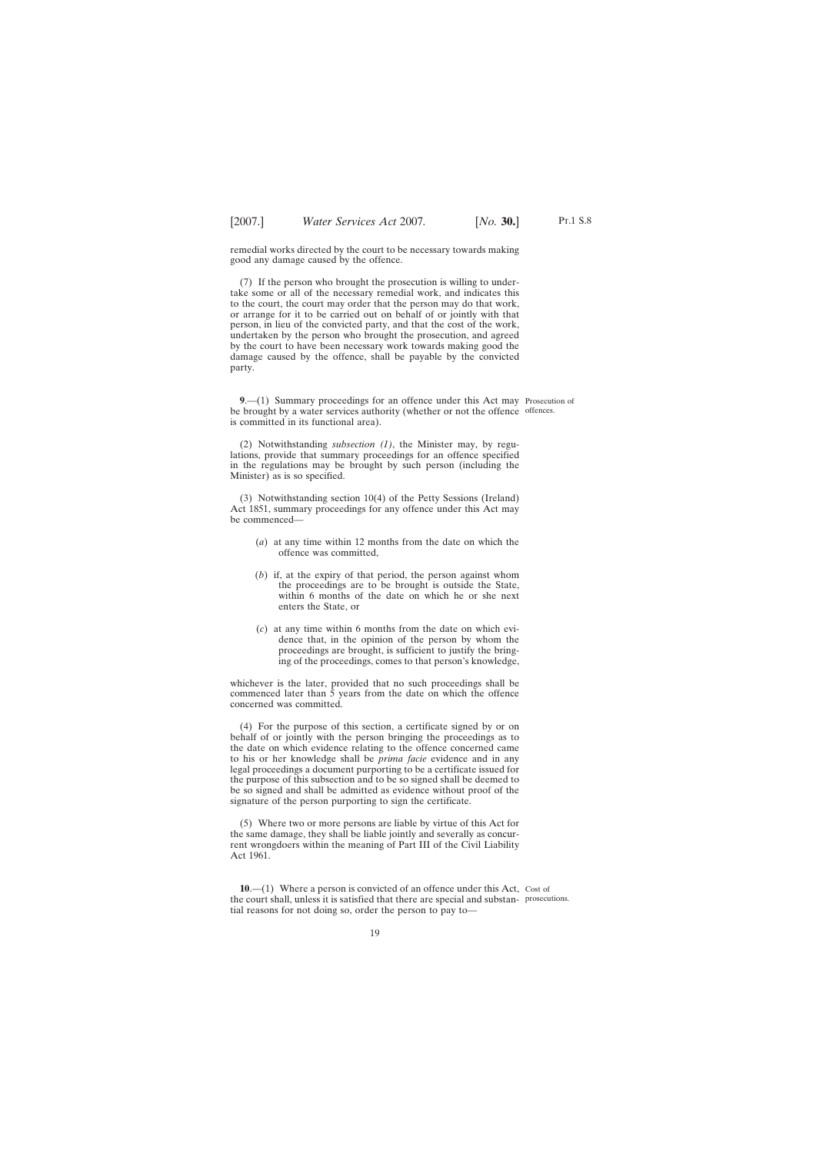Pt.1 S.8

<span id="page-18-0"></span>remedial works directed by the court to be necessary towards making good any damage caused by the offence.

(7) If the person who brought the prosecution is willing to undertake some or all of the necessary remedial work, and indicates this to the court, the court may order that the person may do that work, or arrange for it to be carried out on behalf of or jointly with that person, in lieu of the convicted party, and that the cost of the work, undertaken by the person who brought the prosecution, and agreed by the court to have been necessary work towards making good the damage caused by the offence, shall be payable by the convicted party.

**9**.—(1) Summary proceedings for an offence under this Act may Prosecution of be brought by a water services authority (whether or not the offence offences. is committed in its functional area).

(2) Notwithstanding *subsection (1)*, the Minister may, by regulations, provide that summary proceedings for an offence specified in the regulations may be brought by such person (including the Minister) as is so specified.

(3) Notwithstanding section 10(4) of the Petty Sessions (Ireland) Act 1851, summary proceedings for any offence under this Act may be commenced—

- (*a*) at any time within 12 months from the date on which the offence was committed,
- (*b*) if, at the expiry of that period, the person against whom the proceedings are to be brought is outside the State, within 6 months of the date on which he or she next enters the State, or
- (*c*) at any time within 6 months from the date on which evidence that, in the opinion of the person by whom the proceedings are brought, is sufficient to justify the bringing of the proceedings, comes to that person's knowledge,

whichever is the later, provided that no such proceedings shall be commenced later than 5 years from the date on which the offence concerned was committed.

(4) For the purpose of this section, a certificate signed by or on behalf of or jointly with the person bringing the proceedings as to the date on which evidence relating to the offence concerned came to his or her knowledge shall be *prima facie* evidence and in any legal proceedings a document purporting to be a certificate issued for the purpose of this subsection and to be so signed shall be deemed to be so signed and shall be admitted as evidence without proof of the signature of the person purporting to sign the certificate.

(5) Where two or more persons are liable by virtue of this Act for the same damage, they shall be liable jointly and severally as concurrent wrongdoers within the meaning of Part III of the Civil Liability Act 1961.

**10.**—(1) Where a person is convicted of an offence under this Act, Cost of the court shall, unless it is satisfied that there are special and substan-prosecutions.tial reasons for not doing so, order the person to pay to—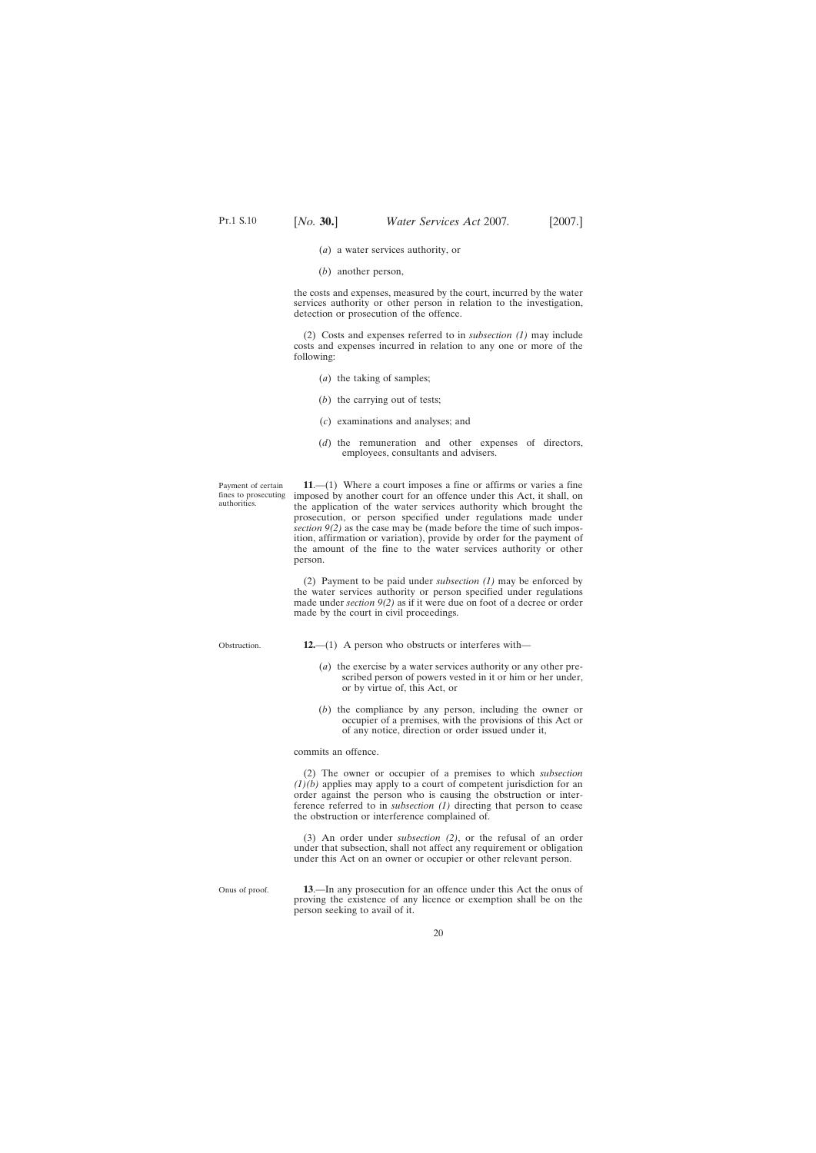- (*a*) a water services authority, or
- (*b*) another person,

<span id="page-19-0"></span>the costs and expenses, measured by the court, incurred by the water services authority or other person in relation to the investigation, detection or prosecution of the offence.

(2) Costs and expenses referred to in *subsection (1)* may include costs and expenses incurred in relation to any one or more of the following:

- (*a*) the taking of samples;
- (*b*) the carrying out of tests;
- (*c*) examinations and analyses; and
- (*d*) the remuneration and other expenses of directors, employees, consultants and advisers.

Payment of certain fines to prosecuting authorities.

**11**.—(1) Where a court imposes a fine or affirms or varies a fine imposed by another court for an offence under this Act, it shall, on the application of the water services authority which brought the prosecution, or person specified under regulations made under *section 9(2)* as the case may be (made before the time of such imposition, affirmation or variation), provide by order for the payment of the amount of the fine to the water services authority or other person.

(2) Payment to be paid under *subsection (1)* may be enforced by the water services authority or person specified under regulations made under *section 9(2)* as if it were due on foot of a decree or order made by the court in civil proceedings.

Obstruction.

- **12.**—(1) A person who obstructs or interferes with—
	- (*a*) the exercise by a water services authority or any other prescribed person of powers vested in it or him or her under, or by virtue of, this Act, or
	- (*b*) the compliance by any person, including the owner or occupier of a premises, with the provisions of this Act or of any notice, direction or order issued under it,

commits an offence.

(2) The owner or occupier of a premises to which *subsection (1)(b)* applies may apply to a court of competent jurisdiction for an order against the person who is causing the obstruction or interference referred to in *subsection (1)* directing that person to cease the obstruction or interference complained of.

(3) An order under *subsection (2)*, or the refusal of an order under that subsection, shall not affect any requirement or obligation under this Act on an owner or occupier or other relevant person.

Onus of proof. **13**.—In any prosecution for an offence under this Act the onus of proving the existence of any licence or exemption shall be on the person seeking to avail of it.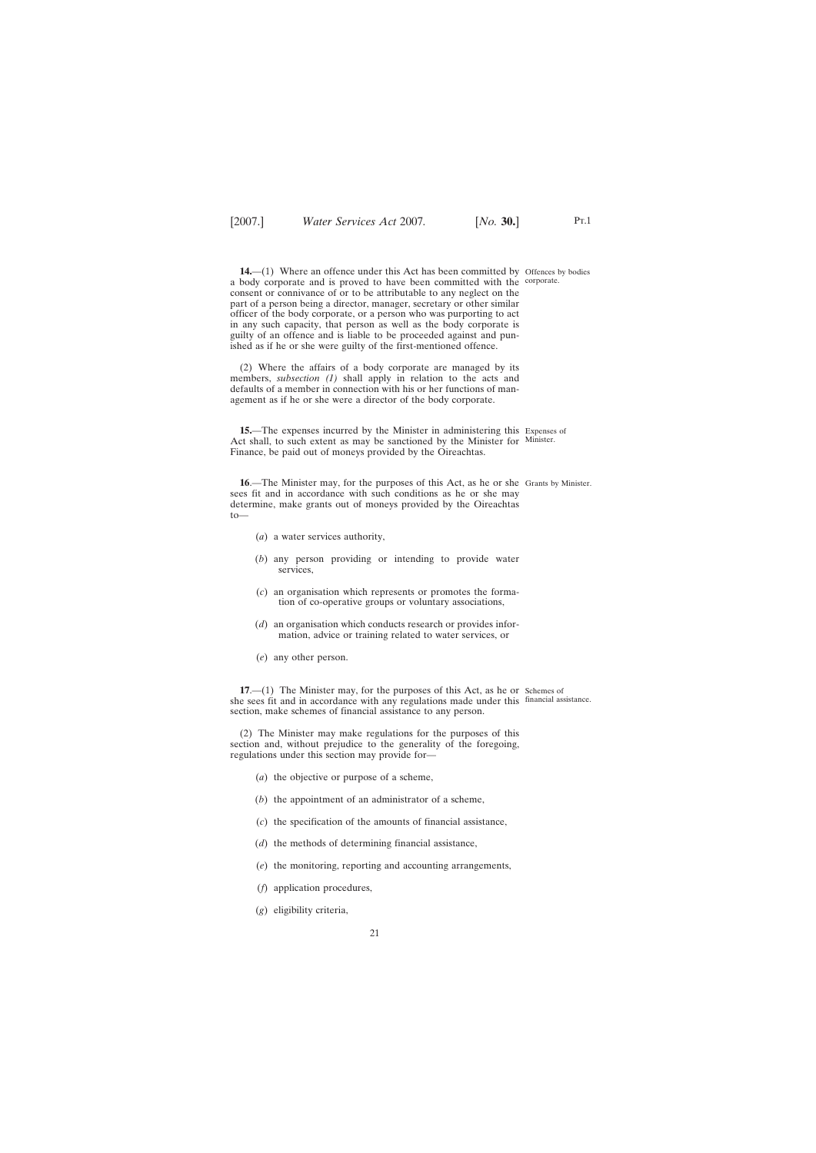(2) Where the affairs of a body corporate are managed by its members, *subsection (1)* shall apply in relation to the acts and defaults of a member in connection with his or her functions of management as if he or she were a director of the body corporate.

<span id="page-20-0"></span>ished as if he or she were guilty of the first-mentioned offence.

**15.**—The expenses incurred by the Minister in administering this Expenses of Act shall, to such extent as may be sanctioned by the Minister for Minister. Finance, be paid out of moneys provided by the Oireachtas.

16.—The Minister may, for the purposes of this Act, as he or she Grants by Minister. sees fit and in accordance with such conditions as he or she may determine, make grants out of moneys provided by the Oireachtas to—

- (*a*) a water services authority,
- (*b*) any person providing or intending to provide water services,
- (*c*) an organisation which represents or promotes the formation of co-operative groups or voluntary associations,
- (*d*) an organisation which conducts research or provides information, advice or training related to water services, or
- (*e*) any other person.

**17.**—(1) The Minister may, for the purposes of this Act, as he or Schemes of she sees fit and in accordance with any regulations made under this financial assistance.section, make schemes of financial assistance to any person.

(2) The Minister may make regulations for the purposes of this section and, without prejudice to the generality of the foregoing, regulations under this section may provide for—

- (*a*) the objective or purpose of a scheme,
- (*b*) the appointment of an administrator of a scheme,
- (*c*) the specification of the amounts of financial assistance,
- (*d*) the methods of determining financial assistance,
- (*e*) the monitoring, reporting and accounting arrangements,
- (*f*) application procedures,
- (*g*) eligibility criteria,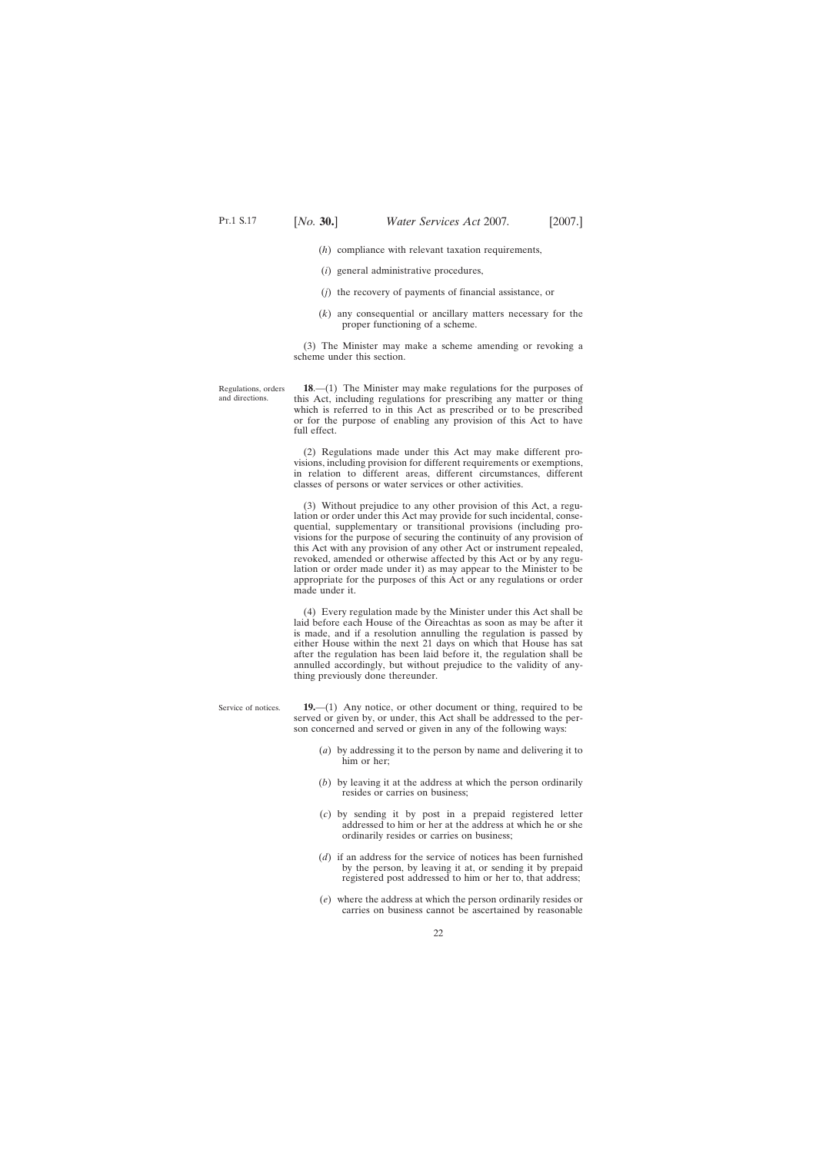- <span id="page-21-0"></span>(*h*) compliance with relevant taxation requirements,
- (*i*) general administrative procedures,
- (*j*) the recovery of payments of financial assistance, or
- (*k*) any consequential or ancillary matters necessary for the proper functioning of a scheme.

(3) The Minister may make a scheme amending or revoking a scheme under this section.

Regulations, orders and directions.

**18**.—(1) The Minister may make regulations for the purposes of this Act, including regulations for prescribing any matter or thing which is referred to in this Act as prescribed or to be prescribed or for the purpose of enabling any provision of this Act to have full effect.

(2) Regulations made under this Act may make different provisions, including provision for different requirements or exemptions, in relation to different areas, different circumstances, different classes of persons or water services or other activities.

(3) Without prejudice to any other provision of this Act, a regulation or order under this Act may provide for such incidental, consequential, supplementary or transitional provisions (including provisions for the purpose of securing the continuity of any provision of this Act with any provision of any other Act or instrument repealed, revoked, amended or otherwise affected by this Act or by any regulation or order made under it) as may appear to the Minister to be appropriate for the purposes of this Act or any regulations or order made under it.

(4) Every regulation made by the Minister under this Act shall be laid before each House of the Oireachtas as soon as may be after it is made, and if a resolution annulling the regulation is passed by either House within the next 21 days on which that House has sat after the regulation has been laid before it, the regulation shall be annulled accordingly, but without prejudice to the validity of anything previously done thereunder.

Service of notices. **19.**—(1) Any notice, or other document or thing, required to be served or given by, or under, this Act shall be addressed to the person concerned and served or given in any of the following ways: (*a*) by addressing it to the person by name and delivering it to him or her; (*b*) by leaving it at the address at which the person ordinarily

- resides or carries on business;
- (*c*) by sending it by post in a prepaid registered letter addressed to him or her at the address at which he or she ordinarily resides or carries on business;
- (*d*) if an address for the service of notices has been furnished by the person, by leaving it at, or sending it by prepaid registered post addressed to him or her to, that address;
- (*e*) where the address at which the person ordinarily resides or carries on business cannot be ascertained by reasonable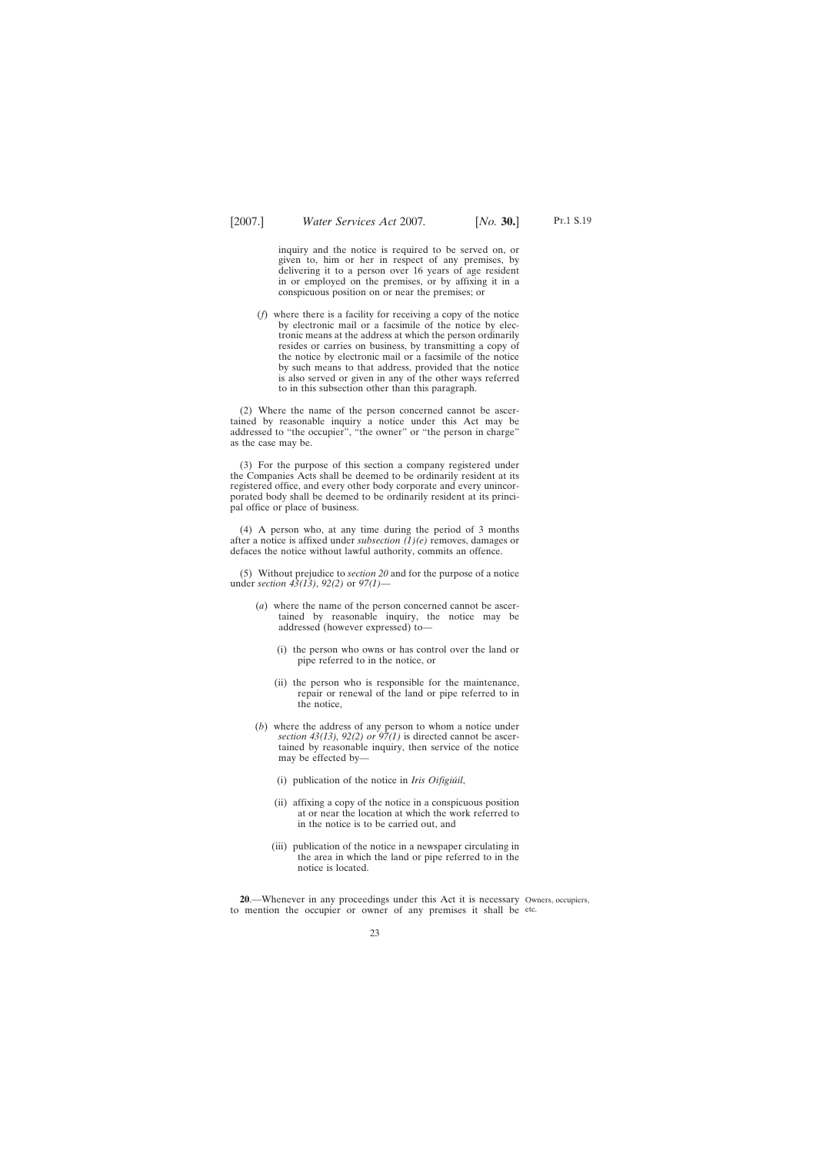<span id="page-22-0"></span>inquiry and the notice is required to be served on, or given to, him or her in respect of any premises, by delivering it to a person over 16 years of age resident in or employed on the premises, or by affixing it in a conspicuous position on or near the premises; or

(*f*) where there is a facility for receiving a copy of the notice by electronic mail or a facsimile of the notice by electronic means at the address at which the person ordinarily resides or carries on business, by transmitting a copy of the notice by electronic mail or a facsimile of the notice by such means to that address, provided that the notice is also served or given in any of the other ways referred to in this subsection other than this paragraph.

(2) Where the name of the person concerned cannot be ascertained by reasonable inquiry a notice under this Act may be addressed to "the occupier", "the owner" or "the person in charge" as the case may be.

(3) For the purpose of this section a company registered under the Companies Acts shall be deemed to be ordinarily resident at its registered office, and every other body corporate and every unincorporated body shall be deemed to be ordinarily resident at its principal office or place of business.

(4) A person who, at any time during the period of 3 months after a notice is affixed under *subsection (1)(e)* removes, damages or defaces the notice without lawful authority, commits an offence.

(5) Without prejudice to *section 20* and for the purpose of a notice under *section 43(13)*, *92(2)* or *97(1)*—

- (*a*) where the name of the person concerned cannot be ascertained by reasonable inquiry, the notice may be addressed (however expressed) to—
	- (i) the person who owns or has control over the land or pipe referred to in the notice, or
	- (ii) the person who is responsible for the maintenance, repair or renewal of the land or pipe referred to in the notice,
- (*b*) where the address of any person to whom a notice under *section 43(13), 92(2) or 97(1)* is directed cannot be ascertained by reasonable inquiry, then service of the notice may be effected by—
	- (i) publication of the notice in *Iris Oifigiu´il*,
	- (ii) affixing a copy of the notice in a conspicuous position at or near the location at which the work referred to in the notice is to be carried out, and
	- (iii) publication of the notice in a newspaper circulating in the area in which the land or pipe referred to in the notice is located.

**20**.—Whenever in any proceedings under this Act it is necessary Owners, occupiers, to mention the occupier or owner of any premises it shall be etc.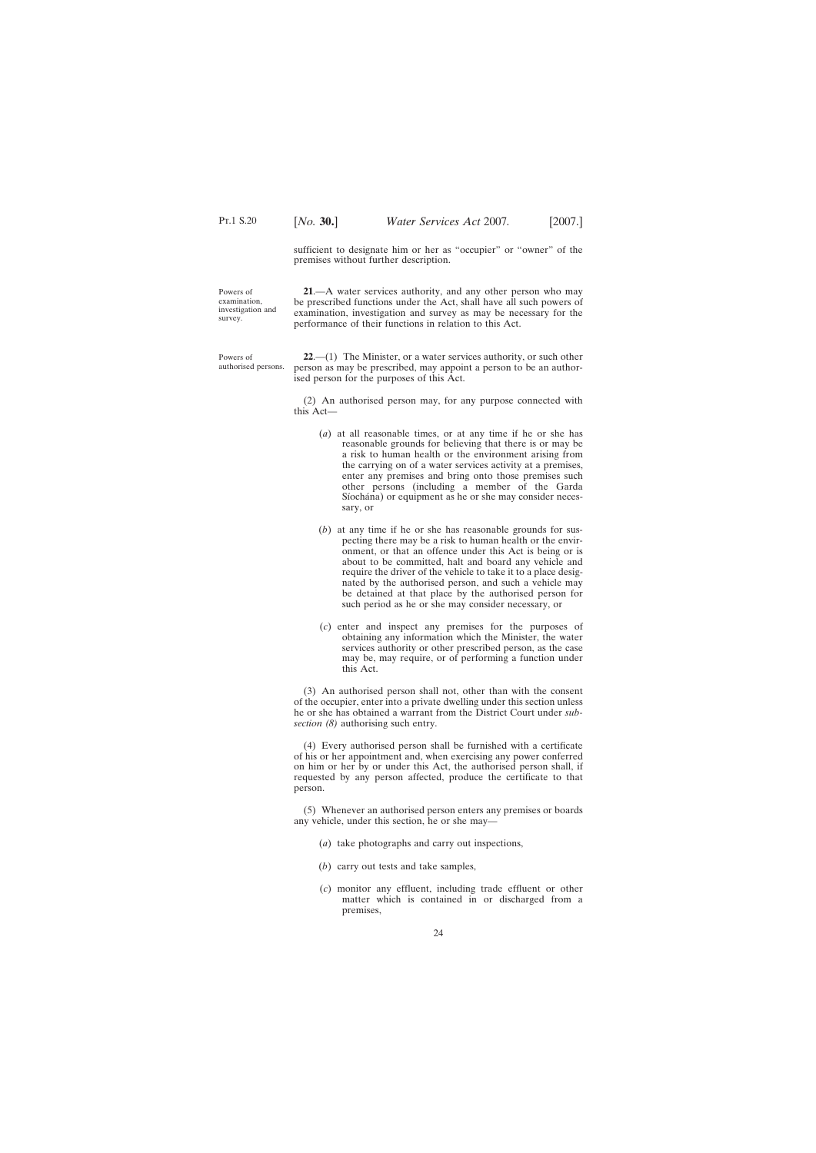sufficient to designate him or her as "occupier" or "owner" of the premises without further description.

<span id="page-23-0"></span>Powers of examination, investigation and survey.

**21**.—A water services authority, and any other person who may be prescribed functions under the Act, shall have all such powers of examination, investigation and survey as may be necessary for the performance of their functions in relation to this Act.

Powers of authorised persons.

**22**.—(1) The Minister, or a water services authority, or such other person as may be prescribed, may appoint a person to be an authorised person for the purposes of this Act.

(2) An authorised person may, for any purpose connected with this Act—

- (*a*) at all reasonable times, or at any time if he or she has reasonable grounds for believing that there is or may be a risk to human health or the environment arising from the carrying on of a water services activity at a premises, enter any premises and bring onto those premises such other persons (including a member of the Garda Síochána) or equipment as he or she may consider necessary, or
- (*b*) at any time if he or she has reasonable grounds for suspecting there may be a risk to human health or the environment, or that an offence under this Act is being or is about to be committed, halt and board any vehicle and require the driver of the vehicle to take it to a place designated by the authorised person, and such a vehicle may be detained at that place by the authorised person for such period as he or she may consider necessary, or
- (*c*) enter and inspect any premises for the purposes of obtaining any information which the Minister, the water services authority or other prescribed person, as the case may be, may require, or of performing a function under this Act.

(3) An authorised person shall not, other than with the consent of the occupier, enter into a private dwelling under this section unless he or she has obtained a warrant from the District Court under *subsection (8)* authorising such entry.

(4) Every authorised person shall be furnished with a certificate of his or her appointment and, when exercising any power conferred on him or her by or under this Act, the authorised person shall, if requested by any person affected, produce the certificate to that person.

(5) Whenever an authorised person enters any premises or boards any vehicle, under this section, he or she may—

- (*a*) take photographs and carry out inspections,
- (*b*) carry out tests and take samples,
- (*c*) monitor any effluent, including trade effluent or other matter which is contained in or discharged from a premises,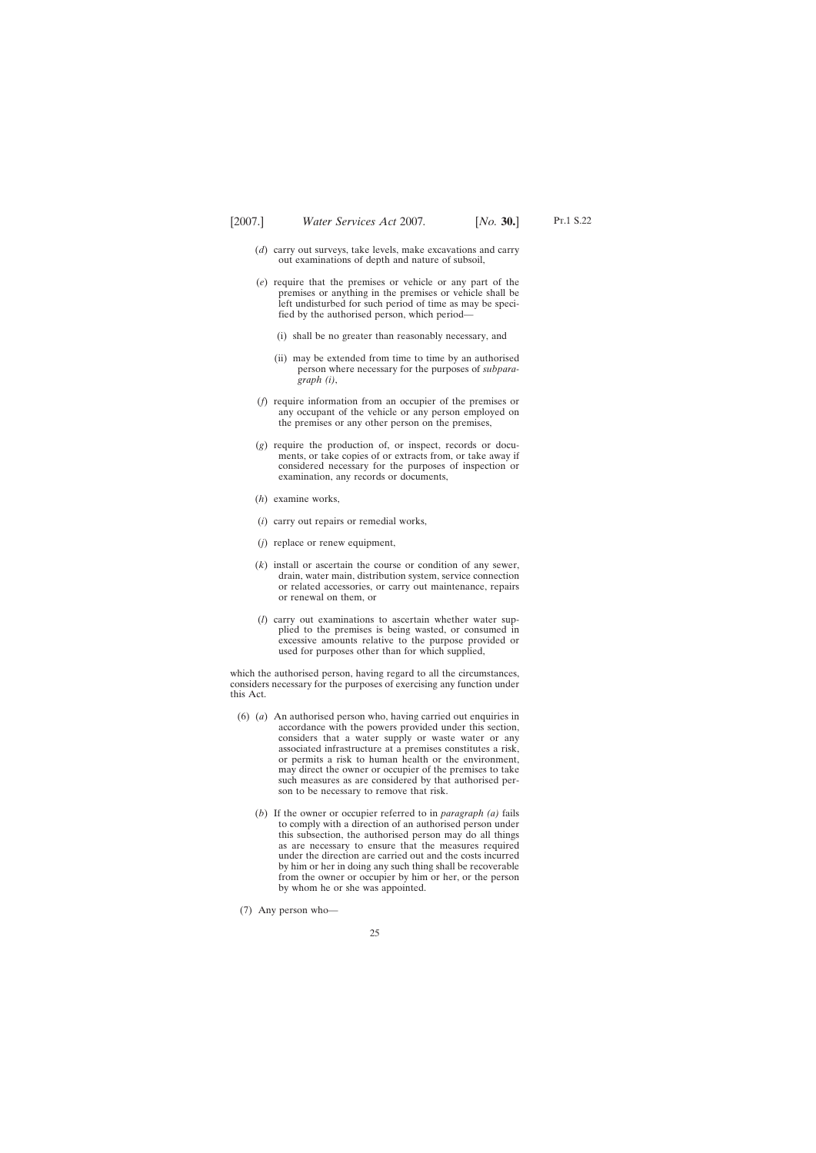- (*d*) carry out surveys, take levels, make excavations and carry out examinations of depth and nature of subsoil,
- (*e*) require that the premises or vehicle or any part of the premises or anything in the premises or vehicle shall be left undisturbed for such period of time as may be specified by the authorised person, which period—
	- (i) shall be no greater than reasonably necessary, and
	- (ii) may be extended from time to time by an authorised person where necessary for the purposes of *subparagraph (i)*,
- (*f*) require information from an occupier of the premises or any occupant of the vehicle or any person employed on the premises or any other person on the premises,
- (*g*) require the production of, or inspect, records or documents, or take copies of or extracts from, or take away if considered necessary for the purposes of inspection or examination, any records or documents,
- (*h*) examine works,
- (*i*) carry out repairs or remedial works,
- (*j*) replace or renew equipment,
- (*k*) install or ascertain the course or condition of any sewer, drain, water main, distribution system, service connection or related accessories, or carry out maintenance, repairs or renewal on them, or
- (*l*) carry out examinations to ascertain whether water supplied to the premises is being wasted, or consumed in excessive amounts relative to the purpose provided or used for purposes other than for which supplied,

which the authorised person, having regard to all the circumstances, considers necessary for the purposes of exercising any function under this Act.

- (6) (*a*) An authorised person who, having carried out enquiries in accordance with the powers provided under this section, considers that a water supply or waste water or any associated infrastructure at a premises constitutes a risk, or permits a risk to human health or the environment, may direct the owner or occupier of the premises to take such measures as are considered by that authorised person to be necessary to remove that risk.
	- (*b*) If the owner or occupier referred to in *paragraph (a)* fails to comply with a direction of an authorised person under this subsection, the authorised person may do all things as are necessary to ensure that the measures required under the direction are carried out and the costs incurred by him or her in doing any such thing shall be recoverable from the owner or occupier by him or her, or the person by whom he or she was appointed.
- (7) Any person who—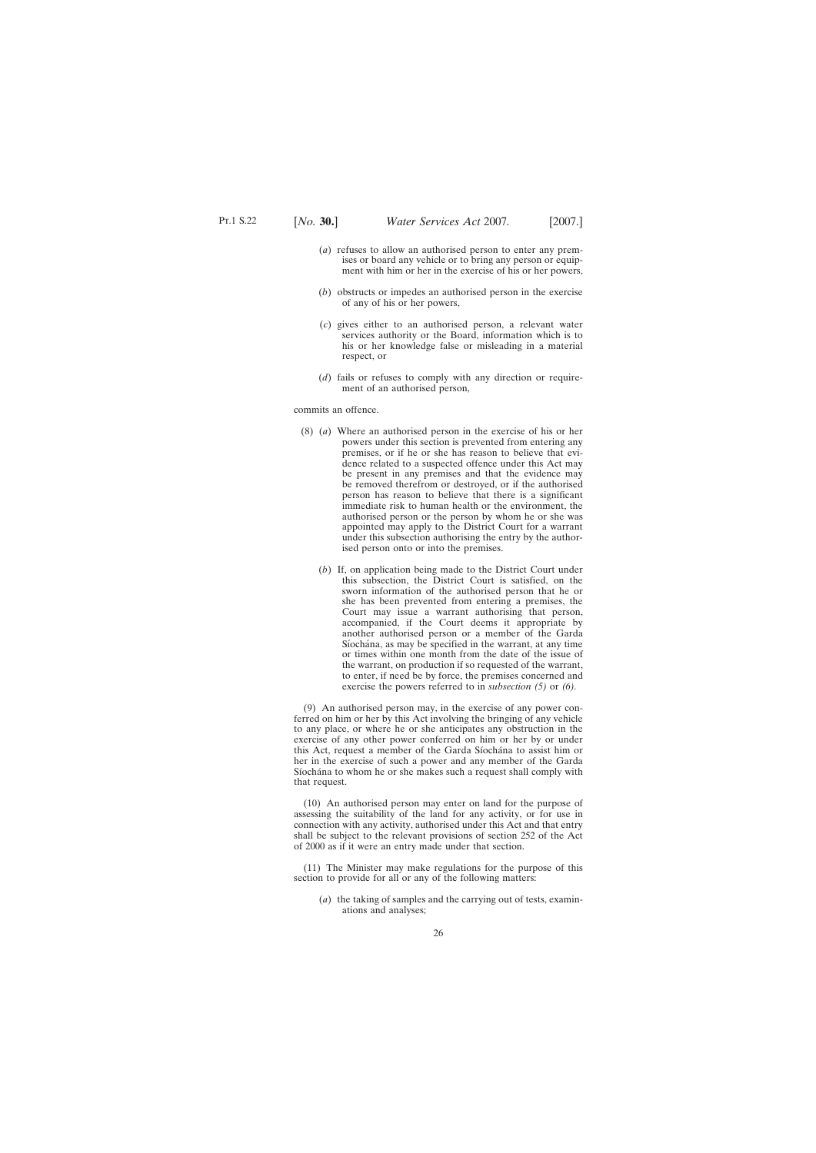- (*a*) refuses to allow an authorised person to enter any premises or board any vehicle or to bring any person or equipment with him or her in the exercise of his or her powers,
- (*b*) obstructs or impedes an authorised person in the exercise of any of his or her powers,
- (*c*) gives either to an authorised person, a relevant water services authority or the Board, information which is to his or her knowledge false or misleading in a material respect, or
- (*d*) fails or refuses to comply with any direction or requirement of an authorised person,

commits an offence.

- (8) (*a*) Where an authorised person in the exercise of his or her powers under this section is prevented from entering any premises, or if he or she has reason to believe that evidence related to a suspected offence under this Act may be present in any premises and that the evidence may be removed therefrom or destroyed, or if the authorised person has reason to believe that there is a significant immediate risk to human health or the environment, the authorised person or the person by whom he or she was appointed may apply to the District Court for a warrant under this subsection authorising the entry by the authorised person onto or into the premises.
	- (*b*) If, on application being made to the District Court under this subsection, the District Court is satisfied, on the sworn information of the authorised person that he or she has been prevented from entering a premises, the Court may issue a warrant authorising that person, accompanied, if the Court deems it appropriate by another authorised person or a member of the Garda Síochána, as may be specified in the warrant, at any time or times within one month from the date of the issue of the warrant, on production if so requested of the warrant, to enter, if need be by force, the premises concerned and exercise the powers referred to in *subsection (5)* or *(6).*

(9) An authorised person may, in the exercise of any power conferred on him or her by this Act involving the bringing of any vehicle to any place, or where he or she anticipates any obstruction in the exercise of any other power conferred on him or her by or under this Act, request a member of the Garda Síochána to assist him or her in the exercise of such a power and any member of the Garda Síochána to whom he or she makes such a request shall comply with that request.

(10) An authorised person may enter on land for the purpose of assessing the suitability of the land for any activity, or for use in connection with any activity, authorised under this Act and that entry shall be subject to the relevant provisions of section 252 of the Act of 2000 as if it were an entry made under that section.

(11) The Minister may make regulations for the purpose of this section to provide for all or any of the following matters:

(*a*) the taking of samples and the carrying out of tests, examinations and analyses;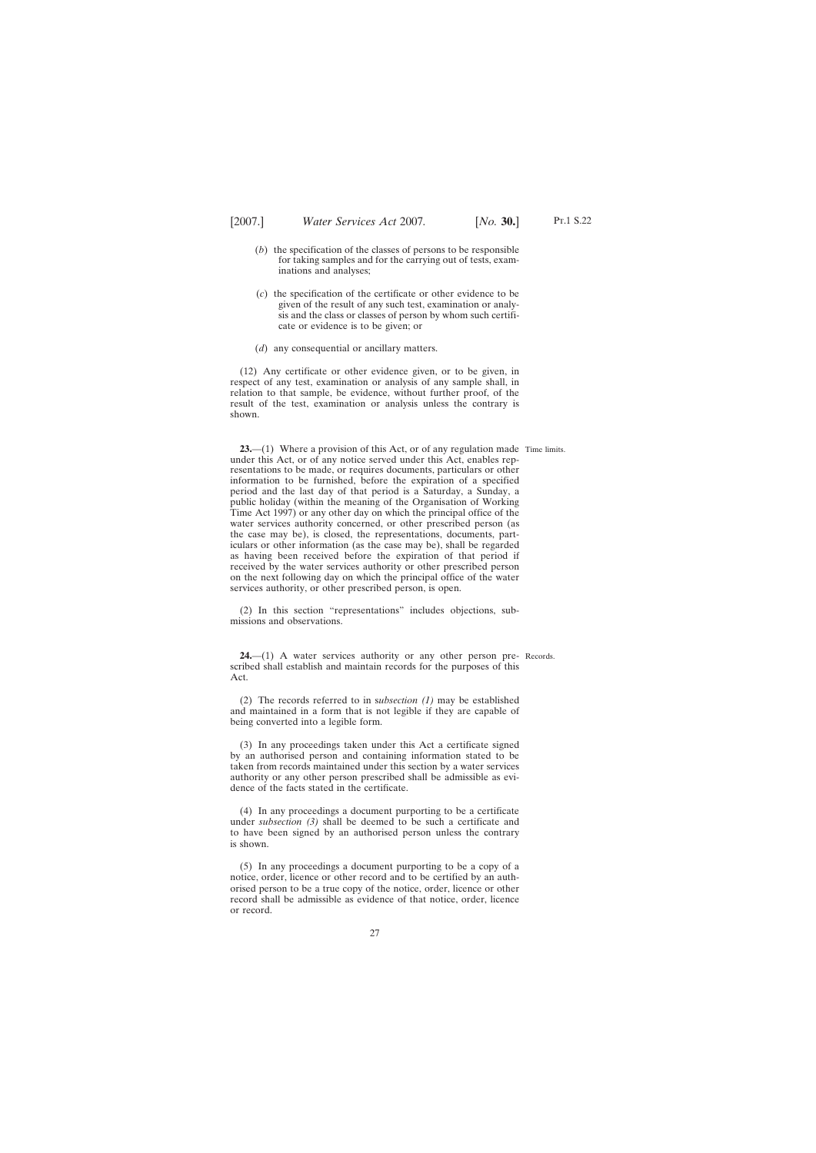- <span id="page-26-0"></span>(*b*) the specification of the classes of persons to be responsible for taking samples and for the carrying out of tests, examinations and analyses;
- (*c*) the specification of the certificate or other evidence to be given of the result of any such test, examination or analysis and the class or classes of person by whom such certificate or evidence is to be given; or
- (*d*) any consequential or ancillary matters.

(12) Any certificate or other evidence given, or to be given, in respect of any test, examination or analysis of any sample shall, in relation to that sample, be evidence, without further proof, of the result of the test, examination or analysis unless the contrary is shown.

**23.**—(1) Where a provision of this Act, or of any regulation made Time limits. under this Act, or of any notice served under this Act, enables representations to be made, or requires documents, particulars or other information to be furnished, before the expiration of a specified period and the last day of that period is a Saturday, a Sunday, a public holiday (within the meaning of the Organisation of Working Time Act 1997) or any other day on which the principal office of the water services authority concerned, or other prescribed person (as the case may be), is closed, the representations, documents, particulars or other information (as the case may be), shall be regarded as having been received before the expiration of that period if received by the water services authority or other prescribed person on the next following day on which the principal office of the water services authority, or other prescribed person, is open.

(2) In this section "representations" includes objections, submissions and observations.

**24.**—(1) A water services authority or any other person pre- Records. scribed shall establish and maintain records for the purposes of this Act.

(2) The records referred to in s*ubsection (1)* may be established and maintained in a form that is not legible if they are capable of being converted into a legible form.

(3) In any proceedings taken under this Act a certificate signed by an authorised person and containing information stated to be taken from records maintained under this section by a water services authority or any other person prescribed shall be admissible as evidence of the facts stated in the certificate.

(4) In any proceedings a document purporting to be a certificate under *subsection (3)* shall be deemed to be such a certificate and to have been signed by an authorised person unless the contrary is shown.

(5) In any proceedings a document purporting to be a copy of a notice, order, licence or other record and to be certified by an authorised person to be a true copy of the notice, order, licence or other record shall be admissible as evidence of that notice, order, licence or record.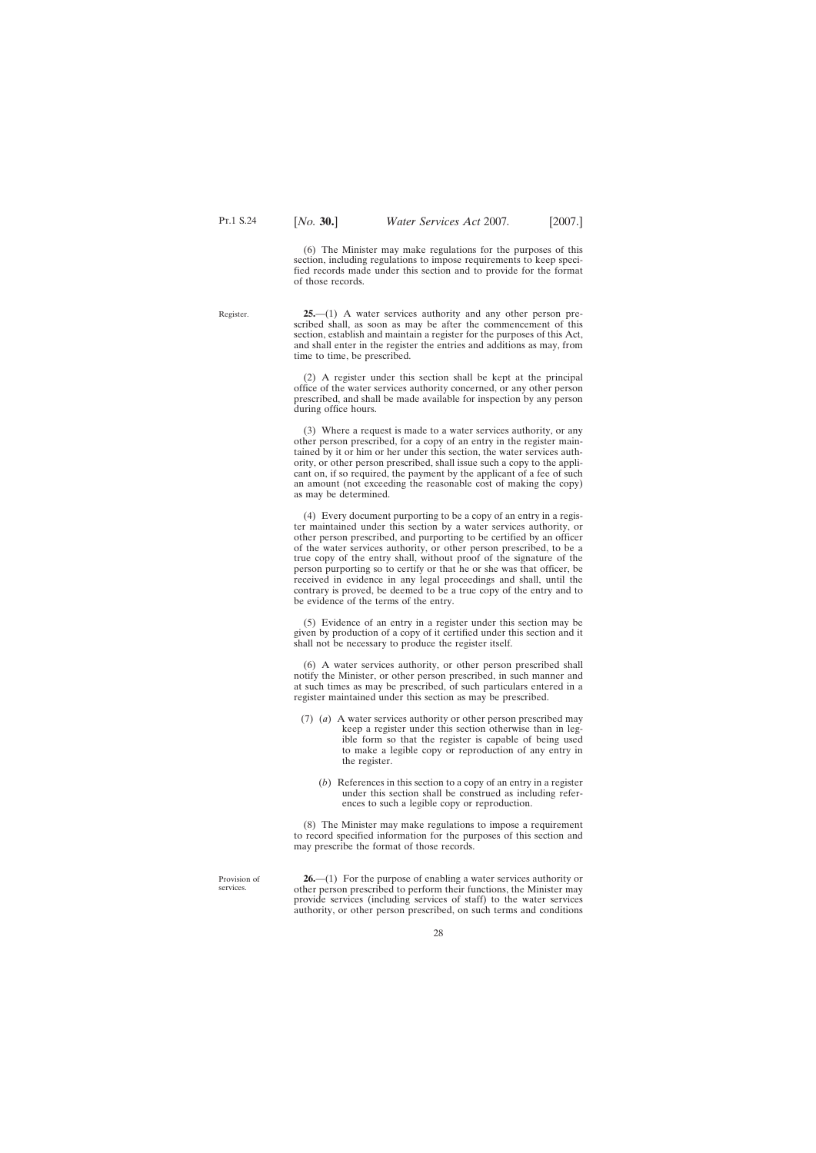(6) The Minister may make regulations for the purposes of this section, including regulations to impose requirements to keep specified records made under this section and to provide for the format of those records.

<span id="page-27-0"></span>Register.

**25.**—(1) A water services authority and any other person prescribed shall, as soon as may be after the commencement of this section, establish and maintain a register for the purposes of this Act, and shall enter in the register the entries and additions as may, from time to time, be prescribed.

(2) A register under this section shall be kept at the principal office of the water services authority concerned, or any other person prescribed, and shall be made available for inspection by any person during office hours.

(3) Where a request is made to a water services authority, or any other person prescribed, for a copy of an entry in the register maintained by it or him or her under this section, the water services authority, or other person prescribed, shall issue such a copy to the applicant on, if so required, the payment by the applicant of a fee of such an amount (not exceeding the reasonable cost of making the copy) as may be determined.

(4) Every document purporting to be a copy of an entry in a register maintained under this section by a water services authority, or other person prescribed, and purporting to be certified by an officer of the water services authority, or other person prescribed, to be a true copy of the entry shall, without proof of the signature of the person purporting so to certify or that he or she was that officer, be received in evidence in any legal proceedings and shall, until the contrary is proved, be deemed to be a true copy of the entry and to be evidence of the terms of the entry.

(5) Evidence of an entry in a register under this section may be given by production of a copy of it certified under this section and it shall not be necessary to produce the register itself.

(6) A water services authority, or other person prescribed shall notify the Minister, or other person prescribed, in such manner and at such times as may be prescribed, of such particulars entered in a register maintained under this section as may be prescribed.

- (7) (*a*) A water services authority or other person prescribed may keep a register under this section otherwise than in legible form so that the register is capable of being used to make a legible copy or reproduction of any entry in the register.
	- (*b*) References in this section to a copy of an entry in a register under this section shall be construed as including references to such a legible copy or reproduction.

(8) The Minister may make regulations to impose a requirement to record specified information for the purposes of this section and may prescribe the format of those records.

Provision of services.

**26.**—(1) For the purpose of enabling a water services authority or other person prescribed to perform their functions, the Minister may provide services (including services of staff) to the water services authority, or other person prescribed, on such terms and conditions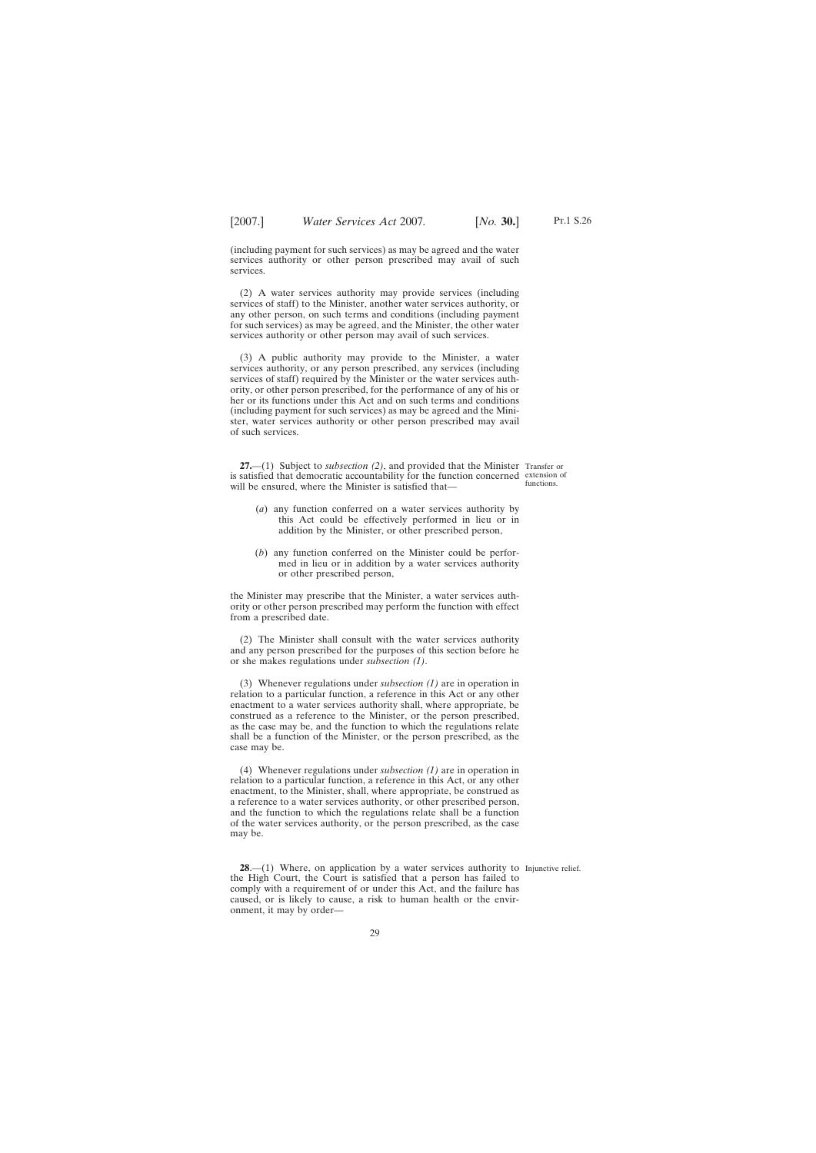<span id="page-28-0"></span>(including payment for such services) as may be agreed and the water services authority or other person prescribed may avail of such services.

(2) A water services authority may provide services (including services of staff) to the Minister, another water services authority, or any other person, on such terms and conditions (including payment for such services) as may be agreed, and the Minister, the other water services authority or other person may avail of such services.

(3) A public authority may provide to the Minister, a water services authority, or any person prescribed, any services (including services of staff) required by the Minister or the water services authority, or other person prescribed, for the performance of any of his or her or its functions under this Act and on such terms and conditions (including payment for such services) as may be agreed and the Minister, water services authority or other person prescribed may avail of such services.

**27.**—(1) Subject to *subsection (2)*, and provided that the Minister Transfer or is satisfied that democratic accountability for the function concerned extension of will be ensured, where the Minister is satisfied that—

functions.

- (*a*) any function conferred on a water services authority by this Act could be effectively performed in lieu or in addition by the Minister, or other prescribed person,
- (*b*) any function conferred on the Minister could be performed in lieu or in addition by a water services authority or other prescribed person,

the Minister may prescribe that the Minister, a water services authority or other person prescribed may perform the function with effect from a prescribed date.

(2) The Minister shall consult with the water services authority and any person prescribed for the purposes of this section before he or she makes regulations under *subsection (1)*.

(3) Whenever regulations under *subsection (1)* are in operation in relation to a particular function, a reference in this Act or any other enactment to a water services authority shall, where appropriate, be construed as a reference to the Minister, or the person prescribed, as the case may be, and the function to which the regulations relate shall be a function of the Minister, or the person prescribed, as the case may be.

(4) Whenever regulations under *subsection (1)* are in operation in relation to a particular function, a reference in this Act, or any other enactment, to the Minister, shall, where appropriate, be construed as a reference to a water services authority, or other prescribed person, and the function to which the regulations relate shall be a function of the water services authority, or the person prescribed, as the case may be.

**28.**—(1) Where, on application by a water services authority to Injunctive relief. the High Court, the Court is satisfied that a person has failed to comply with a requirement of or under this Act, and the failure has caused, or is likely to cause, a risk to human health or the environment, it may by order—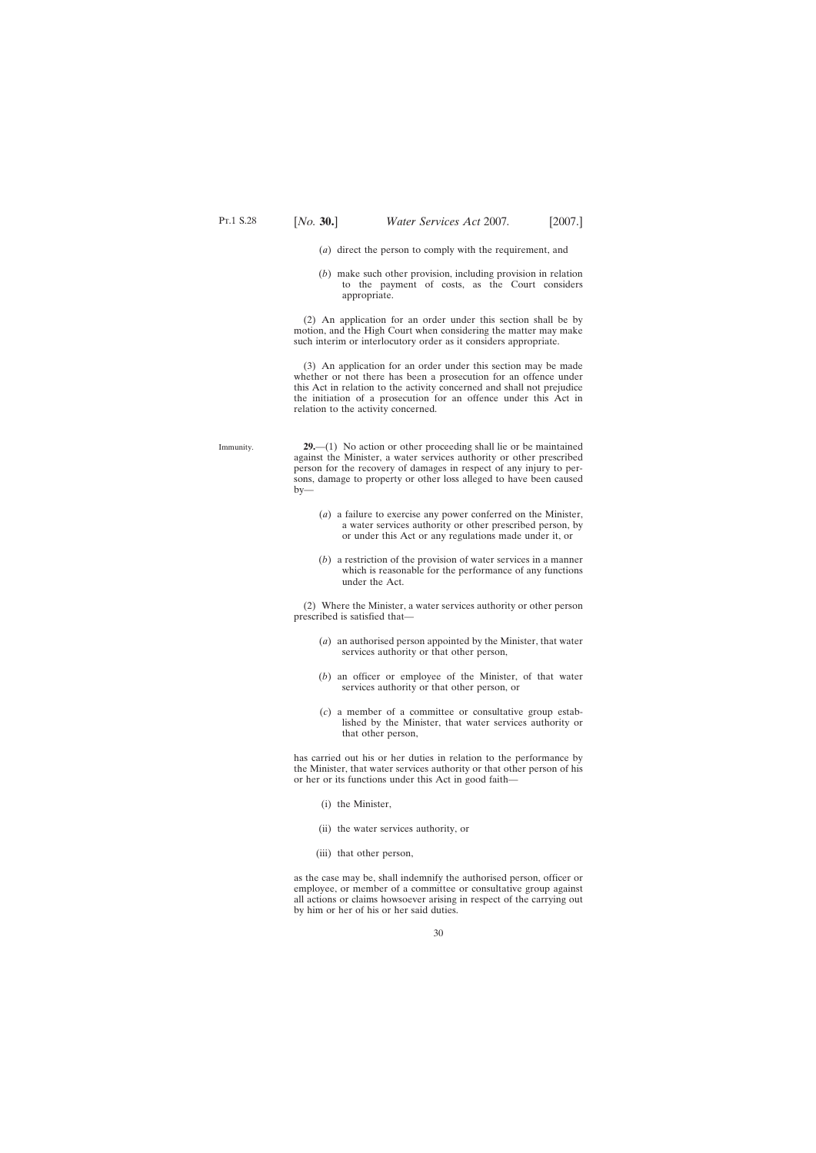- <span id="page-29-0"></span>(*a*) direct the person to comply with the requirement, and
- (*b*) make such other provision, including provision in relation to the payment of costs, as the Court considers appropriate.

(2) An application for an order under this section shall be by motion, and the High Court when considering the matter may make such interim or interlocutory order as it considers appropriate.

(3) An application for an order under this section may be made whether or not there has been a prosecution for an offence under this Act in relation to the activity concerned and shall not prejudice the initiation of a prosecution for an offence under this Act in relation to the activity concerned.

- Immunity. **29.**—(1) No action or other proceeding shall lie or be maintained against the Minister, a water services authority or other prescribed person for the recovery of damages in respect of any injury to persons, damage to property or other loss alleged to have been caused  $by-$ 
	- (*a*) a failure to exercise any power conferred on the Minister, a water services authority or other prescribed person, by or under this Act or any regulations made under it, or
	- (*b*) a restriction of the provision of water services in a manner which is reasonable for the performance of any functions under the Act.

(2) Where the Minister, a water services authority or other person prescribed is satisfied that—

- (*a*) an authorised person appointed by the Minister, that water services authority or that other person,
- (*b*) an officer or employee of the Minister, of that water services authority or that other person, or
- (*c*) a member of a committee or consultative group established by the Minister, that water services authority or that other person,

has carried out his or her duties in relation to the performance by the Minister, that water services authority or that other person of his or her or its functions under this Act in good faith—

- (i) the Minister,
- (ii) the water services authority, or
- (iii) that other person,

as the case may be, shall indemnify the authorised person, officer or employee, or member of a committee or consultative group against all actions or claims howsoever arising in respect of the carrying out by him or her of his or her said duties.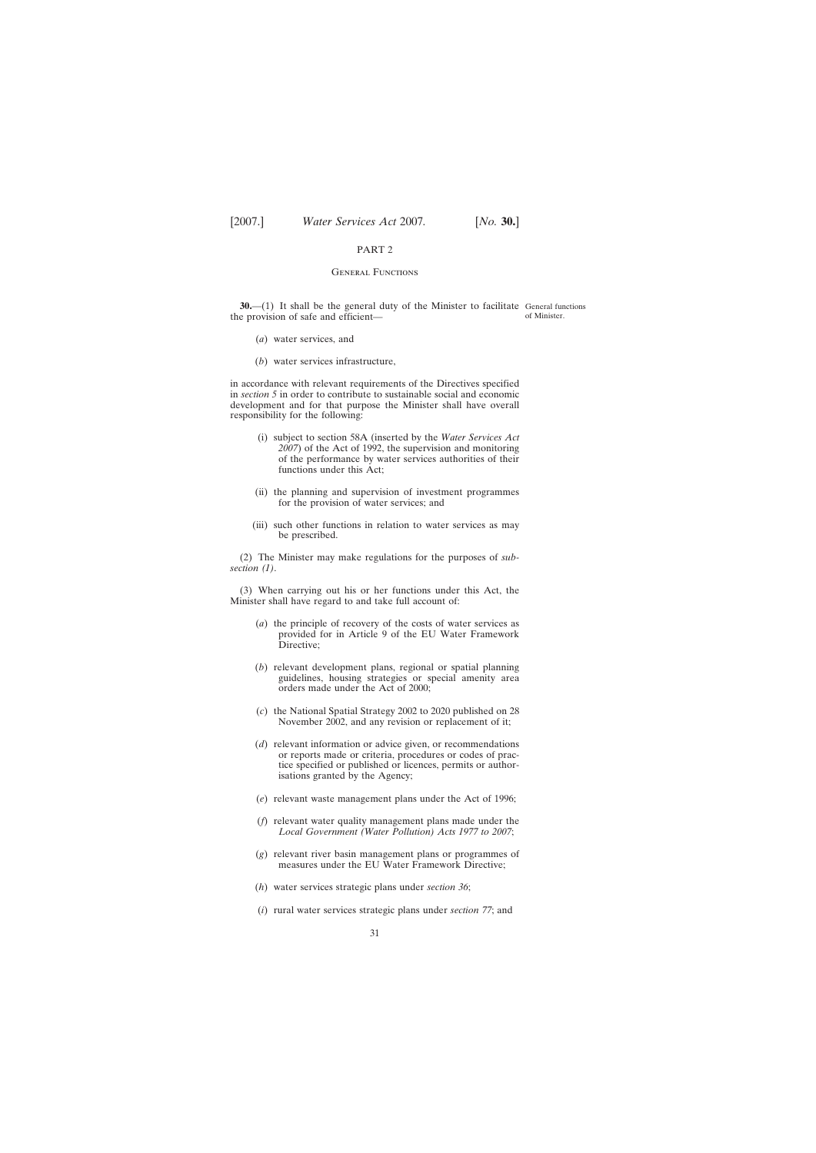#### **GENERAL FUNCTIONS**

<span id="page-30-0"></span>**30.**—(1) It shall be the general duty of the Minister to facilitate General functions the provision of safe and efficient of Minister.

- (*a*) water services, and
- (*b*) water services infrastructure,

in accordance with relevant requirements of the Directives specified in *section 5* in order to contribute to sustainable social and economic development and for that purpose the Minister shall have overall responsibility for the following:

- (i) subject to section 58A (inserted by the *Water Services Act 2007*) of the Act of 1992, the supervision and monitoring of the performance by water services authorities of their functions under this Act;
- (ii) the planning and supervision of investment programmes for the provision of water services; and
- (iii) such other functions in relation to water services as may be prescribed.

(2) The Minister may make regulations for the purposes of *subsection (1)*.

(3) When carrying out his or her functions under this Act, the Minister shall have regard to and take full account of:

- (*a*) the principle of recovery of the costs of water services as provided for in Article 9 of the EU Water Framework Directive;
- (*b*) relevant development plans, regional or spatial planning guidelines, housing strategies or special amenity area orders made under the Act of 2000;
- (*c*) the National Spatial Strategy 2002 to 2020 published on 28 November 2002, and any revision or replacement of it;
- (*d*) relevant information or advice given, or recommendations or reports made or criteria, procedures or codes of practice specified or published or licences, permits or authorisations granted by the Agency;
- (*e*) relevant waste management plans under the Act of 1996;
- (*f*) relevant water quality management plans made under the *Local Government (Water Pollution) Acts 1977 to 2007*;
- (*g*) relevant river basin management plans or programmes of measures under the EU Water Framework Directive;
- (*h*) water services strategic plans under *section 36*;
- (*i*) rural water services strategic plans under *section 77*; and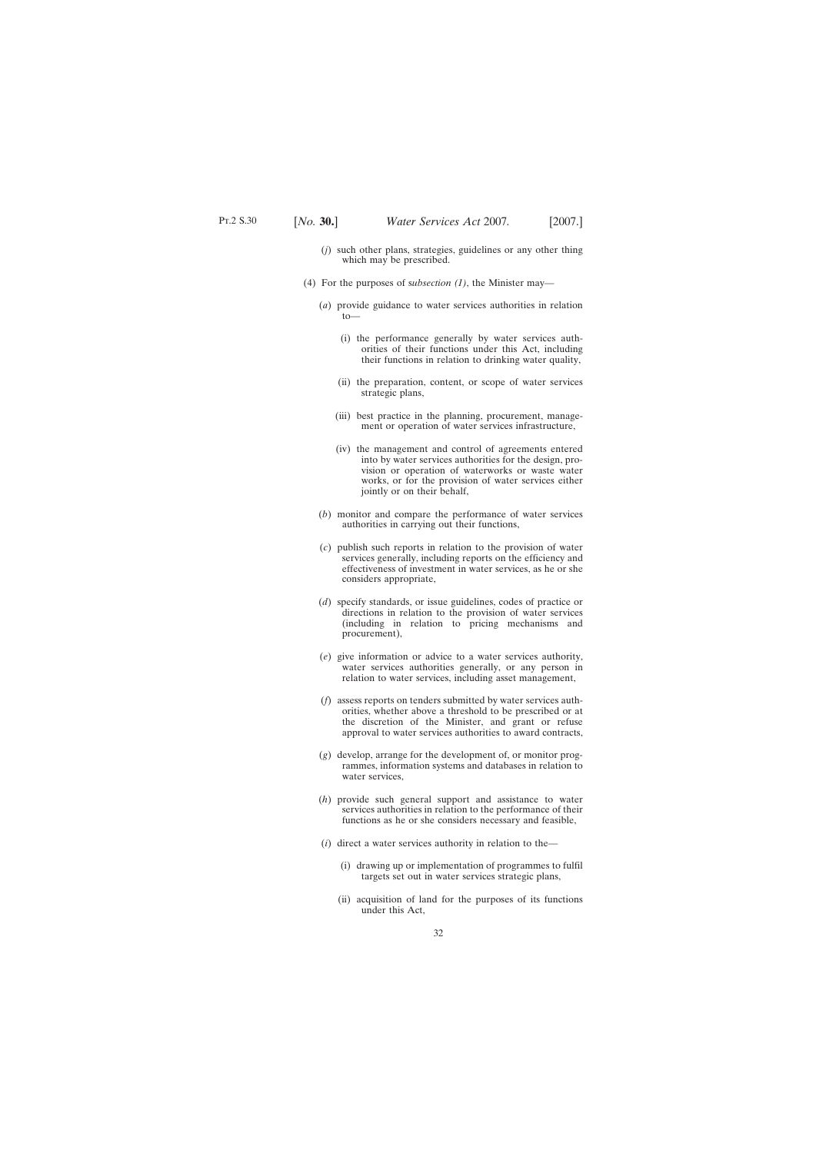- (*j*) such other plans, strategies, guidelines or any other thing which may be prescribed.
- (4) For the purposes of s*ubsection (1)*, the Minister may—
	- (*a*) provide guidance to water services authorities in relation to—
		- (i) the performance generally by water services authorities of their functions under this Act, including their functions in relation to drinking water quality,
		- (ii) the preparation, content, or scope of water services strategic plans,
		- (iii) best practice in the planning, procurement, management or operation of water services infrastructure,
		- (iv) the management and control of agreements entered into by water services authorities for the design, provision or operation of waterworks or waste water works, or for the provision of water services either jointly or on their behalf,
	- (*b*) monitor and compare the performance of water services authorities in carrying out their functions,
	- (*c*) publish such reports in relation to the provision of water services generally, including reports on the efficiency and effectiveness of investment in water services, as he or she considers appropriate,
	- (*d*) specify standards, or issue guidelines, codes of practice or directions in relation to the provision of water services (including in relation to pricing mechanisms and procurement),
	- (*e*) give information or advice to a water services authority, water services authorities generally, or any person in relation to water services, including asset management,
	- (*f*) assess reports on tenders submitted by water services authorities, whether above a threshold to be prescribed or at the discretion of the Minister, and grant or refuse approval to water services authorities to award contracts,
	- (*g*) develop, arrange for the development of, or monitor programmes, information systems and databases in relation to water services,
	- (*h*) provide such general support and assistance to water services authorities in relation to the performance of their functions as he or she considers necessary and feasible,
	- (*i*) direct a water services authority in relation to the—
		- (i) drawing up or implementation of programmes to fulfil targets set out in water services strategic plans,
		- (ii) acquisition of land for the purposes of its functions under this Act,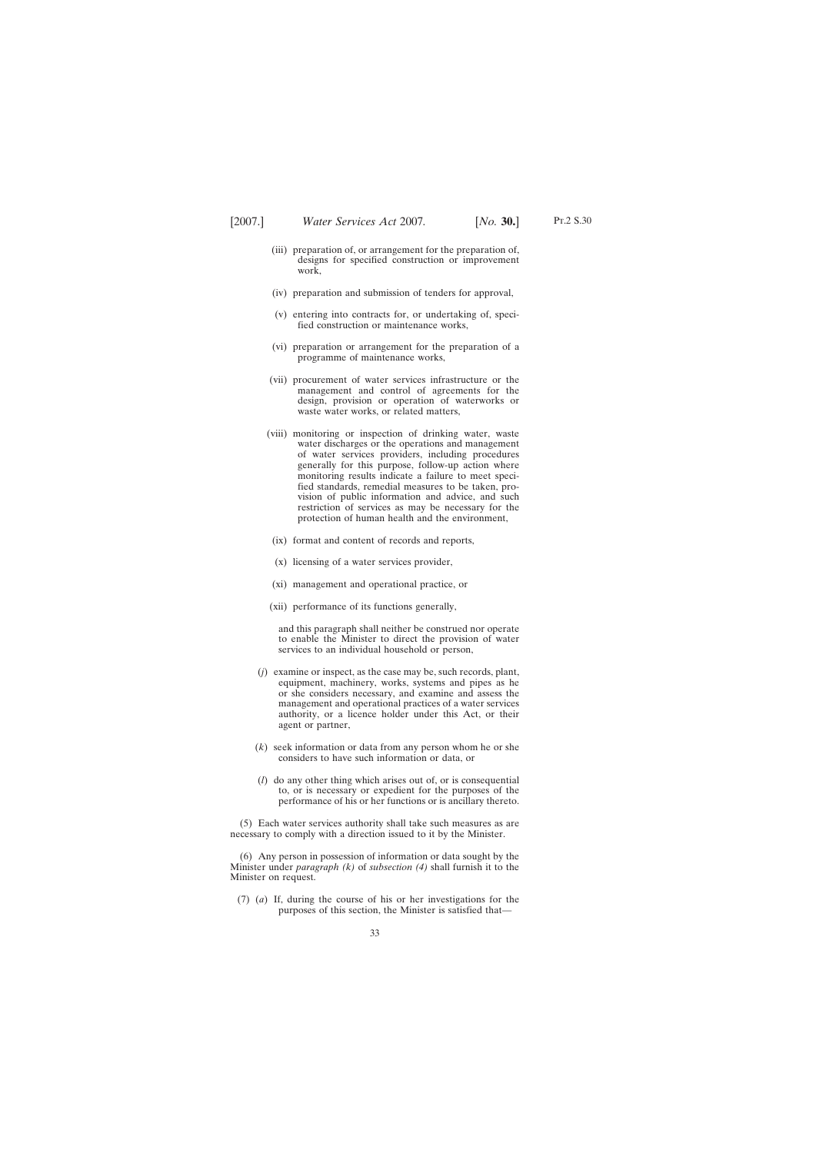- (iii) preparation of, or arrangement for the preparation of, designs for specified construction or improvement work,
- (iv) preparation and submission of tenders for approval,
- (v) entering into contracts for, or undertaking of, specified construction or maintenance works,
- (vi) preparation or arrangement for the preparation of a programme of maintenance works,
- (vii) procurement of water services infrastructure or the management and control of agreements for the design, provision or operation of waterworks or waste water works, or related matters,
- (viii) monitoring or inspection of drinking water, waste water discharges or the operations and management of water services providers, including procedures generally for this purpose, follow-up action where monitoring results indicate a failure to meet specified standards, remedial measures to be taken, provision of public information and advice, and such restriction of services as may be necessary for the protection of human health and the environment,
- (ix) format and content of records and reports,
- (x) licensing of a water services provider,
- (xi) management and operational practice, or
- (xii) performance of its functions generally,

and this paragraph shall neither be construed nor operate to enable the Minister to direct the provision of water services to an individual household or person,

- (*j*) examine or inspect, as the case may be, such records, plant, equipment, machinery, works, systems and pipes as he or she considers necessary, and examine and assess the management and operational practices of a water services authority, or a licence holder under this Act, or their agent or partner,
- (*k*) seek information or data from any person whom he or she considers to have such information or data, or
- (*l*) do any other thing which arises out of, or is consequential to, or is necessary or expedient for the purposes of the performance of his or her functions or is ancillary thereto.

(5) Each water services authority shall take such measures as are necessary to comply with a direction issued to it by the Minister.

(6) Any person in possession of information or data sought by the Minister under *paragraph (k)* of *subsection (4)* shall furnish it to the Minister on request.

(7) (*a*) If, during the course of his or her investigations for the purposes of this section, the Minister is satisfied that—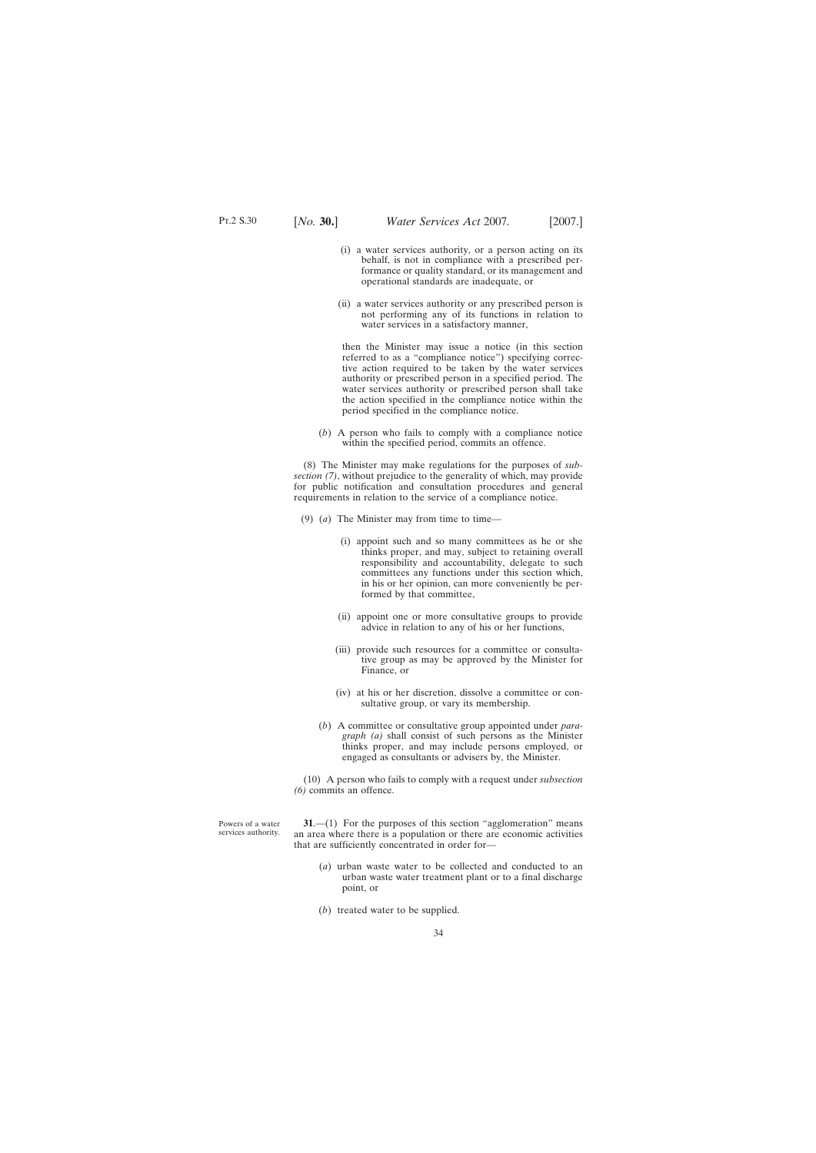- <span id="page-33-0"></span>(i) a water services authority, or a person acting on its behalf, is not in compliance with a prescribed performance or quality standard, or its management and operational standards are inadequate, or
- (ii) a water services authority or any prescribed person is not performing any of its functions in relation to water services in a satisfactory manner,

then the Minister may issue a notice (in this section referred to as a "compliance notice") specifying corrective action required to be taken by the water services authority or prescribed person in a specified period. The water services authority or prescribed person shall take the action specified in the compliance notice within the period specified in the compliance notice.

(*b*) A person who fails to comply with a compliance notice within the specified period, commits an offence.

(8) The Minister may make regulations for the purposes of *subsection (7)*, without prejudice to the generality of which, may provide for public notification and consultation procedures and general requirements in relation to the service of a compliance notice.

- (9) (*a*) The Minister may from time to time—
	- (i) appoint such and so many committees as he or she thinks proper, and may, subject to retaining overall responsibility and accountability, delegate to such committees any functions under this section which, in his or her opinion, can more conveniently be performed by that committee,
	- (ii) appoint one or more consultative groups to provide advice in relation to any of his or her functions,
	- (iii) provide such resources for a committee or consultative group as may be approved by the Minister for Finance, or
	- (iv) at his or her discretion, dissolve a committee or consultative group, or vary its membership.
	- (*b*) A committee or consultative group appointed under *paragraph (a)* shall consist of such persons as the Minister thinks proper, and may include persons employed, or engaged as consultants or advisers by, the Minister.

(10) A person who fails to comply with a request under *subsection (6)* commits an offence.

Powers of a water services authority.

**31.**—(1) For the purposes of this section "agglomeration" means an area where there is a population or there are economic activities that are sufficiently concentrated in order for—

- (*a*) urban waste water to be collected and conducted to an urban waste water treatment plant or to a final discharge point, or
- (*b*) treated water to be supplied.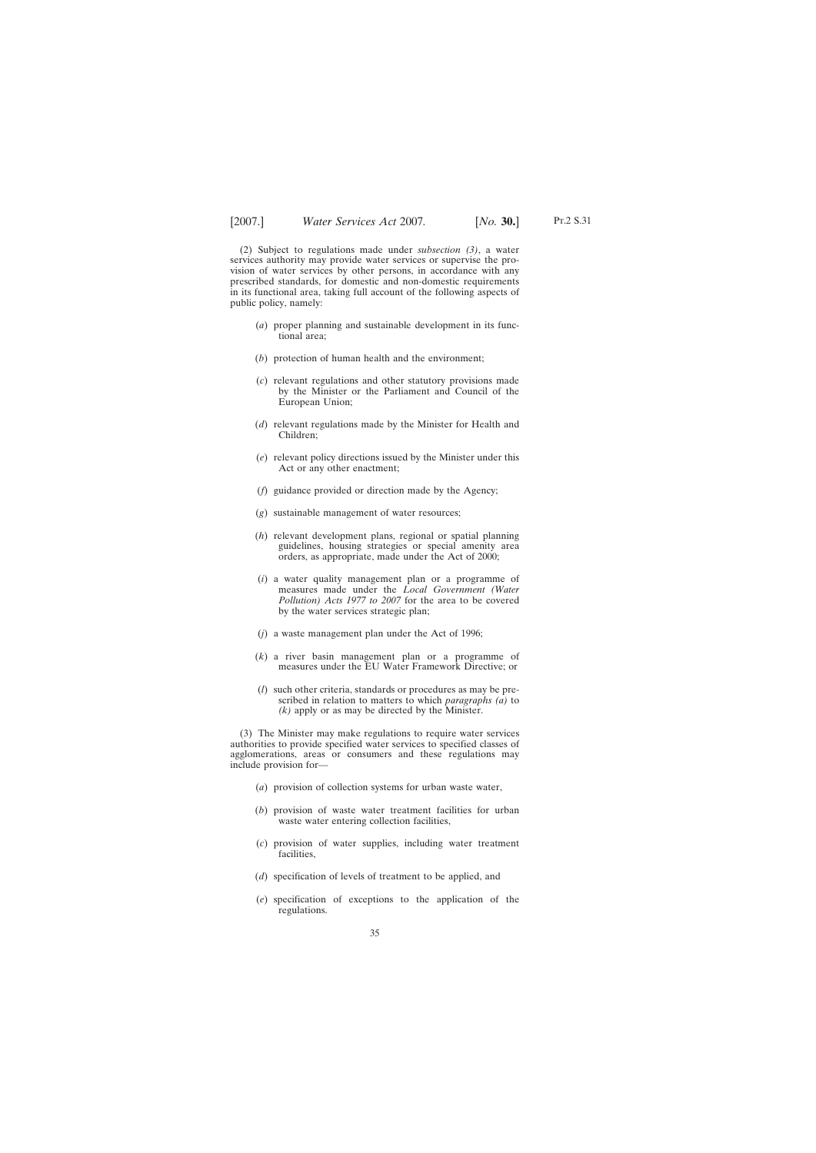(2) Subject to regulations made under *subsection (3)*, a water services authority may provide water services or supervise the provision of water services by other persons, in accordance with any prescribed standards, for domestic and non-domestic requirements in its functional area, taking full account of the following aspects of public policy, namely:

- (*a*) proper planning and sustainable development in its functional area;
- (*b*) protection of human health and the environment;
- (*c*) relevant regulations and other statutory provisions made by the Minister or the Parliament and Council of the European Union;
- (*d*) relevant regulations made by the Minister for Health and Children;
- (*e*) relevant policy directions issued by the Minister under this Act or any other enactment;
- (*f*) guidance provided or direction made by the Agency;
- (*g*) sustainable management of water resources;
- (*h*) relevant development plans, regional or spatial planning guidelines, housing strategies or special amenity area orders, as appropriate, made under the Act of 2000;
- (*i*) a water quality management plan or a programme of measures made under the *Local Government (Water Pollution) Acts 1977 to 2007* for the area to be covered by the water services strategic plan;
- (*j*) a waste management plan under the Act of 1996;
- (*k*) a river basin management plan or a programme of measures under the EU Water Framework Directive; or
- (*l*) such other criteria, standards or procedures as may be prescribed in relation to matters to which *paragraphs (a)* to *(k)* apply or as may be directed by the Minister.

(3) The Minister may make regulations to require water services authorities to provide specified water services to specified classes of agglomerations, areas or consumers and these regulations may include provision for—

- (*a*) provision of collection systems for urban waste water,
- (*b*) provision of waste water treatment facilities for urban waste water entering collection facilities,
- (*c*) provision of water supplies, including water treatment facilities,
- (*d*) specification of levels of treatment to be applied, and
- (*e*) specification of exceptions to the application of the regulations.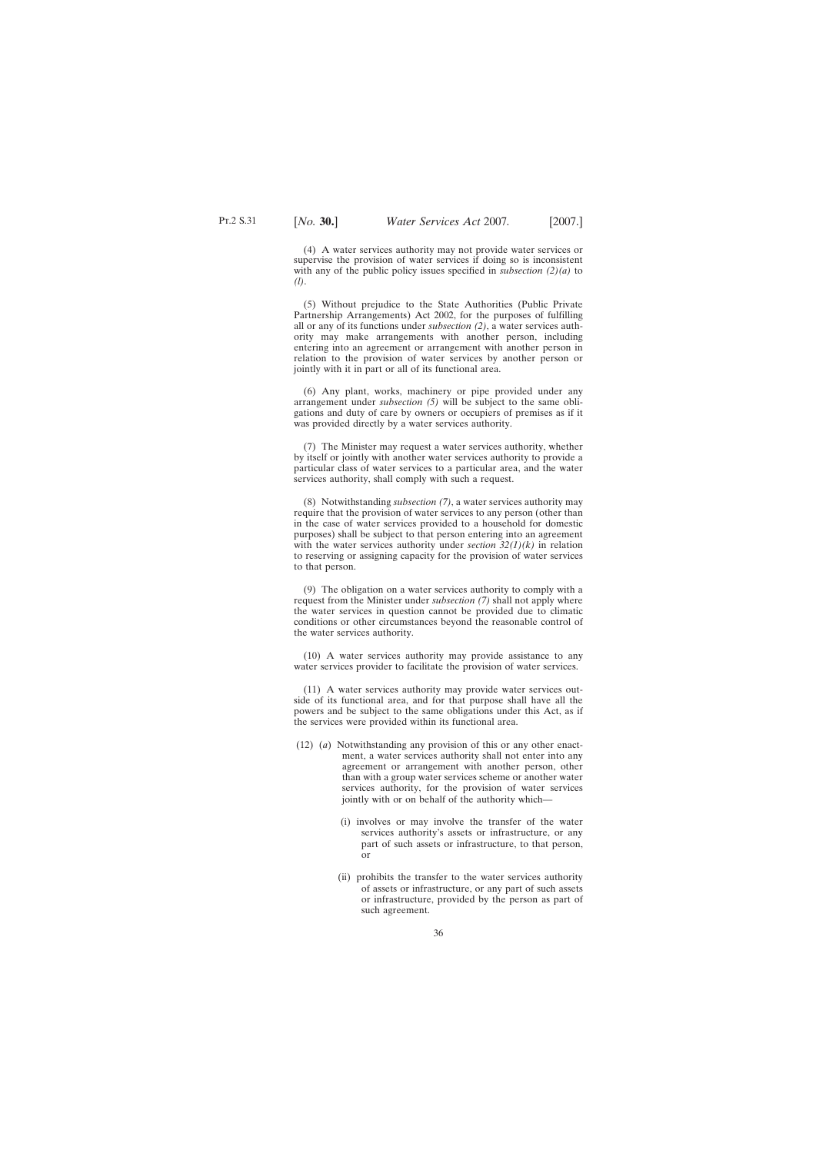(4) A water services authority may not provide water services or supervise the provision of water services if doing so is inconsistent with any of the public policy issues specified in *subsection (2)(a)* to *(l)*.

(5) Without prejudice to the State Authorities (Public Private Partnership Arrangements) Act 2002, for the purposes of fulfilling all or any of its functions under *subsection (2)*, a water services authority may make arrangements with another person, including entering into an agreement or arrangement with another person in relation to the provision of water services by another person or jointly with it in part or all of its functional area.

(6) Any plant, works, machinery or pipe provided under any arrangement under *subsection (5)* will be subject to the same obligations and duty of care by owners or occupiers of premises as if it was provided directly by a water services authority.

(7) The Minister may request a water services authority, whether by itself or jointly with another water services authority to provide a particular class of water services to a particular area, and the water services authority, shall comply with such a request.

(8) Notwithstanding *subsection (7)*, a water services authority may require that the provision of water services to any person (other than in the case of water services provided to a household for domestic purposes) shall be subject to that person entering into an agreement with the water services authority under *section 32(1)(k)* in relation to reserving or assigning capacity for the provision of water services to that person.

(9) The obligation on a water services authority to comply with a request from the Minister under *subsection (7)* shall not apply where the water services in question cannot be provided due to climatic conditions or other circumstances beyond the reasonable control of the water services authority.

(10) A water services authority may provide assistance to any water services provider to facilitate the provision of water services.

(11) A water services authority may provide water services outside of its functional area, and for that purpose shall have all the powers and be subject to the same obligations under this Act, as if the services were provided within its functional area.

- (12) (*a*) Notwithstanding any provision of this or any other enactment, a water services authority shall not enter into any agreement or arrangement with another person, other than with a group water services scheme or another water services authority, for the provision of water services jointly with or on behalf of the authority which—
	- (i) involves or may involve the transfer of the water services authority's assets or infrastructure, or any part of such assets or infrastructure, to that person, or
	- (ii) prohibits the transfer to the water services authority of assets or infrastructure, or any part of such assets or infrastructure, provided by the person as part of such agreement.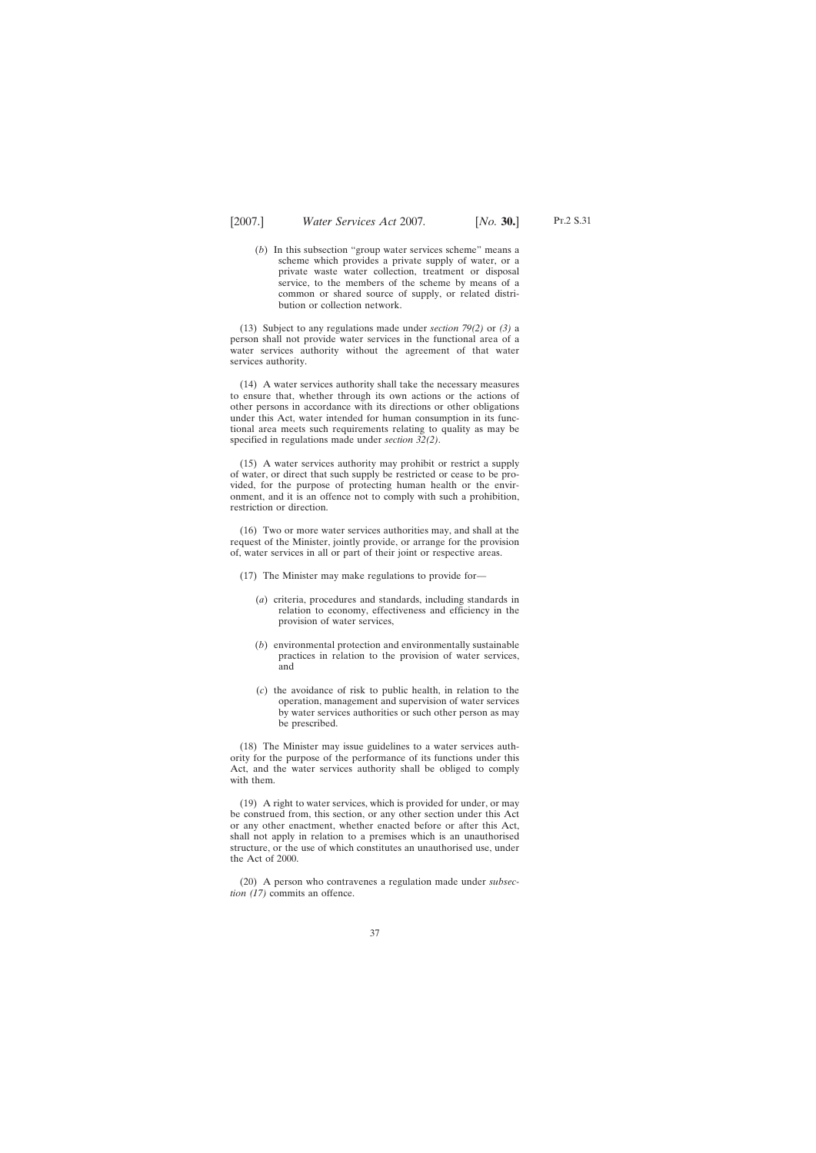(*b*) In this subsection "group water services scheme" means a scheme which provides a private supply of water, or a private waste water collection, treatment or disposal service, to the members of the scheme by means of a common or shared source of supply, or related distribution or collection network.

(13) Subject to any regulations made under *section 79(2)* or *(3)* a person shall not provide water services in the functional area of a water services authority without the agreement of that water services authority.

(14) A water services authority shall take the necessary measures to ensure that, whether through its own actions or the actions of other persons in accordance with its directions or other obligations under this Act, water intended for human consumption in its functional area meets such requirements relating to quality as may be specified in regulations made under *section 32(2)*.

(15) A water services authority may prohibit or restrict a supply of water, or direct that such supply be restricted or cease to be provided, for the purpose of protecting human health or the environment, and it is an offence not to comply with such a prohibition, restriction or direction.

(16) Two or more water services authorities may, and shall at the request of the Minister, jointly provide, or arrange for the provision of, water services in all or part of their joint or respective areas.

(17) The Minister may make regulations to provide for—

- (*a*) criteria, procedures and standards, including standards in relation to economy, effectiveness and efficiency in the provision of water services,
- (*b*) environmental protection and environmentally sustainable practices in relation to the provision of water services, and
- (*c*) the avoidance of risk to public health, in relation to the operation, management and supervision of water services by water services authorities or such other person as may be prescribed.

(18) The Minister may issue guidelines to a water services authority for the purpose of the performance of its functions under this Act, and the water services authority shall be obliged to comply with them.

(19) A right to water services, which is provided for under, or may be construed from, this section, or any other section under this Act or any other enactment, whether enacted before or after this Act, shall not apply in relation to a premises which is an unauthorised structure, or the use of which constitutes an unauthorised use, under the Act of 2000.

(20) A person who contravenes a regulation made under *subsection (17)* commits an offence.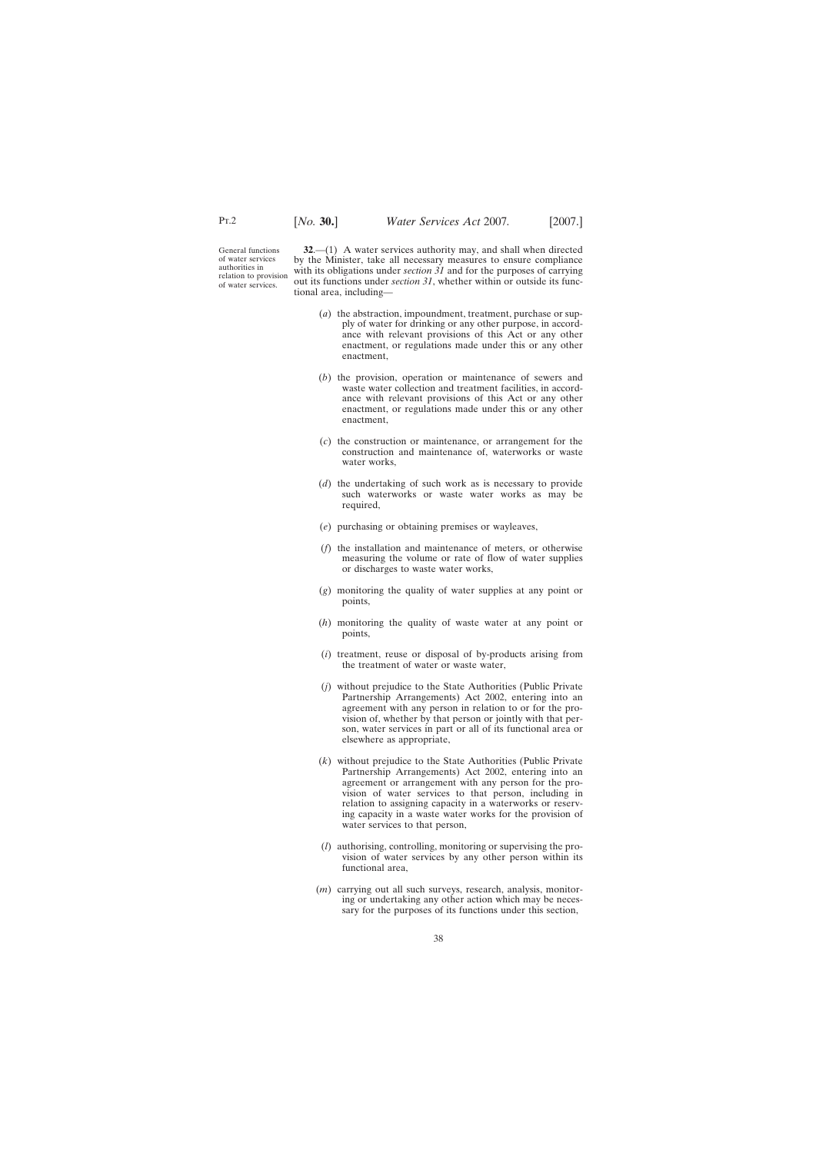General functions of water services authorities in relation to provision of water services.

**32**.—(1) A water services authority may, and shall when directed by the Minister, take all necessary measures to ensure compliance with its obligations under *section 31* and for the purposes of carrying out its functions under *section 31*, whether within or outside its functional area, including—

- (*a*) the abstraction, impoundment, treatment, purchase or supply of water for drinking or any other purpose, in accordance with relevant provisions of this Act or any other enactment, or regulations made under this or any other enactment,
- (*b*) the provision, operation or maintenance of sewers and waste water collection and treatment facilities, in accordance with relevant provisions of this Act or any other enactment, or regulations made under this or any other enactment,
- (*c*) the construction or maintenance, or arrangement for the construction and maintenance of, waterworks or waste water works,
- (*d*) the undertaking of such work as is necessary to provide such waterworks or waste water works as may be required,
- (*e*) purchasing or obtaining premises or wayleaves,
- (*f*) the installation and maintenance of meters, or otherwise measuring the volume or rate of flow of water supplies or discharges to waste water works,
- (*g*) monitoring the quality of water supplies at any point or points,
- (*h*) monitoring the quality of waste water at any point or points,
- (*i*) treatment, reuse or disposal of by-products arising from the treatment of water or waste water,
- (*j*) without prejudice to the State Authorities (Public Private Partnership Arrangements) Act 2002, entering into an agreement with any person in relation to or for the provision of, whether by that person or jointly with that person, water services in part or all of its functional area or elsewhere as appropriate,
- (*k*) without prejudice to the State Authorities (Public Private Partnership Arrangements) Act 2002, entering into an agreement or arrangement with any person for the provision of water services to that person, including in relation to assigning capacity in a waterworks or reserving capacity in a waste water works for the provision of water services to that person,
- (*l*) authorising, controlling, monitoring or supervising the provision of water services by any other person within its functional area,
- (*m*) carrying out all such surveys, research, analysis, monitoring or undertaking any other action which may be necessary for the purposes of its functions under this section,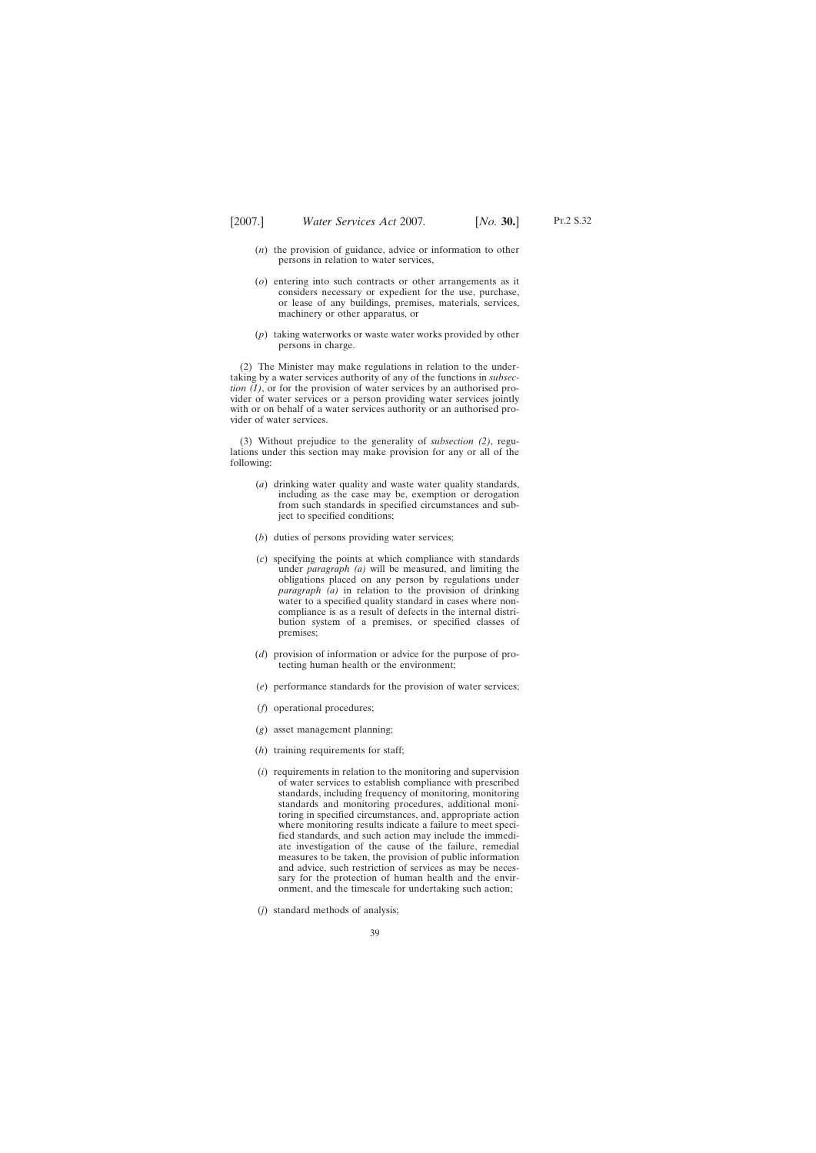- (*n*) the provision of guidance, advice or information to other persons in relation to water services,
- (*o*) entering into such contracts or other arrangements as it considers necessary or expedient for the use, purchase, or lease of any buildings, premises, materials, services, machinery or other apparatus, or
- (*p*) taking waterworks or waste water works provided by other persons in charge.

(2) The Minister may make regulations in relation to the undertaking by a water services authority of any of the functions in *subsection (1)*, or for the provision of water services by an authorised provider of water services or a person providing water services jointly with or on behalf of a water services authority or an authorised provider of water services.

(3) Without prejudice to the generality of *subsection (2)*, regulations under this section may make provision for any or all of the following:

- (*a*) drinking water quality and waste water quality standards, including as the case may be, exemption or derogation from such standards in specified circumstances and subject to specified conditions;
- (*b*) duties of persons providing water services;
- (*c*) specifying the points at which compliance with standards under *paragraph (a)* will be measured, and limiting the obligations placed on any person by regulations under *paragraph (a)* in relation to the provision of drinking water to a specified quality standard in cases where noncompliance is as a result of defects in the internal distribution system of a premises, or specified classes of premises;
- (*d*) provision of information or advice for the purpose of protecting human health or the environment;
- (*e*) performance standards for the provision of water services;
- (*f*) operational procedures;
- (*g*) asset management planning;
- (*h*) training requirements for staff;
- (*i*) requirements in relation to the monitoring and supervision of water services to establish compliance with prescribed standards, including frequency of monitoring, monitoring standards and monitoring procedures, additional monitoring in specified circumstances, and, appropriate action where monitoring results indicate a failure to meet specified standards, and such action may include the immediate investigation of the cause of the failure, remedial measures to be taken, the provision of public information and advice, such restriction of services as may be necessary for the protection of human health and the environment, and the timescale for undertaking such action;
- (*j*) standard methods of analysis;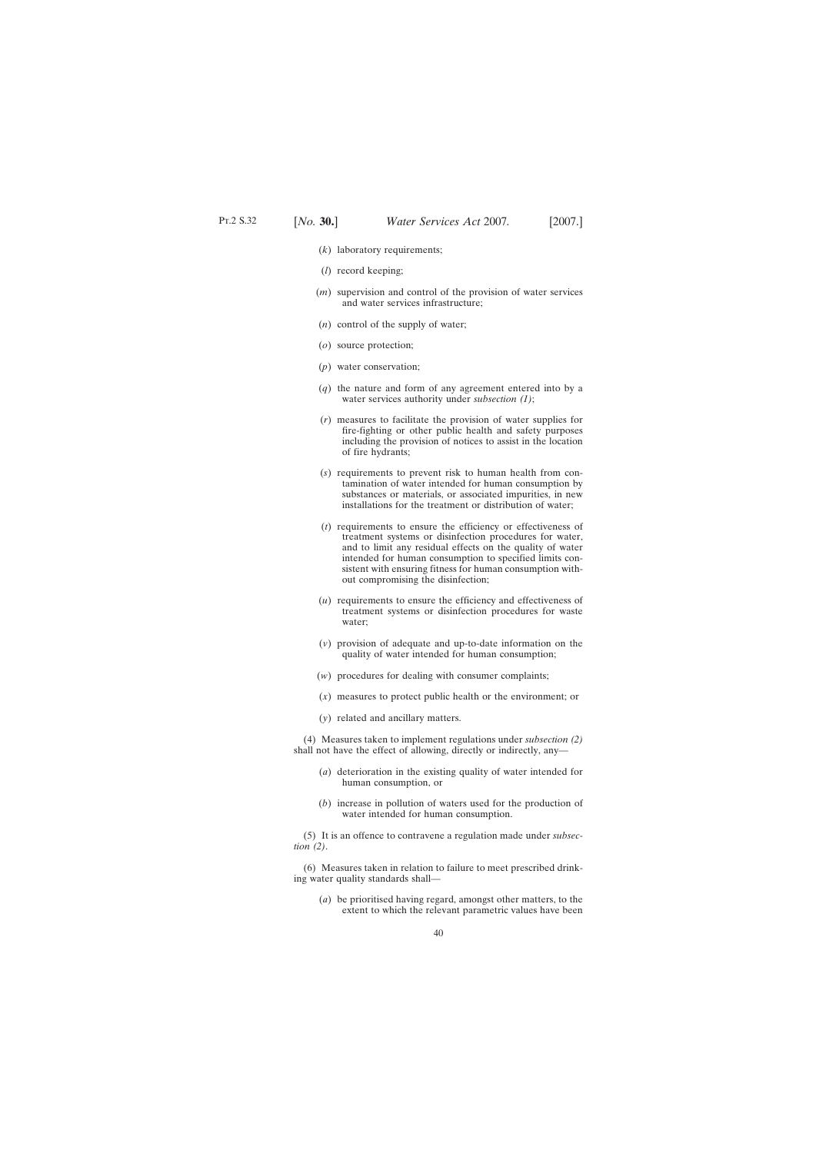- (*k*) laboratory requirements;
- (*l*) record keeping;
- (*m*) supervision and control of the provision of water services and water services infrastructure;
- (*n*) control of the supply of water;
- (*o*) source protection;
- (*p*) water conservation;
- (*q*) the nature and form of any agreement entered into by a water services authority under *subsection (1)*;
- (*r*) measures to facilitate the provision of water supplies for fire-fighting or other public health and safety purposes including the provision of notices to assist in the location of fire hydrants;
- (*s*) requirements to prevent risk to human health from contamination of water intended for human consumption by substances or materials, or associated impurities, in new installations for the treatment or distribution of water;
- (*t*) requirements to ensure the efficiency or effectiveness of treatment systems or disinfection procedures for water, and to limit any residual effects on the quality of water intended for human consumption to specified limits consistent with ensuring fitness for human consumption without compromising the disinfection;
- (*u*) requirements to ensure the efficiency and effectiveness of treatment systems or disinfection procedures for waste water;
- (*v*) provision of adequate and up-to-date information on the quality of water intended for human consumption;
- (*w*) procedures for dealing with consumer complaints;
- (*x*) measures to protect public health or the environment; or
- (*y*) related and ancillary matters.

(4) Measures taken to implement regulations under *subsection (2)* shall not have the effect of allowing, directly or indirectly, any—

- (*a*) deterioration in the existing quality of water intended for human consumption, or
- (*b*) increase in pollution of waters used for the production of water intended for human consumption.

(5) It is an offence to contravene a regulation made under *subsection (2)*.

(6) Measures taken in relation to failure to meet prescribed drinking water quality standards shall—

(*a*) be prioritised having regard, amongst other matters, to the extent to which the relevant parametric values have been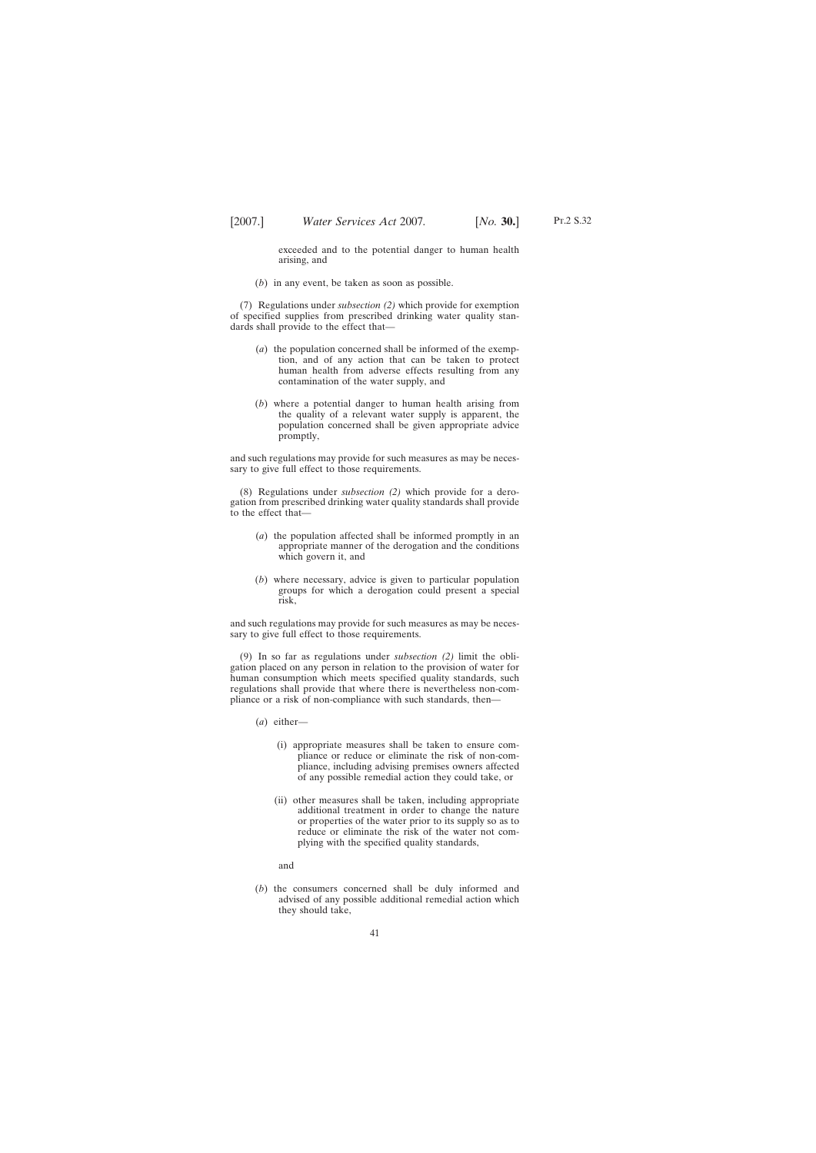exceeded and to the potential danger to human health arising, and

(*b*) in any event, be taken as soon as possible.

(7) Regulations under *subsection (2)* which provide for exemption of specified supplies from prescribed drinking water quality standards shall provide to the effect that—

- (*a*) the population concerned shall be informed of the exemption, and of any action that can be taken to protect human health from adverse effects resulting from any contamination of the water supply, and
- (*b*) where a potential danger to human health arising from the quality of a relevant water supply is apparent, the population concerned shall be given appropriate advice promptly,

and such regulations may provide for such measures as may be necessary to give full effect to those requirements.

(8) Regulations under *subsection (2)* which provide for a derogation from prescribed drinking water quality standards shall provide to the effect that—

- (*a*) the population affected shall be informed promptly in an appropriate manner of the derogation and the conditions which govern it, and
- (*b*) where necessary, advice is given to particular population groups for which a derogation could present a special risk,

and such regulations may provide for such measures as may be necessary to give full effect to those requirements.

(9) In so far as regulations under *subsection (2)* limit the obligation placed on any person in relation to the provision of water for human consumption which meets specified quality standards, such regulations shall provide that where there is nevertheless non-compliance or a risk of non-compliance with such standards, then—

- (*a*) either—
	- (i) appropriate measures shall be taken to ensure compliance or reduce or eliminate the risk of non-compliance, including advising premises owners affected of any possible remedial action they could take, or
	- (ii) other measures shall be taken, including appropriate additional treatment in order to change the nature or properties of the water prior to its supply so as to reduce or eliminate the risk of the water not complying with the specified quality standards,

and

(*b*) the consumers concerned shall be duly informed and advised of any possible additional remedial action which they should take,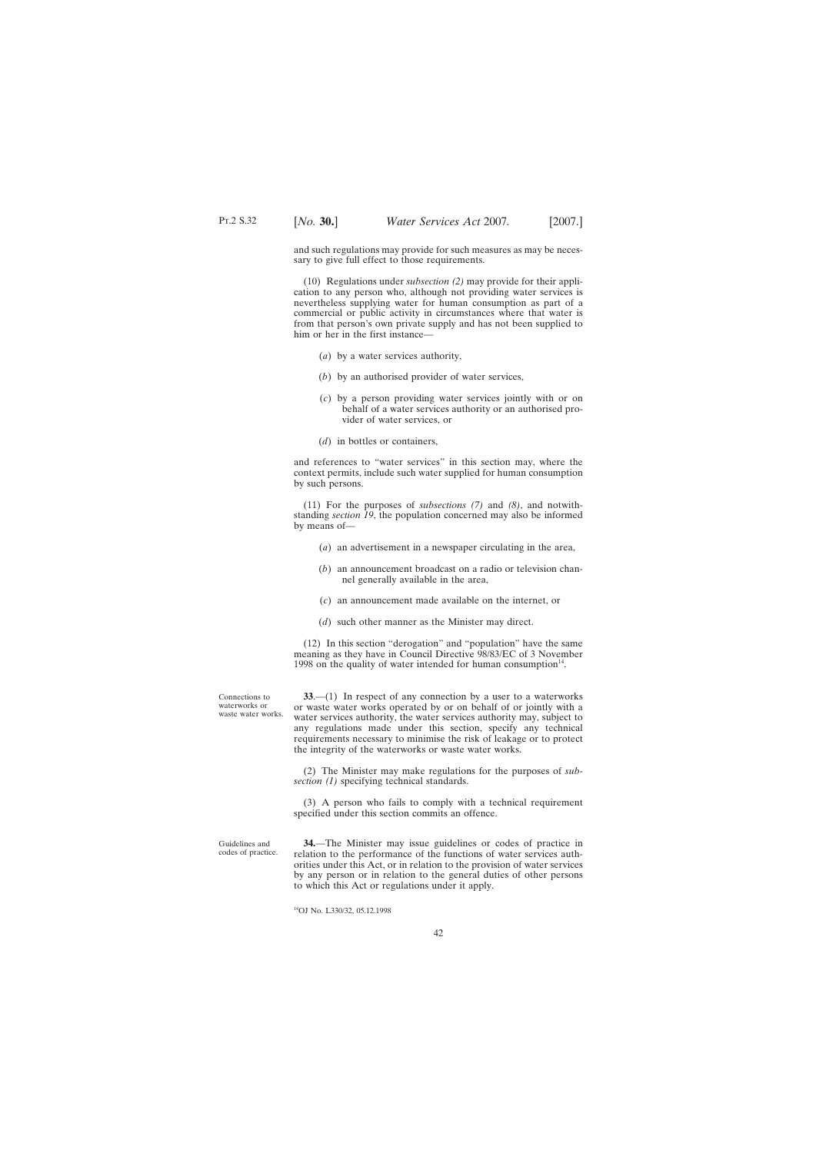and such regulations may provide for such measures as may be necessary to give full effect to those requirements.

(10) Regulations under *subsection (2)* may provide for their application to any person who, although not providing water services is nevertheless supplying water for human consumption as part of a commercial or public activity in circumstances where that water is from that person's own private supply and has not been supplied to him or her in the first instance—

- (*a*) by a water services authority,
- (*b*) by an authorised provider of water services,
- (*c*) by a person providing water services jointly with or on behalf of a water services authority or an authorised provider of water services, or
- (*d*) in bottles or containers,

and references to "water services" in this section may, where the context permits, include such water supplied for human consumption by such persons.

(11) For the purposes of *subsections (7)* and *(8)*, and notwithstanding *section 19*, the population concerned may also be informed by means of—

- (*a*) an advertisement in a newspaper circulating in the area,
- (*b*) an announcement broadcast on a radio or television channel generally available in the area,
- (*c*) an announcement made available on the internet, or
- (*d*) such other manner as the Minister may direct.

(12) In this section "derogation" and "population" have the same meaning as they have in Council Directive 98/83/EC of 3 November 1998 on the quality of water intended for human consumption $14$ .

**33**.—(1) In respect of any connection by a user to a waterworks or waste water works operated by or on behalf of or jointly with a water services authority, the water services authority may, subject to any regulations made under this section, specify any technical requirements necessary to minimise the risk of leakage or to protect the integrity of the waterworks or waste water works.

(2) The Minister may make regulations for the purposes of *subsection (1)* specifying technical standards.

(3) A person who fails to comply with a technical requirement specified under this section commits an offence.

Guidelines and codes of practice.

Connections to waterworks or waste water works.

> **34.**—The Minister may issue guidelines or codes of practice in relation to the performance of the functions of water services authorities under this Act, or in relation to the provision of water services by any person or in relation to the general duties of other persons to which this Act or regulations under it apply.

14OJ No. L330/32, 05.12.1998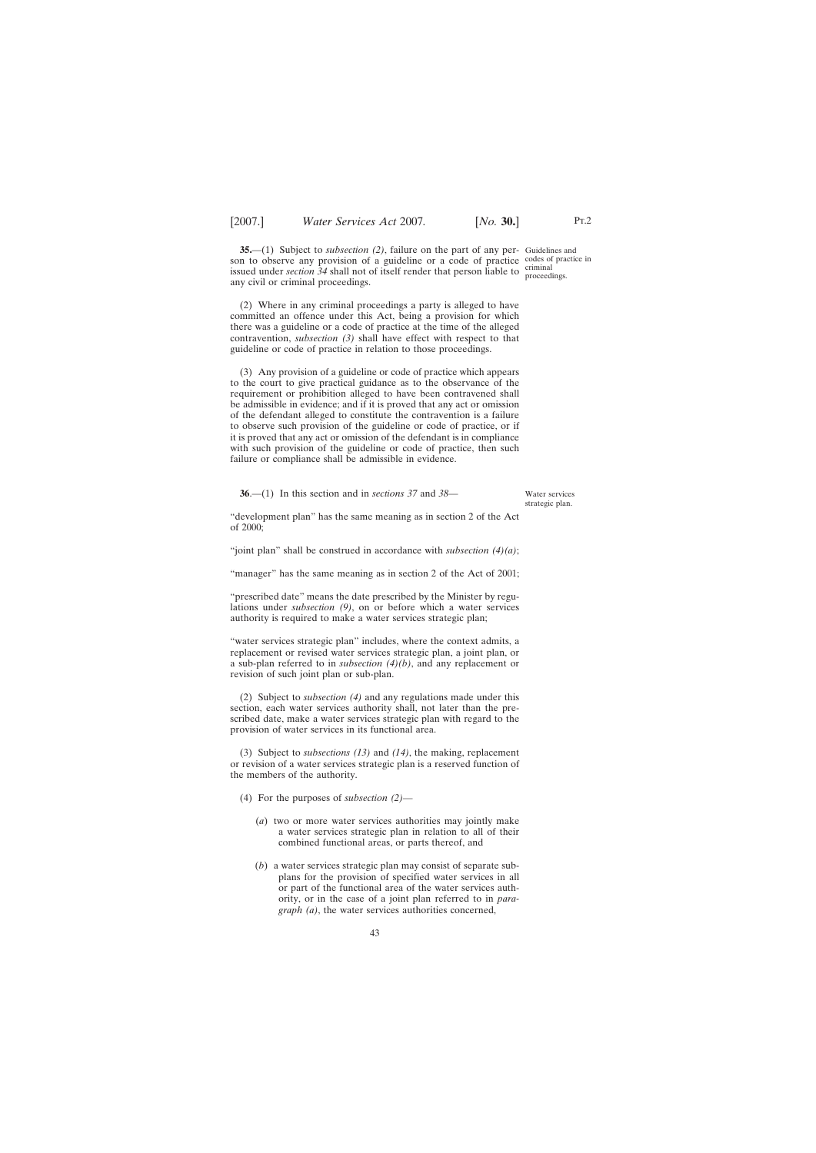**35.**—(1) Subject to *subsection (2)*, failure on the part of any per-Guidelines and son to observe any provision of a guideline or a code of practice codes of practice in issued under *section*  $34$  shall not of itself render that person liable to  $\frac{\text{criminal}}{\text{proceed}}$ any civil or criminal proceedings.

(2) Where in any criminal proceedings a party is alleged to have committed an offence under this Act, being a provision for which there was a guideline or a code of practice at the time of the alleged contravention, *subsection (3)* shall have effect with respect to that guideline or code of practice in relation to those proceedings.

(3) Any provision of a guideline or code of practice which appears to the court to give practical guidance as to the observance of the requirement or prohibition alleged to have been contravened shall be admissible in evidence; and if it is proved that any act or omission of the defendant alleged to constitute the contravention is a failure to observe such provision of the guideline or code of practice, or if it is proved that any act or omission of the defendant is in compliance with such provision of the guideline or code of practice, then such failure or compliance shall be admissible in evidence.

**36**.—(1) In this section and in *sections 37* and *38*—

Water services strategic plan.

"development plan" has the same meaning as in section 2 of the Act of 2000;

"joint plan" shall be construed in accordance with *subsection (4)(a)*;

"manager" has the same meaning as in section 2 of the Act of 2001;

"prescribed date" means the date prescribed by the Minister by regulations under *subsection (9)*, on or before which a water services authority is required to make a water services strategic plan;

"water services strategic plan" includes, where the context admits, a replacement or revised water services strategic plan, a joint plan, or a sub-plan referred to in *subsection (4)(b)*, and any replacement or revision of such joint plan or sub-plan.

(2) Subject to *subsection (4)* and any regulations made under this section, each water services authority shall, not later than the prescribed date, make a water services strategic plan with regard to the provision of water services in its functional area.

(3) Subject to *subsections (13)* and *(14)*, the making, replacement or revision of a water services strategic plan is a reserved function of the members of the authority.

(4) For the purposes of *subsection (2)*—

- (*a*) two or more water services authorities may jointly make a water services strategic plan in relation to all of their combined functional areas, or parts thereof, and
- (*b*) a water services strategic plan may consist of separate subplans for the provision of specified water services in all or part of the functional area of the water services authority, or in the case of a joint plan referred to in *paragraph (a)*, the water services authorities concerned,

proceedings.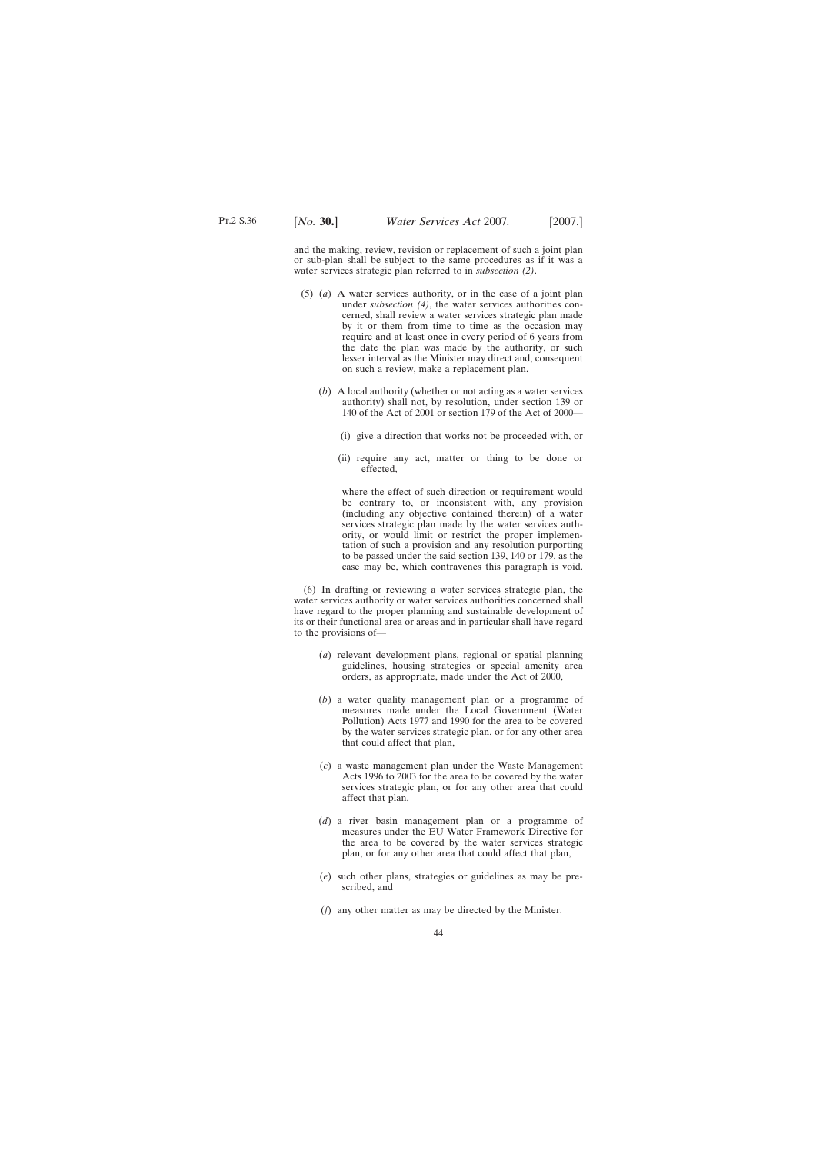and the making, review, revision or replacement of such a joint plan or sub-plan shall be subject to the same procedures as if it was a water services strategic plan referred to in *subsection (2)*.

- (5) (*a*) A water services authority, or in the case of a joint plan under *subsection (4)*, the water services authorities concerned, shall review a water services strategic plan made by it or them from time to time as the occasion may require and at least once in every period of 6 years from the date the plan was made by the authority, or such lesser interval as the Minister may direct and, consequent on such a review, make a replacement plan.
	- (*b*) A local authority (whether or not acting as a water services authority) shall not, by resolution, under section 139 or 140 of the Act of 2001 or section 179 of the Act of 2000—
		- (i) give a direction that works not be proceeded with, or
		- (ii) require any act, matter or thing to be done or effected,

where the effect of such direction or requirement would be contrary to, or inconsistent with, any provision (including any objective contained therein) of a water services strategic plan made by the water services authority, or would limit or restrict the proper implementation of such a provision and any resolution purporting to be passed under the said section 139, 140 or 179, as the case may be, which contravenes this paragraph is void.

(6) In drafting or reviewing a water services strategic plan, the water services authority or water services authorities concerned shall have regard to the proper planning and sustainable development of its or their functional area or areas and in particular shall have regard to the provisions of—

- (*a*) relevant development plans, regional or spatial planning guidelines, housing strategies or special amenity area orders, as appropriate, made under the Act of 2000,
- (*b*) a water quality management plan or a programme of measures made under the Local Government (Water Pollution) Acts 1977 and 1990 for the area to be covered by the water services strategic plan, or for any other area that could affect that plan,
- (*c*) a waste management plan under the Waste Management Acts 1996 to 2003 for the area to be covered by the water services strategic plan, or for any other area that could affect that plan,
- (*d*) a river basin management plan or a programme of measures under the EU Water Framework Directive for the area to be covered by the water services strategic plan, or for any other area that could affect that plan,
- (*e*) such other plans, strategies or guidelines as may be prescribed, and
- (*f*) any other matter as may be directed by the Minister.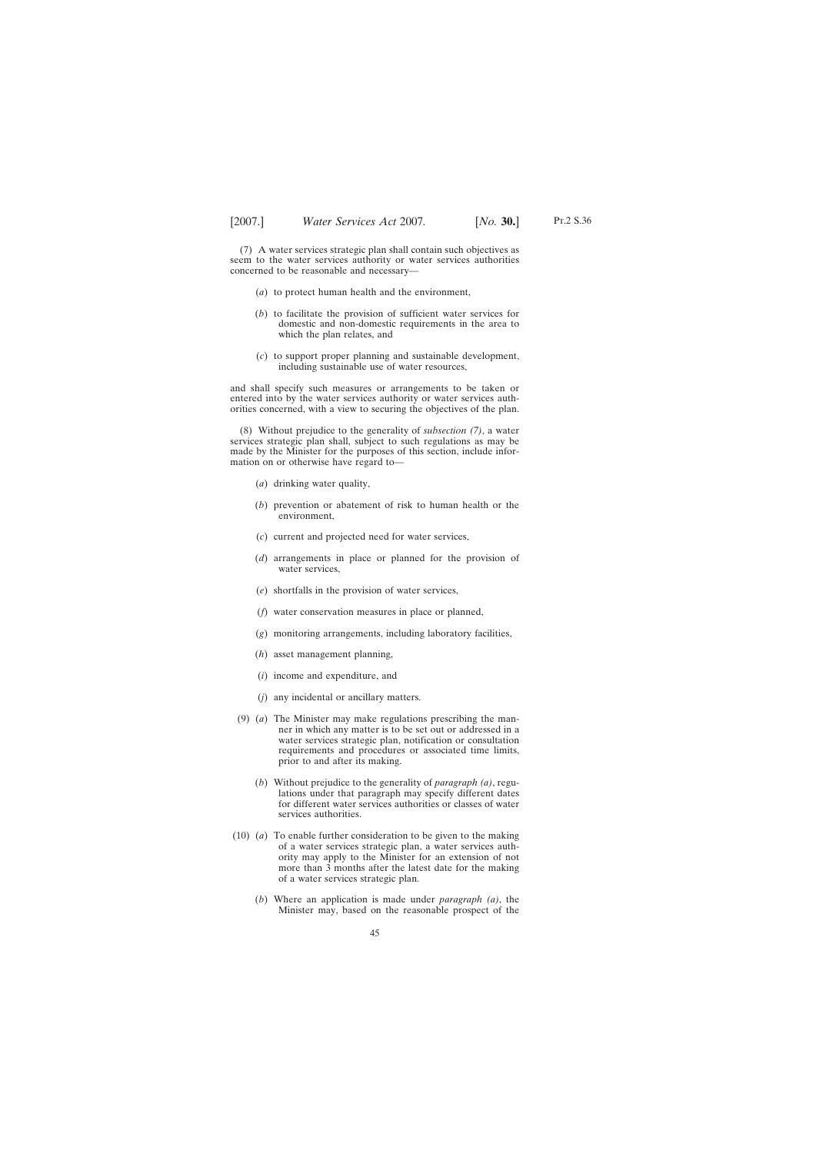(7) A water services strategic plan shall contain such objectives as seem to the water services authority or water services authorities concerned to be reasonable and necessary—

- (*a*) to protect human health and the environment,
- (*b*) to facilitate the provision of sufficient water services for domestic and non-domestic requirements in the area to which the plan relates, and
- (*c*) to support proper planning and sustainable development, including sustainable use of water resources,

and shall specify such measures or arrangements to be taken or entered into by the water services authority or water services authorities concerned, with a view to securing the objectives of the plan.

(8) Without prejudice to the generality of *subsection (7)*, a water services strategic plan shall, subject to such regulations as may be made by the Minister for the purposes of this section, include information on or otherwise have regard to—

- (*a*) drinking water quality,
- (*b*) prevention or abatement of risk to human health or the environment,
- (*c*) current and projected need for water services,
- (*d*) arrangements in place or planned for the provision of water services,
- (*e*) shortfalls in the provision of water services,
- (*f*) water conservation measures in place or planned,
- (*g*) monitoring arrangements, including laboratory facilities,
- (*h*) asset management planning,
- (*i*) income and expenditure, and
- (*j*) any incidental or ancillary matters.
- (9) (*a*) The Minister may make regulations prescribing the manner in which any matter is to be set out or addressed in a water services strategic plan, notification or consultation requirements and procedures or associated time limits, prior to and after its making.
	- (*b*) Without prejudice to the generality of *paragraph (a)*, regulations under that paragraph may specify different dates for different water services authorities or classes of water services authorities.
- (10) (*a*) To enable further consideration to be given to the making of a water services strategic plan, a water services authority may apply to the Minister for an extension of not more than 3 months after the latest date for the making of a water services strategic plan.
	- (*b*) Where an application is made under *paragraph (a)*, the Minister may, based on the reasonable prospect of the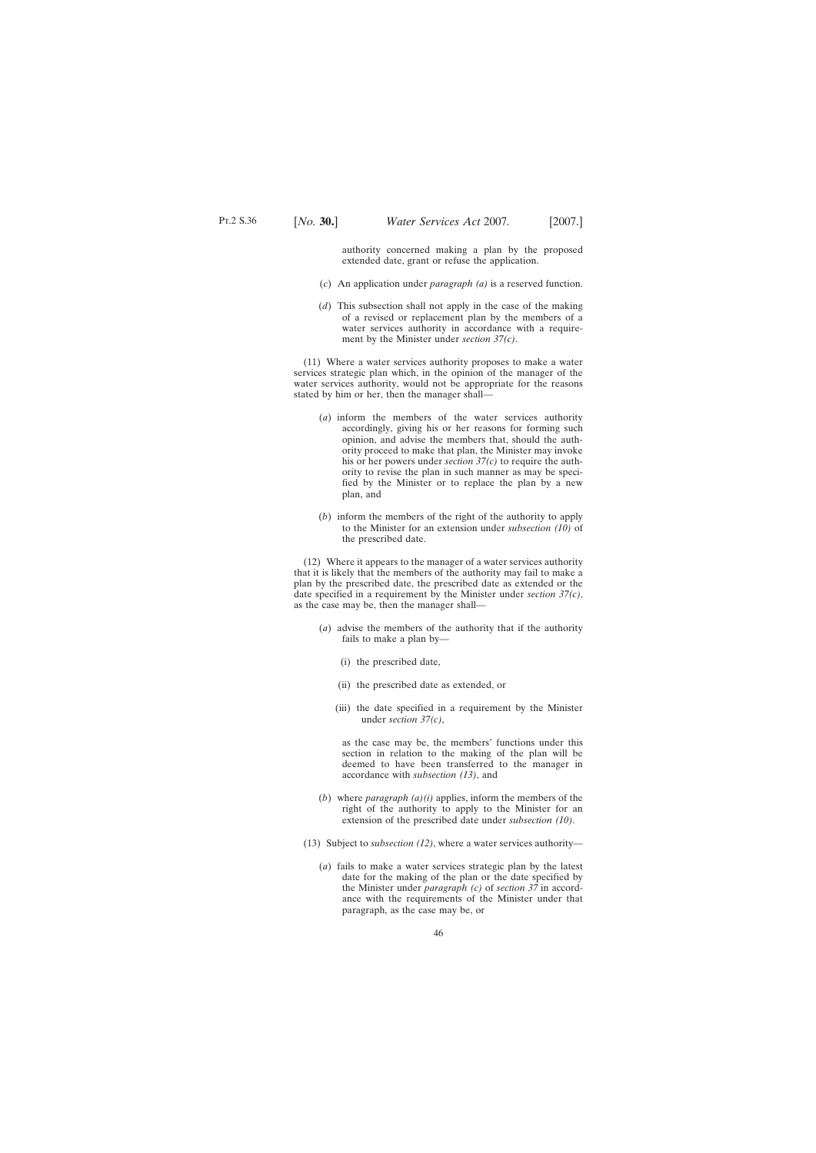authority concerned making a plan by the proposed extended date, grant or refuse the application.

- (*c*) An application under *paragraph (a)* is a reserved function.
- (*d*) This subsection shall not apply in the case of the making of a revised or replacement plan by the members of a water services authority in accordance with a requirement by the Minister under *section 37(c)*.

(11) Where a water services authority proposes to make a water services strategic plan which, in the opinion of the manager of the water services authority, would not be appropriate for the reasons stated by him or her, then the manager shall—

- (*a*) inform the members of the water services authority accordingly, giving his or her reasons for forming such opinion, and advise the members that, should the authority proceed to make that plan, the Minister may invoke his or her powers under *section 37(c)* to require the authority to revise the plan in such manner as may be specified by the Minister or to replace the plan by a new plan, and
- (*b*) inform the members of the right of the authority to apply to the Minister for an extension under *subsection (10)* of the prescribed date.

(12) Where it appears to the manager of a water services authority that it is likely that the members of the authority may fail to make a plan by the prescribed date, the prescribed date as extended or the date specified in a requirement by the Minister under *section 37(c)*, as the case may be, then the manager shall—

- (*a*) advise the members of the authority that if the authority fails to make a plan by—
	- (i) the prescribed date,
	- (ii) the prescribed date as extended, or
	- (iii) the date specified in a requirement by the Minister under *section 37(c)*,

as the case may be, the members' functions under this section in relation to the making of the plan will be deemed to have been transferred to the manager in accordance with *subsection (13)*, and

- (*b*) where *paragraph (a)(i)* applies, inform the members of the right of the authority to apply to the Minister for an extension of the prescribed date under *subsection (10)*.
- (13) Subject to *subsection (12)*, where a water services authority—
	- (*a*) fails to make a water services strategic plan by the latest date for the making of the plan or the date specified by the Minister under *paragraph (c)* of *section 37* in accordance with the requirements of the Minister under that paragraph, as the case may be, or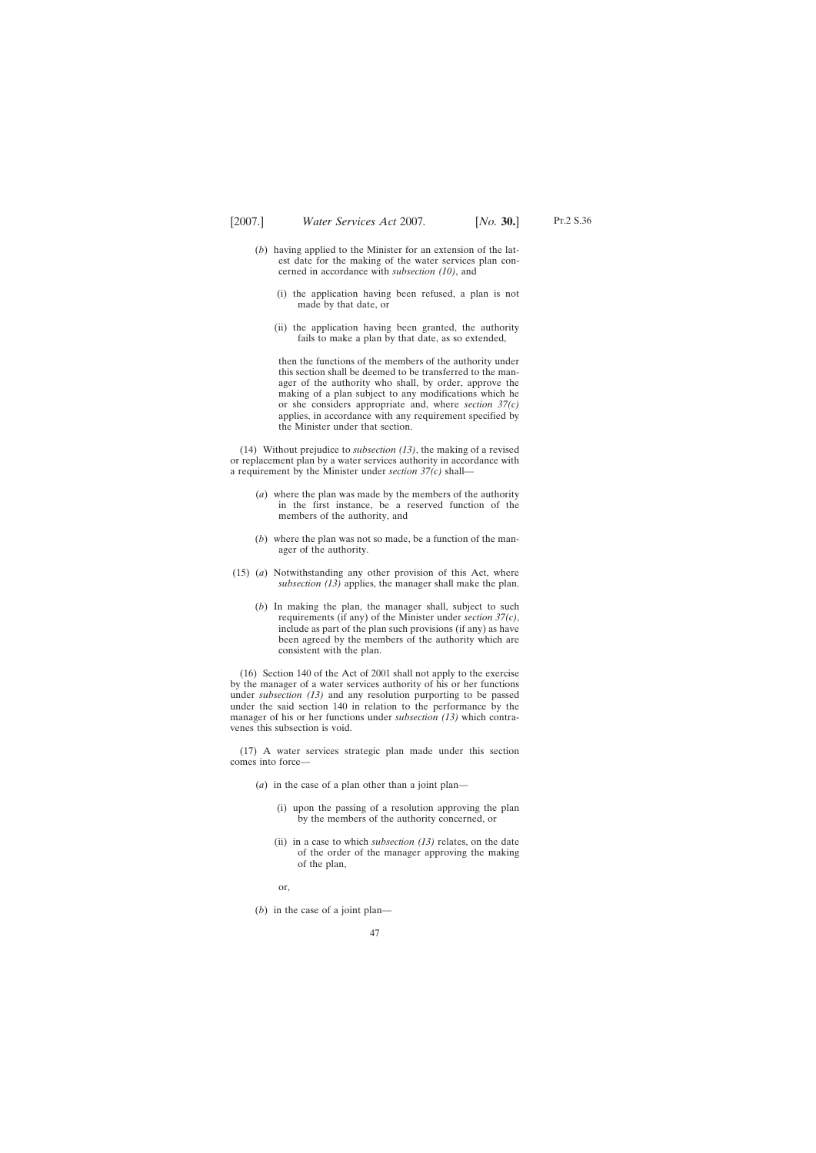Pt.2 S.36

- (*b*) having applied to the Minister for an extension of the lat
	- est date for the making of the water services plan concerned in accordance with *subsection (10)*, and
		- (i) the application having been refused, a plan is not made by that date, or
		- (ii) the application having been granted, the authority fails to make a plan by that date, as so extended,

then the functions of the members of the authority under this section shall be deemed to be transferred to the manager of the authority who shall, by order, approve the making of a plan subject to any modifications which he or she considers appropriate and, where *section 37(c)* applies, in accordance with any requirement specified by the Minister under that section.

(14) Without prejudice to *subsection (13)*, the making of a revised or replacement plan by a water services authority in accordance with a requirement by the Minister under *section 37(c)* shall—

- (*a*) where the plan was made by the members of the authority in the first instance, be a reserved function of the members of the authority, and
- (*b*) where the plan was not so made, be a function of the manager of the authority.
- (15) (*a*) Notwithstanding any other provision of this Act, where *subsection (13)* applies, the manager shall make the plan.
	- (*b*) In making the plan, the manager shall, subject to such requirements (if any) of the Minister under *section 37(c)*, include as part of the plan such provisions (if any) as have been agreed by the members of the authority which are consistent with the plan.

(16) Section 140 of the Act of 2001 shall not apply to the exercise by the manager of a water services authority of his or her functions under *subsection (13)* and any resolution purporting to be passed under the said section 140 in relation to the performance by the manager of his or her functions under *subsection (13)* which contravenes this subsection is void.

(17) A water services strategic plan made under this section comes into force-

- (*a*) in the case of a plan other than a joint plan—
	- (i) upon the passing of a resolution approving the plan by the members of the authority concerned, or
	- (ii) in a case to which *subsection (13)* relates, on the date of the order of the manager approving the making of the plan,
	- or,
- (*b*) in the case of a joint plan—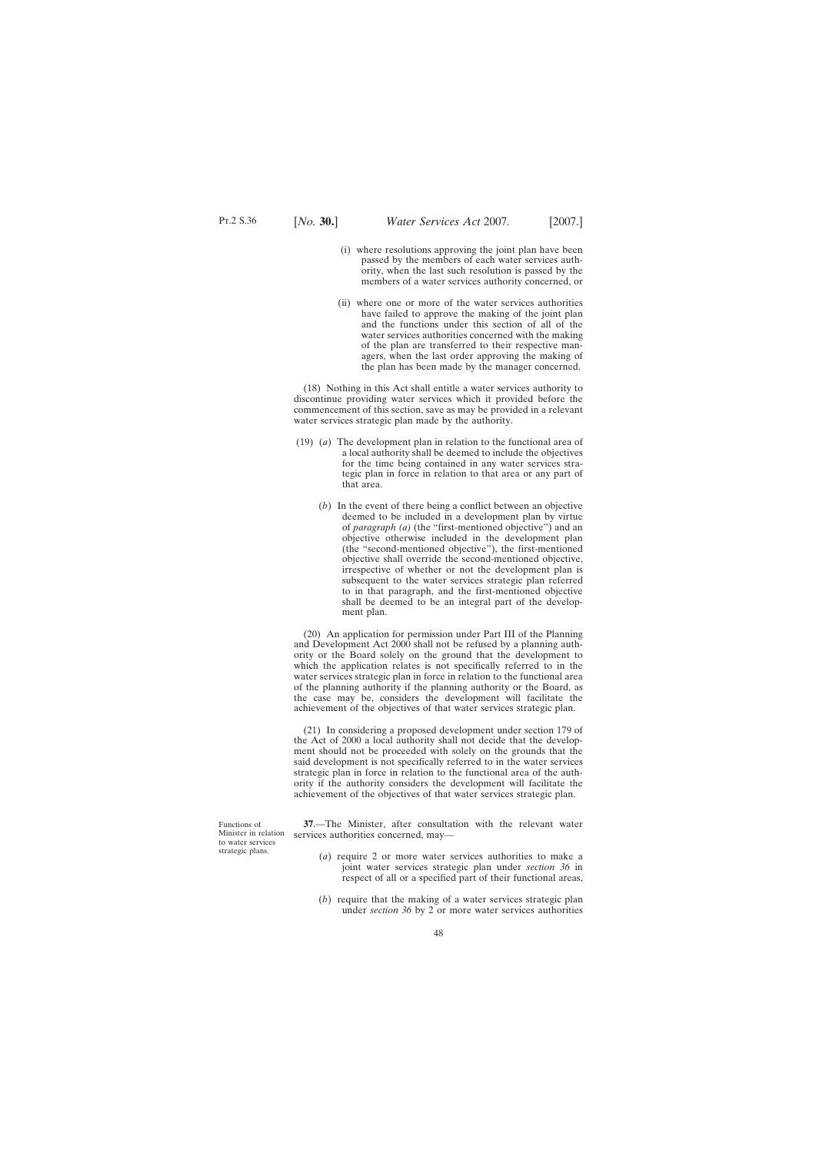- (i) where resolutions approving the joint plan have been passed by the members of each water services authority, when the last such resolution is passed by the members of a water services authority concerned, or
- (ii) where one or more of the water services authorities have failed to approve the making of the joint plan and the functions under this section of all of the water services authorities concerned with the making of the plan are transferred to their respective managers, when the last order approving the making of the plan has been made by the manager concerned.

(18) Nothing in this Act shall entitle a water services authority to discontinue providing water services which it provided before the commencement of this section, save as may be provided in a relevant water services strategic plan made by the authority.

- (19) (*a*) The development plan in relation to the functional area of a local authority shall be deemed to include the objectives for the time being contained in any water services strategic plan in force in relation to that area or any part of that area.
	- (*b*) In the event of there being a conflict between an objective deemed to be included in a development plan by virtue of *paragraph (a)* (the "first-mentioned objective") and an objective otherwise included in the development plan (the "second-mentioned objective"), the first-mentioned objective shall override the second-mentioned objective, irrespective of whether or not the development plan is subsequent to the water services strategic plan referred to in that paragraph, and the first-mentioned objective shall be deemed to be an integral part of the development plan.

(20) An application for permission under Part III of the Planning and Development Act 2000 shall not be refused by a planning authority or the Board solely on the ground that the development to which the application relates is not specifically referred to in the water services strategic plan in force in relation to the functional area of the planning authority if the planning authority or the Board, as the case may be, considers the development will facilitate the achievement of the objectives of that water services strategic plan.

(21) In considering a proposed development under section 179 of the Act of 2000 a local authority shall not decide that the development should not be proceeded with solely on the grounds that the said development is not specifically referred to in the water services strategic plan in force in relation to the functional area of the authority if the authority considers the development will facilitate the achievement of the objectives of that water services strategic plan.

**37**.—The Minister, after consultation with the relevant water services authorities concerned, may—

- (*a*) require 2 or more water services authorities to make a joint water services strategic plan under *section 36* in respect of all or a specified part of their functional areas,
- (*b*) require that the making of a water services strategic plan under *section 36* by 2 or more water services authorities

Functions of Minister in relation to water services strategic plans.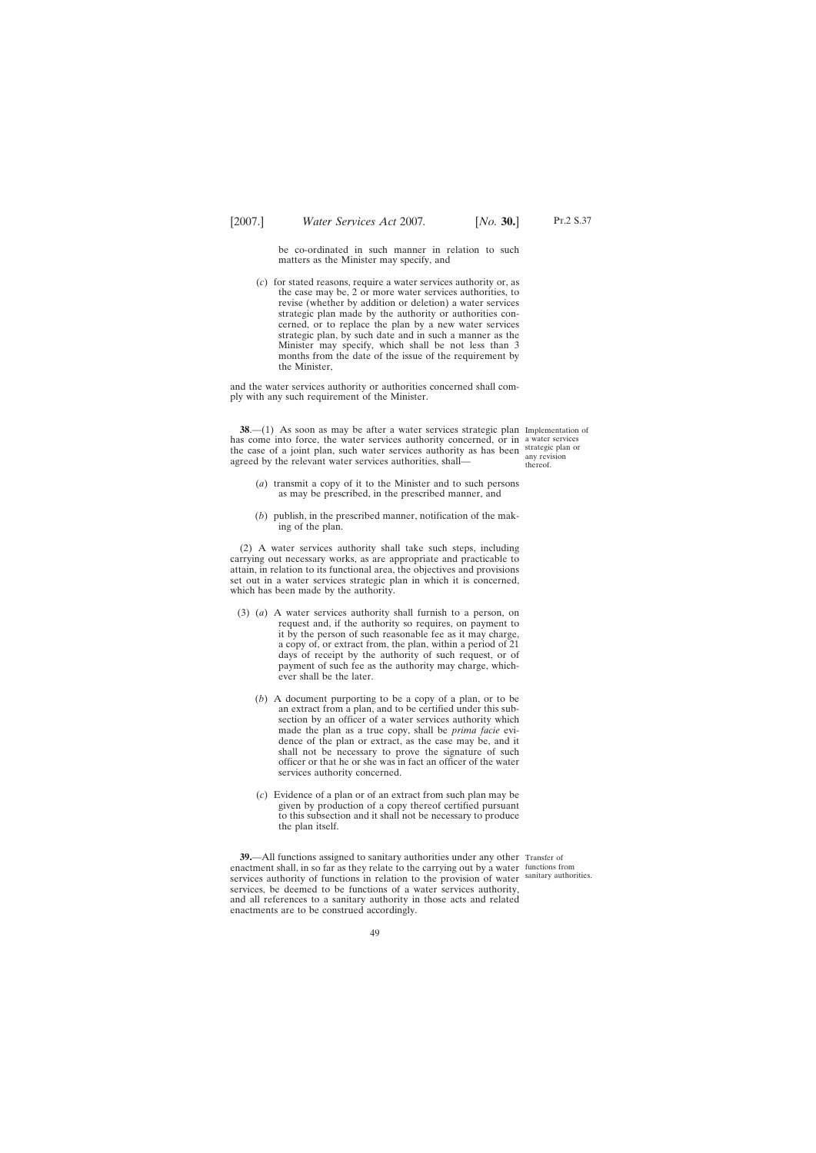be co-ordinated in such manner in relation to such matters as the Minister may specify, and

(*c*) for stated reasons, require a water services authority or, as the case may be, 2 or more water services authorities, to revise (whether by addition or deletion) a water services strategic plan made by the authority or authorities concerned, or to replace the plan by a new water services strategic plan, by such date and in such a manner as the Minister may specify, which shall be not less than 3 months from the date of the issue of the requirement by the Minister,

and the water services authority or authorities concerned shall comply with any such requirement of the Minister.

**38.**—(1) As soon as may be after a water services strategic plan Implementation of has come into force, the water services authority concerned, or in a water services the case of a joint plan, such water services authority as has been strategic plan or agreed by the relevant water services authorities, shall—

any revision thereof.

- (*a*) transmit a copy of it to the Minister and to such persons as may be prescribed, in the prescribed manner, and
- (*b*) publish, in the prescribed manner, notification of the making of the plan.

(2) A water services authority shall take such steps, including carrying out necessary works, as are appropriate and practicable to attain, in relation to its functional area, the objectives and provisions set out in a water services strategic plan in which it is concerned, which has been made by the authority.

- (3) (*a*) A water services authority shall furnish to a person, on request and, if the authority so requires, on payment to it by the person of such reasonable fee as it may charge, a copy of, or extract from, the plan, within a period of 21 days of receipt by the authority of such request, or of payment of such fee as the authority may charge, whichever shall be the later.
	- (*b*) A document purporting to be a copy of a plan, or to be an extract from a plan, and to be certified under this subsection by an officer of a water services authority which made the plan as a true copy, shall be *prima facie* evidence of the plan or extract, as the case may be, and it shall not be necessary to prove the signature of such officer or that he or she was in fact an officer of the water services authority concerned.
	- (*c*) Evidence of a plan or of an extract from such plan may be given by production of a copy thereof certified pursuant to this subsection and it shall not be necessary to produce the plan itself.

**39.**—All functions assigned to sanitary authorities under any other Transfer of enactment shall, in so far as they relate to the carrying out by a water functions from services authority of functions in relation to the provision of water sanitary authorities. services, be deemed to be functions of a water services authority, and all references to a sanitary authority in those acts and related enactments are to be construed accordingly.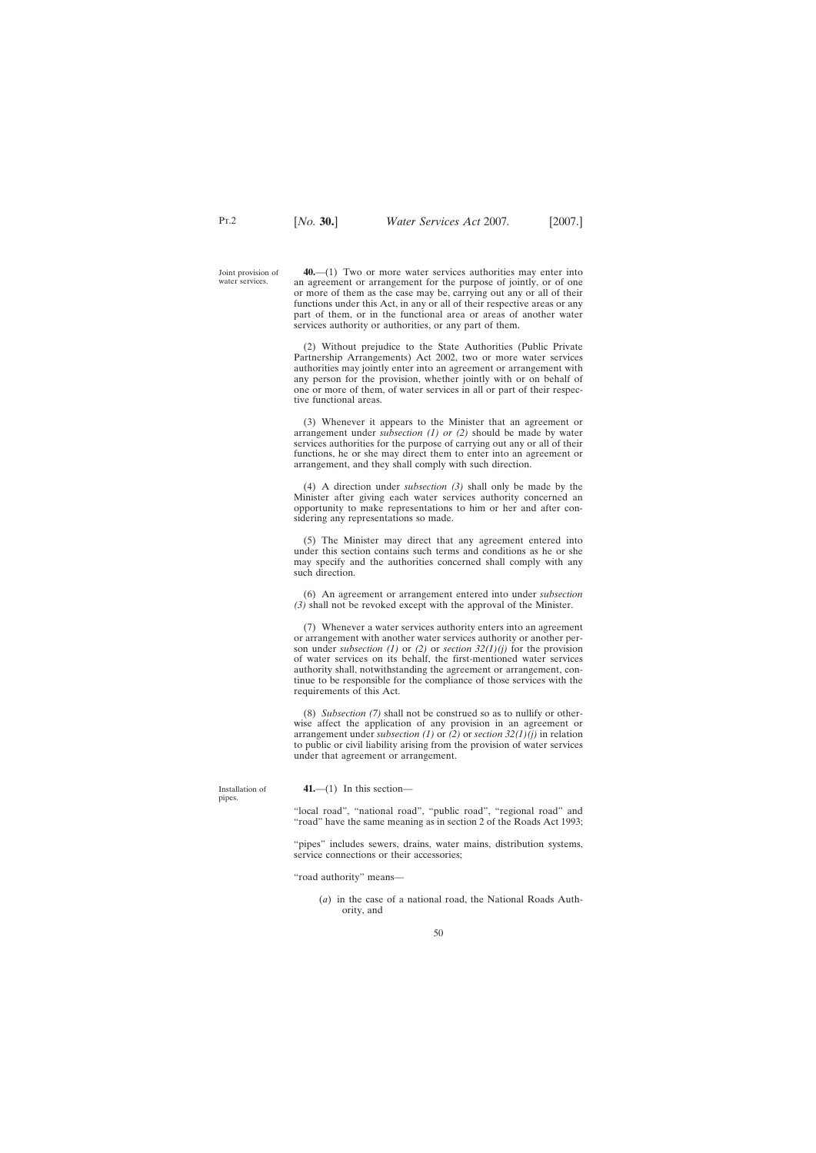Joint provision of water services.

Pt.2

**40.**—(1) Two or more water services authorities may enter into an agreement or arrangement for the purpose of jointly, or of one or more of them as the case may be, carrying out any or all of their functions under this Act, in any or all of their respective areas or any part of them, or in the functional area or areas of another water services authority or authorities, or any part of them.

(2) Without prejudice to the State Authorities (Public Private Partnership Arrangements) Act 2002, two or more water services authorities may jointly enter into an agreement or arrangement with any person for the provision, whether jointly with or on behalf of one or more of them, of water services in all or part of their respective functional areas.

(3) Whenever it appears to the Minister that an agreement or arrangement under *subsection (1) or (2)* should be made by water services authorities for the purpose of carrying out any or all of their functions, he or she may direct them to enter into an agreement or arrangement, and they shall comply with such direction.

(4) A direction under *subsection (3)* shall only be made by the Minister after giving each water services authority concerned an opportunity to make representations to him or her and after considering any representations so made.

(5) The Minister may direct that any agreement entered into under this section contains such terms and conditions as he or she may specify and the authorities concerned shall comply with any such direction.

(6) An agreement or arrangement entered into under *subsection (3)* shall not be revoked except with the approval of the Minister.

(7) Whenever a water services authority enters into an agreement or arrangement with another water services authority or another person under *subsection (1)* or *(2)* or *section 32(1)(j)* for the provision of water services on its behalf, the first-mentioned water services authority shall, notwithstanding the agreement or arrangement, continue to be responsible for the compliance of those services with the requirements of this Act.

(8) *Subsection (7)* shall not be construed so as to nullify or otherwise affect the application of any provision in an agreement or arrangement under *subsection (1)* or *(2)* or *section 32(1)(j)* in relation to public or civil liability arising from the provision of water services under that agreement or arrangement.

| nstallation of<br>ipes. | $41$ ,—(1) In this section—                                                                                                              |
|-------------------------|------------------------------------------------------------------------------------------------------------------------------------------|
|                         | "local road", "national road", "public road", "regional road" and<br>"road" have the same meaning as in section 2 of the Roads Act 1993; |

"pipes" includes sewers, drains, water mains, distribution systems, service connections or their accessories;

"road authority" means—

(*a*) in the case of a national road, the National Roads Authority, and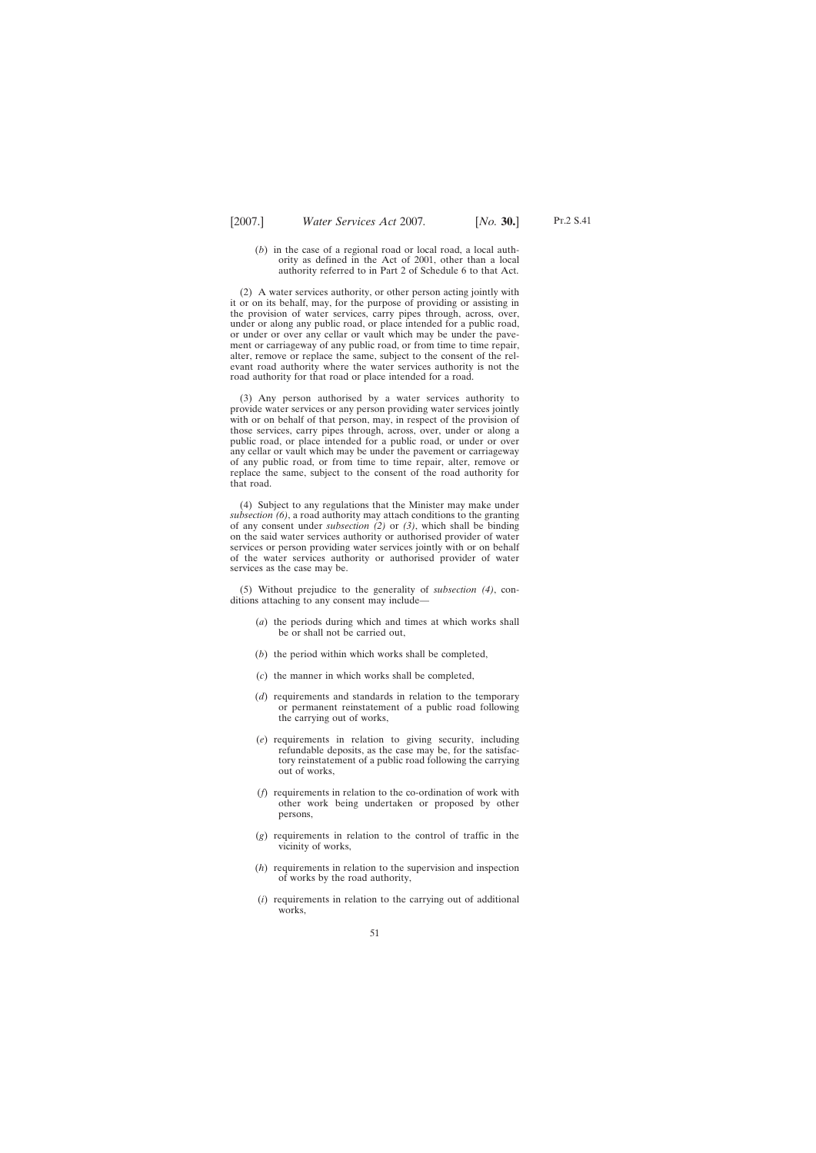(*b*) in the case of a regional road or local road, a local authority as defined in the Act of 2001, other than a local authority referred to in Part 2 of Schedule 6 to that Act.

(2) A water services authority, or other person acting jointly with it or on its behalf, may, for the purpose of providing or assisting in the provision of water services, carry pipes through, across, over, under or along any public road, or place intended for a public road, or under or over any cellar or vault which may be under the pavement or carriageway of any public road, or from time to time repair, alter, remove or replace the same, subject to the consent of the relevant road authority where the water services authority is not the road authority for that road or place intended for a road.

(3) Any person authorised by a water services authority to provide water services or any person providing water services jointly with or on behalf of that person, may, in respect of the provision of those services, carry pipes through, across, over, under or along a public road, or place intended for a public road, or under or over any cellar or vault which may be under the pavement or carriageway of any public road, or from time to time repair, alter, remove or replace the same, subject to the consent of the road authority for that road.

(4) Subject to any regulations that the Minister may make under *subsection (6)*, a road authority may attach conditions to the granting of any consent under *subsection (2)* or *(3)*, which shall be binding on the said water services authority or authorised provider of water services or person providing water services jointly with or on behalf of the water services authority or authorised provider of water services as the case may be.

(5) Without prejudice to the generality of *subsection (4)*, conditions attaching to any consent may include—

- (*a*) the periods during which and times at which works shall be or shall not be carried out,
- (*b*) the period within which works shall be completed,
- (*c*) the manner in which works shall be completed,
- (*d*) requirements and standards in relation to the temporary or permanent reinstatement of a public road following the carrying out of works,
- (*e*) requirements in relation to giving security, including refundable deposits, as the case may be, for the satisfactory reinstatement of a public road following the carrying out of works,
- (*f*) requirements in relation to the co-ordination of work with other work being undertaken or proposed by other persons,
- (*g*) requirements in relation to the control of traffic in the vicinity of works,
- (*h*) requirements in relation to the supervision and inspection of works by the road authority,
- (*i*) requirements in relation to the carrying out of additional works,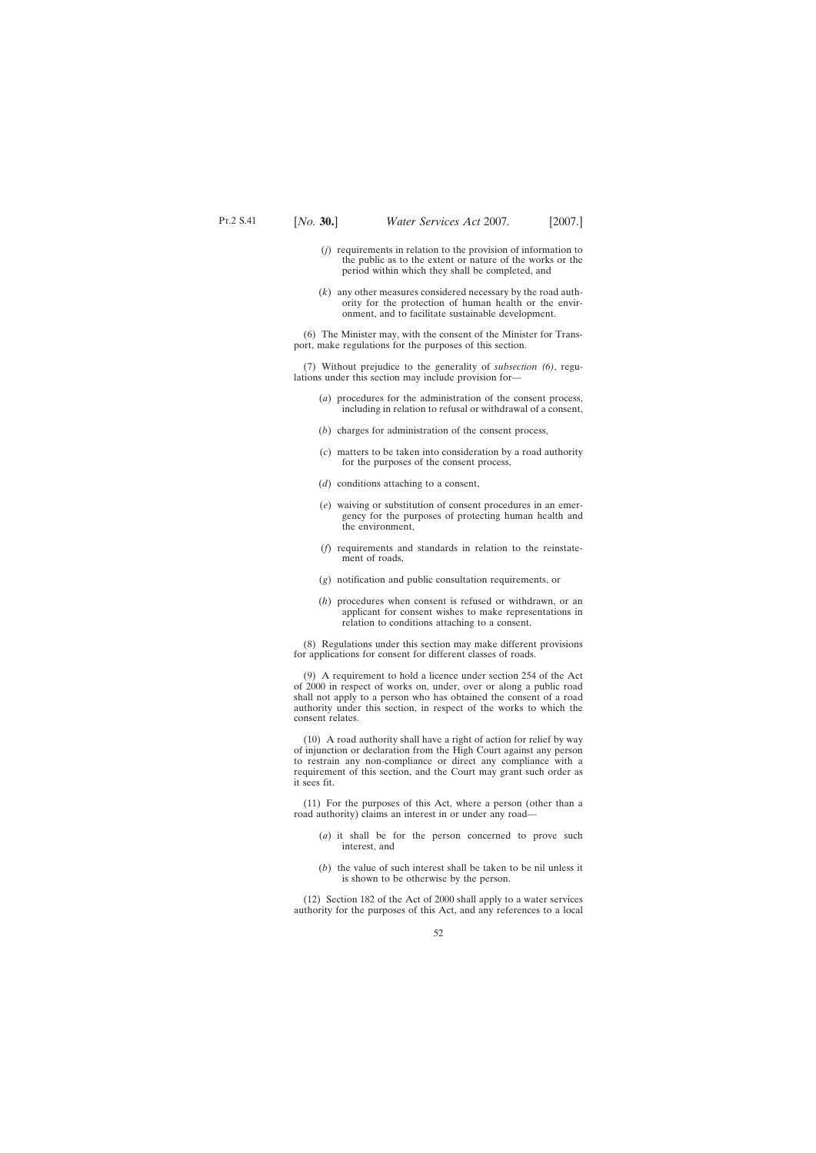- 
- (*j*) requirements in relation to the provision of information to the public as to the extent or nature of the works or the period within which they shall be completed, and
- (*k*) any other measures considered necessary by the road authority for the protection of human health or the environment, and to facilitate sustainable development.

(6) The Minister may, with the consent of the Minister for Transport, make regulations for the purposes of this section.

(7) Without prejudice to the generality of *subsection (6)*, regulations under this section may include provision for—

- (*a*) procedures for the administration of the consent process, including in relation to refusal or withdrawal of a consent,
- (*b*) charges for administration of the consent process,
- (*c*) matters to be taken into consideration by a road authority for the purposes of the consent process,
- (*d*) conditions attaching to a consent,
- (*e*) waiving or substitution of consent procedures in an emergency for the purposes of protecting human health and the environment,
- (*f*) requirements and standards in relation to the reinstatement of roads,
- (*g*) notification and public consultation requirements, or
- (*h*) procedures when consent is refused or withdrawn, or an applicant for consent wishes to make representations in relation to conditions attaching to a consent.

(8) Regulations under this section may make different provisions for applications for consent for different classes of roads.

(9) A requirement to hold a licence under section 254 of the Act of 2000 in respect of works on, under, over or along a public road shall not apply to a person who has obtained the consent of a road authority under this section, in respect of the works to which the consent relates.

(10) A road authority shall have a right of action for relief by way of injunction or declaration from the High Court against any person to restrain any non-compliance or direct any compliance with a requirement of this section, and the Court may grant such order as it sees fit.

(11) For the purposes of this Act, where a person (other than a road authority) claims an interest in or under any road—

- (*a*) it shall be for the person concerned to prove such interest, and
- (*b*) the value of such interest shall be taken to be nil unless it is shown to be otherwise by the person.

(12) Section 182 of the Act of 2000 shall apply to a water services authority for the purposes of this Act, and any references to a local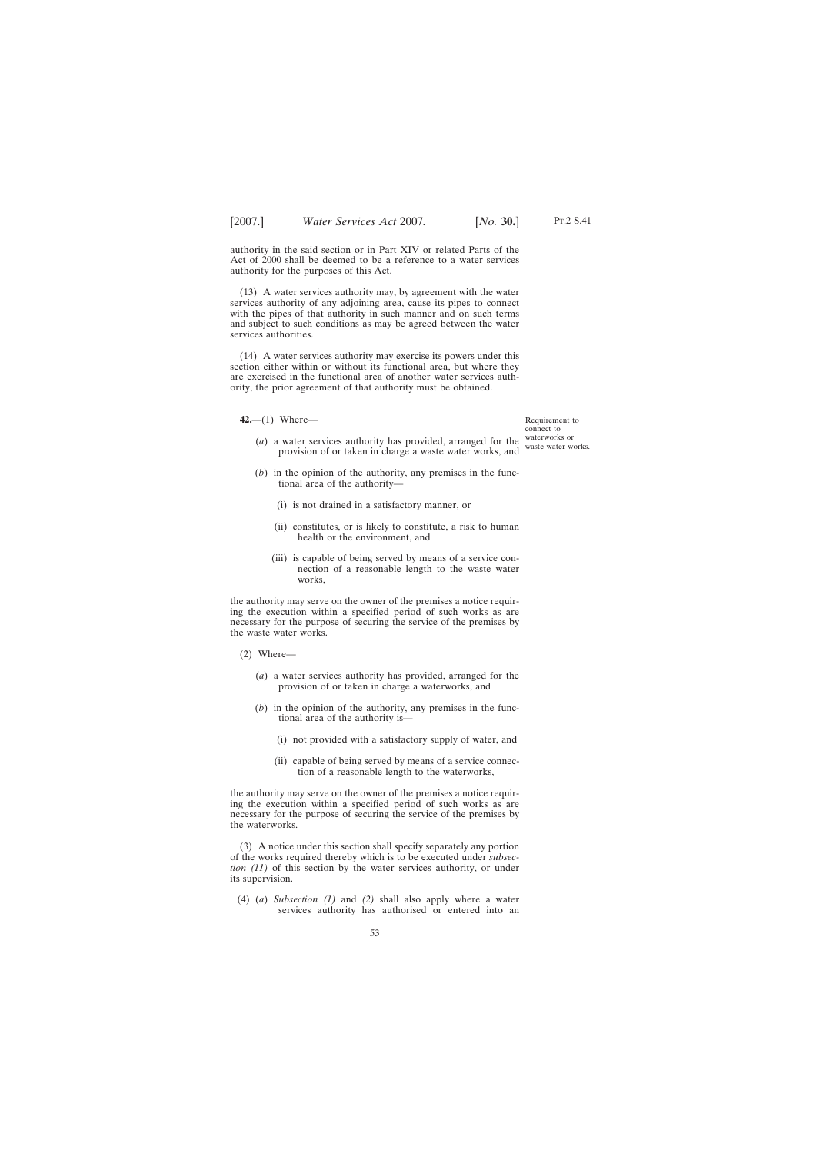authority in the said section or in Part XIV or related Parts of the Act of 2000 shall be deemed to be a reference to a water services authority for the purposes of this Act.

(13) A water services authority may, by agreement with the water services authority of any adjoining area, cause its pipes to connect with the pipes of that authority in such manner and on such terms and subject to such conditions as may be agreed between the water services authorities.

(14) A water services authority may exercise its powers under this section either within or without its functional area, but where they are exercised in the functional area of another water services authority, the prior agreement of that authority must be obtained.

**42.**—(1) Where—

- (*a*) a water services authority has provided, arranged for the provision of or taken in charge a waste water works, and
- (*b*) in the opinion of the authority, any premises in the functional area of the authority—
	- (i) is not drained in a satisfactory manner, or
	- (ii) constitutes, or is likely to constitute, a risk to human health or the environment, and
	- (iii) is capable of being served by means of a service connection of a reasonable length to the waste water works,

the authority may serve on the owner of the premises a notice requiring the execution within a specified period of such works as are necessary for the purpose of securing the service of the premises by the waste water works.

- (2) Where—
	- (*a*) a water services authority has provided, arranged for the provision of or taken in charge a waterworks, and
	- (*b*) in the opinion of the authority, any premises in the functional area of the authority is—
		- (i) not provided with a satisfactory supply of water, and
		- (ii) capable of being served by means of a service connection of a reasonable length to the waterworks,

the authority may serve on the owner of the premises a notice requiring the execution within a specified period of such works as are necessary for the purpose of securing the service of the premises by the waterworks.

(3) A notice under this section shall specify separately any portion of the works required thereby which is to be executed under *subsection (11)* of this section by the water services authority, or under its supervision.

(4) (*a*) *Subsection (1)* and *(2)* shall also apply where a water services authority has authorised or entered into an

Requirement to connect to waterworks or waste water works.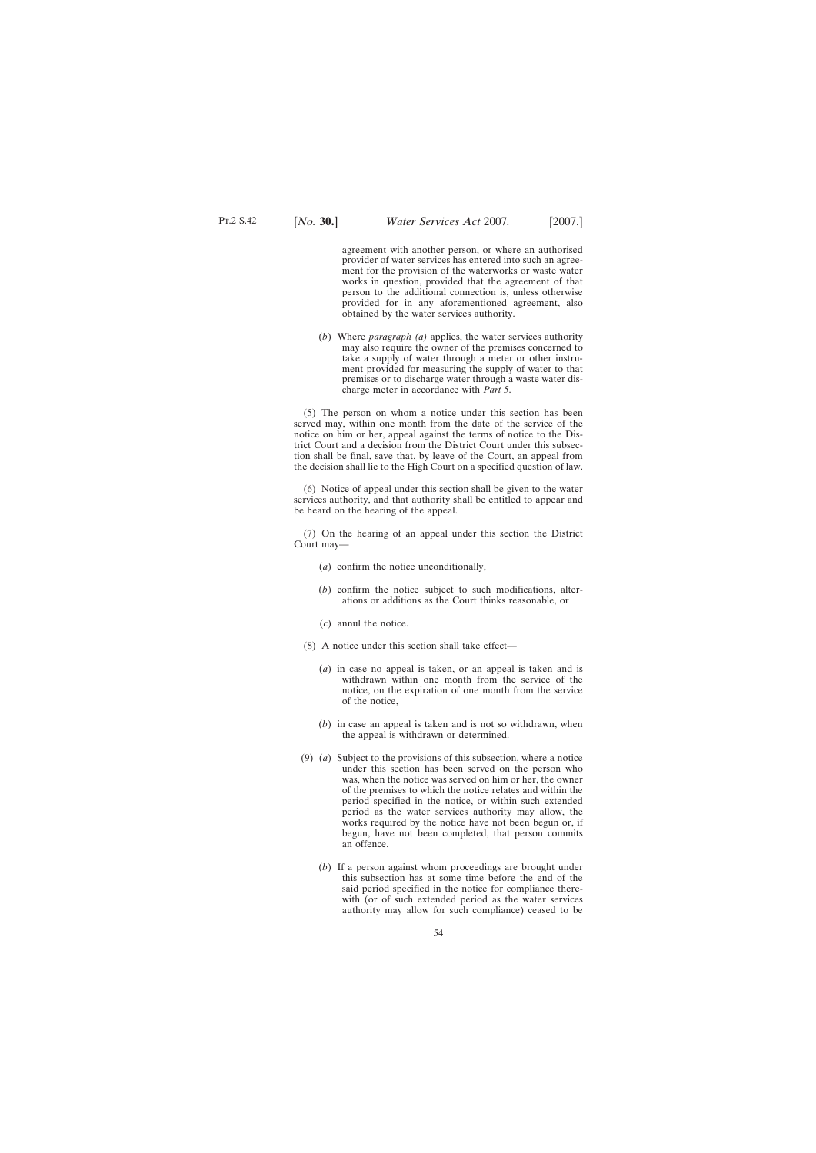agreement with another person, or where an authorised provider of water services has entered into such an agreement for the provision of the waterworks or waste water works in question, provided that the agreement of that person to the additional connection is, unless otherwise provided for in any aforementioned agreement, also obtained by the water services authority.

(*b*) Where *paragraph (a)* applies, the water services authority may also require the owner of the premises concerned to take a supply of water through a meter or other instrument provided for measuring the supply of water to that premises or to discharge water through a waste water discharge meter in accordance with *Part 5*.

(5) The person on whom a notice under this section has been served may, within one month from the date of the service of the notice on him or her, appeal against the terms of notice to the District Court and a decision from the District Court under this subsection shall be final, save that, by leave of the Court, an appeal from the decision shall lie to the High Court on a specified question of law.

(6) Notice of appeal under this section shall be given to the water services authority, and that authority shall be entitled to appear and be heard on the hearing of the appeal.

(7) On the hearing of an appeal under this section the District Court may—

- (*a*) confirm the notice unconditionally,
- (*b*) confirm the notice subject to such modifications, alterations or additions as the Court thinks reasonable, or
- (*c*) annul the notice.
- (8) A notice under this section shall take effect—
	- (*a*) in case no appeal is taken, or an appeal is taken and is withdrawn within one month from the service of the notice, on the expiration of one month from the service of the notice,
	- (*b*) in case an appeal is taken and is not so withdrawn, when the appeal is withdrawn or determined.
- (9) (*a*) Subject to the provisions of this subsection, where a notice under this section has been served on the person who was, when the notice was served on him or her, the owner of the premises to which the notice relates and within the period specified in the notice, or within such extended period as the water services authority may allow, the works required by the notice have not been begun or, if begun, have not been completed, that person commits an offence.
	- (*b*) If a person against whom proceedings are brought under this subsection has at some time before the end of the said period specified in the notice for compliance therewith (or of such extended period as the water services authority may allow for such compliance) ceased to be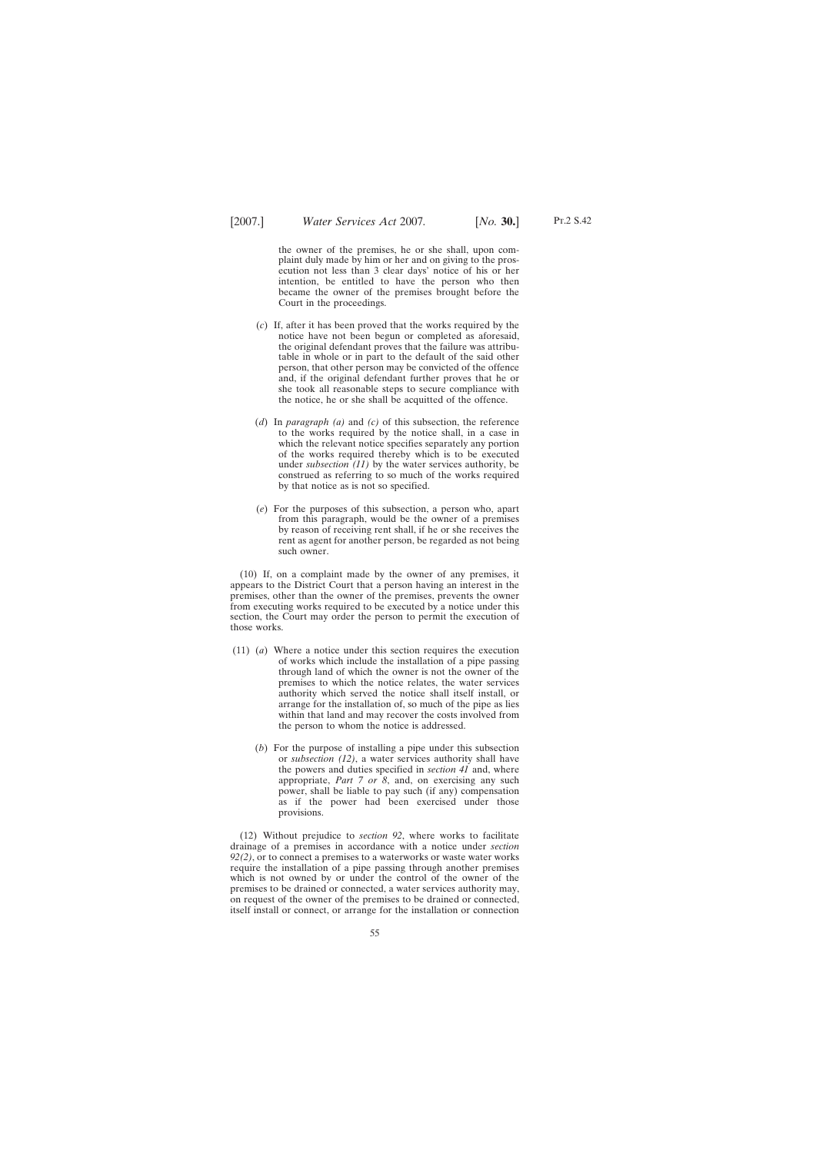the owner of the premises, he or she shall, upon complaint duly made by him or her and on giving to the prosecution not less than 3 clear days' notice of his or her intention, be entitled to have the person who then became the owner of the premises brought before the Court in the proceedings.

- (*c*) If, after it has been proved that the works required by the notice have not been begun or completed as aforesaid, the original defendant proves that the failure was attributable in whole or in part to the default of the said other person, that other person may be convicted of the offence and, if the original defendant further proves that he or she took all reasonable steps to secure compliance with the notice, he or she shall be acquitted of the offence.
- (*d*) In *paragraph (a)* and *(c)* of this subsection, the reference to the works required by the notice shall, in a case in which the relevant notice specifies separately any portion of the works required thereby which is to be executed under *subsection (11)* by the water services authority, be construed as referring to so much of the works required by that notice as is not so specified.
- (*e*) For the purposes of this subsection, a person who, apart from this paragraph, would be the owner of a premises by reason of receiving rent shall, if he or she receives the rent as agent for another person, be regarded as not being such owner.

(10) If, on a complaint made by the owner of any premises, it appears to the District Court that a person having an interest in the premises, other than the owner of the premises, prevents the owner from executing works required to be executed by a notice under this section, the Court may order the person to permit the execution of those works.

- (11) (*a*) Where a notice under this section requires the execution of works which include the installation of a pipe passing through land of which the owner is not the owner of the premises to which the notice relates, the water services authority which served the notice shall itself install, or arrange for the installation of, so much of the pipe as lies within that land and may recover the costs involved from the person to whom the notice is addressed.
	- (*b*) For the purpose of installing a pipe under this subsection or *subsection (12)*, a water services authority shall have the powers and duties specified in *section 41* and, where appropriate, *Part 7 or 8*, and, on exercising any such power, shall be liable to pay such (if any) compensation as if the power had been exercised under those provisions.

(12) Without prejudice to *section 92*, where works to facilitate drainage of a premises in accordance with a notice under *section 92(2)*, or to connect a premises to a waterworks or waste water works require the installation of a pipe passing through another premises which is not owned by or under the control of the owner of the premises to be drained or connected, a water services authority may, on request of the owner of the premises to be drained or connected, itself install or connect, or arrange for the installation or connection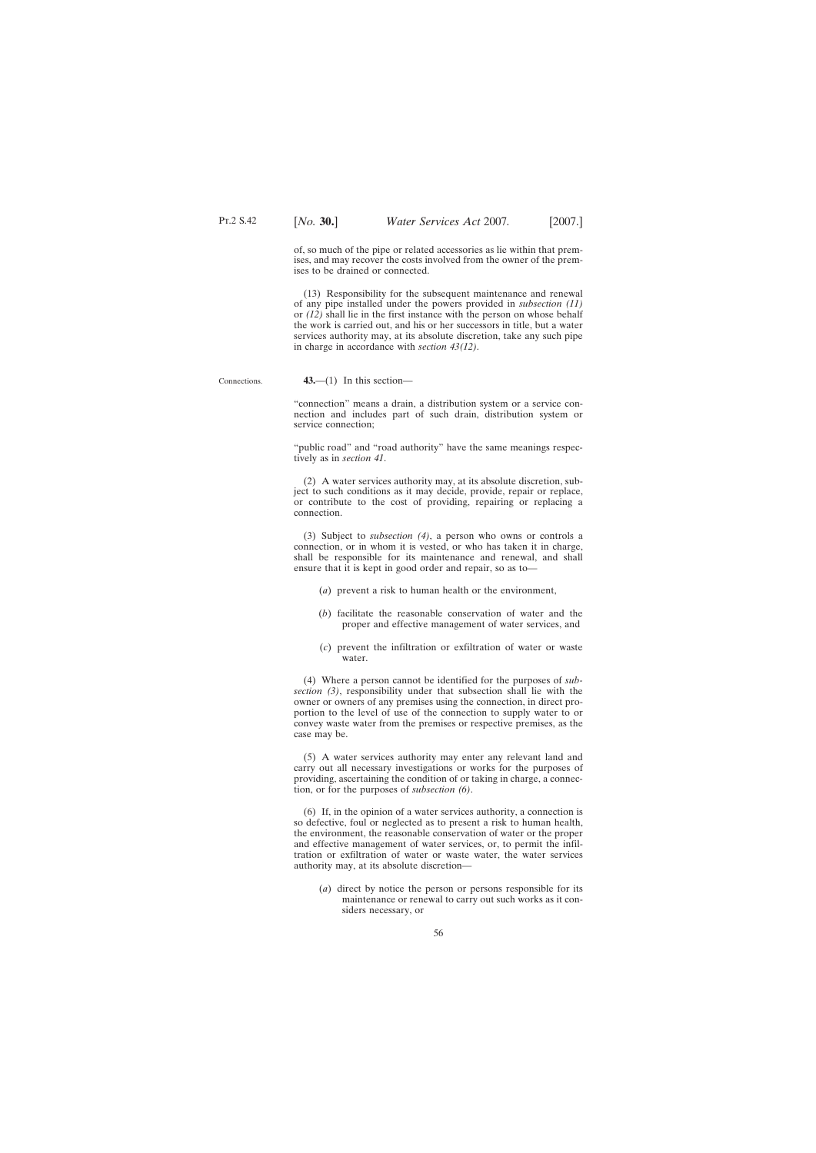of, so much of the pipe or related accessories as lie within that premises, and may recover the costs involved from the owner of the premises to be drained or connected.

(13) Responsibility for the subsequent maintenance and renewal of any pipe installed under the powers provided in *subsection (11)* or *(12)* shall lie in the first instance with the person on whose behalf the work is carried out, and his or her successors in title, but a water services authority may, at its absolute discretion, take any such pipe in charge in accordance with *section 43(12)*.

## Connections.

**43.**—(1) In this section—

"connection" means a drain, a distribution system or a service connection and includes part of such drain, distribution system or service connection;

"public road" and "road authority" have the same meanings respectively as in *section 41*.

(2) A water services authority may, at its absolute discretion, subject to such conditions as it may decide, provide, repair or replace, or contribute to the cost of providing, repairing or replacing a connection.

(3) Subject to *subsection (4)*, a person who owns or controls a connection, or in whom it is vested, or who has taken it in charge, shall be responsible for its maintenance and renewal, and shall ensure that it is kept in good order and repair, so as to—

(*a*) prevent a risk to human health or the environment,

- (*b*) facilitate the reasonable conservation of water and the proper and effective management of water services, and
- (*c*) prevent the infiltration or exfiltration of water or waste water.

(4) Where a person cannot be identified for the purposes of *subsection (3)*, responsibility under that subsection shall lie with the owner or owners of any premises using the connection, in direct proportion to the level of use of the connection to supply water to or convey waste water from the premises or respective premises, as the case may be.

(5) A water services authority may enter any relevant land and carry out all necessary investigations or works for the purposes of providing, ascertaining the condition of or taking in charge, a connection, or for the purposes of *subsection (6)*.

(6) If, in the opinion of a water services authority, a connection is so defective, foul or neglected as to present a risk to human health, the environment, the reasonable conservation of water or the proper and effective management of water services, or, to permit the infiltration or exfiltration of water or waste water, the water services authority may, at its absolute discretion—

(*a*) direct by notice the person or persons responsible for its maintenance or renewal to carry out such works as it considers necessary, or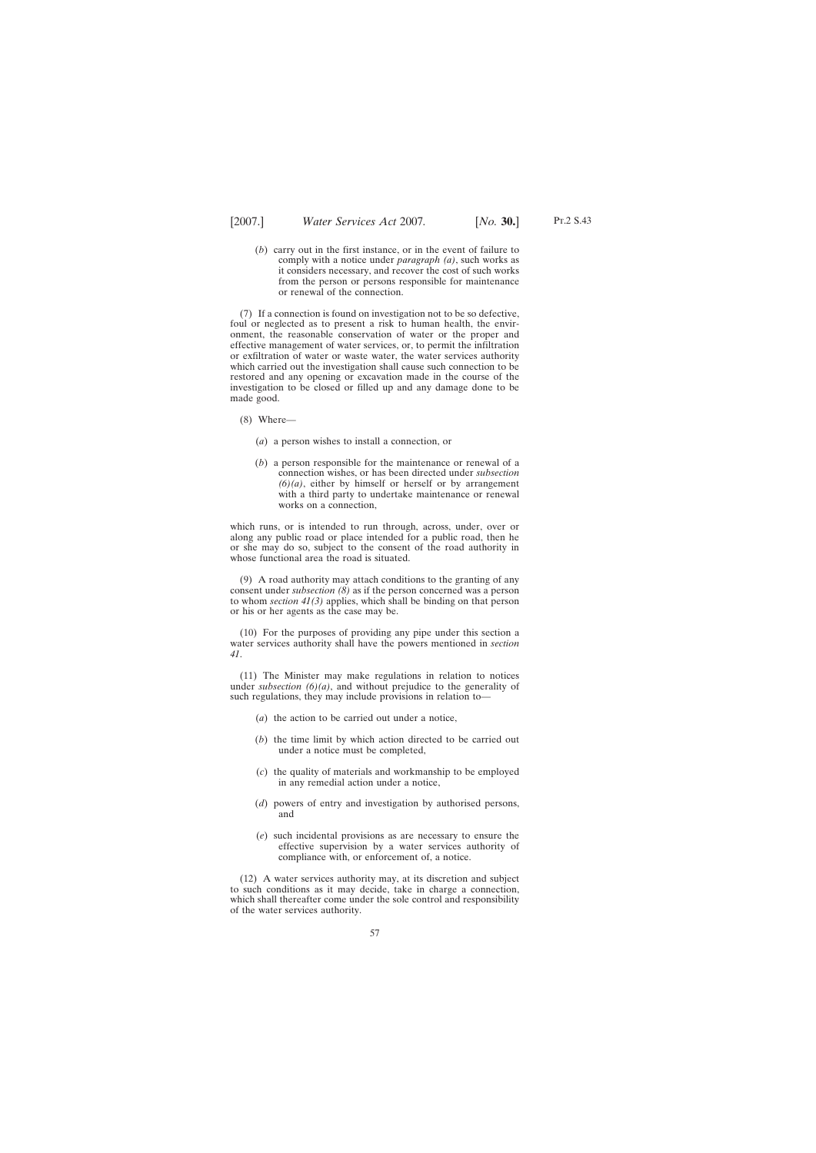(*b*) carry out in the first instance, or in the event of failure to comply with a notice under *paragraph (a)*, such works as it considers necessary, and recover the cost of such works from the person or persons responsible for maintenance or renewal of the connection.

(7) If a connection is found on investigation not to be so defective, foul or neglected as to present a risk to human health, the environment, the reasonable conservation of water or the proper and effective management of water services, or, to permit the infiltration or exfiltration of water or waste water, the water services authority which carried out the investigation shall cause such connection to be restored and any opening or excavation made in the course of the investigation to be closed or filled up and any damage done to be made good.

- (8) Where—
	- (*a*) a person wishes to install a connection, or
	- (*b*) a person responsible for the maintenance or renewal of a connection wishes, or has been directed under *subsection*  $(6)(a)$ , either by himself or herself or by arrangement with a third party to undertake maintenance or renewal works on a connection,

which runs, or is intended to run through, across, under, over or along any public road or place intended for a public road, then he or she may do so, subject to the consent of the road authority in whose functional area the road is situated.

(9) A road authority may attach conditions to the granting of any consent under *subsection (8)* as if the person concerned was a person to whom *section 41(3)* applies, which shall be binding on that person or his or her agents as the case may be.

(10) For the purposes of providing any pipe under this section a water services authority shall have the powers mentioned in *section 41*.

(11) The Minister may make regulations in relation to notices under *subsection (6)(a)*, and without prejudice to the generality of such regulations, they may include provisions in relation to—

- (*a*) the action to be carried out under a notice,
- (*b*) the time limit by which action directed to be carried out under a notice must be completed,
- (*c*) the quality of materials and workmanship to be employed in any remedial action under a notice,
- (*d*) powers of entry and investigation by authorised persons, and
- (*e*) such incidental provisions as are necessary to ensure the effective supervision by a water services authority of compliance with, or enforcement of, a notice.

(12) A water services authority may, at its discretion and subject to such conditions as it may decide, take in charge a connection, which shall thereafter come under the sole control and responsibility of the water services authority.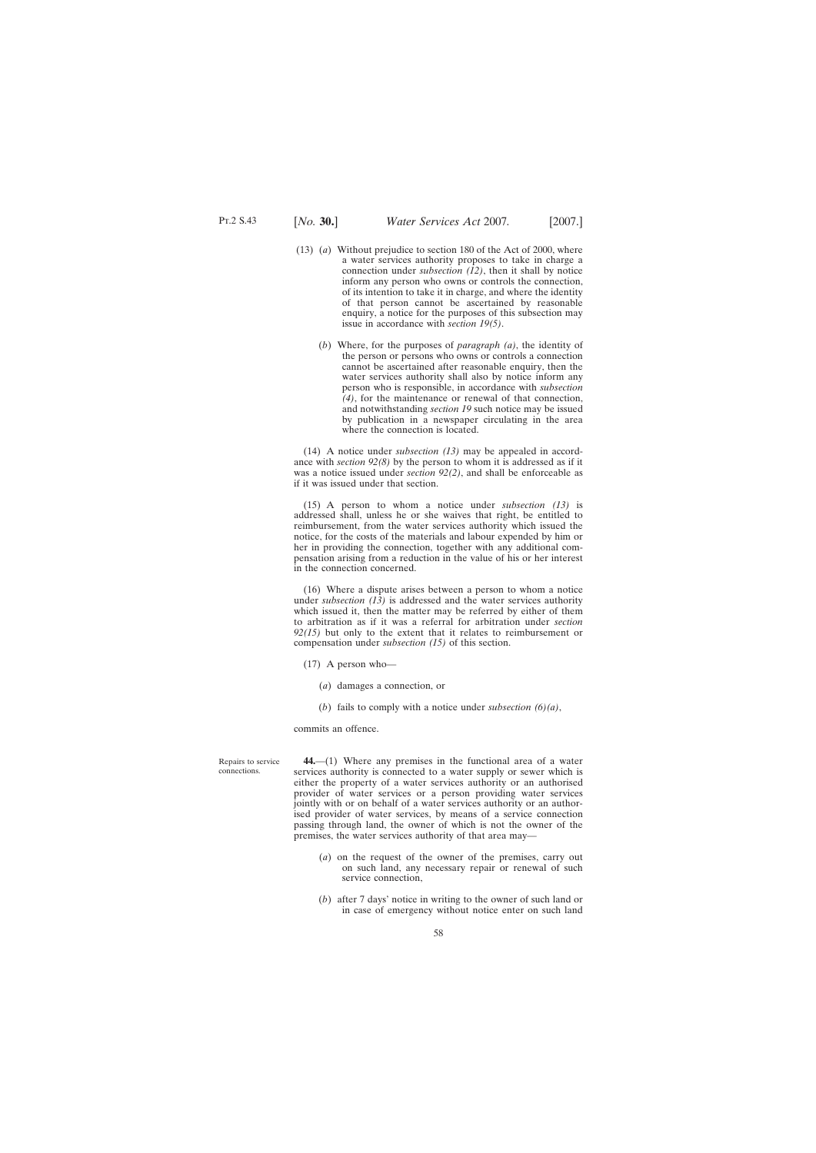- (13) (*a*) Without prejudice to section 180 of the Act of 2000, where a water services authority proposes to take in charge a connection under *subsection (12)*, then it shall by notice inform any person who owns or controls the connection, of its intention to take it in charge, and where the identity of that person cannot be ascertained by reasonable enquiry, a notice for the purposes of this subsection may issue in accordance with *section 19(5)*.
	- (*b*) Where, for the purposes of *paragraph (a)*, the identity of the person or persons who owns or controls a connection cannot be ascertained after reasonable enquiry, then the water services authority shall also by notice inform any person who is responsible, in accordance with *subsection (4)*, for the maintenance or renewal of that connection, and notwithstanding *section 19* such notice may be issued by publication in a newspaper circulating in the area where the connection is located.

(14) A notice under *subsection (13)* may be appealed in accordance with *section 92(8)* by the person to whom it is addressed as if it was a notice issued under *section 92(2)*, and shall be enforceable as if it was issued under that section.

(15) A person to whom a notice under *subsection (13)* is addressed shall, unless he or she waives that right, be entitled to reimbursement, from the water services authority which issued the notice, for the costs of the materials and labour expended by him or her in providing the connection, together with any additional compensation arising from a reduction in the value of his or her interest in the connection concerned.

(16) Where a dispute arises between a person to whom a notice under *subsection (13)* is addressed and the water services authority which issued it, then the matter may be referred by either of them to arbitration as if it was a referral for arbitration under *section 92(15)* but only to the extent that it relates to reimbursement or compensation under *subsection (15)* of this section.

- (17) A person who—
	- (*a*) damages a connection, or
	- (*b*) fails to comply with a notice under *subsection (6)(a)*,

commits an offence.

Repairs to service connections.

**44.**—(1) Where any premises in the functional area of a water services authority is connected to a water supply or sewer which is either the property of a water services authority or an authorised provider of water services or a person providing water services jointly with or on behalf of a water services authority or an authorised provider of water services, by means of a service connection passing through land, the owner of which is not the owner of the premises, the water services authority of that area may—

- (*a*) on the request of the owner of the premises, carry out on such land, any necessary repair or renewal of such service connection,
- (*b*) after 7 days' notice in writing to the owner of such land or in case of emergency without notice enter on such land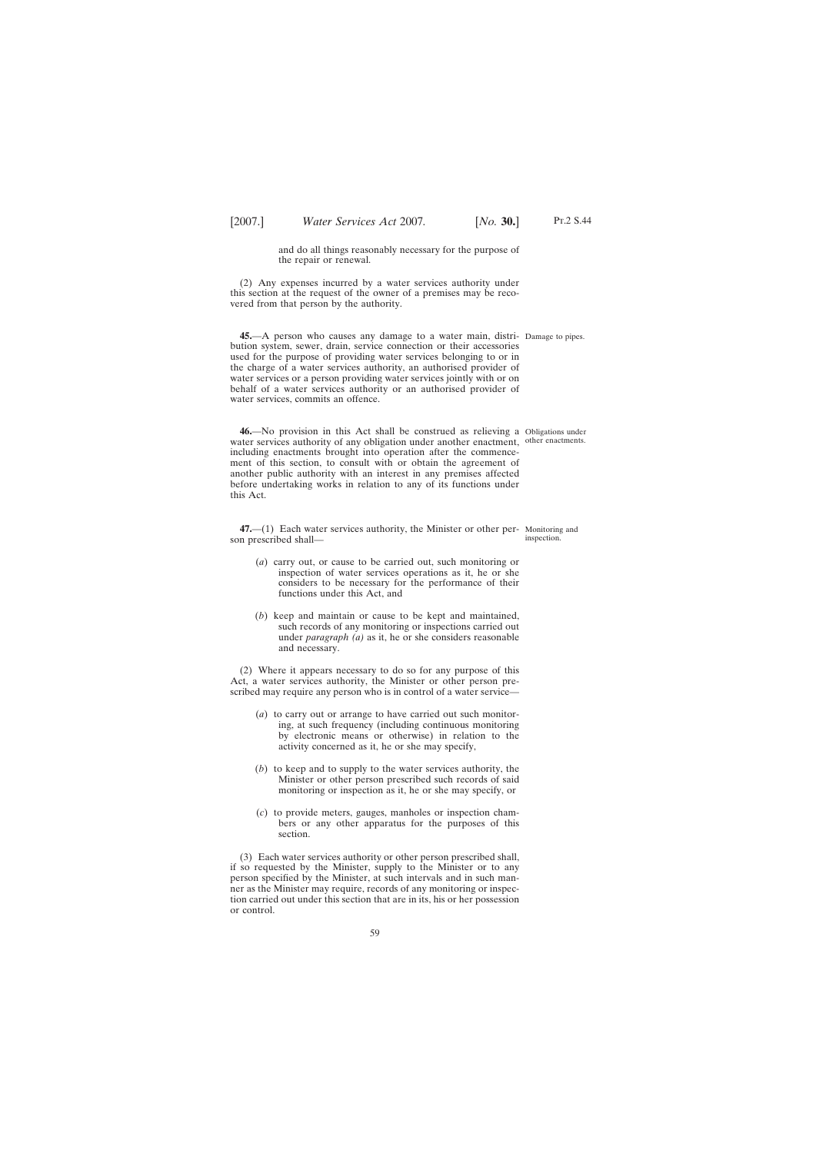and do all things reasonably necessary for the purpose of the repair or renewal.

(2) Any expenses incurred by a water services authority under this section at the request of the owner of a premises may be recovered from that person by the authority.

**45.**—A person who causes any damage to a water main, distri-Damage to pipes. bution system, sewer, drain, service connection or their accessories used for the purpose of providing water services belonging to or in the charge of a water services authority, an authorised provider of water services or a person providing water services jointly with or on behalf of a water services authority or an authorised provider of water services, commits an offence.

**46.**—No provision in this Act shall be construed as relieving a Obligations under water services authority of any obligation under another enactment, other enactments. including enactments brought into operation after the commencement of this section, to consult with or obtain the agreement of another public authority with an interest in any premises affected before undertaking works in relation to any of its functions under this Act.

**47.**—(1) Each water services authority, the Minister or other per-Monitoring and son prescribed shall—

- (*a*) carry out, or cause to be carried out, such monitoring or inspection of water services operations as it, he or she considers to be necessary for the performance of their functions under this Act, and
- (*b*) keep and maintain or cause to be kept and maintained, such records of any monitoring or inspections carried out under *paragraph (a)* as it, he or she considers reasonable and necessary.

(2) Where it appears necessary to do so for any purpose of this Act, a water services authority, the Minister or other person prescribed may require any person who is in control of a water service—

- (*a*) to carry out or arrange to have carried out such monitoring, at such frequency (including continuous monitoring by electronic means or otherwise) in relation to the activity concerned as it, he or she may specify,
- (*b*) to keep and to supply to the water services authority, the Minister or other person prescribed such records of said monitoring or inspection as it, he or she may specify, or
- (*c*) to provide meters, gauges, manholes or inspection chambers or any other apparatus for the purposes of this section.

(3) Each water services authority or other person prescribed shall, if so requested by the Minister, supply to the Minister or to any person specified by the Minister, at such intervals and in such manner as the Minister may require, records of any monitoring or inspection carried out under this section that are in its, his or her possession or control.

inspection.

Pt.2 S.44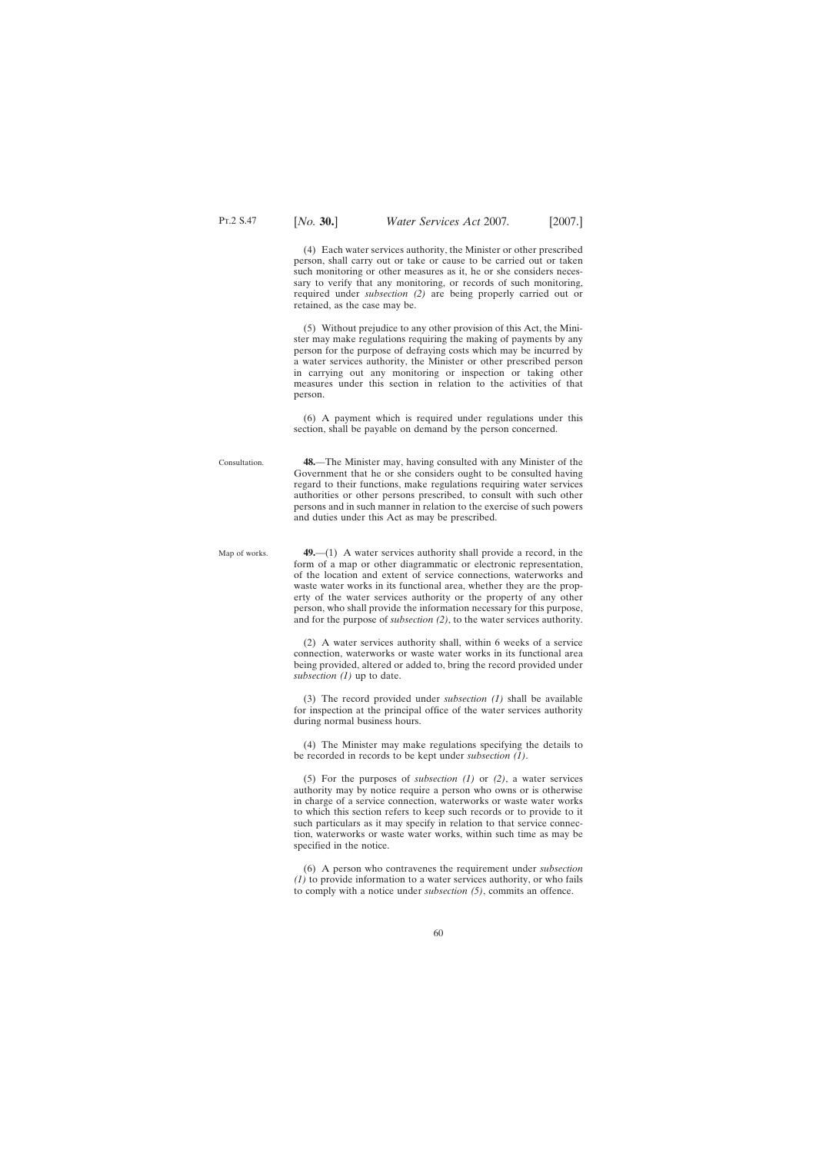(4) Each water services authority, the Minister or other prescribed person, shall carry out or take or cause to be carried out or taken such monitoring or other measures as it, he or she considers necessary to verify that any monitoring, or records of such monitoring, required under *subsection (2)* are being properly carried out or retained, as the case may be.

(5) Without prejudice to any other provision of this Act, the Minister may make regulations requiring the making of payments by any person for the purpose of defraying costs which may be incurred by a water services authority, the Minister or other prescribed person in carrying out any monitoring or inspection or taking other measures under this section in relation to the activities of that person.

(6) A payment which is required under regulations under this section, shall be payable on demand by the person concerned.

- Consultation. **48.**—The Minister may, having consulted with any Minister of the Government that he or she considers ought to be consulted having regard to their functions, make regulations requiring water services authorities or other persons prescribed, to consult with such other persons and in such manner in relation to the exercise of such powers and duties under this Act as may be prescribed.
- Map of works. **49.**—(1) A water services authority shall provide a record, in the form of a map or other diagrammatic or electronic representation, of the location and extent of service connections, waterworks and waste water works in its functional area, whether they are the property of the water services authority or the property of any other person, who shall provide the information necessary for this purpose, and for the purpose of *subsection (2)*, to the water services authority.

(2) A water services authority shall, within 6 weeks of a service connection, waterworks or waste water works in its functional area being provided, altered or added to, bring the record provided under *subsection (1)* up to date.

(3) The record provided under *subsection (1)* shall be available for inspection at the principal office of the water services authority during normal business hours.

(4) The Minister may make regulations specifying the details to be recorded in records to be kept under *subsection (1)*.

(5) For the purposes of *subsection (1)* or *(2)*, a water services authority may by notice require a person who owns or is otherwise in charge of a service connection, waterworks or waste water works to which this section refers to keep such records or to provide to it such particulars as it may specify in relation to that service connection, waterworks or waste water works, within such time as may be specified in the notice.

(6) A person who contravenes the requirement under *subsection (1)* to provide information to a water services authority, or who fails to comply with a notice under *subsection (5)*, commits an offence.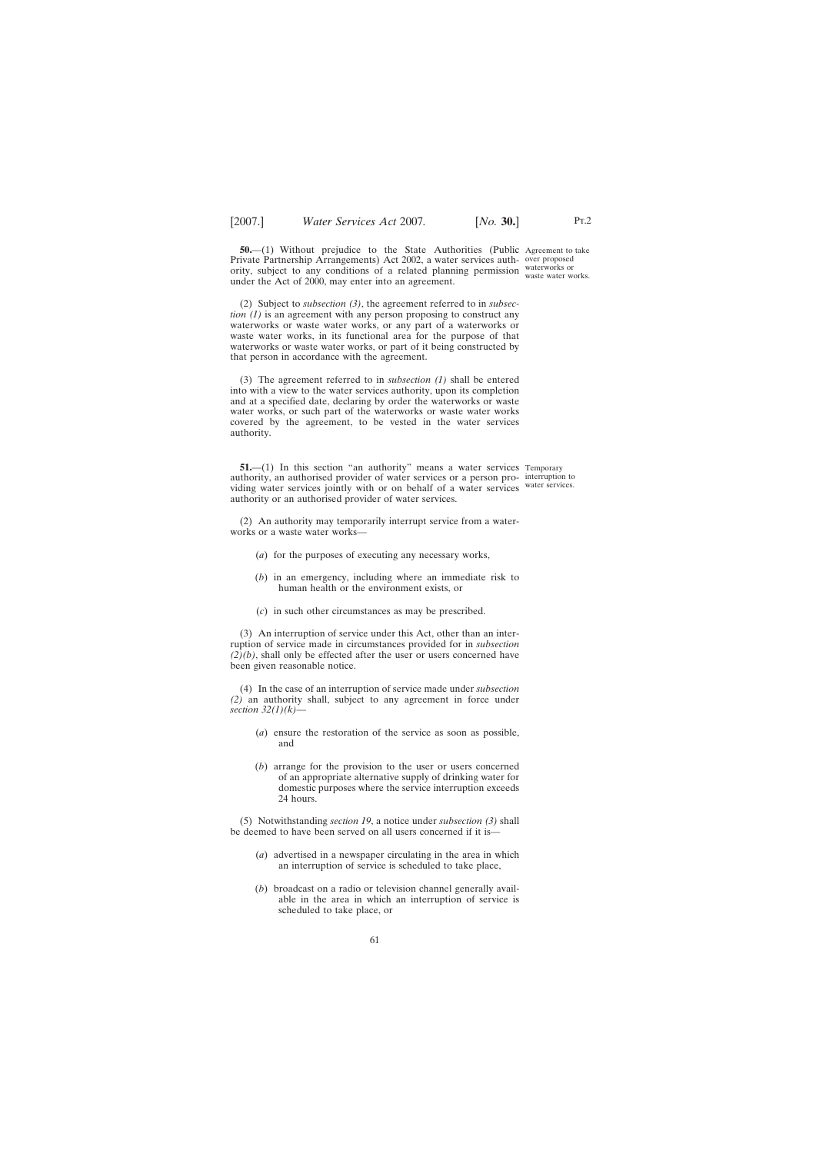**50.**—(1) Without prejudice to the State Authorities (Public Agreement to take Private Partnership Arrangements) Act 2002, a water services auth-over proposed ority, subject to any conditions of a related planning permission waterworks or under the Act of 2000, may enter into an agreement.

(2) Subject to *subsection (3)*, the agreement referred to in *subsection (1)* is an agreement with any person proposing to construct any waterworks or waste water works, or any part of a waterworks or waste water works, in its functional area for the purpose of that waterworks or waste water works, or part of it being constructed by that person in accordance with the agreement.

(3) The agreement referred to in *subsection (1)* shall be entered into with a view to the water services authority, upon its completion and at a specified date, declaring by order the waterworks or waste water works, or such part of the waterworks or waste water works covered by the agreement, to be vested in the water services authority.

**51.**—(1) In this section "an authority" means a water services Temporary authority, an authorised provider of water services or a person pro-interruption to viding water services jointly with or on behalf of a water services water services. authority or an authorised provider of water services.

(2) An authority may temporarily interrupt service from a waterworks or a waste water works—

- (*a*) for the purposes of executing any necessary works,
- (*b*) in an emergency, including where an immediate risk to human health or the environment exists, or
- (*c*) in such other circumstances as may be prescribed.

(3) An interruption of service under this Act, other than an interruption of service made in circumstances provided for in *subsection (2)(b)*, shall only be effected after the user or users concerned have been given reasonable notice.

(4) In the case of an interruption of service made under *subsection (2)* an authority shall, subject to any agreement in force under *section 32(1)(k)*—

- (*a*) ensure the restoration of the service as soon as possible, and
- (*b*) arrange for the provision to the user or users concerned of an appropriate alternative supply of drinking water for domestic purposes where the service interruption exceeds 24 hours.

(5) Notwithstanding *section 19*, a notice under *subsection (3)* shall be deemed to have been served on all users concerned if it is—

- (*a*) advertised in a newspaper circulating in the area in which an interruption of service is scheduled to take place,
- (*b*) broadcast on a radio or television channel generally available in the area in which an interruption of service is scheduled to take place, or

waste water works.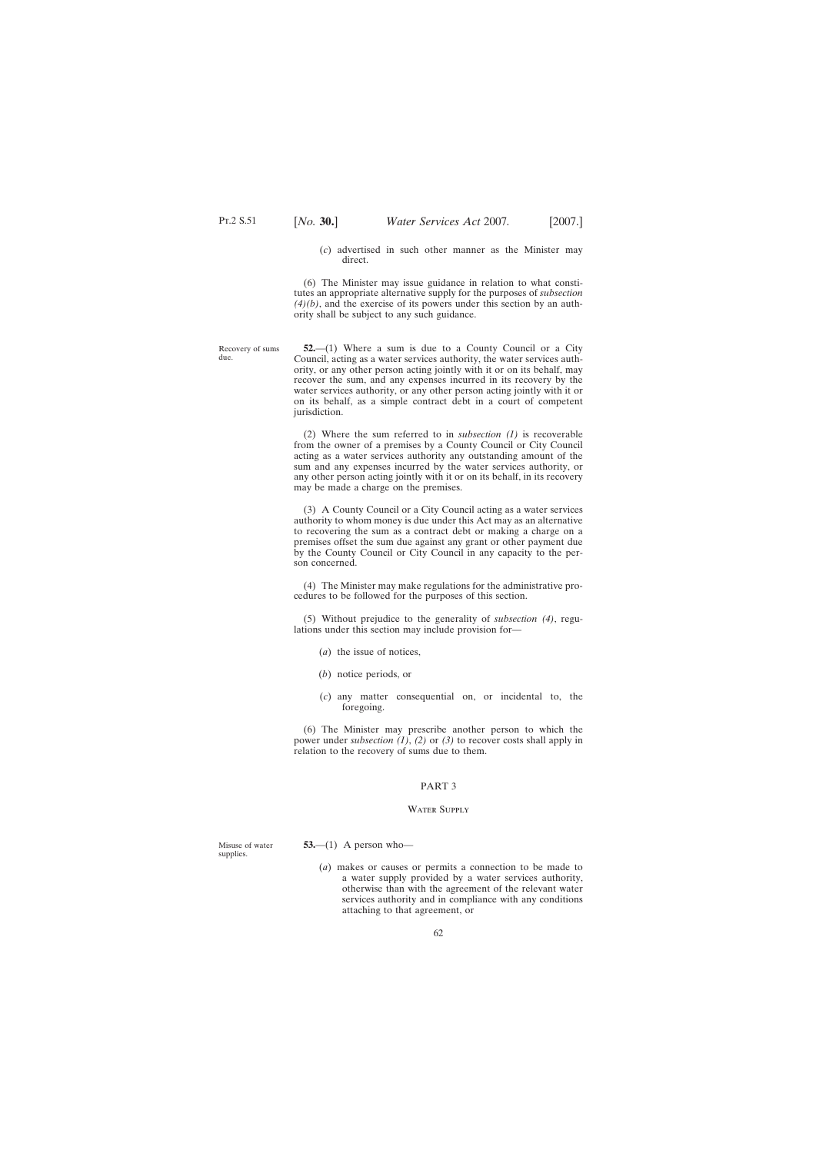Recovery of sums

due.

(*c*) advertised in such other manner as the Minister may direct.

(6) The Minister may issue guidance in relation to what constitutes an appropriate alternative supply for the purposes of *subsection (4)(b)*, and the exercise of its powers under this section by an authority shall be subject to any such guidance.

**52.**—(1) Where a sum is due to a County Council or a City Council, acting as a water services authority, the water services authority, or any other person acting jointly with it or on its behalf, may recover the sum, and any expenses incurred in its recovery by the water services authority, or any other person acting jointly with it or on its behalf, as a simple contract debt in a court of competent jurisdiction.

(2) Where the sum referred to in *subsection (1)* is recoverable from the owner of a premises by a County Council or City Council acting as a water services authority any outstanding amount of the sum and any expenses incurred by the water services authority, or any other person acting jointly with it or on its behalf, in its recovery may be made a charge on the premises.

(3) A County Council or a City Council acting as a water services authority to whom money is due under this Act may as an alternative to recovering the sum as a contract debt or making a charge on a premises offset the sum due against any grant or other payment due by the County Council or City Council in any capacity to the person concerned.

(4) The Minister may make regulations for the administrative procedures to be followed for the purposes of this section.

(5) Without prejudice to the generality of *subsection (4)*, regulations under this section may include provision for—

- (*a*) the issue of notices,
- (*b*) notice periods, or
- (*c*) any matter consequential on, or incidental to, the foregoing.

(6) The Minister may prescribe another person to which the power under *subsection (1)*, *(2)* or *(3)* to recover costs shall apply in relation to the recovery of sums due to them.

## PART 3

## Water Supply

Misuse of water supplies.

**53.**—(1) A person who—

(*a*) makes or causes or permits a connection to be made to a water supply provided by a water services authority, otherwise than with the agreement of the relevant water services authority and in compliance with any conditions attaching to that agreement, or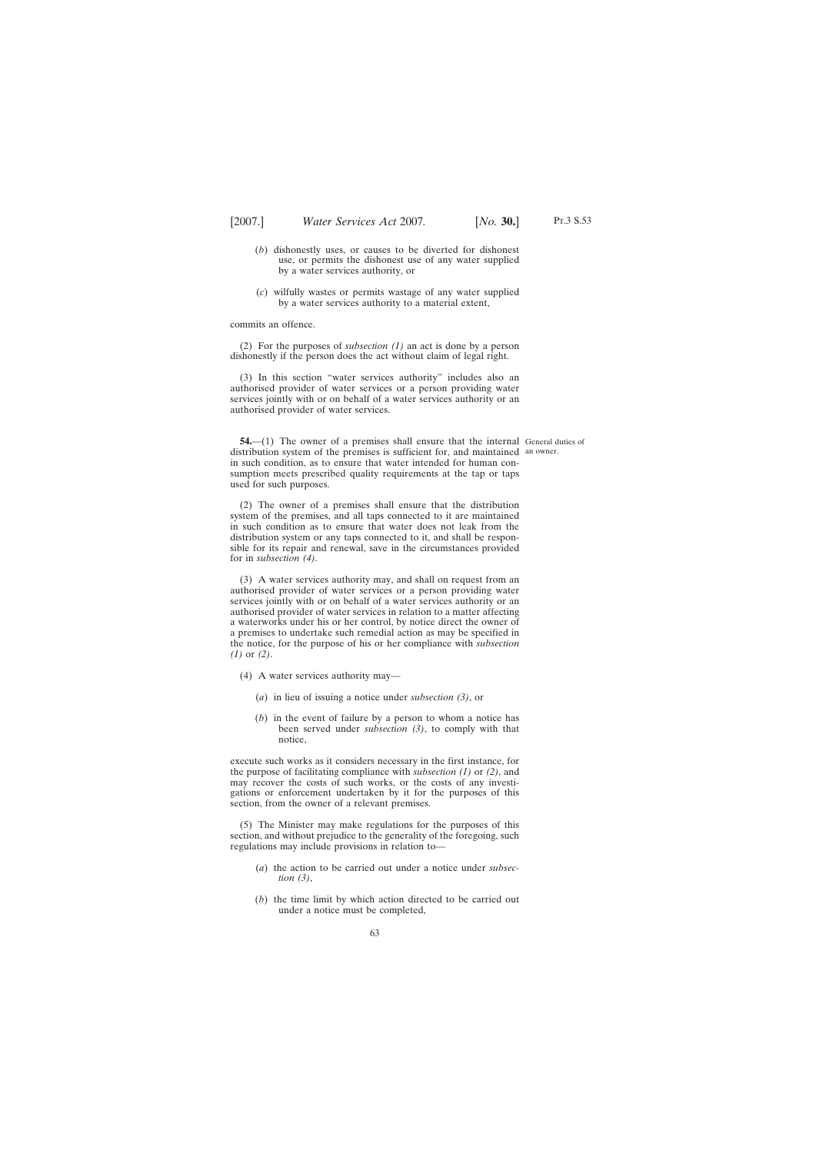- (*b*) dishonestly uses, or causes to be diverted for dishonest use, or permits the dishonest use of any water supplied by a water services authority, or
- (*c*) wilfully wastes or permits wastage of any water supplied by a water services authority to a material extent,

commits an offence.

(2) For the purposes of *subsection (1)* an act is done by a person dishonestly if the person does the act without claim of legal right.

(3) In this section "water services authority" includes also an authorised provider of water services or a person providing water services jointly with or on behalf of a water services authority or an authorised provider of water services.

**54.**—(1) The owner of a premises shall ensure that the internal General duties of distribution system of the premises is sufficient for, and maintained an owner.in such condition, as to ensure that water intended for human consumption meets prescribed quality requirements at the tap or taps used for such purposes.

(2) The owner of a premises shall ensure that the distribution system of the premises, and all taps connected to it are maintained in such condition as to ensure that water does not leak from the distribution system or any taps connected to it, and shall be responsible for its repair and renewal, save in the circumstances provided for in *subsection (4)*.

(3) A water services authority may, and shall on request from an authorised provider of water services or a person providing water services jointly with or on behalf of a water services authority or an authorised provider of water services in relation to a matter affecting a waterworks under his or her control, by notice direct the owner of a premises to undertake such remedial action as may be specified in the notice, for the purpose of his or her compliance with *subsection (1)* or *(2)*.

- (4) A water services authority may—
	- (*a*) in lieu of issuing a notice under *subsection (3)*, or
	- (*b*) in the event of failure by a person to whom a notice has been served under *subsection (3)*, to comply with that notice,

execute such works as it considers necessary in the first instance, for the purpose of facilitating compliance with *subsection (1)* or *(2)*, and may recover the costs of such works, or the costs of any investigations or enforcement undertaken by it for the purposes of this section, from the owner of a relevant premises.

(5) The Minister may make regulations for the purposes of this section, and without prejudice to the generality of the foregoing, such regulations may include provisions in relation to—

- (*a*) the action to be carried out under a notice under *subsection (3)*,
- (*b*) the time limit by which action directed to be carried out under a notice must be completed,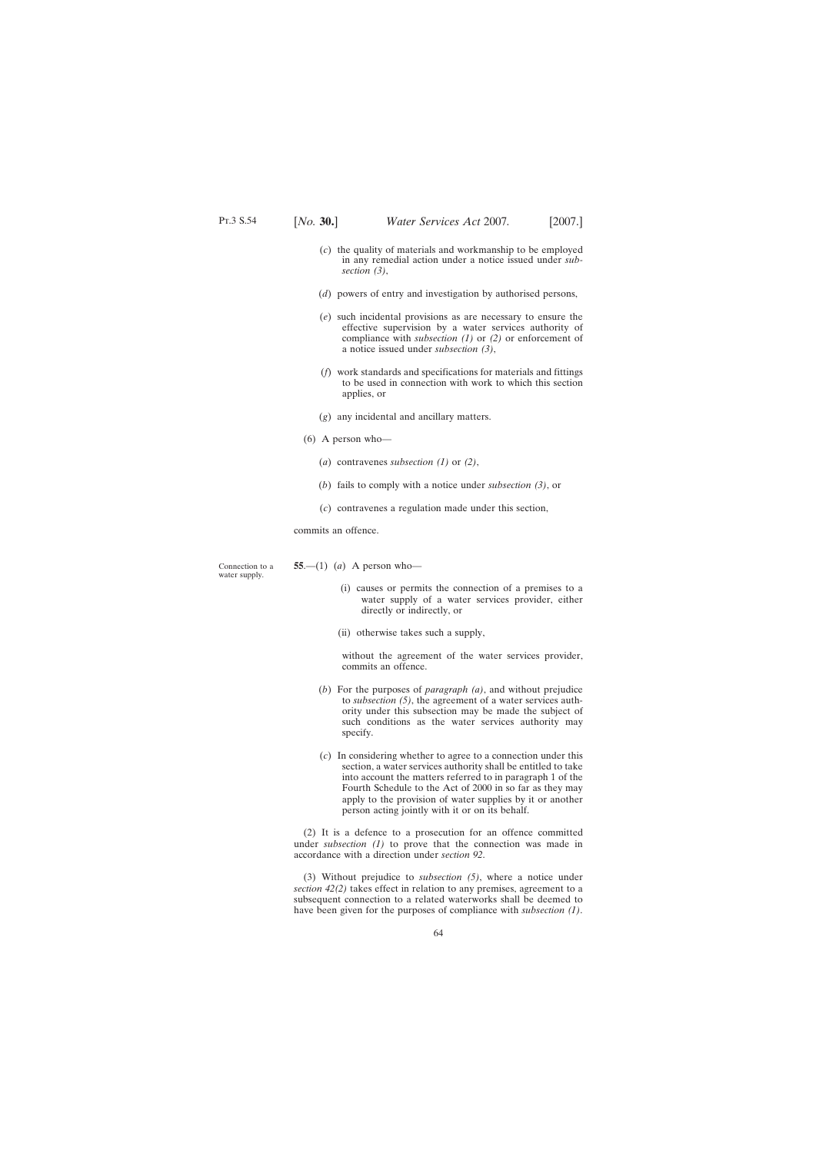- (*c*) the quality of materials and workmanship to be employed in any remedial action under a notice issued under *subsection (3)*,
- (*d*) powers of entry and investigation by authorised persons,
- (*e*) such incidental provisions as are necessary to ensure the effective supervision by a water services authority of compliance with *subsection (1)* or *(2)* or enforcement of a notice issued under *subsection (3)*,
- (*f*) work standards and specifications for materials and fittings to be used in connection with work to which this section applies, or
- (*g*) any incidental and ancillary matters.
- (6) A person who—
	- (*a*) contravenes *subsection (1)* or *(2)*,
	- (*b*) fails to comply with a notice under *subsection (3)*, or
	- (*c*) contravenes a regulation made under this section,

commits an offence.

Connection to a water supply. **55**.—(1) (*a*) A person who—

- (i) causes or permits the connection of a premises to a water supply of a water services provider, either directly or indirectly, or
- (ii) otherwise takes such a supply,

without the agreement of the water services provider, commits an offence.

- (*b*) For the purposes of *paragraph (a)*, and without prejudice to *subsection (5)*, the agreement of a water services authority under this subsection may be made the subject of such conditions as the water services authority may specify.
- (*c*) In considering whether to agree to a connection under this section, a water services authority shall be entitled to take into account the matters referred to in paragraph 1 of the Fourth Schedule to the Act of 2000 in so far as they may apply to the provision of water supplies by it or another person acting jointly with it or on its behalf.

(2) It is a defence to a prosecution for an offence committed under *subsection (1)* to prove that the connection was made in accordance with a direction under *section 92*.

(3) Without prejudice to *subsection (5)*, where a notice under *section 42(2)* takes effect in relation to any premises, agreement to a subsequent connection to a related waterworks shall be deemed to have been given for the purposes of compliance with *subsection (1)*.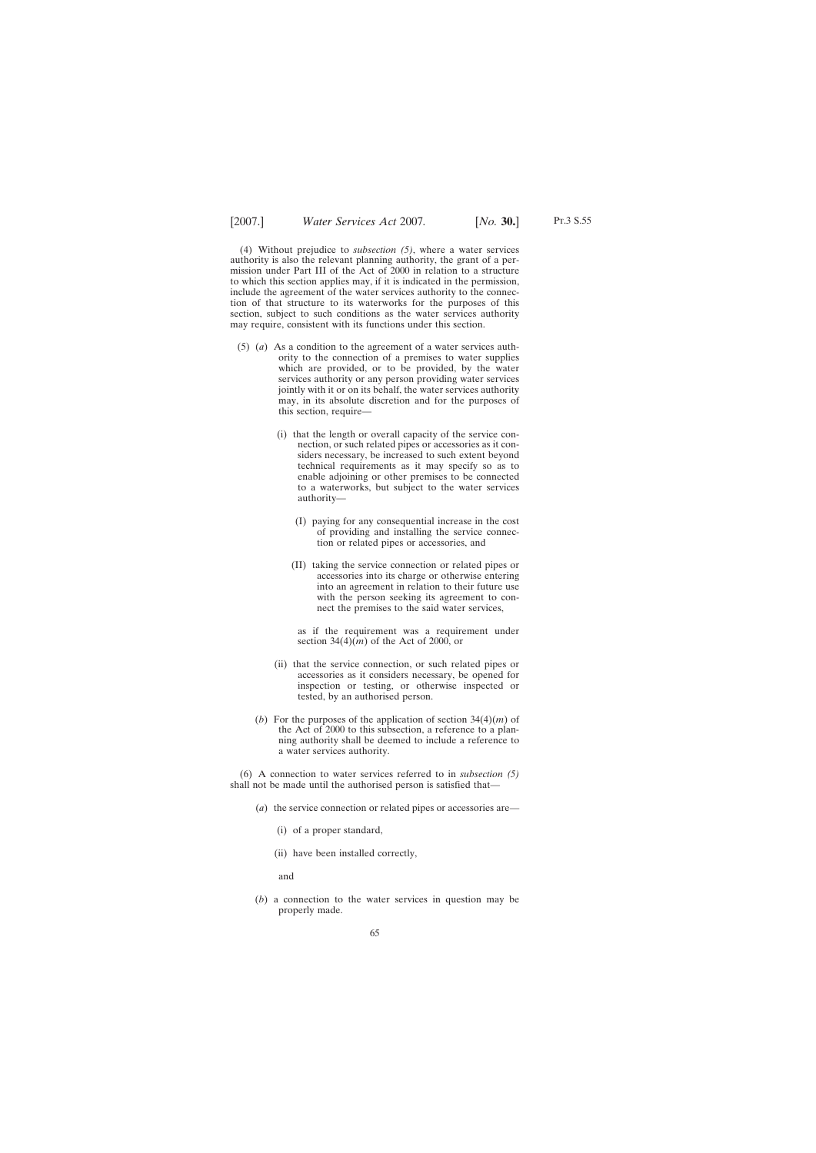Pt.3 S.55

(4) Without prejudice to *subsection (5)*, where a water services authority is also the relevant planning authority, the grant of a permission under Part III of the Act of 2000 in relation to a structure to which this section applies may, if it is indicated in the permission, include the agreement of the water services authority to the connection of that structure to its waterworks for the purposes of this section, subject to such conditions as the water services authority may require, consistent with its functions under this section.

- (5) (*a*) As a condition to the agreement of a water services authority to the connection of a premises to water supplies which are provided, or to be provided, by the water services authority or any person providing water services jointly with it or on its behalf, the water services authority may, in its absolute discretion and for the purposes of this section, require—
	- (i) that the length or overall capacity of the service connection, or such related pipes or accessories as it considers necessary, be increased to such extent beyond technical requirements as it may specify so as to enable adjoining or other premises to be connected to a waterworks, but subject to the water services authority—
		- (I) paying for any consequential increase in the cost of providing and installing the service connection or related pipes or accessories, and
		- (II) taking the service connection or related pipes or accessories into its charge or otherwise entering into an agreement in relation to their future use with the person seeking its agreement to connect the premises to the said water services,

as if the requirement was a requirement under section  $34(4)(m)$  of the Act of 2000, or

- (ii) that the service connection, or such related pipes or accessories as it considers necessary, be opened for inspection or testing, or otherwise inspected or tested, by an authorised person.
- (*b*) For the purposes of the application of section 34(4)(*m*) of the Act of 2000 to this subsection, a reference to a planning authority shall be deemed to include a reference to a water services authority.

(6) A connection to water services referred to in *subsection (5)* shall not be made until the authorised person is satisfied that—

- (*a*) the service connection or related pipes or accessories are—
	- (i) of a proper standard,
	- (ii) have been installed correctly,

and

(*b*) a connection to the water services in question may be properly made.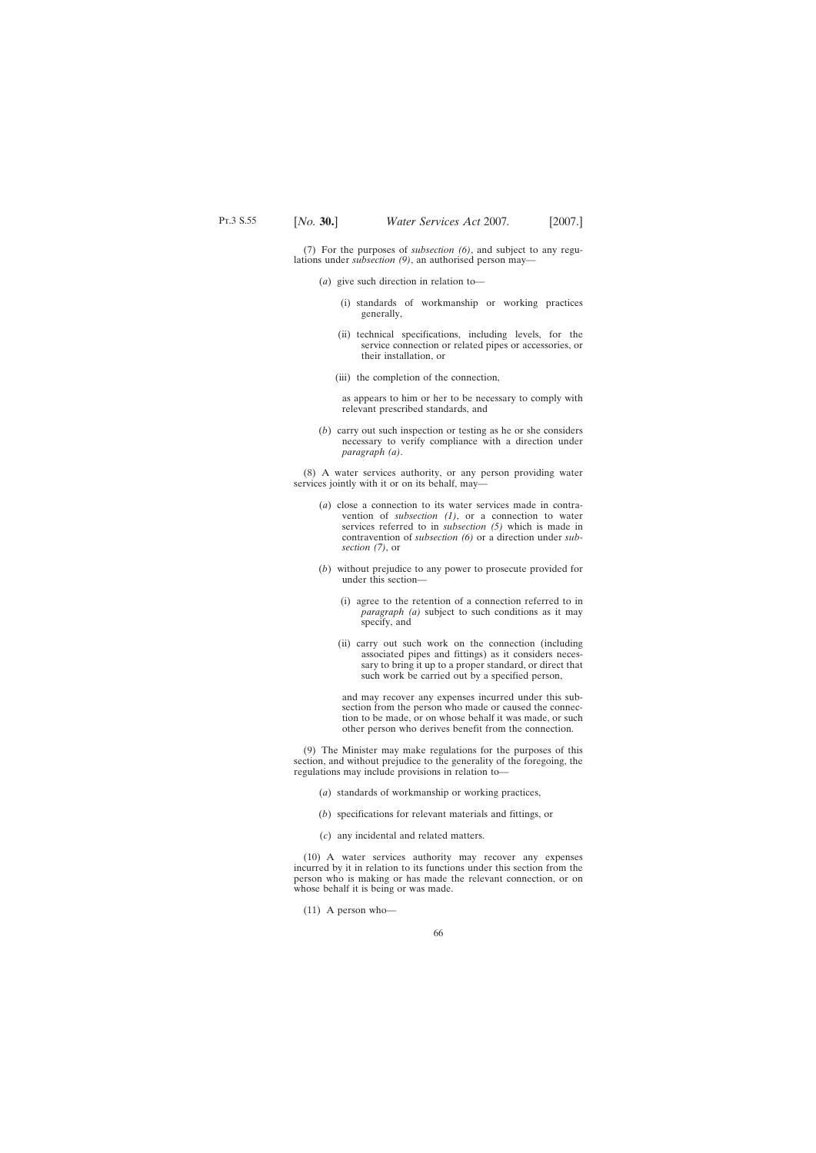(7) For the purposes of *subsection (6)*, and subject to any regulations under *subsection (9)*, an authorised person may—

- (*a*) give such direction in relation to—
	- (i) standards of workmanship or working practices generally,
	- (ii) technical specifications, including levels, for the service connection or related pipes or accessories, or their installation, or
	- (iii) the completion of the connection,

as appears to him or her to be necessary to comply with relevant prescribed standards, and

(*b*) carry out such inspection or testing as he or she considers necessary to verify compliance with a direction under *paragraph (a)*.

(8) A water services authority, or any person providing water services jointly with it or on its behalf, may—

- (*a*) close a connection to its water services made in contravention of *subsection (1)*, or a connection to water services referred to in *subsection (5)* which is made in contravention of *subsection (6)* or a direction under *subsection (7)*, or
- (*b*) without prejudice to any power to prosecute provided for under this section—
	- (i) agree to the retention of a connection referred to in *paragraph (a)* subject to such conditions as it may specify, and
	- (ii) carry out such work on the connection (including associated pipes and fittings) as it considers necessary to bring it up to a proper standard, or direct that such work be carried out by a specified person,

and may recover any expenses incurred under this subsection from the person who made or caused the connection to be made, or on whose behalf it was made, or such other person who derives benefit from the connection.

(9) The Minister may make regulations for the purposes of this section, and without prejudice to the generality of the foregoing, the regulations may include provisions in relation to—

- (*a*) standards of workmanship or working practices,
- (*b*) specifications for relevant materials and fittings, or
- (*c*) any incidental and related matters.

(10) A water services authority may recover any expenses incurred by it in relation to its functions under this section from the person who is making or has made the relevant connection, or on whose behalf it is being or was made.

(11) A person who—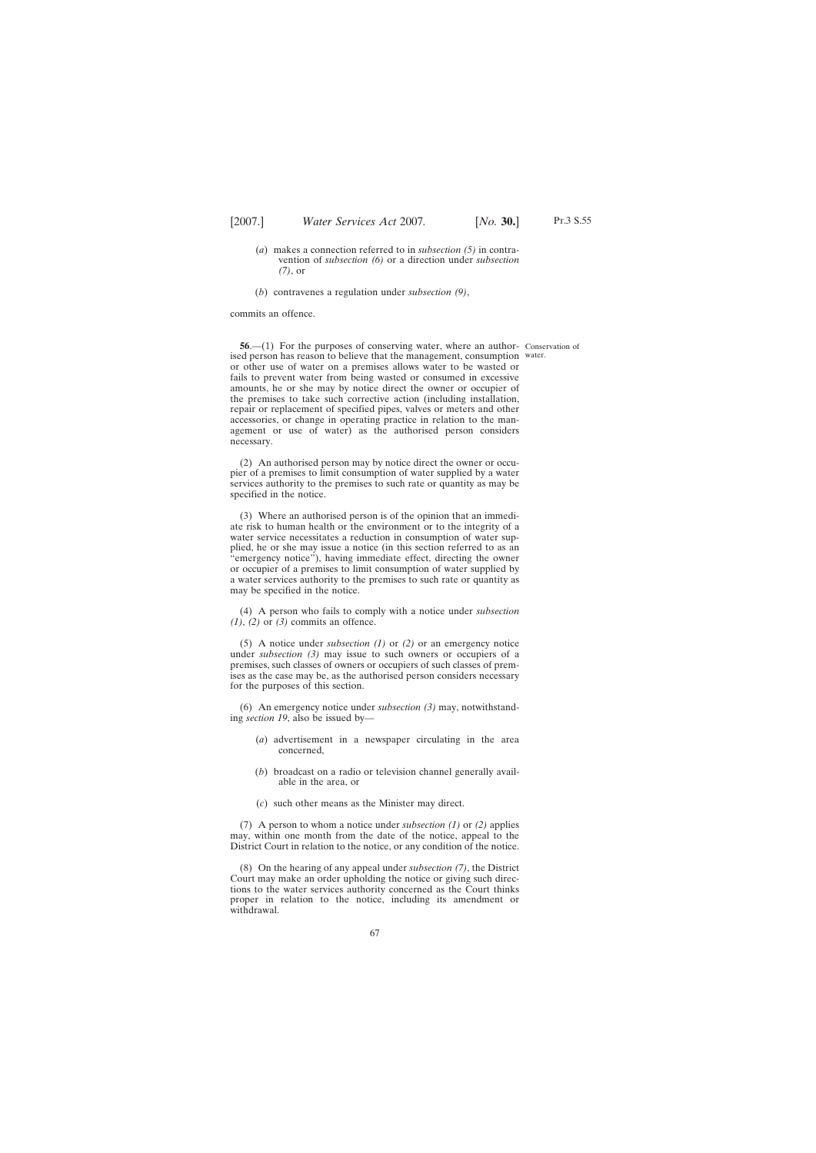- (*a*) makes a connection referred to in *subsection (5)* in contravention of *subsection (6)* or a direction under *subsection (7)*, or
- (*b*) contravenes a regulation under *subsection (9)*,

commits an offence.

**56.**—(1) For the purposes of conserving water, where an author- Conservation of ised person has reason to believe that the management, consumption water. or other use of water on a premises allows water to be wasted or fails to prevent water from being wasted or consumed in excessive amounts, he or she may by notice direct the owner or occupier of the premises to take such corrective action (including installation, repair or replacement of specified pipes, valves or meters and other accessories, or change in operating practice in relation to the management or use of water) as the authorised person considers necessary.

(2) An authorised person may by notice direct the owner or occupier of a premises to limit consumption of water supplied by a water services authority to the premises to such rate or quantity as may be specified in the notice.

(3) Where an authorised person is of the opinion that an immediate risk to human health or the environment or to the integrity of a water service necessitates a reduction in consumption of water supplied, he or she may issue a notice (in this section referred to as an 'emergency notice"), having immediate effect, directing the owner or occupier of a premises to limit consumption of water supplied by a water services authority to the premises to such rate or quantity as may be specified in the notice.

(4) A person who fails to comply with a notice under *subsection (1)*, *(2)* or *(3)* commits an offence.

(5) A notice under *subsection (1)* or *(2)* or an emergency notice under *subsection (3)* may issue to such owners or occupiers of a premises, such classes of owners or occupiers of such classes of premises as the case may be, as the authorised person considers necessary for the purposes of this section.

(6) An emergency notice under *subsection (3)* may, notwithstanding *section 19*, also be issued by—

- (*a*) advertisement in a newspaper circulating in the area concerned,
- (*b*) broadcast on a radio or television channel generally available in the area, or
- (*c*) such other means as the Minister may direct.

(7) A person to whom a notice under *subsection (1)* or *(2)* applies may, within one month from the date of the notice, appeal to the District Court in relation to the notice, or any condition of the notice.

(8) On the hearing of any appeal under *subsection (7)*, the District Court may make an order upholding the notice or giving such directions to the water services authority concerned as the Court thinks proper in relation to the notice, including its amendment or withdrawal.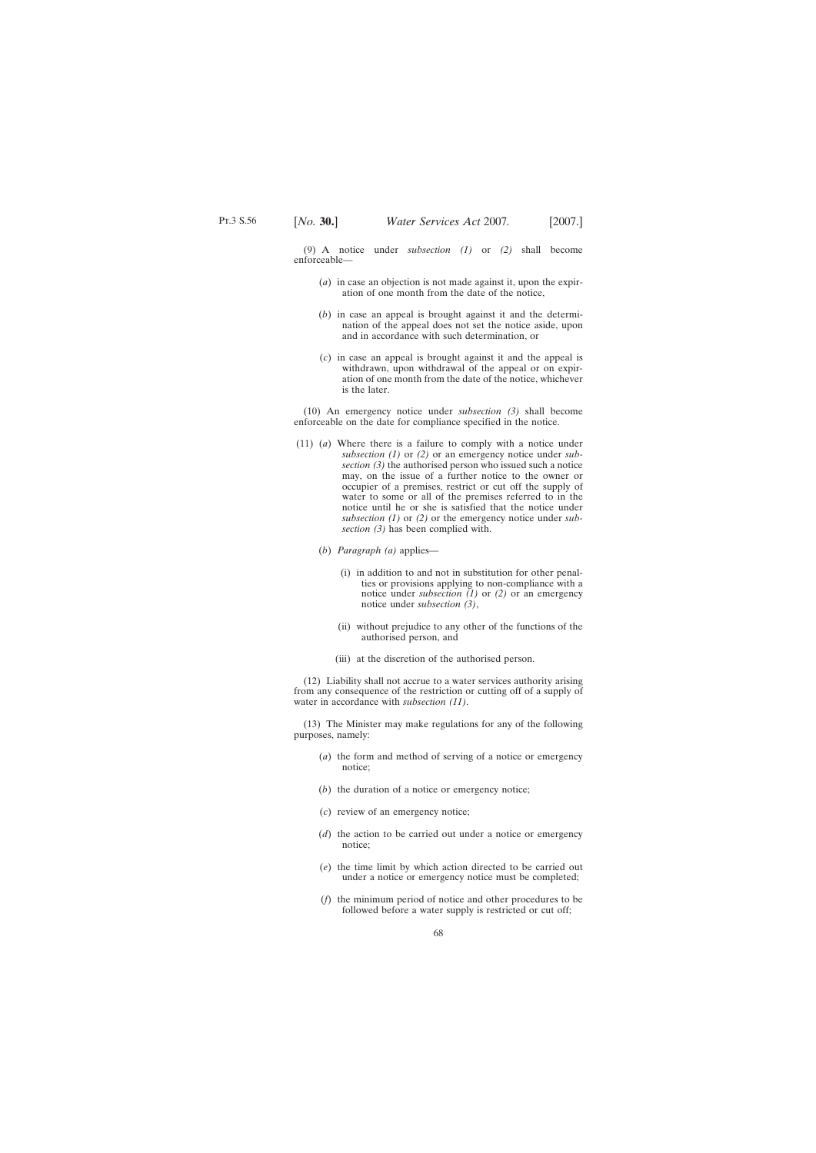(9) A notice under *subsection (1)* or *(2)* shall become enforceable—

- (*a*) in case an objection is not made against it, upon the expiration of one month from the date of the notice,
- (*b*) in case an appeal is brought against it and the determination of the appeal does not set the notice aside, upon and in accordance with such determination, or
- (*c*) in case an appeal is brought against it and the appeal is withdrawn, upon withdrawal of the appeal or on expiration of one month from the date of the notice, whichever is the later.

(10) An emergency notice under *subsection (3)* shall become enforceable on the date for compliance specified in the notice.

- (11) (*a*) Where there is a failure to comply with a notice under *subsection (1)* or *(2)* or an emergency notice under *subsection (3)* the authorised person who issued such a notice may, on the issue of a further notice to the owner or occupier of a premises, restrict or cut off the supply of water to some or all of the premises referred to in the notice until he or she is satisfied that the notice under *subsection (1)* or *(2)* or the emergency notice under *subsection (3)* has been complied with.
	- (*b*) *Paragraph (a)* applies—
		- (i) in addition to and not in substitution for other penalties or provisions applying to non-compliance with a notice under *subsection (1)* or *(2)* or an emergency notice under *subsection (3)*,
		- (ii) without prejudice to any other of the functions of the authorised person, and
		- (iii) at the discretion of the authorised person.

(12) Liability shall not accrue to a water services authority arising from any consequence of the restriction or cutting off of a supply of water in accordance with *subsection (11)*.

(13) The Minister may make regulations for any of the following purposes, namely:

- (*a*) the form and method of serving of a notice or emergency notice;
- (*b*) the duration of a notice or emergency notice;
- (*c*) review of an emergency notice;
- (*d*) the action to be carried out under a notice or emergency notice;
- (*e*) the time limit by which action directed to be carried out under a notice or emergency notice must be completed;
- (*f*) the minimum period of notice and other procedures to be followed before a water supply is restricted or cut off;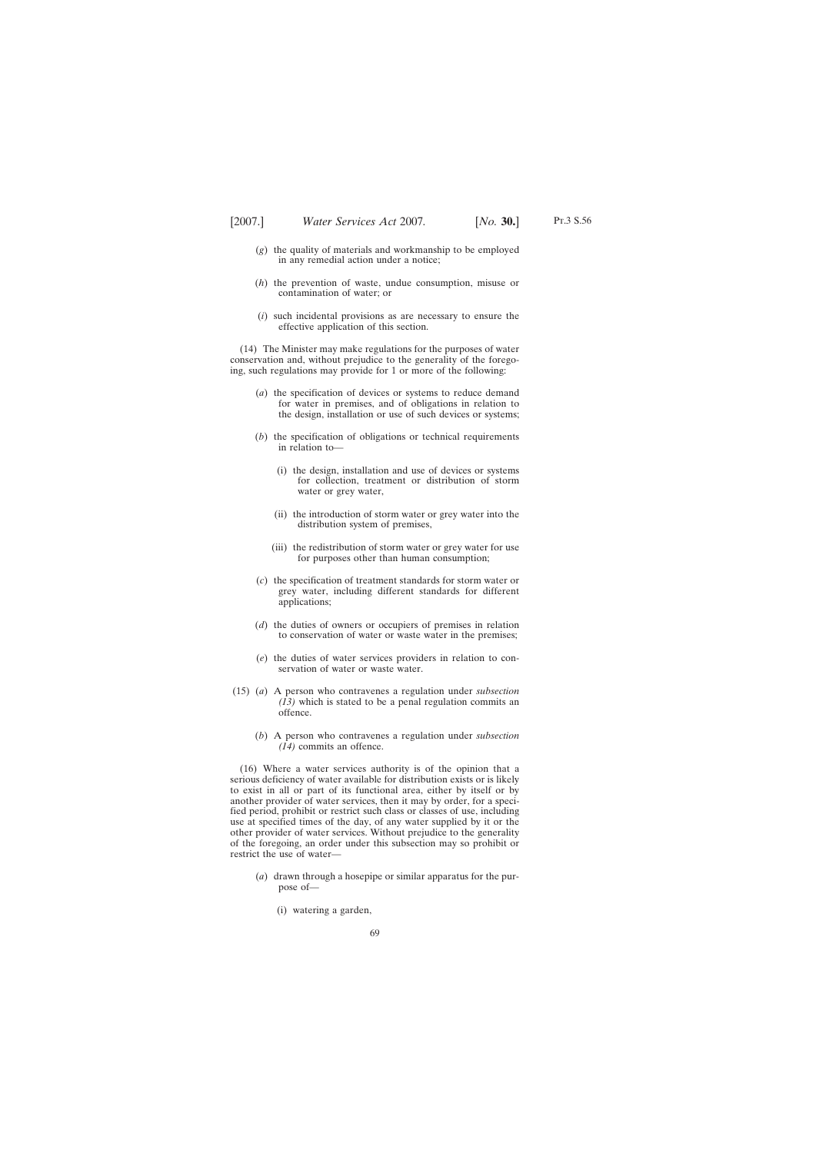- (*g*) the quality of materials and workmanship to be employed in any remedial action under a notice;
- (*h*) the prevention of waste, undue consumption, misuse or contamination of water; or
- (*i*) such incidental provisions as are necessary to ensure the effective application of this section.

(14) The Minister may make regulations for the purposes of water conservation and, without prejudice to the generality of the foregoing, such regulations may provide for 1 or more of the following:

- (*a*) the specification of devices or systems to reduce demand for water in premises, and of obligations in relation to the design, installation or use of such devices or systems;
- (*b*) the specification of obligations or technical requirements in relation to—
	- (i) the design, installation and use of devices or systems for collection, treatment or distribution of storm water or grey water,
	- (ii) the introduction of storm water or grey water into the distribution system of premises,
	- (iii) the redistribution of storm water or grey water for use for purposes other than human consumption;
- (*c*) the specification of treatment standards for storm water or grey water, including different standards for different applications;
- (*d*) the duties of owners or occupiers of premises in relation to conservation of water or waste water in the premises;
- (*e*) the duties of water services providers in relation to conservation of water or waste water.
- (15) (*a*) A person who contravenes a regulation under *subsection (13)* which is stated to be a penal regulation commits an offence.
	- (*b*) A person who contravenes a regulation under *subsection (14)* commits an offence.

(16) Where a water services authority is of the opinion that a serious deficiency of water available for distribution exists or is likely to exist in all or part of its functional area, either by itself or by another provider of water services, then it may by order, for a specified period, prohibit or restrict such class or classes of use, including use at specified times of the day, of any water supplied by it or the other provider of water services. Without prejudice to the generality of the foregoing, an order under this subsection may so prohibit or restrict the use of water—

- (*a*) drawn through a hosepipe or similar apparatus for the purpose of—
	- (i) watering a garden,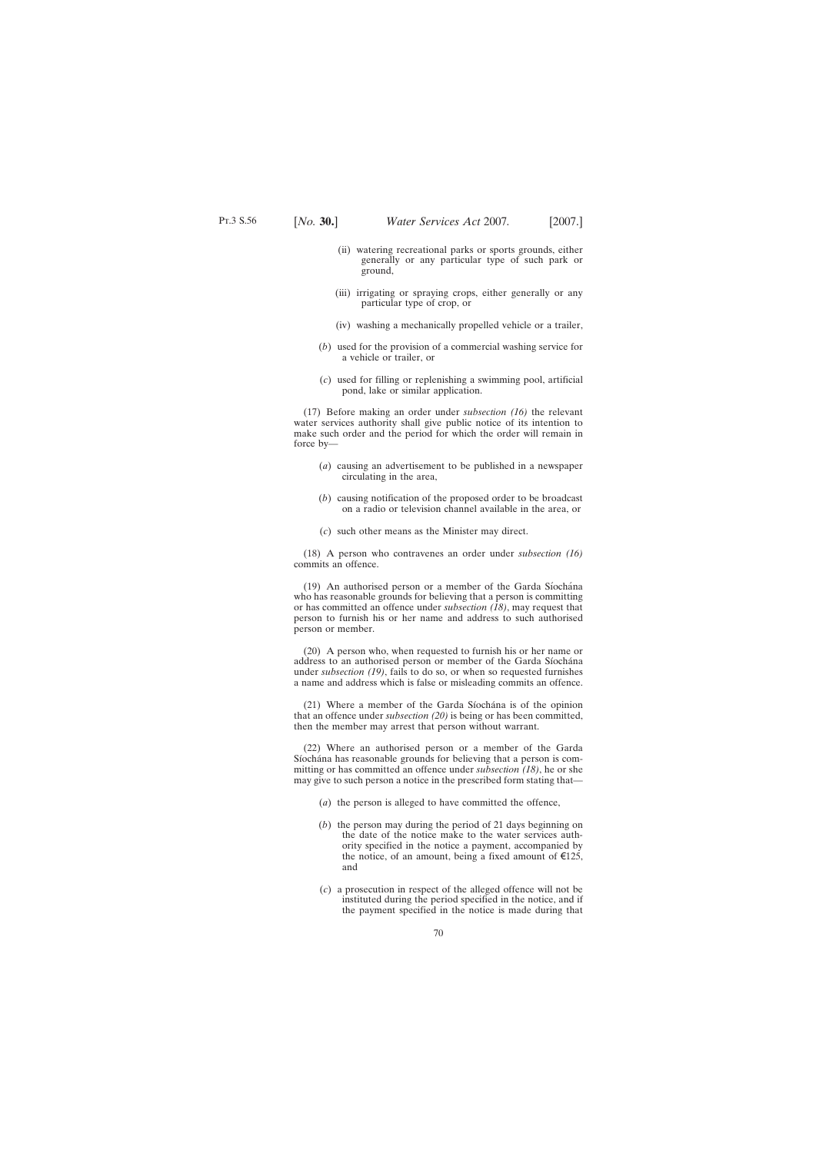- (ii) watering recreational parks or sports grounds, either generally or any particular type of such park or ground,
- (iii) irrigating or spraying crops, either generally or any particular type of crop, or
- (iv) washing a mechanically propelled vehicle or a trailer,
- (*b*) used for the provision of a commercial washing service for a vehicle or trailer, or
- (*c*) used for filling or replenishing a swimming pool, artificial pond, lake or similar application.

(17) Before making an order under *subsection (16)* the relevant water services authority shall give public notice of its intention to make such order and the period for which the order will remain in force by—

- (*a*) causing an advertisement to be published in a newspaper circulating in the area,
- (*b*) causing notification of the proposed order to be broadcast on a radio or television channel available in the area, or
- (*c*) such other means as the Minister may direct.

(18) A person who contravenes an order under *subsection (16)* commits an offence.

 $(19)$  An authorised person or a member of the Garda Síochána who has reasonable grounds for believing that a person is committing or has committed an offence under *subsection (18)*, may request that person to furnish his or her name and address to such authorised person or member.

(20) A person who, when requested to furnish his or her name or address to an authorised person or member of the Garda Síochána under *subsection (19)*, fails to do so, or when so requested furnishes a name and address which is false or misleading commits an offence.

 $(21)$  Where a member of the Garda Siochana is of the opinion that an offence under *subsection (20)* is being or has been committed, then the member may arrest that person without warrant.

(22) Where an authorised person or a member of the Garda Síochána has reasonable grounds for believing that a person is committing or has committed an offence under *subsection (18)*, he or she may give to such person a notice in the prescribed form stating that—

- (*a*) the person is alleged to have committed the offence,
- (*b*) the person may during the period of 21 days beginning on the date of the notice make to the water services authority specified in the notice a payment, accompanied by the notice, of an amount, being a fixed amount of  $\epsilon$ 125, and
- (*c*) a prosecution in respect of the alleged offence will not be instituted during the period specified in the notice, and if the payment specified in the notice is made during that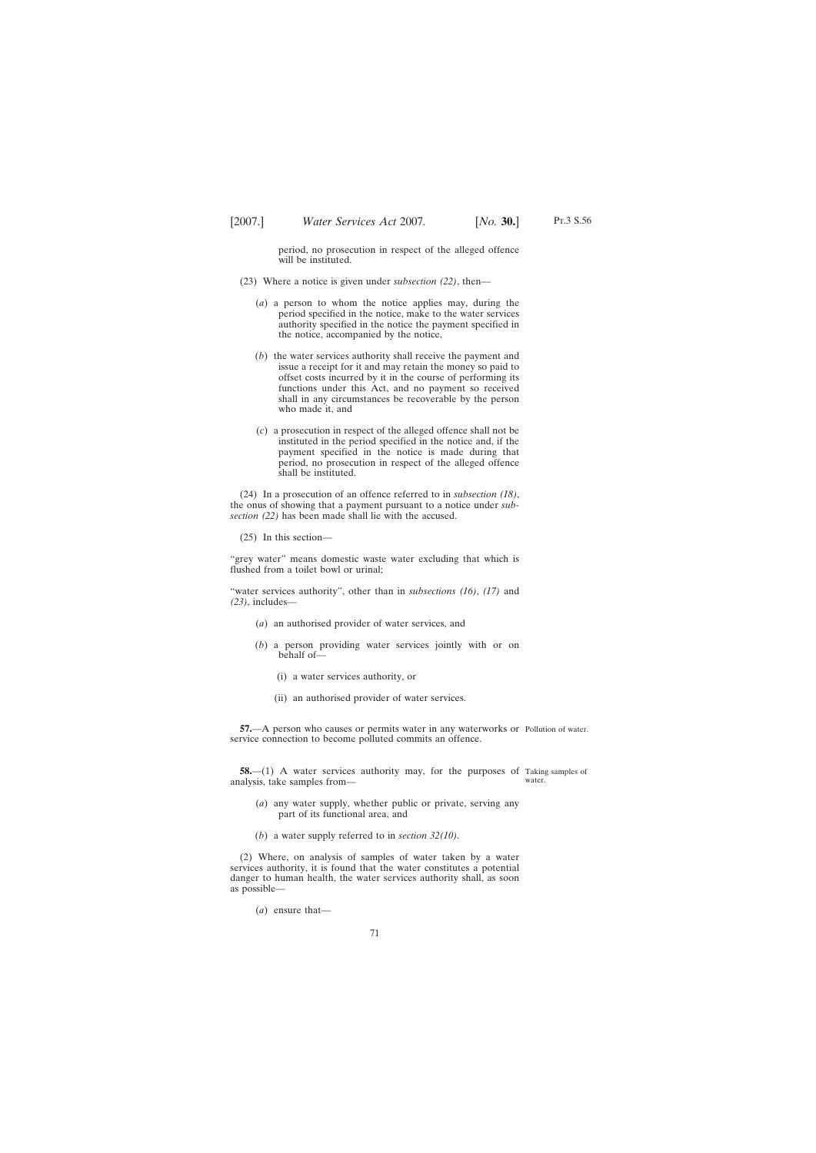period, no prosecution in respect of the alleged offence will be instituted.

- (23) Where a notice is given under *subsection (22)*, then—
	- (*a*) a person to whom the notice applies may, during the period specified in the notice, make to the water services authority specified in the notice the payment specified in the notice, accompanied by the notice,
	- (*b*) the water services authority shall receive the payment and issue a receipt for it and may retain the money so paid to offset costs incurred by it in the course of performing its functions under this Act, and no payment so received shall in any circumstances be recoverable by the person who made it, and
	- (*c*) a prosecution in respect of the alleged offence shall not be instituted in the period specified in the notice and, if the payment specified in the notice is made during that period, no prosecution in respect of the alleged offence shall be instituted.

(24) In a prosecution of an offence referred to in *subsection (18)*, the onus of showing that a payment pursuant to a notice under *subsection (22)* has been made shall lie with the accused.

(25) In this section—

"grey water" means domestic waste water excluding that which is flushed from a toilet bowl or urinal;

"water services authority", other than in *subsections (16)*, *(17)* and *(23)*, includes—

- (*a*) an authorised provider of water services, and
- (*b*) a person providing water services jointly with or on behalf of—
	- (i) a water services authority, or
	- (ii) an authorised provider of water services.

**57.**—A person who causes or permits water in any waterworks or Pollution of water. service connection to become polluted commits an offence.

**58.**—(1) A water services authority may, for the purposes of Taking samples of analysis, take samples from water.

- (*a*) any water supply, whether public or private, serving any part of its functional area, and
- (*b*) a water supply referred to in *section 32(10)*.

(2) Where, on analysis of samples of water taken by a water services authority, it is found that the water constitutes a potential danger to human health, the water services authority shall, as soon as possible—

(*a*) ensure that—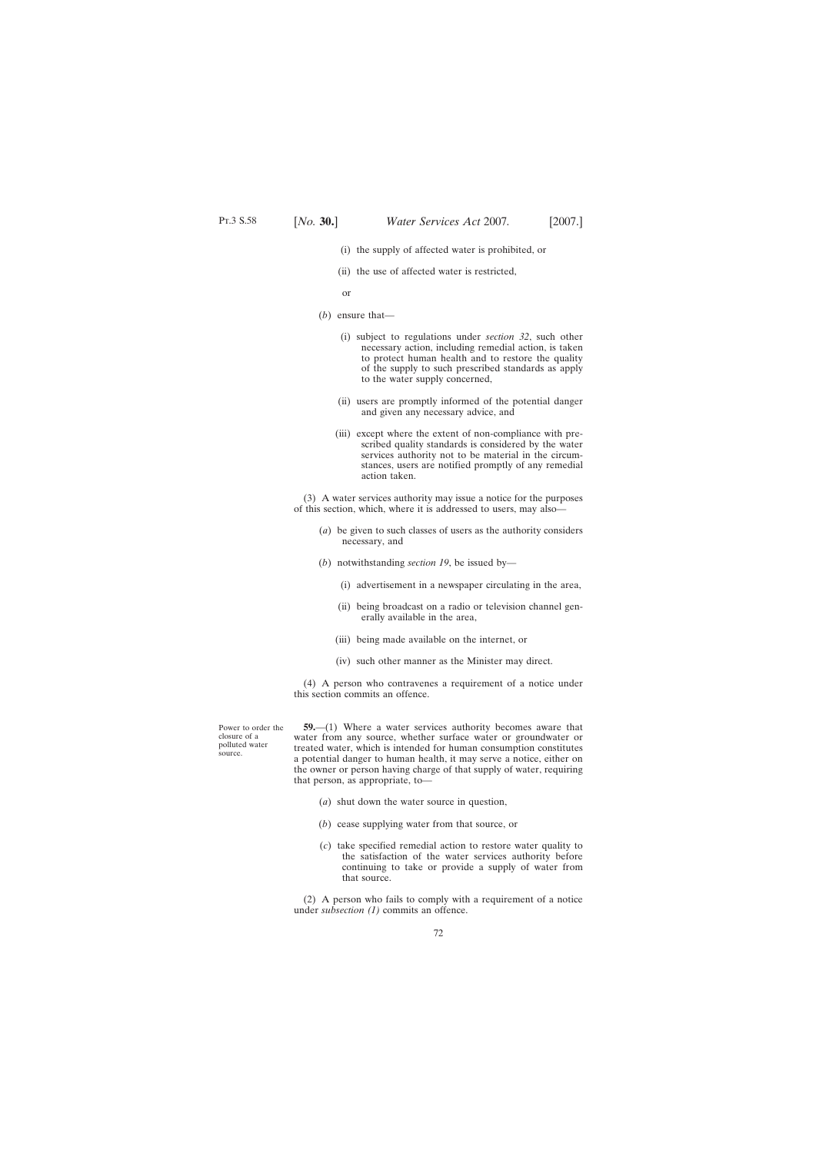- (i) the supply of affected water is prohibited, or
- (ii) the use of affected water is restricted,

or

- (*b*) ensure that—
	- (i) subject to regulations under *section 32*, such other necessary action, including remedial action, is taken to protect human health and to restore the quality of the supply to such prescribed standards as apply to the water supply concerned,
	- (ii) users are promptly informed of the potential danger and given any necessary advice, and
	- (iii) except where the extent of non-compliance with prescribed quality standards is considered by the water services authority not to be material in the circumstances, users are notified promptly of any remedial action taken.

(3) A water services authority may issue a notice for the purposes of this section, which, where it is addressed to users, may also—

- (*a*) be given to such classes of users as the authority considers necessary, and
- (*b*) notwithstanding *section 19*, be issued by—
	- (i) advertisement in a newspaper circulating in the area,
	- (ii) being broadcast on a radio or television channel generally available in the area,
	- (iii) being made available on the internet, or
	- (iv) such other manner as the Minister may direct.

(4) A person who contravenes a requirement of a notice under this section commits an offence.

**59.**—(1) Where a water services authority becomes aware that water from any source, whether surface water or groundwater or treated water, which is intended for human consumption constitutes a potential danger to human health, it may serve a notice, either on the owner or person having charge of that supply of water, requiring that person, as appropriate, to—

- (*a*) shut down the water source in question,
- (*b*) cease supplying water from that source, or
- (*c*) take specified remedial action to restore water quality to the satisfaction of the water services authority before continuing to take or provide a supply of water from that source.

(2) A person who fails to comply with a requirement of a notice under *subsection (1)* commits an offence.

Power to order the closure of a polluted water source.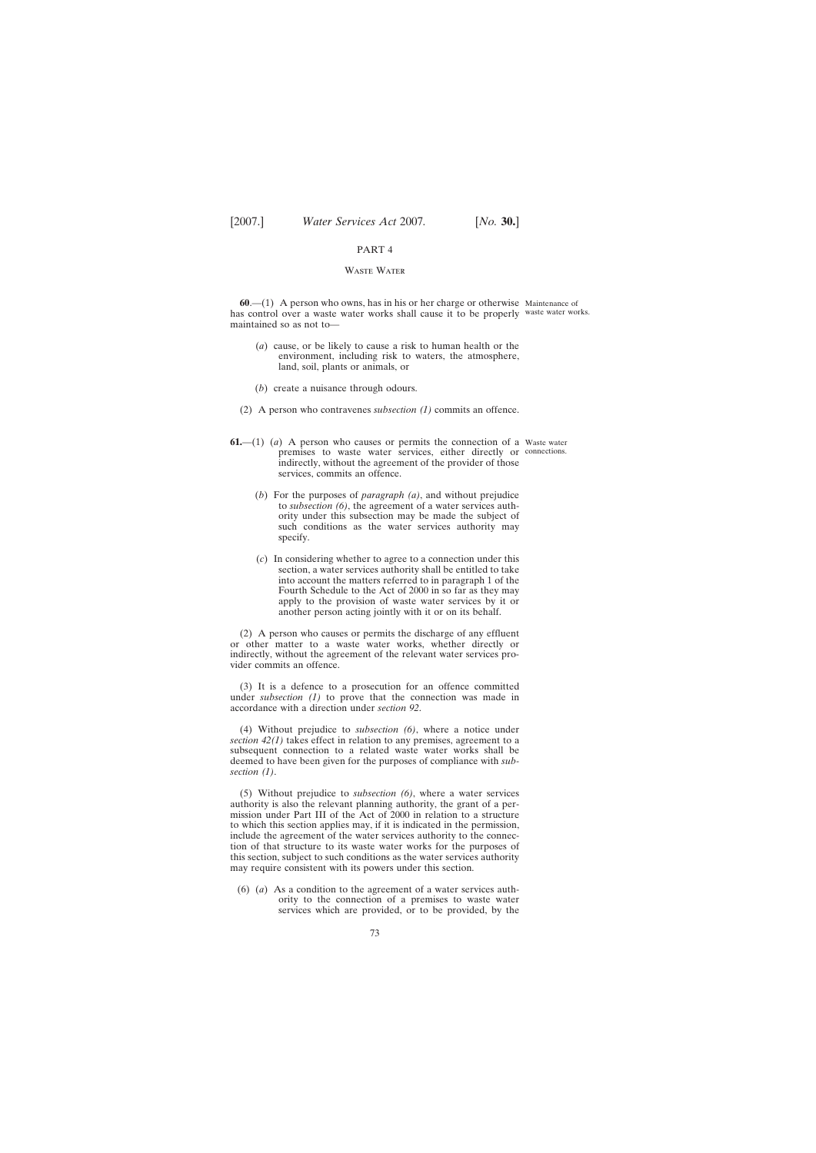#### PART 4

### Waste Water

**60**.—(1) A person who owns, has in his or her charge or otherwise Maintenance of has control over a waste water works shall cause it to be properly waste water works. maintained so as not to—

- (*a*) cause, or be likely to cause a risk to human health or the environment, including risk to waters, the atmosphere, land, soil, plants or animals, or
- (*b*) create a nuisance through odours.
- (2) A person who contravenes *subsection (1)* commits an offence.
- **61.**—(1) (*a*) A person who causes or permits the connection of a Waste water premises to waste water services, either directly or connections.indirectly, without the agreement of the provider of those services, commits an offence.
	- (*b*) For the purposes of *paragraph (a)*, and without prejudice to *subsection (6)*, the agreement of a water services authority under this subsection may be made the subject of such conditions as the water services authority may specify.
	- (*c*) In considering whether to agree to a connection under this section, a water services authority shall be entitled to take into account the matters referred to in paragraph 1 of the Fourth Schedule to the Act of 2000 in so far as they may apply to the provision of waste water services by it or another person acting jointly with it or on its behalf.

(2) A person who causes or permits the discharge of any effluent or other matter to a waste water works, whether directly or indirectly, without the agreement of the relevant water services provider commits an offence.

(3) It is a defence to a prosecution for an offence committed under *subsection (1)* to prove that the connection was made in accordance with a direction under *section 92*.

(4) Without prejudice to *subsection (6)*, where a notice under *section 42(1)* takes effect in relation to any premises, agreement to a subsequent connection to a related waste water works shall be deemed to have been given for the purposes of compliance with *subsection (1)*.

(5) Without prejudice to *subsection (6)*, where a water services authority is also the relevant planning authority, the grant of a permission under Part III of the Act of 2000 in relation to a structure to which this section applies may, if it is indicated in the permission, include the agreement of the water services authority to the connection of that structure to its waste water works for the purposes of this section, subject to such conditions as the water services authority may require consistent with its powers under this section.

(6) (*a*) As a condition to the agreement of a water services authority to the connection of a premises to waste water services which are provided, or to be provided, by the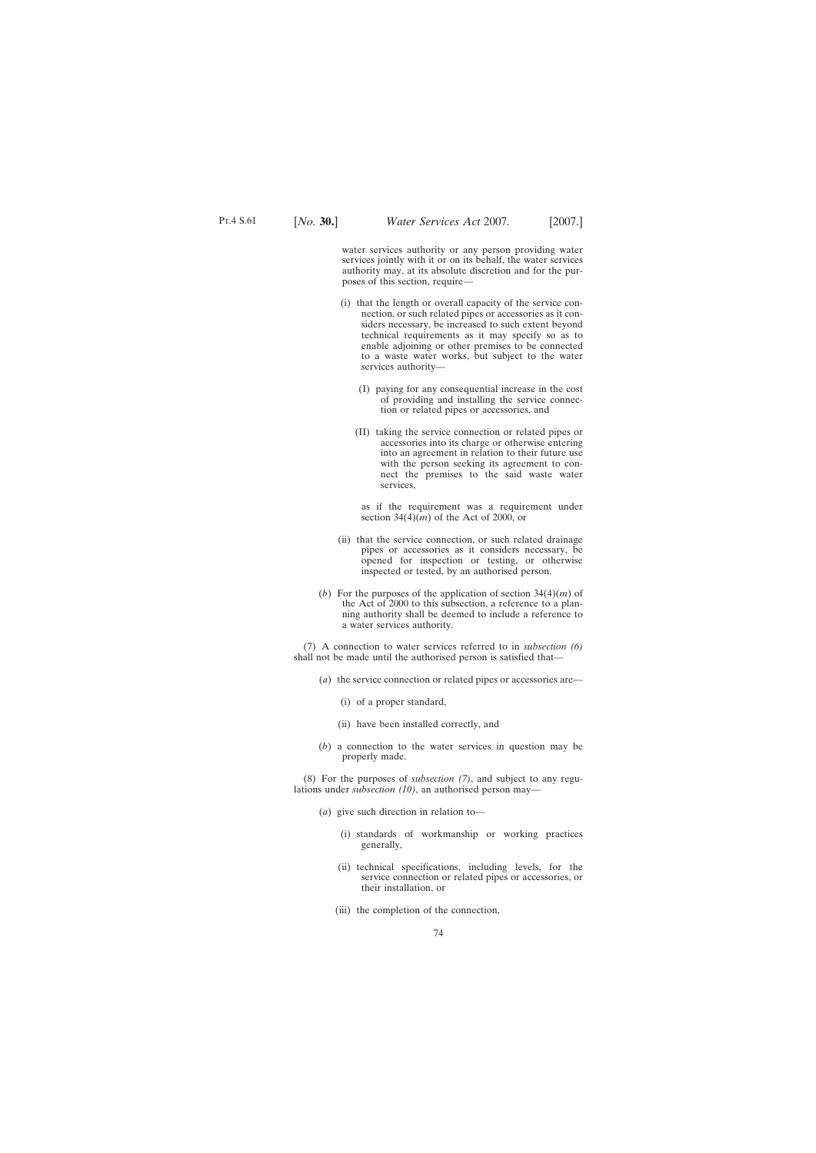water services authority or any person providing water services jointly with it or on its behalf, the water services authority may, at its absolute discretion and for the purposes of this section, require—

- (i) that the length or overall capacity of the service connection, or such related pipes or accessories as it considers necessary, be increased to such extent beyond technical requirements as it may specify so as to enable adjoining or other premises to be connected to a waste water works, but subject to the water services authority—
	- (I) paying for any consequential increase in the cost of providing and installing the service connection or related pipes or accessories, and
	- (II) taking the service connection or related pipes or accessories into its charge or otherwise entering into an agreement in relation to their future use with the person seeking its agreement to connect the premises to the said waste water services,

as if the requirement was a requirement under section  $34(4)(m)$  of the Act of 2000, or

- (ii) that the service connection, or such related drainage pipes or accessories as it considers necessary, be opened for inspection or testing, or otherwise inspected or tested, by an authorised person.
- (*b*) For the purposes of the application of section 34(4)(*m*) of the Act of 2000 to this subsection, a reference to a planning authority shall be deemed to include a reference to a water services authority.

(7) A connection to water services referred to in *subsection (6)* shall not be made until the authorised person is satisfied that—

- (*a*) the service connection or related pipes or accessories are—
	- (i) of a proper standard,
	- (ii) have been installed correctly, and
- (*b*) a connection to the water services in question may be properly made.

(8) For the purposes of *subsection (7)*, and subject to any regulations under *subsection (10)*, an authorised person may—

- (*a*) give such direction in relation to—
	- (i) standards of workmanship or working practices generally,
	- (ii) technical specifications, including levels, for the service connection or related pipes or accessories, or their installation, or
	- (iii) the completion of the connection,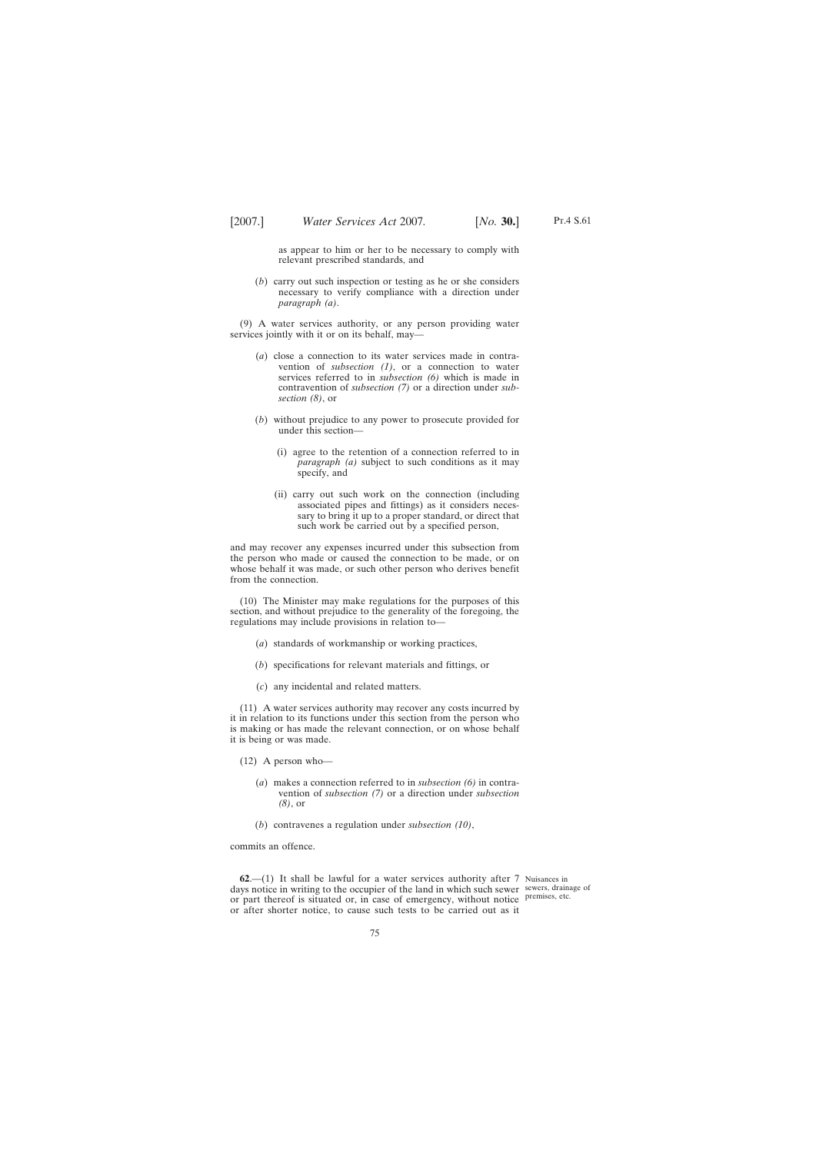as appear to him or her to be necessary to comply with relevant prescribed standards, and

(*b*) carry out such inspection or testing as he or she considers necessary to verify compliance with a direction under *paragraph (a)*.

(9) A water services authority, or any person providing water services jointly with it or on its behalf, may—

- (*a*) close a connection to its water services made in contravention of *subsection (1)*, or a connection to water services referred to in *subsection (6)* which is made in contravention of *subsection (7)* or a direction under *subsection (8)*, or
- (*b*) without prejudice to any power to prosecute provided for under this section—
	- (i) agree to the retention of a connection referred to in *paragraph (a)* subject to such conditions as it may specify, and
	- (ii) carry out such work on the connection (including associated pipes and fittings) as it considers necessary to bring it up to a proper standard, or direct that such work be carried out by a specified person,

and may recover any expenses incurred under this subsection from the person who made or caused the connection to be made, or on whose behalf it was made, or such other person who derives benefit from the connection.

(10) The Minister may make regulations for the purposes of this section, and without prejudice to the generality of the foregoing, the regulations may include provisions in relation to—

- (*a*) standards of workmanship or working practices,
- (*b*) specifications for relevant materials and fittings, or
- (*c*) any incidental and related matters.

(11) A water services authority may recover any costs incurred by it in relation to its functions under this section from the person who is making or has made the relevant connection, or on whose behalf it is being or was made.

(12) A person who—

- (*a*) makes a connection referred to in *subsection (6)* in contravention of *subsection (7)* or a direction under *subsection (8)*, or
- (*b*) contravenes a regulation under *subsection (10)*,

commits an offence.

**62.**—(1) It shall be lawful for a water services authority after 7 Nuisances in days notice in writing to the occupier of the land in which such sewer sewers, drainage of or part thereof is situated or, in case of emergency, without notice premises, etc. or after shorter notice, to cause such tests to be carried out as it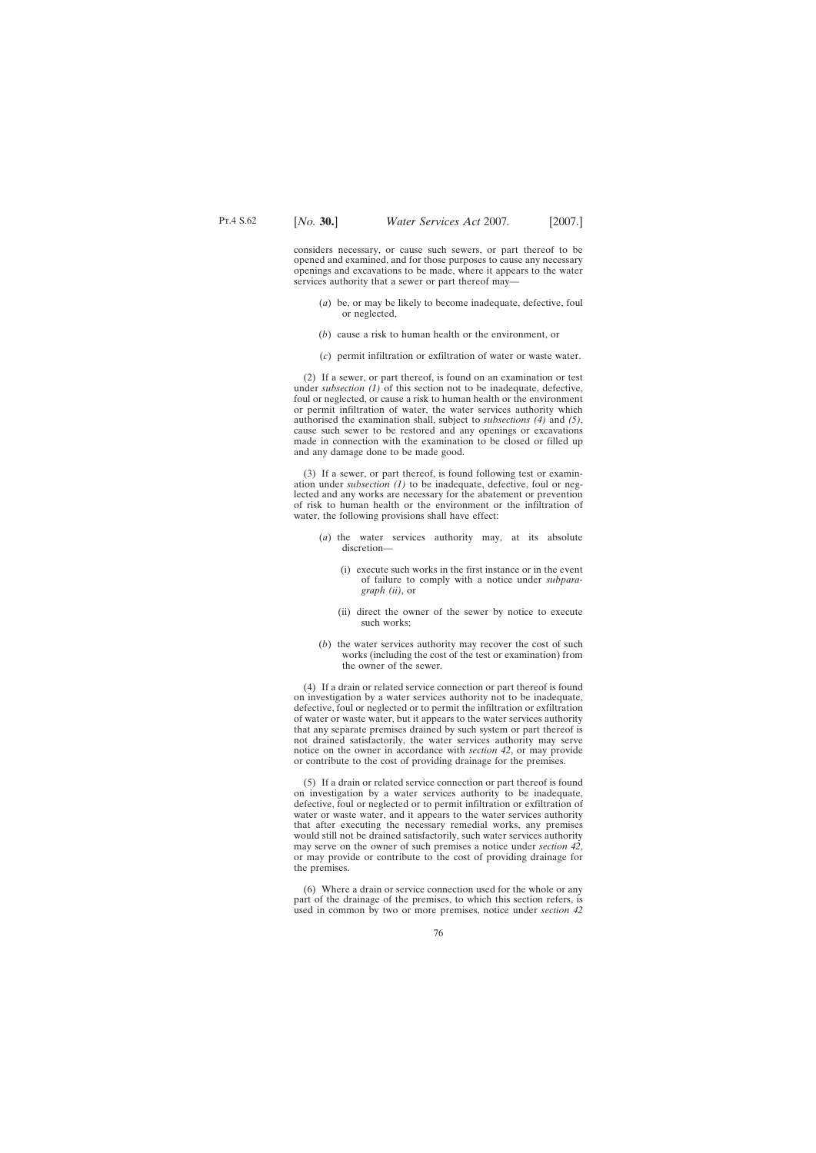considers necessary, or cause such sewers, or part thereof to be opened and examined, and for those purposes to cause any necessary openings and excavations to be made, where it appears to the water services authority that a sewer or part thereof may—

- (*a*) be, or may be likely to become inadequate, defective, foul or neglected,
- (*b*) cause a risk to human health or the environment, or
- (*c*) permit infiltration or exfiltration of water or waste water.

(2) If a sewer, or part thereof, is found on an examination or test under *subsection (1)* of this section not to be inadequate, defective, foul or neglected, or cause a risk to human health or the environment or permit infiltration of water, the water services authority which authorised the examination shall, subject to *subsections (4)* and *(5)*, cause such sewer to be restored and any openings or excavations made in connection with the examination to be closed or filled up and any damage done to be made good.

(3) If a sewer, or part thereof, is found following test or examination under *subsection (1)* to be inadequate, defective, foul or neglected and any works are necessary for the abatement or prevention of risk to human health or the environment or the infiltration of water, the following provisions shall have effect:

- (*a*) the water services authority may, at its absolute discretion—
	- (i) execute such works in the first instance or in the event of failure to comply with a notice under *subparagraph (ii)*, or
	- (ii) direct the owner of the sewer by notice to execute such works;
- (*b*) the water services authority may recover the cost of such works (including the cost of the test or examination) from the owner of the sewer.

(4) If a drain or related service connection or part thereof is found on investigation by a water services authority not to be inadequate, defective, foul or neglected or to permit the infiltration or exfiltration of water or waste water, but it appears to the water services authority that any separate premises drained by such system or part thereof is not drained satisfactorily, the water services authority may serve notice on the owner in accordance with *section 42*, or may provide or contribute to the cost of providing drainage for the premises.

(5) If a drain or related service connection or part thereof is found on investigation by a water services authority to be inadequate, defective, foul or neglected or to permit infiltration or exfiltration of water or waste water, and it appears to the water services authority that after executing the necessary remedial works, any premises would still not be drained satisfactorily, such water services authority may serve on the owner of such premises a notice under *section 42*, or may provide or contribute to the cost of providing drainage for the premises.

(6) Where a drain or service connection used for the whole or any part of the drainage of the premises, to which this section refers, is used in common by two or more premises, notice under *section 42*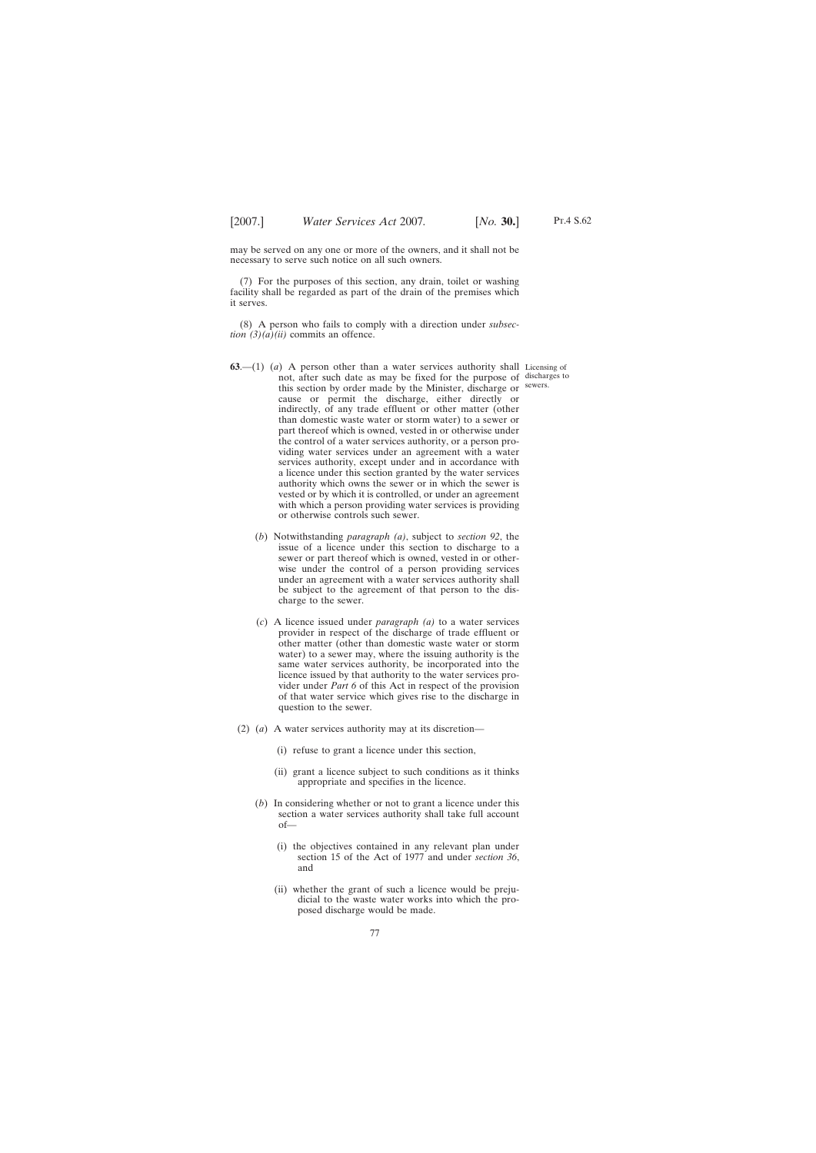may be served on any one or more of the owners, and it shall not be necessary to serve such notice on all such owners.

(7) For the purposes of this section, any drain, toilet or washing facility shall be regarded as part of the drain of the premises which it serves.

(8) A person who fails to comply with a direction under *subsection*  $(3)(a)(ii)$  commits an offence.

- **63.**—(1) (*a*) A person other than a water services authority shall Licensing of not, after such date as may be fixed for the purpose of discharges to this section by order made by the Minister, discharge or sewers. cause or permit the discharge, either directly or indirectly, of any trade effluent or other matter (other than domestic waste water or storm water) to a sewer or part thereof which is owned, vested in or otherwise under the control of a water services authority, or a person providing water services under an agreement with a water services authority, except under and in accordance with a licence under this section granted by the water services authority which owns the sewer or in which the sewer is vested or by which it is controlled, or under an agreement with which a person providing water services is providing or otherwise controls such sewer.
	- (*b*) Notwithstanding *paragraph (a)*, subject to *section 92*, the issue of a licence under this section to discharge to a sewer or part thereof which is owned, vested in or otherwise under the control of a person providing services under an agreement with a water services authority shall be subject to the agreement of that person to the discharge to the sewer.
	- (*c*) A licence issued under *paragraph (a)* to a water services provider in respect of the discharge of trade effluent or other matter (other than domestic waste water or storm water) to a sewer may, where the issuing authority is the same water services authority, be incorporated into the licence issued by that authority to the water services provider under *Part 6* of this Act in respect of the provision of that water service which gives rise to the discharge in question to the sewer.
	- (2) (*a*) A water services authority may at its discretion—
		- (i) refuse to grant a licence under this section,
		- (ii) grant a licence subject to such conditions as it thinks appropriate and specifies in the licence.
		- (*b*) In considering whether or not to grant a licence under this section a water services authority shall take full account of—
			- (i) the objectives contained in any relevant plan under section 15 of the Act of 1977 and under *section 36*, and
			- (ii) whether the grant of such a licence would be prejudicial to the waste water works into which the proposed discharge would be made.

Pt.4 S.62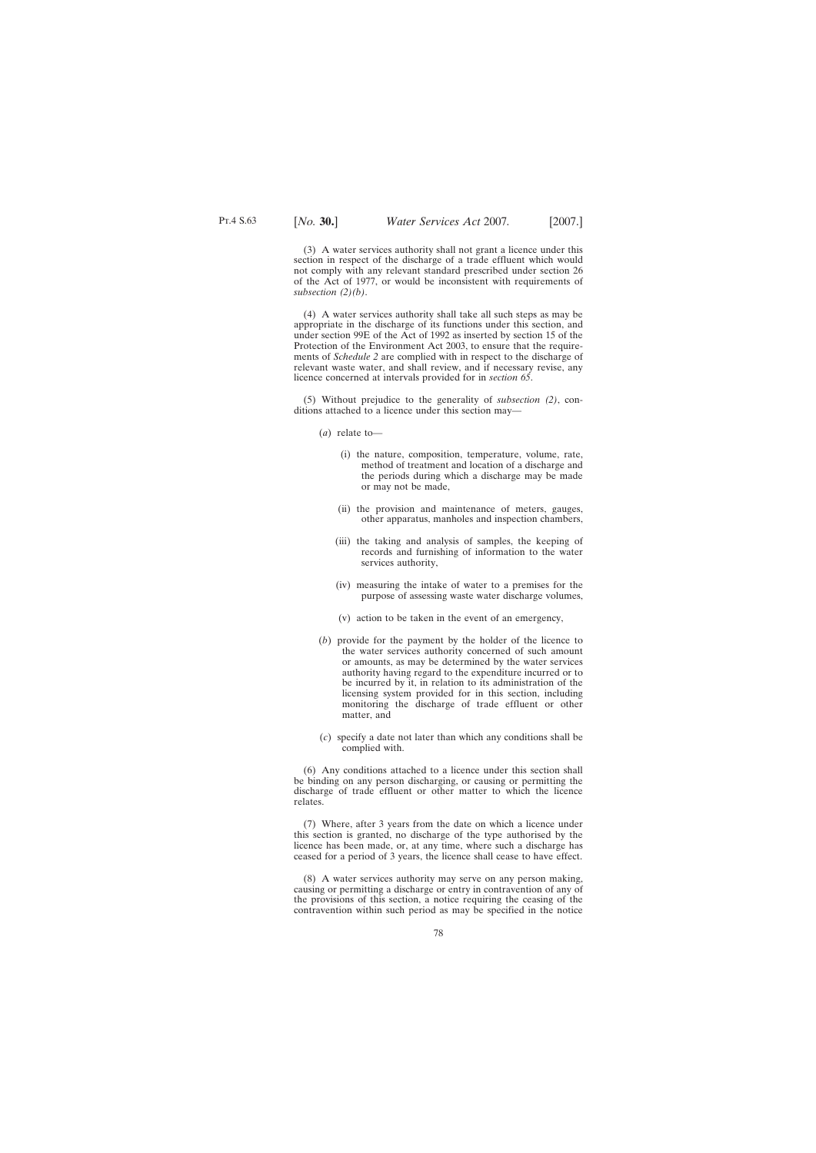(3) A water services authority shall not grant a licence under this section in respect of the discharge of a trade effluent which would not comply with any relevant standard prescribed under section 26 of the Act of 1977, or would be inconsistent with requirements of *subsection (2)(b)*.

(4) A water services authority shall take all such steps as may be appropriate in the discharge of its functions under this section, and under section 99E of the Act of 1992 as inserted by section 15 of the Protection of the Environment Act 2003, to ensure that the requirements of *Schedule 2* are complied with in respect to the discharge of relevant waste water, and shall review, and if necessary revise, any licence concerned at intervals provided for in *section 65*.

(5) Without prejudice to the generality of *subsection (2)*, conditions attached to a licence under this section may—

- (*a*) relate to—
	- (i) the nature, composition, temperature, volume, rate, method of treatment and location of a discharge and the periods during which a discharge may be made or may not be made,
	- (ii) the provision and maintenance of meters, gauges, other apparatus, manholes and inspection chambers,
	- (iii) the taking and analysis of samples, the keeping of records and furnishing of information to the water services authority,
	- (iv) measuring the intake of water to a premises for the purpose of assessing waste water discharge volumes,
	- (v) action to be taken in the event of an emergency,
- (*b*) provide for the payment by the holder of the licence to the water services authority concerned of such amount or amounts, as may be determined by the water services authority having regard to the expenditure incurred or to be incurred by it, in relation to its administration of the licensing system provided for in this section, including monitoring the discharge of trade effluent or other matter, and
- (*c*) specify a date not later than which any conditions shall be complied with.

(6) Any conditions attached to a licence under this section shall be binding on any person discharging, or causing or permitting the discharge of trade effluent or other matter to which the licence relates.

(7) Where, after 3 years from the date on which a licence under this section is granted, no discharge of the type authorised by the licence has been made, or, at any time, where such a discharge has ceased for a period of 3 years, the licence shall cease to have effect.

(8) A water services authority may serve on any person making, causing or permitting a discharge or entry in contravention of any of the provisions of this section, a notice requiring the ceasing of the contravention within such period as may be specified in the notice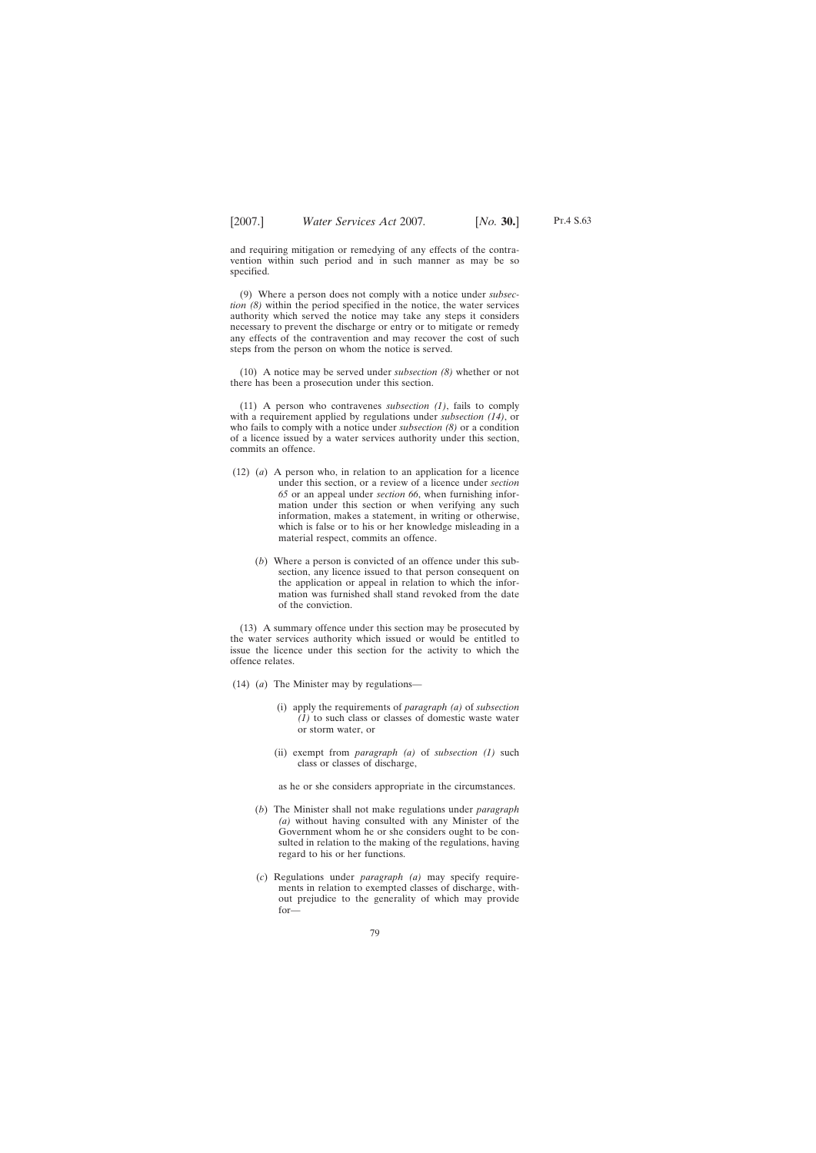and requiring mitigation or remedying of any effects of the contravention within such period and in such manner as may be so specified.

(9) Where a person does not comply with a notice under *subsection (8)* within the period specified in the notice, the water services authority which served the notice may take any steps it considers necessary to prevent the discharge or entry or to mitigate or remedy any effects of the contravention and may recover the cost of such steps from the person on whom the notice is served.

(10) A notice may be served under *subsection (8)* whether or not there has been a prosecution under this section.

(11) A person who contravenes *subsection (1)*, fails to comply with a requirement applied by regulations under *subsection (14)*, or who fails to comply with a notice under *subsection (8)* or a condition of a licence issued by a water services authority under this section, commits an offence.

- (12) (*a*) A person who, in relation to an application for a licence under this section, or a review of a licence under *section 65* or an appeal under *section 66*, when furnishing information under this section or when verifying any such information, makes a statement, in writing or otherwise, which is false or to his or her knowledge misleading in a material respect, commits an offence.
	- (*b*) Where a person is convicted of an offence under this subsection, any licence issued to that person consequent on the application or appeal in relation to which the information was furnished shall stand revoked from the date of the conviction.

(13) A summary offence under this section may be prosecuted by the water services authority which issued or would be entitled to issue the licence under this section for the activity to which the offence relates.

- (14) (*a*) The Minister may by regulations—
	- (i) apply the requirements of *paragraph (a)* of *subsection (1)* to such class or classes of domestic waste water or storm water, or
	- (ii) exempt from *paragraph (a)* of *subsection (1)* such class or classes of discharge,

as he or she considers appropriate in the circumstances.

- (*b*) The Minister shall not make regulations under *paragraph (a)* without having consulted with any Minister of the Government whom he or she considers ought to be consulted in relation to the making of the regulations, having regard to his or her functions.
- (*c*) Regulations under *paragraph (a)* may specify requirements in relation to exempted classes of discharge, without prejudice to the generality of which may provide for—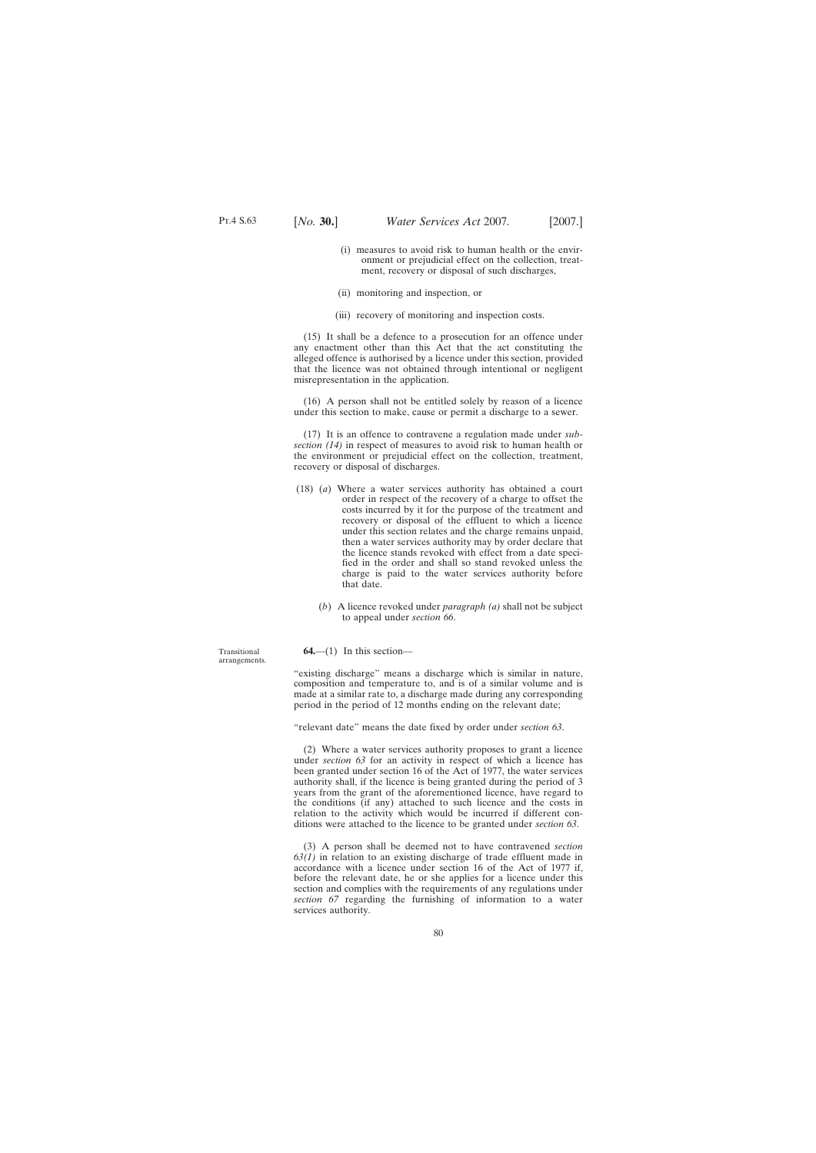- (i) measures to avoid risk to human health or the environment or prejudicial effect on the collection, treatment, recovery or disposal of such discharges,
- (ii) monitoring and inspection, or
- (iii) recovery of monitoring and inspection costs.

(15) It shall be a defence to a prosecution for an offence under any enactment other than this Act that the act constituting the alleged offence is authorised by a licence under this section, provided that the licence was not obtained through intentional or negligent misrepresentation in the application.

(16) A person shall not be entitled solely by reason of a licence under this section to make, cause or permit a discharge to a sewer.

(17) It is an offence to contravene a regulation made under *subsection (14)* in respect of measures to avoid risk to human health or the environment or prejudicial effect on the collection, treatment, recovery or disposal of discharges.

- (18) (*a*) Where a water services authority has obtained a court order in respect of the recovery of a charge to offset the costs incurred by it for the purpose of the treatment and recovery or disposal of the effluent to which a licence under this section relates and the charge remains unpaid, then a water services authority may by order declare that the licence stands revoked with effect from a date specified in the order and shall so stand revoked unless the charge is paid to the water services authority before that date.
	- (*b*) A licence revoked under *paragraph (a)* shall not be subject to appeal under *section 66*.

**64.**—(1) In this section—

"existing discharge" means a discharge which is similar in nature, composition and temperature to, and is of a similar volume and is made at a similar rate to, a discharge made during any corresponding period in the period of 12 months ending on the relevant date;

"relevant date" means the date fixed by order under *section 63*.

(2) Where a water services authority proposes to grant a licence under *section 63* for an activity in respect of which a licence has been granted under section 16 of the Act of 1977, the water services authority shall, if the licence is being granted during the period of 3 years from the grant of the aforementioned licence, have regard to the conditions (if any) attached to such licence and the costs in relation to the activity which would be incurred if different conditions were attached to the licence to be granted under *section 63*.

(3) A person shall be deemed not to have contravened *section 63(1)* in relation to an existing discharge of trade effluent made in accordance with a licence under section 16 of the Act of 1977 if, before the relevant date, he or she applies for a licence under this section and complies with the requirements of any regulations under *section 67* regarding the furnishing of information to a water services authority.

Transitional arrangements.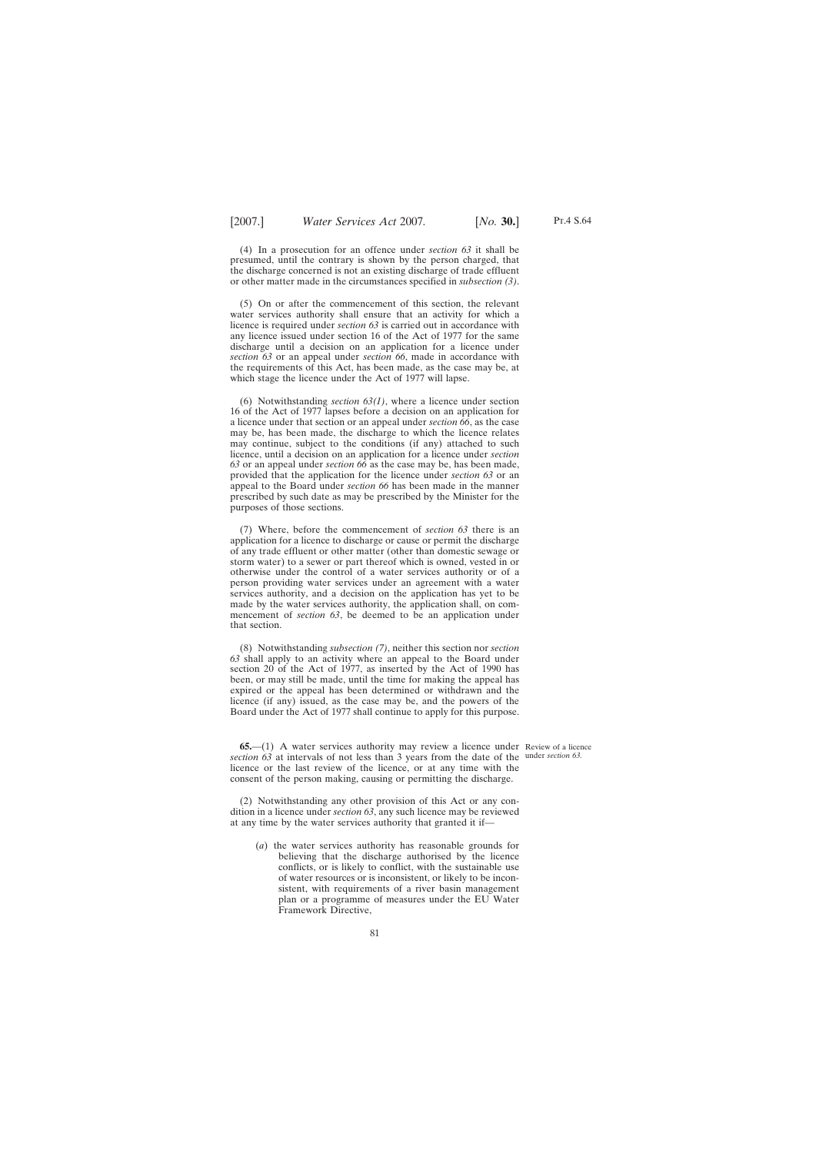(4) In a prosecution for an offence under *section 63* it shall be presumed, until the contrary is shown by the person charged, that the discharge concerned is not an existing discharge of trade effluent or other matter made in the circumstances specified in *subsection (3)*.

(5) On or after the commencement of this section, the relevant water services authority shall ensure that an activity for which a licence is required under *section 63* is carried out in accordance with any licence issued under section 16 of the Act of 1977 for the same discharge until a decision on an application for a licence under *section 63* or an appeal under *section 66*, made in accordance with the requirements of this Act, has been made, as the case may be, at which stage the licence under the Act of 1977 will lapse.

(6) Notwithstanding *section 63(1)*, where a licence under section 16 of the Act of 1977 lapses before a decision on an application for a licence under that section or an appeal under *section 66*, as the case may be, has been made, the discharge to which the licence relates may continue, subject to the conditions (if any) attached to such licence, until a decision on an application for a licence under *section 63* or an appeal under *section 66* as the case may be, has been made, provided that the application for the licence under *section 63* or an appeal to the Board under *section 66* has been made in the manner prescribed by such date as may be prescribed by the Minister for the purposes of those sections.

(7) Where, before the commencement of *section 63* there is an application for a licence to discharge or cause or permit the discharge of any trade effluent or other matter (other than domestic sewage or storm water) to a sewer or part thereof which is owned, vested in or otherwise under the control of a water services authority or of a person providing water services under an agreement with a water services authority, and a decision on the application has yet to be made by the water services authority, the application shall, on commencement of *section 63*, be deemed to be an application under that section.

(8) Notwithstanding *subsection (7)*, neither this section nor *section 63* shall apply to an activity where an appeal to the Board under section 20 of the Act of 1977, as inserted by the Act of 1990 has been, or may still be made, until the time for making the appeal has expired or the appeal has been determined or withdrawn and the licence (if any) issued, as the case may be, and the powers of the Board under the Act of 1977 shall continue to apply for this purpose.

**65.**—(1) A water services authority may review a licence under Review of a licence *section 63* at intervals of not less than 3 years from the date of the under *section 63.*licence or the last review of the licence, or at any time with the consent of the person making, causing or permitting the discharge.

(2) Notwithstanding any other provision of this Act or any condition in a licence under *section 63*, any such licence may be reviewed at any time by the water services authority that granted it if—

(*a*) the water services authority has reasonable grounds for believing that the discharge authorised by the licence conflicts, or is likely to conflict, with the sustainable use of water resources or is inconsistent, or likely to be inconsistent, with requirements of a river basin management plan or a programme of measures under the EU Water Framework Directive,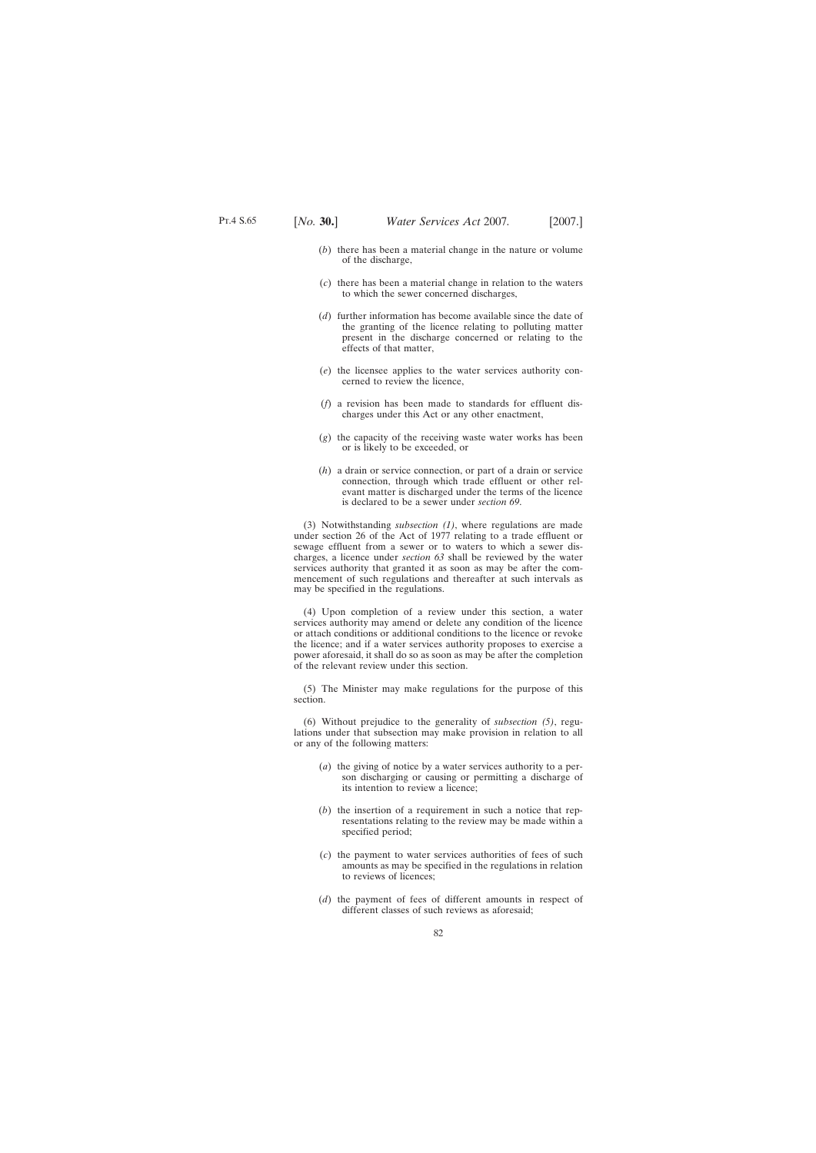- (*b*) there has been a material change in the nature or volume of the discharge,
- (*c*) there has been a material change in relation to the waters to which the sewer concerned discharges,
- (*d*) further information has become available since the date of the granting of the licence relating to polluting matter present in the discharge concerned or relating to the effects of that matter,
- (*e*) the licensee applies to the water services authority concerned to review the licence,
- (*f*) a revision has been made to standards for effluent discharges under this Act or any other enactment,
- (*g*) the capacity of the receiving waste water works has been or is likely to be exceeded, or
- (*h*) a drain or service connection, or part of a drain or service connection, through which trade effluent or other relevant matter is discharged under the terms of the licence is declared to be a sewer under *section 69*.

(3) Notwithstanding *subsection (1)*, where regulations are made under section 26 of the Act of 1977 relating to a trade effluent or sewage effluent from a sewer or to waters to which a sewer discharges, a licence under *section 63* shall be reviewed by the water services authority that granted it as soon as may be after the commencement of such regulations and thereafter at such intervals as may be specified in the regulations.

(4) Upon completion of a review under this section, a water services authority may amend or delete any condition of the licence or attach conditions or additional conditions to the licence or revoke the licence; and if a water services authority proposes to exercise a power aforesaid, it shall do so as soon as may be after the completion of the relevant review under this section.

(5) The Minister may make regulations for the purpose of this section.

(6) Without prejudice to the generality of *subsection (5)*, regulations under that subsection may make provision in relation to all or any of the following matters:

- (*a*) the giving of notice by a water services authority to a person discharging or causing or permitting a discharge of its intention to review a licence;
- (*b*) the insertion of a requirement in such a notice that representations relating to the review may be made within a specified period;
- (*c*) the payment to water services authorities of fees of such amounts as may be specified in the regulations in relation to reviews of licences;
- (*d*) the payment of fees of different amounts in respect of different classes of such reviews as aforesaid;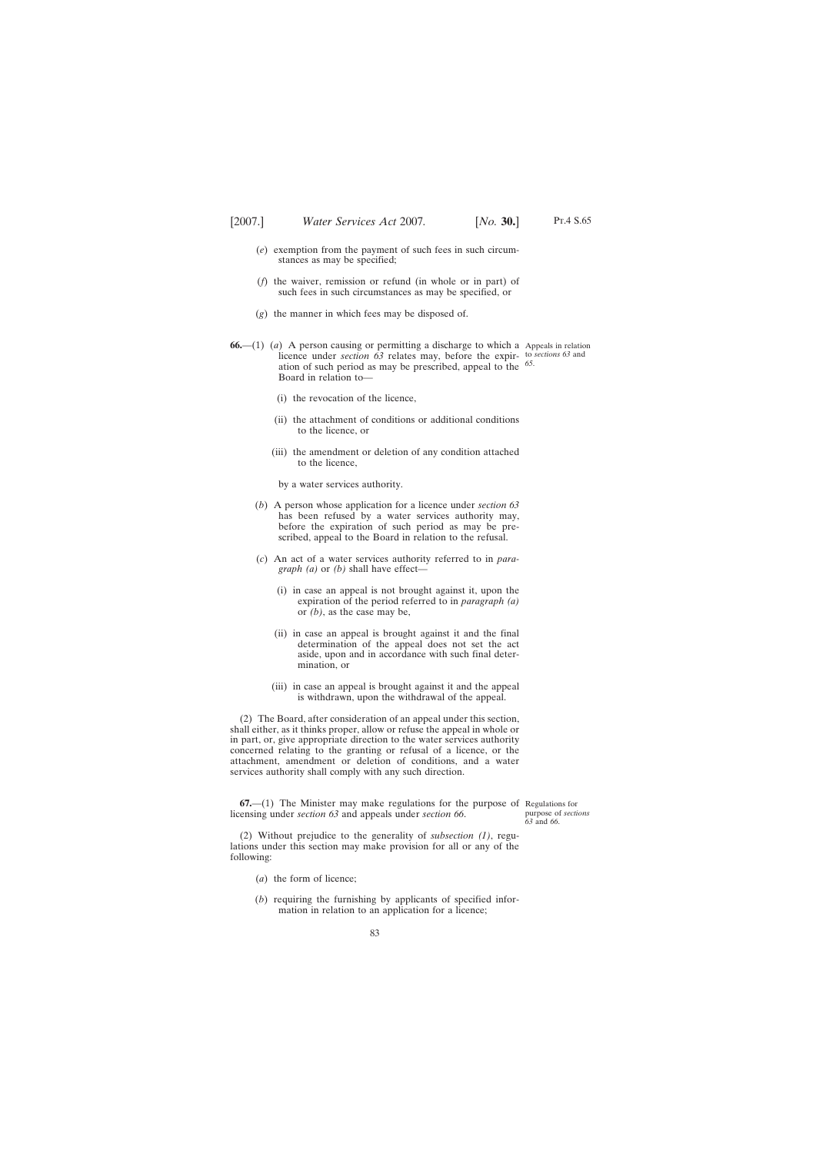- (*e*) exemption from the payment of such fees in such circumstances as may be specified;
- (*f*) the waiver, remission or refund (in whole or in part) of such fees in such circumstances as may be specified, or
- (*g*) the manner in which fees may be disposed of.
- **66.**—(1) (*a*) A person causing or permitting a discharge to which a Appeals in relation licence under *section* 63 relates may, before the expir- to *sections* 63 and ation of such period as may be prescribed, appeal to the *65*. Board in relation to—
	- (i) the revocation of the licence,
	- (ii) the attachment of conditions or additional conditions to the licence, or
	- (iii) the amendment or deletion of any condition attached to the licence,
		- by a water services authority.
	- (*b*) A person whose application for a licence under *section 63* has been refused by a water services authority may, before the expiration of such period as may be prescribed, appeal to the Board in relation to the refusal.
	- (*c*) An act of a water services authority referred to in *paragraph (a)* or *(b)* shall have effect—
		- (i) in case an appeal is not brought against it, upon the expiration of the period referred to in *paragraph (a)* or *(b)*, as the case may be,
		- (ii) in case an appeal is brought against it and the final determination of the appeal does not set the act aside, upon and in accordance with such final determination, or
		- (iii) in case an appeal is brought against it and the appeal is withdrawn, upon the withdrawal of the appeal.

(2) The Board, after consideration of an appeal under this section, shall either, as it thinks proper, allow or refuse the appeal in whole or in part, or, give appropriate direction to the water services authority concerned relating to the granting or refusal of a licence, or the attachment, amendment or deletion of conditions, and a water services authority shall comply with any such direction.

**67.**—(1) The Minister may make regulations for the purpose of Regulations for licensing under *section 63* and appeals under *section 66*.

purpose of *sections 63* and *66*.

(2) Without prejudice to the generality of *subsection (1)*, regulations under this section may make provision for all or any of the following:

- (*a*) the form of licence;
- (*b*) requiring the furnishing by applicants of specified information in relation to an application for a licence;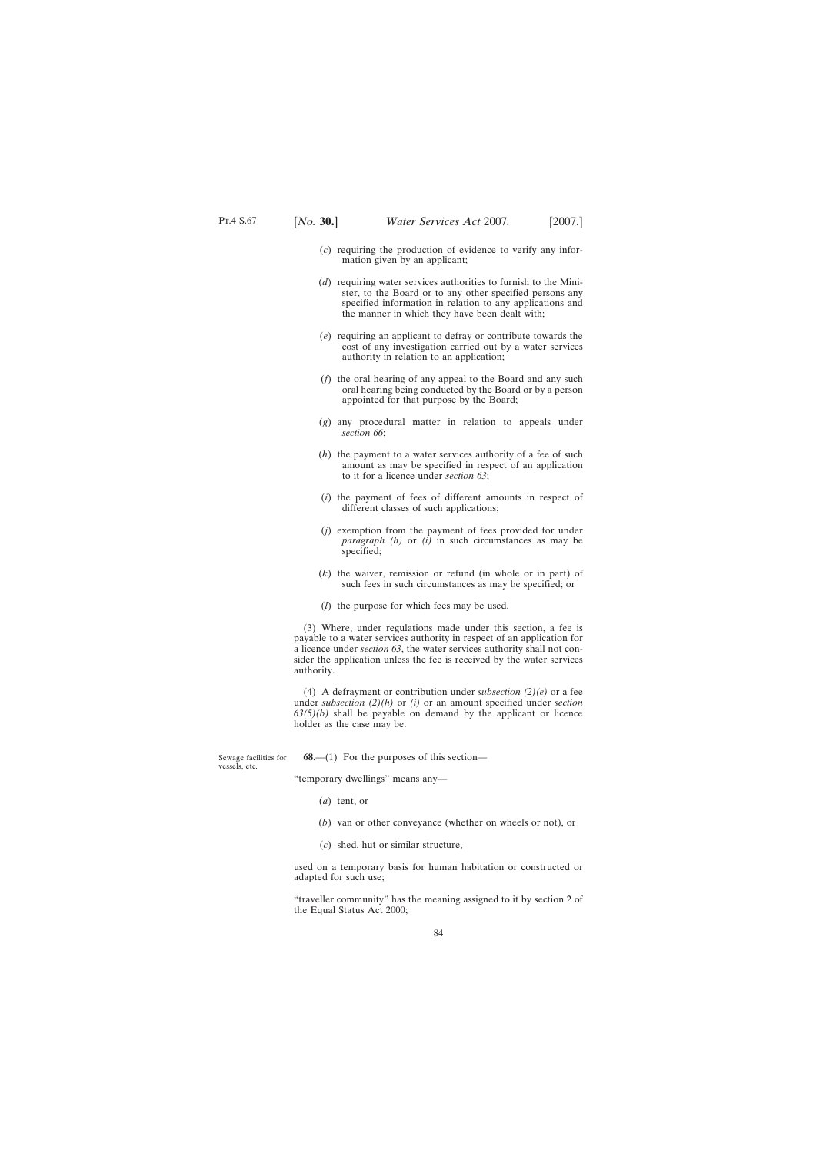- (*c*) requiring the production of evidence to verify any information given by an applicant;
- (*d*) requiring water services authorities to furnish to the Minister, to the Board or to any other specified persons any specified information in relation to any applications and the manner in which they have been dealt with;
- (*e*) requiring an applicant to defray or contribute towards the cost of any investigation carried out by a water services authority in relation to an application;
- (*f*) the oral hearing of any appeal to the Board and any such oral hearing being conducted by the Board or by a person appointed for that purpose by the Board;
- (*g*) any procedural matter in relation to appeals under *section 66*;
- (*h*) the payment to a water services authority of a fee of such amount as may be specified in respect of an application to it for a licence under *section 63*;
- (*i*) the payment of fees of different amounts in respect of different classes of such applications;
- (*j*) exemption from the payment of fees provided for under *paragraph (h)* or *(i)* in such circumstances as may be specified;
- (*k*) the waiver, remission or refund (in whole or in part) of such fees in such circumstances as may be specified; or
- (*l*) the purpose for which fees may be used.

(3) Where, under regulations made under this section, a fee is payable to a water services authority in respect of an application for a licence under *section 63*, the water services authority shall not consider the application unless the fee is received by the water services authority.

(4) A defrayment or contribution under *subsection (2)(e)* or a fee under *subsection (2)(h)* or *(i)* or an amount specified under *section 63(5)(b)* shall be payable on demand by the applicant or licence holder as the case may be.

**68.—(1)** For the purposes of this section—

"temporary dwellings" means any—

- (*a*) tent, or
- (*b*) van or other conveyance (whether on wheels or not), or
- (*c*) shed, hut or similar structure,

used on a temporary basis for human habitation or constructed or adapted for such use;

"traveller community" has the meaning assigned to it by section 2 of the Equal Status Act 2000;

Sewage facilities for vessels, etc.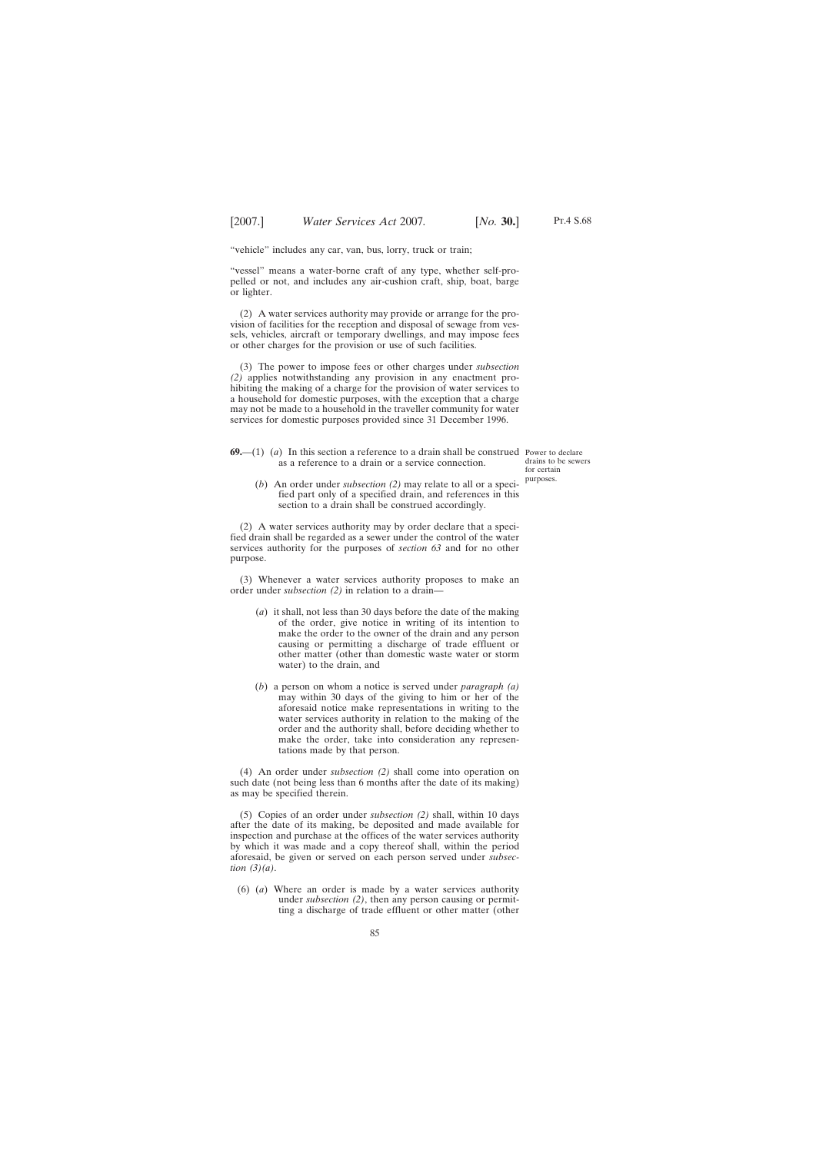"vehicle" includes any car, van, bus, lorry, truck or train;

"vessel" means a water-borne craft of any type, whether self-propelled or not, and includes any air-cushion craft, ship, boat, barge or lighter.

(2) A water services authority may provide or arrange for the provision of facilities for the reception and disposal of sewage from vessels, vehicles, aircraft or temporary dwellings, and may impose fees or other charges for the provision or use of such facilities.

(3) The power to impose fees or other charges under *subsection (2)* applies notwithstanding any provision in any enactment prohibiting the making of a charge for the provision of water services to a household for domestic purposes, with the exception that a charge may not be made to a household in the traveller community for water services for domestic purposes provided since 31 December 1996.

**69.**—(1) (*a*) In this section a reference to a drain shall be construed Power to declare as a reference to a drain or a service connection.

drains to be sewers for certain purposes.

(*b*) An order under *subsection (2)* may relate to all or a specified part only of a specified drain, and references in this section to a drain shall be construed accordingly.

(2) A water services authority may by order declare that a specified drain shall be regarded as a sewer under the control of the water services authority for the purposes of *section 63* and for no other purpose.

(3) Whenever a water services authority proposes to make an order under *subsection (2)* in relation to a drain—

- (*a*) it shall, not less than 30 days before the date of the making of the order, give notice in writing of its intention to make the order to the owner of the drain and any person causing or permitting a discharge of trade effluent or other matter (other than domestic waste water or storm water) to the drain, and
- (*b*) a person on whom a notice is served under *paragraph (a)* may within 30 days of the giving to him or her of the aforesaid notice make representations in writing to the water services authority in relation to the making of the order and the authority shall, before deciding whether to make the order, take into consideration any representations made by that person.

(4) An order under *subsection (2)* shall come into operation on such date (not being less than 6 months after the date of its making) as may be specified therein.

(5) Copies of an order under *subsection (2)* shall, within 10 days after the date of its making, be deposited and made available for inspection and purchase at the offices of the water services authority by which it was made and a copy thereof shall, within the period aforesaid, be given or served on each person served under *subsection (3)(a)*.

(6) (*a*) Where an order is made by a water services authority under *subsection (2)*, then any person causing or permitting a discharge of trade effluent or other matter (other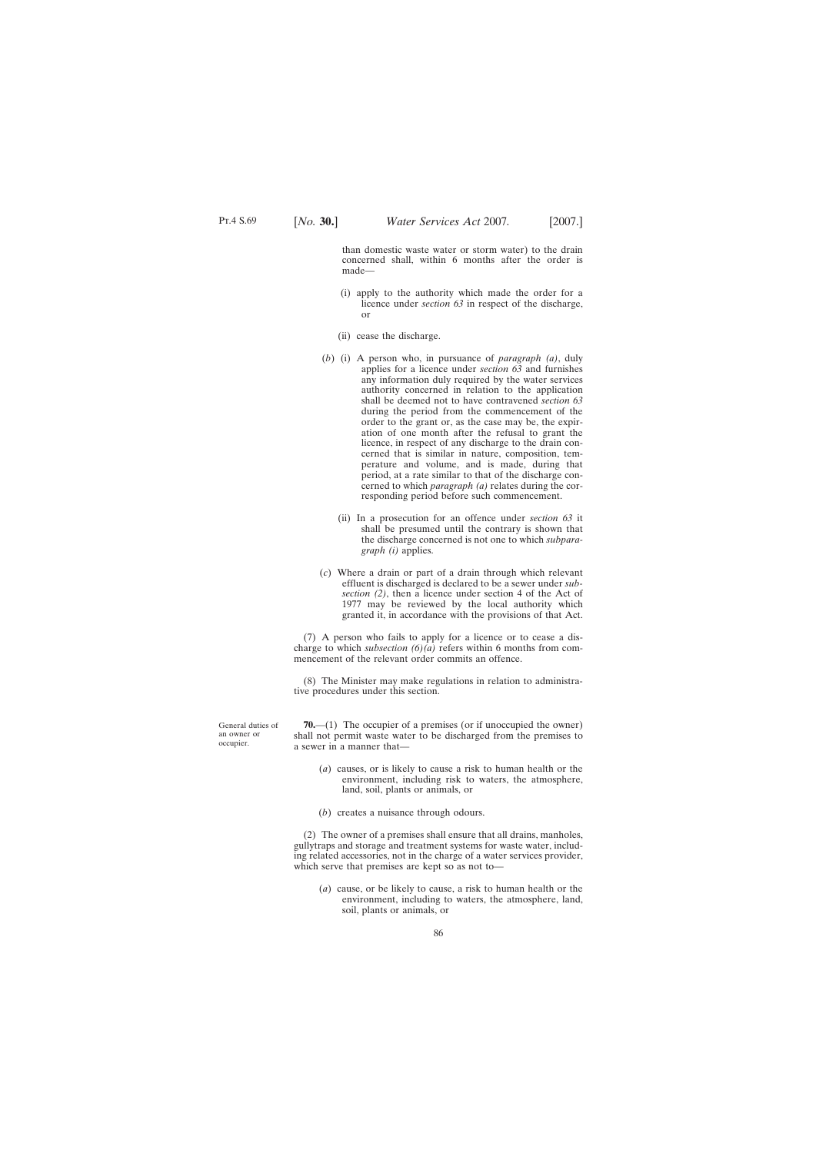than domestic waste water or storm water) to the drain concerned shall, within 6 months after the order is made—

- (i) apply to the authority which made the order for a licence under *section 63* in respect of the discharge, or
- (ii) cease the discharge.
- (*b*) (i) A person who, in pursuance of *paragraph (a)*, duly applies for a licence under *section 63* and furnishes any information duly required by the water services authority concerned in relation to the application shall be deemed not to have contravened *section 63* during the period from the commencement of the order to the grant or, as the case may be, the expiration of one month after the refusal to grant the licence, in respect of any discharge to the drain concerned that is similar in nature, composition, temperature and volume, and is made, during that period, at a rate similar to that of the discharge concerned to which *paragraph (a)* relates during the corresponding period before such commencement.
	- (ii) In a prosecution for an offence under *section 63* it shall be presumed until the contrary is shown that the discharge concerned is not one to which *subparagraph (i)* applies.
- (*c*) Where a drain or part of a drain through which relevant effluent is discharged is declared to be a sewer under *subsection (2)*, then a licence under section 4 of the Act of 1977 may be reviewed by the local authority which granted it, in accordance with the provisions of that Act.

(7) A person who fails to apply for a licence or to cease a discharge to which *subsection (6)(a)* refers within 6 months from commencement of the relevant order commits an offence.

(8) The Minister may make regulations in relation to administrative procedures under this section.

**70.**—(1) The occupier of a premises (or if unoccupied the owner) shall not permit waste water to be discharged from the premises to a sewer in a manner that—

- (*a*) causes, or is likely to cause a risk to human health or the environment, including risk to waters, the atmosphere, land, soil, plants or animals, or
- (*b*) creates a nuisance through odours.

(2) The owner of a premises shall ensure that all drains, manholes, gullytraps and storage and treatment systems for waste water, including related accessories, not in the charge of a water services provider, which serve that premises are kept so as not to—

(*a*) cause, or be likely to cause, a risk to human health or the environment, including to waters, the atmosphere, land, soil, plants or animals, or

General duties of an owner or occupier.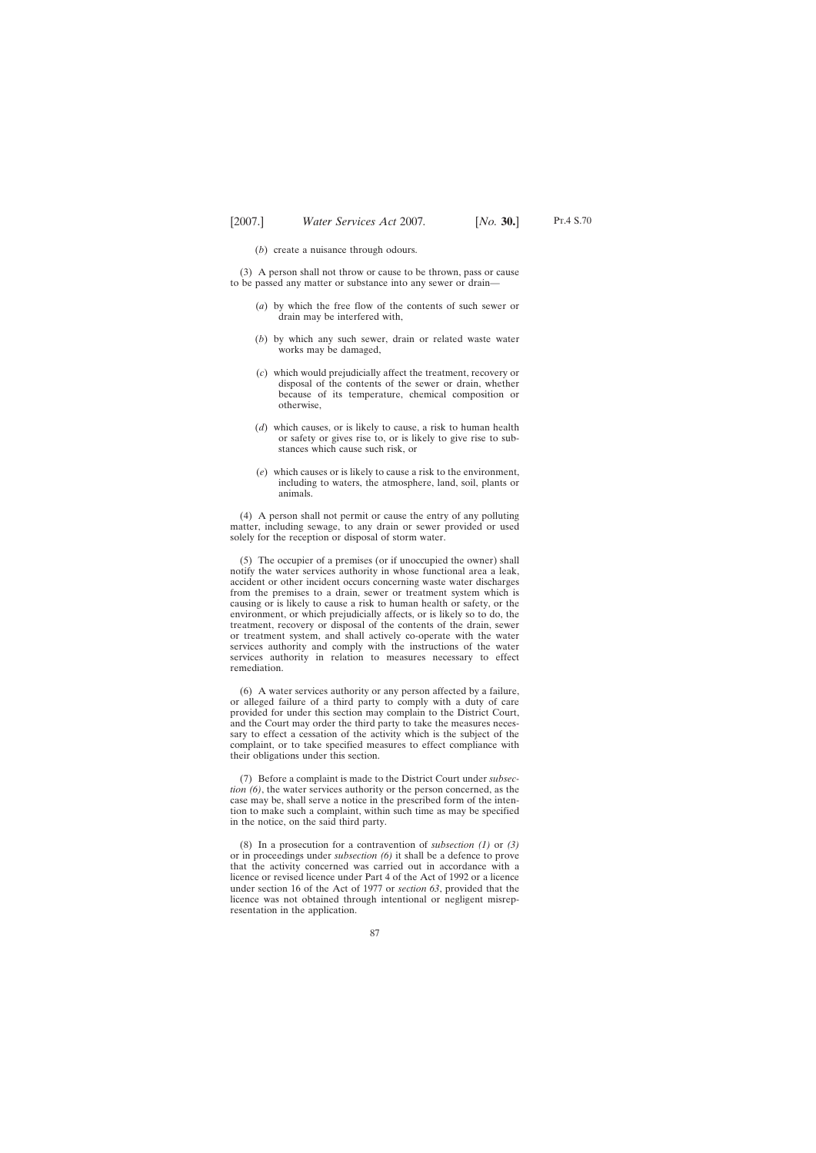(*b*) create a nuisance through odours.

(3) A person shall not throw or cause to be thrown, pass or cause to be passed any matter or substance into any sewer or drain—

- (*a*) by which the free flow of the contents of such sewer or drain may be interfered with,
- (*b*) by which any such sewer, drain or related waste water works may be damaged,
- (*c*) which would prejudicially affect the treatment, recovery or disposal of the contents of the sewer or drain, whether because of its temperature, chemical composition or otherwise,
- (*d*) which causes, or is likely to cause, a risk to human health or safety or gives rise to, or is likely to give rise to substances which cause such risk, or
- (*e*) which causes or is likely to cause a risk to the environment, including to waters, the atmosphere, land, soil, plants or animals.

(4) A person shall not permit or cause the entry of any polluting matter, including sewage, to any drain or sewer provided or used solely for the reception or disposal of storm water.

(5) The occupier of a premises (or if unoccupied the owner) shall notify the water services authority in whose functional area a leak, accident or other incident occurs concerning waste water discharges from the premises to a drain, sewer or treatment system which is causing or is likely to cause a risk to human health or safety, or the environment, or which prejudicially affects, or is likely so to do, the treatment, recovery or disposal of the contents of the drain, sewer or treatment system, and shall actively co-operate with the water services authority and comply with the instructions of the water services authority in relation to measures necessary to effect remediation.

(6) A water services authority or any person affected by a failure, or alleged failure of a third party to comply with a duty of care provided for under this section may complain to the District Court, and the Court may order the third party to take the measures necessary to effect a cessation of the activity which is the subject of the complaint, or to take specified measures to effect compliance with their obligations under this section.

(7) Before a complaint is made to the District Court under *subsection (6)*, the water services authority or the person concerned, as the case may be, shall serve a notice in the prescribed form of the intention to make such a complaint, within such time as may be specified in the notice, on the said third party.

(8) In a prosecution for a contravention of *subsection (1)* or *(3)* or in proceedings under *subsection (6)* it shall be a defence to prove that the activity concerned was carried out in accordance with a licence or revised licence under Part 4 of the Act of 1992 or a licence under section 16 of the Act of 1977 or *section 63*, provided that the licence was not obtained through intentional or negligent misrepresentation in the application.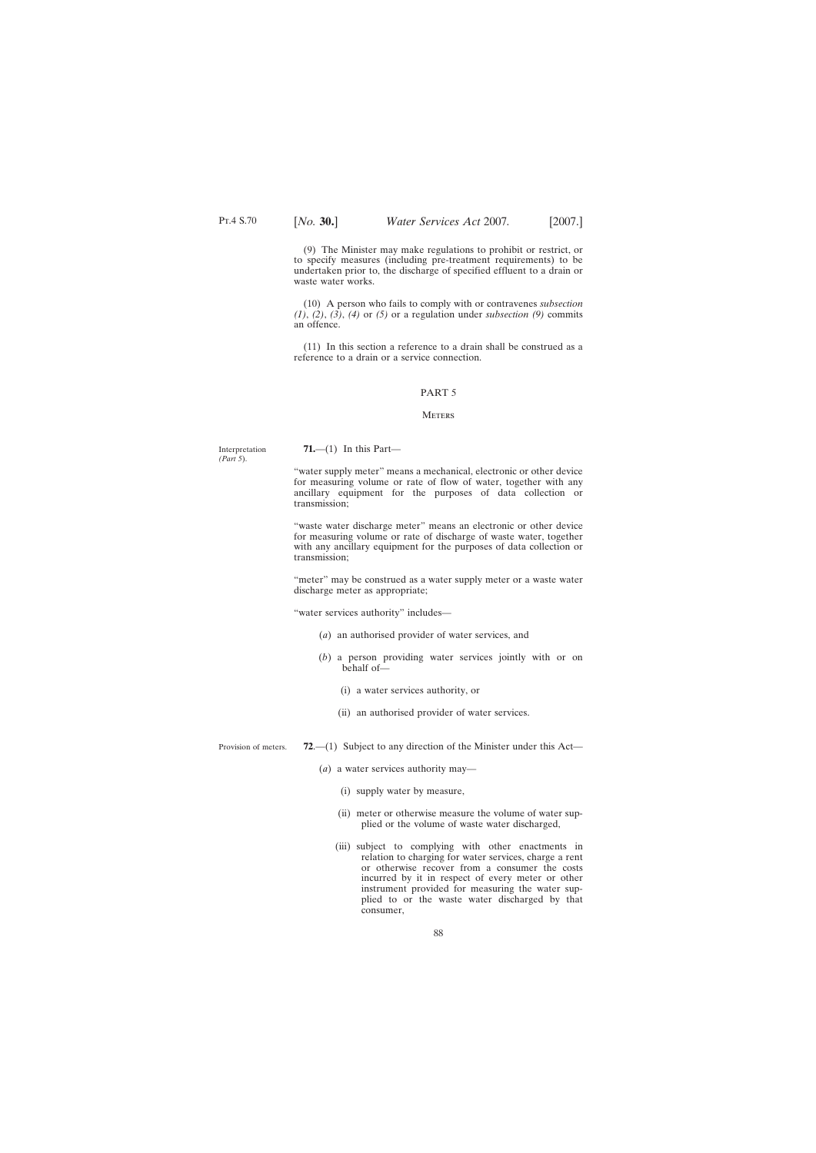(9) The Minister may make regulations to prohibit or restrict, or to specify measures (including pre-treatment requirements) to be undertaken prior to, the discharge of specified effluent to a drain or waste water works.

(10) A person who fails to comply with or contravenes *subsection (1)*, *(2)*, *(3)*, *(4)* or *(5)* or a regulation under *subsection (9)* commits an offence.

(11) In this section a reference to a drain shall be construed as a reference to a drain or a service connection.

# PART 5

### **METERS**

Interpretation *(Part 5*).

**71.**—(1) In this Part—

"water supply meter" means a mechanical, electronic or other device for measuring volume or rate of flow of water, together with any ancillary equipment for the purposes of data collection or transmission;

"waste water discharge meter" means an electronic or other device for measuring volume or rate of discharge of waste water, together with any ancillary equipment for the purposes of data collection or transmission;

"meter" may be construed as a water supply meter or a waste water discharge meter as appropriate;

"water services authority" includes—

- (*a*) an authorised provider of water services, and
- (*b*) a person providing water services jointly with or on behalf of—
	- (i) a water services authority, or
	- (ii) an authorised provider of water services.

Provision of meters. **72**.—(1) Subject to any direction of the Minister under this Act—

- (*a*) a water services authority may—
	- (i) supply water by measure,
	- (ii) meter or otherwise measure the volume of water supplied or the volume of waste water discharged,
	- (iii) subject to complying with other enactments in relation to charging for water services, charge a rent or otherwise recover from a consumer the costs incurred by it in respect of every meter or other instrument provided for measuring the water supplied to or the waste water discharged by that consumer,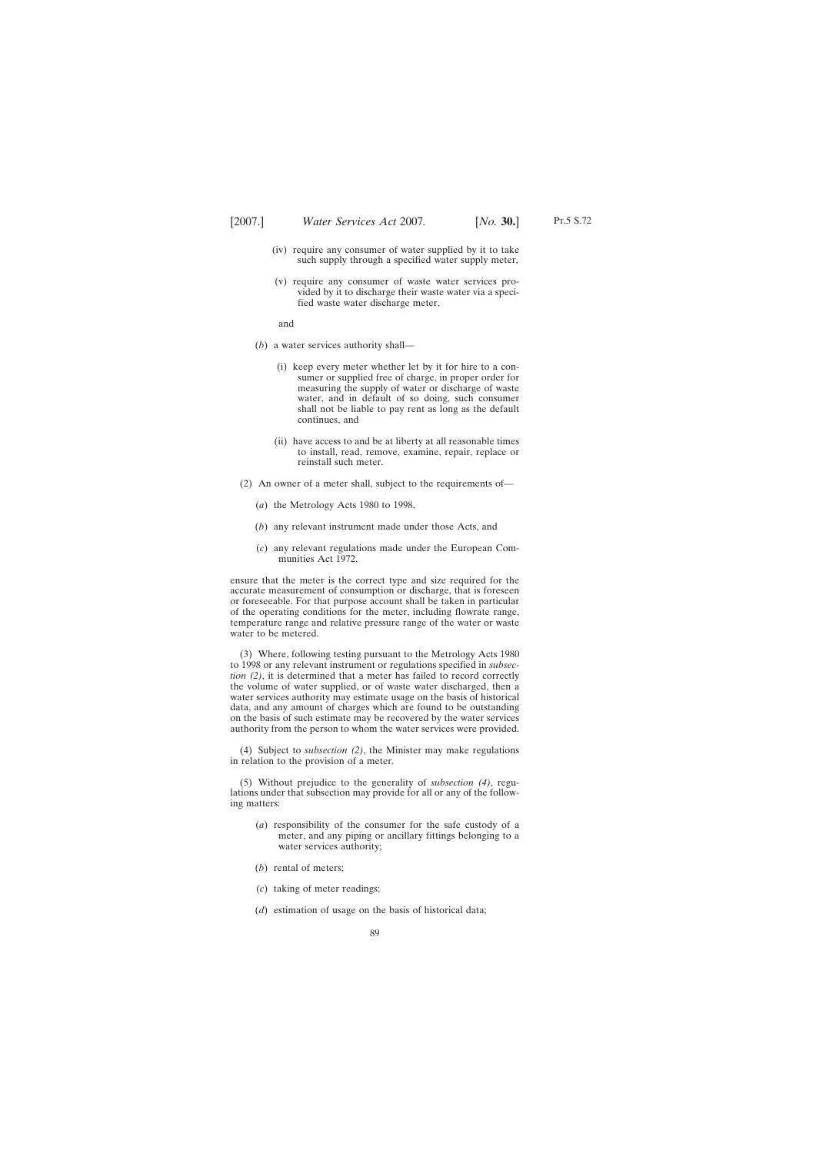- Pt.5 S.72
- (iv) require any consumer of water supplied by it to take such supply through a specified water supply meter,
- (v) require any consumer of waste water services provided by it to discharge their waste water via a specified waste water discharge meter,

and

- (*b*) a water services authority shall—
	- (i) keep every meter whether let by it for hire to a consumer or supplied free of charge, in proper order for measuring the supply of water or discharge of waste water, and in default of so doing, such consumer shall not be liable to pay rent as long as the default continues, and
	- (ii) have access to and be at liberty at all reasonable times to install, read, remove, examine, repair, replace or reinstall such meter.
- (2) An owner of a meter shall, subject to the requirements of—
	- (*a*) the Metrology Acts 1980 to 1998,
	- (*b*) any relevant instrument made under those Acts, and
	- (*c*) any relevant regulations made under the European Communities Act 1972,

ensure that the meter is the correct type and size required for the accurate measurement of consumption or discharge, that is foreseen or foreseeable. For that purpose account shall be taken in particular of the operating conditions for the meter, including flowrate range, temperature range and relative pressure range of the water or waste water to be metered.

(3) Where, following testing pursuant to the Metrology Acts 1980 to 1998 or any relevant instrument or regulations specified in *subsection (2)*, it is determined that a meter has failed to record correctly the volume of water supplied, or of waste water discharged, then a water services authority may estimate usage on the basis of historical data, and any amount of charges which are found to be outstanding on the basis of such estimate may be recovered by the water services authority from the person to whom the water services were provided.

(4) Subject to *subsection (2)*, the Minister may make regulations in relation to the provision of a meter.

(5) Without prejudice to the generality of *subsection (4)*, regulations under that subsection may provide for all or any of the following matters:

- (*a*) responsibility of the consumer for the safe custody of a meter, and any piping or ancillary fittings belonging to a water services authority;
- (*b*) rental of meters;
- (*c*) taking of meter readings;
- (*d*) estimation of usage on the basis of historical data;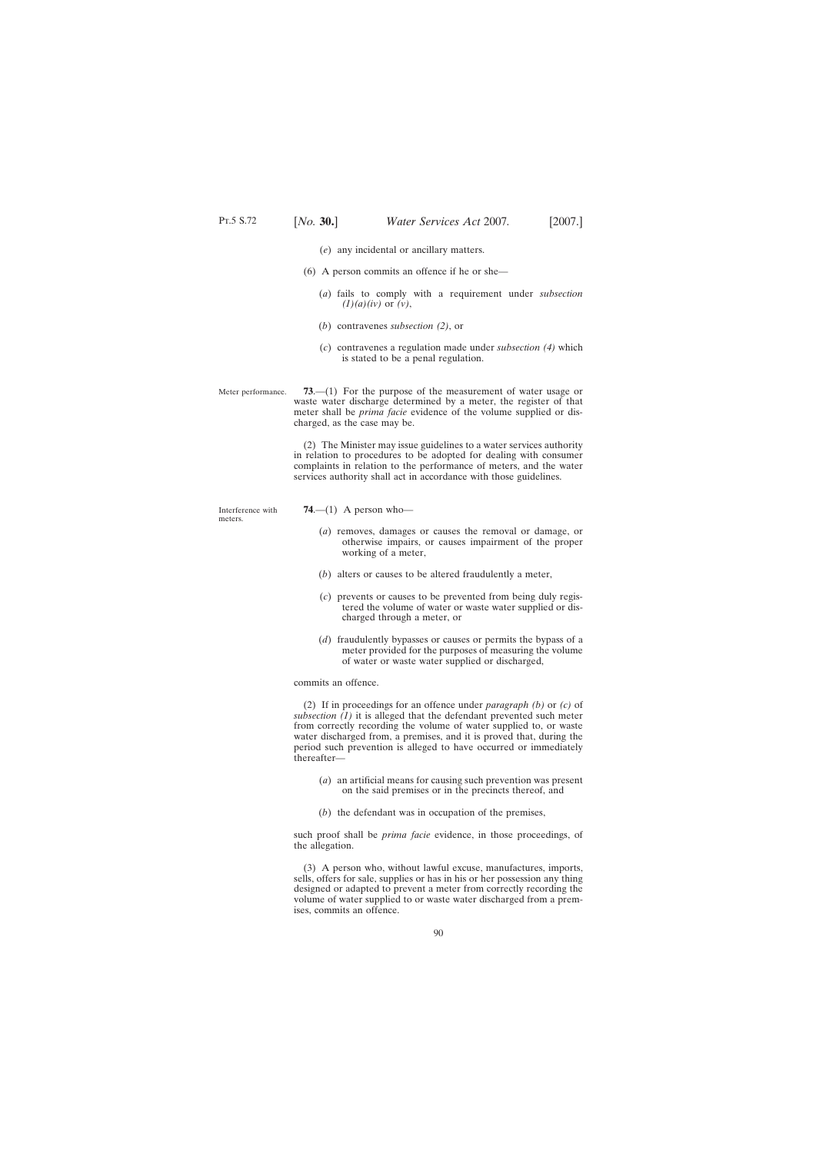- (*e*) any incidental or ancillary matters.
- (6) A person commits an offence if he or she—
	- (*a*) fails to comply with a requirement under *subsection (1)(a)(iv)* or *(v)*,
	- (*b*) contravenes *subsection (2)*, or
	- (*c*) contravenes a regulation made under *subsection (4)* which is stated to be a penal regulation.
- Meter performance. **73**.—(1) For the purpose of the measurement of water usage or waste water discharge determined by a meter, the register of that meter shall be *prima facie* evidence of the volume supplied or discharged, as the case may be.

(2) The Minister may issue guidelines to a water services authority in relation to procedures to be adopted for dealing with consumer complaints in relation to the performance of meters, and the water services authority shall act in accordance with those guidelines.

Interference with meters.

- **74**.—(1) A person who—
	- (*a*) removes, damages or causes the removal or damage, or otherwise impairs, or causes impairment of the proper working of a meter,
	- (*b*) alters or causes to be altered fraudulently a meter,
	- (*c*) prevents or causes to be prevented from being duly registered the volume of water or waste water supplied or discharged through a meter, or
	- (*d*) fraudulently bypasses or causes or permits the bypass of a meter provided for the purposes of measuring the volume of water or waste water supplied or discharged,

commits an offence.

(2) If in proceedings for an offence under *paragraph (b)* or *(c)* of *subsection (1)* it is alleged that the defendant prevented such meter from correctly recording the volume of water supplied to, or waste water discharged from, a premises, and it is proved that, during the period such prevention is alleged to have occurred or immediately thereafter—

- (*a*) an artificial means for causing such prevention was present on the said premises or in the precincts thereof, and
- (*b*) the defendant was in occupation of the premises,

such proof shall be *prima facie* evidence, in those proceedings, of the allegation.

(3) A person who, without lawful excuse, manufactures, imports, sells, offers for sale, supplies or has in his or her possession any thing designed or adapted to prevent a meter from correctly recording the volume of water supplied to or waste water discharged from a premises, commits an offence.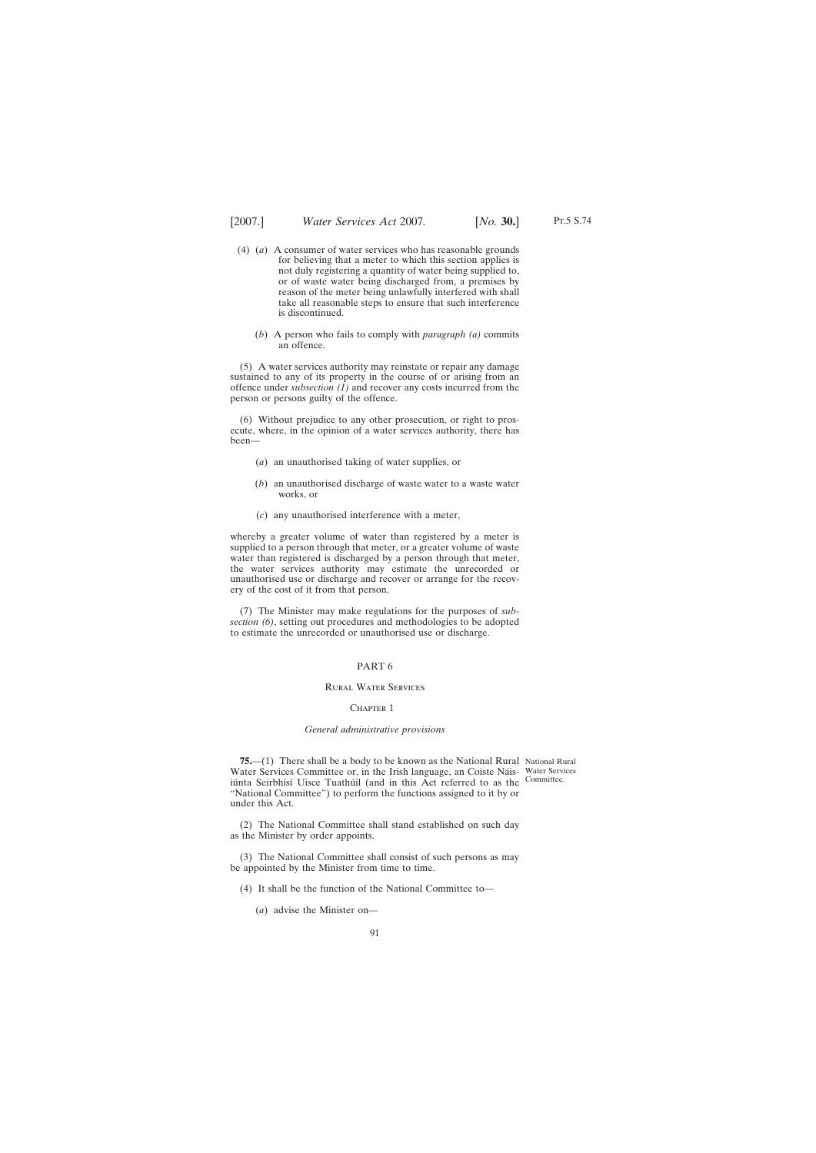- (4) (*a*) A consumer of water services who has reasonable grounds for believing that a meter to which this section applies is not duly registering a quantity of water being supplied to, or of waste water being discharged from, a premises by reason of the meter being unlawfully interfered with shall take all reasonable steps to ensure that such interference is discontinued.
	- (*b*) A person who fails to comply with *paragraph (a)* commits an offence.

(5) A water services authority may reinstate or repair any damage sustained to any of its property in the course of or arising from an offence under *subsection (1)* and recover any costs incurred from the person or persons guilty of the offence.

(6) Without prejudice to any other prosecution, or right to prosecute, where, in the opinion of a water services authority, there has been—

- (*a*) an unauthorised taking of water supplies, or
- (*b*) an unauthorised discharge of waste water to a waste water works, or
- (*c*) any unauthorised interference with a meter,

whereby a greater volume of water than registered by a meter is supplied to a person through that meter, or a greater volume of waste water than registered is discharged by a person through that meter, the water services authority may estimate the unrecorded or unauthorised use or discharge and recover or arrange for the recovery of the cost of it from that person.

(7) The Minister may make regulations for the purposes of *subsection (6)*, setting out procedures and methodologies to be adopted to estimate the unrecorded or unauthorised use or discharge.

## PART 6

# Rural Water Services

#### CHAPTER 1

## *General administrative provisions*

**75.**—(1) There shall be a body to be known as the National Rural National Rural Water Services Committee or, in the Irish language, an Coiste Náis-Water Services iúnta Seirbhísí Uisce Tuathúil (and in this Act referred to as the Committee. "National Committee") to perform the functions assigned to it by or under this Act.

(2) The National Committee shall stand established on such day as the Minister by order appoints.

(3) The National Committee shall consist of such persons as may be appointed by the Minister from time to time.

(4) It shall be the function of the National Committee to—

(*a*) advise the Minister on—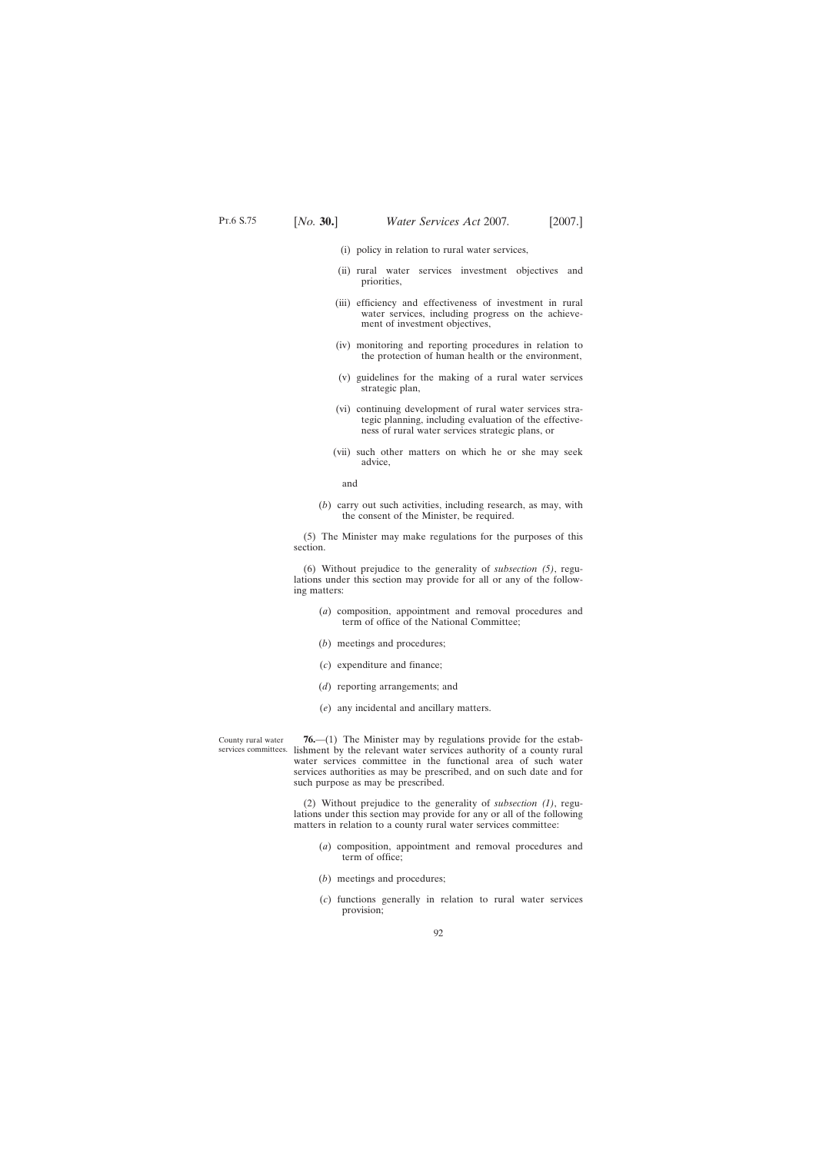- (i) policy in relation to rural water services,
- (ii) rural water services investment objectives and priorities,
- (iii) efficiency and effectiveness of investment in rural water services, including progress on the achievement of investment objectives,
- (iv) monitoring and reporting procedures in relation to the protection of human health or the environment,
- (v) guidelines for the making of a rural water services strategic plan,
- (vi) continuing development of rural water services strategic planning, including evaluation of the effectiveness of rural water services strategic plans, or
- (vii) such other matters on which he or she may seek advice,

and

(*b*) carry out such activities, including research, as may, with the consent of the Minister, be required.

(5) The Minister may make regulations for the purposes of this section.

(6) Without prejudice to the generality of *subsection (5)*, regulations under this section may provide for all or any of the following matters:

- (*a*) composition, appointment and removal procedures and term of office of the National Committee;
- (*b*) meetings and procedures;
- (*c*) expenditure and finance;
- (*d*) reporting arrangements; and
- (*e*) any incidental and ancillary matters.

County rural water services committees. lishment by the relevant water services authority of a county rural **76.**—(1) The Minister may by regulations provide for the estabwater services committee in the functional area of such water services authorities as may be prescribed, and on such date and for such purpose as may be prescribed.

> (2) Without prejudice to the generality of *subsection (1)*, regulations under this section may provide for any or all of the following matters in relation to a county rural water services committee:

- (*a*) composition, appointment and removal procedures and term of office;
- (*b*) meetings and procedures;
- (*c*) functions generally in relation to rural water services provision;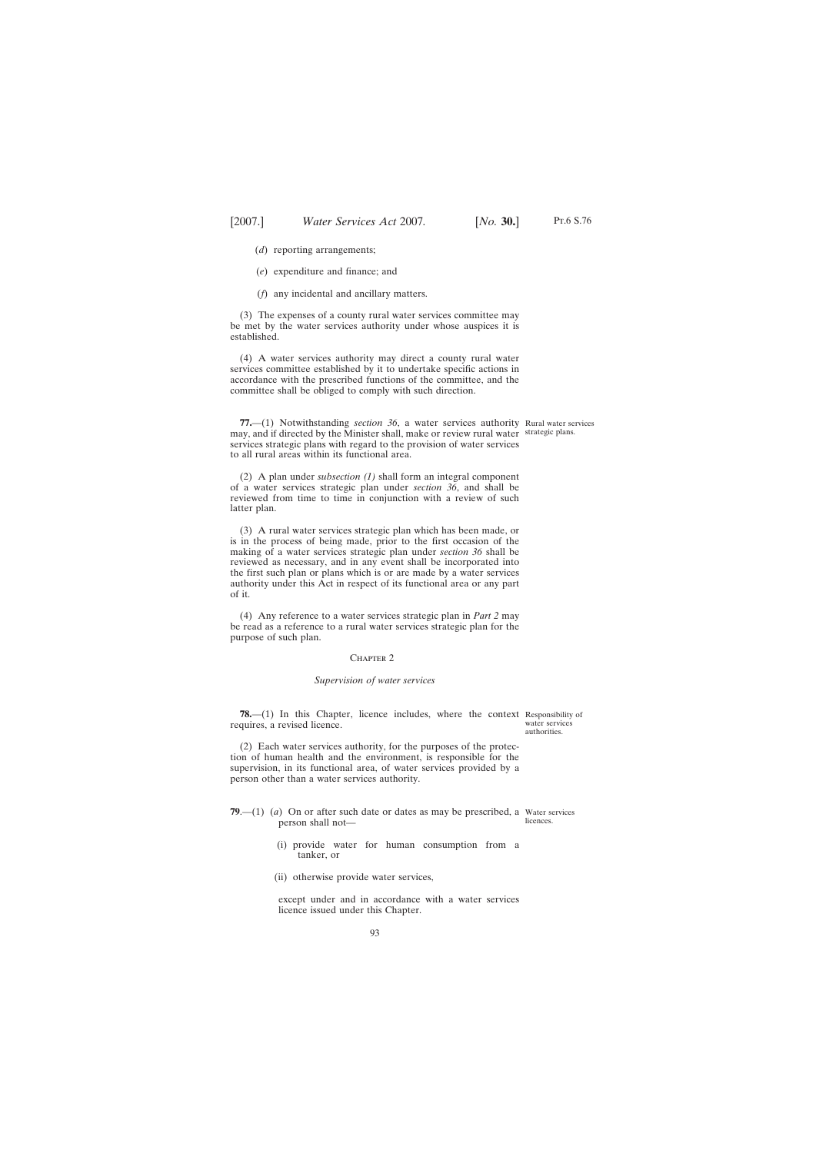(*d*) reporting arrangements;

(*e*) expenditure and finance; and

(*f*) any incidental and ancillary matters.

(3) The expenses of a county rural water services committee may be met by the water services authority under whose auspices it is established.

(4) A water services authority may direct a county rural water services committee established by it to undertake specific actions in accordance with the prescribed functions of the committee, and the committee shall be obliged to comply with such direction.

**77.**—(1) Notwithstanding *section 36*, a water services authority Rural water services may, and if directed by the Minister shall, make or review rural water strategic plans. services strategic plans with regard to the provision of water services to all rural areas within its functional area.

(2) A plan under *subsection (1)* shall form an integral component of a water services strategic plan under *section 36*, and shall be reviewed from time to time in conjunction with a review of such latter plan.

(3) A rural water services strategic plan which has been made, or is in the process of being made, prior to the first occasion of the making of a water services strategic plan under *section 36* shall be reviewed as necessary, and in any event shall be incorporated into the first such plan or plans which is or are made by a water services authority under this Act in respect of its functional area or any part of it.

(4) Any reference to a water services strategic plan in *Part 2* may be read as a reference to a rural water services strategic plan for the purpose of such plan.

#### CHAPTER<sub>2</sub>

#### *Supervision of water services*

**78.**—(1) In this Chapter, licence includes, where the context Responsibility of requires, a revised licence.

(2) Each water services authority, for the purposes of the protection of human health and the environment, is responsible for the supervision, in its functional area, of water services provided by a person other than a water services authority.

- **79.**—(1) (*a*) On or after such date or dates as may be prescribed, a Water services person shall not licences.
	- (i) provide water for human consumption from a tanker, or
	- (ii) otherwise provide water services,

except under and in accordance with a water services licence issued under this Chapter.

water services authorities.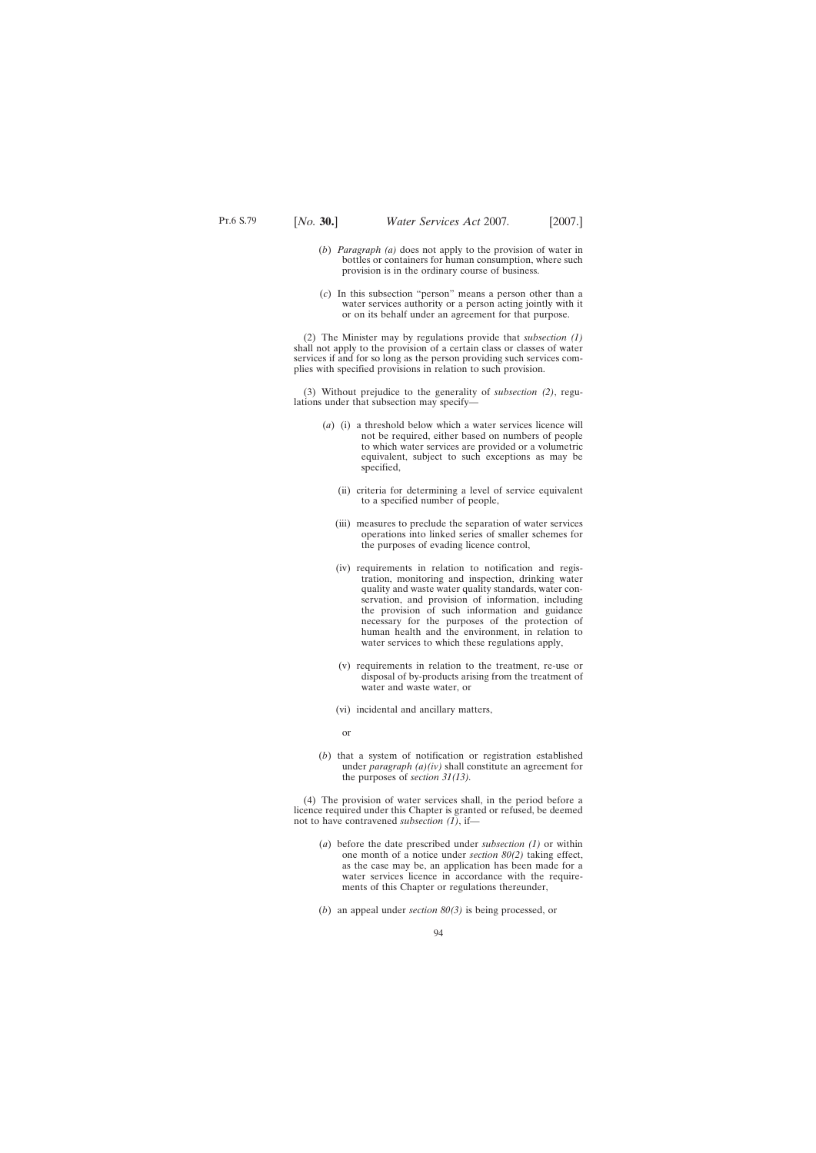- (*b*) *Paragraph (a)* does not apply to the provision of water in bottles or containers for human consumption, where such provision is in the ordinary course of business.
- (*c*) In this subsection "person" means a person other than a water services authority or a person acting jointly with it or on its behalf under an agreement for that purpose.

(2) The Minister may by regulations provide that *subsection (1)* shall not apply to the provision of a certain class or classes of water services if and for so long as the person providing such services complies with specified provisions in relation to such provision.

(3) Without prejudice to the generality of *subsection (2)*, regulations under that subsection may specify—

- (*a*) (i) a threshold below which a water services licence will not be required, either based on numbers of people to which water services are provided or a volumetric equivalent, subject to such exceptions as may be specified,
	- (ii) criteria for determining a level of service equivalent to a specified number of people,
	- (iii) measures to preclude the separation of water services operations into linked series of smaller schemes for the purposes of evading licence control,
	- (iv) requirements in relation to notification and registration, monitoring and inspection, drinking water quality and waste water quality standards, water conservation, and provision of information, including the provision of such information and guidance necessary for the purposes of the protection of human health and the environment, in relation to water services to which these regulations apply,
	- (v) requirements in relation to the treatment, re-use or disposal of by-products arising from the treatment of water and waste water, or
	- (vi) incidental and ancillary matters,
		- or
- (*b*) that a system of notification or registration established under *paragraph (a)(iv)* shall constitute an agreement for the purposes of *section 31(13).*

(4) The provision of water services shall, in the period before a licence required under this Chapter is granted or refused, be deemed not to have contravened *subsection (1)*, if—

- (*a*) before the date prescribed under *subsection (1)* or within one month of a notice under *section 80(2)* taking effect, as the case may be, an application has been made for a water services licence in accordance with the requirements of this Chapter or regulations thereunder,
- (*b*) an appeal under *section 80(3)* is being processed, or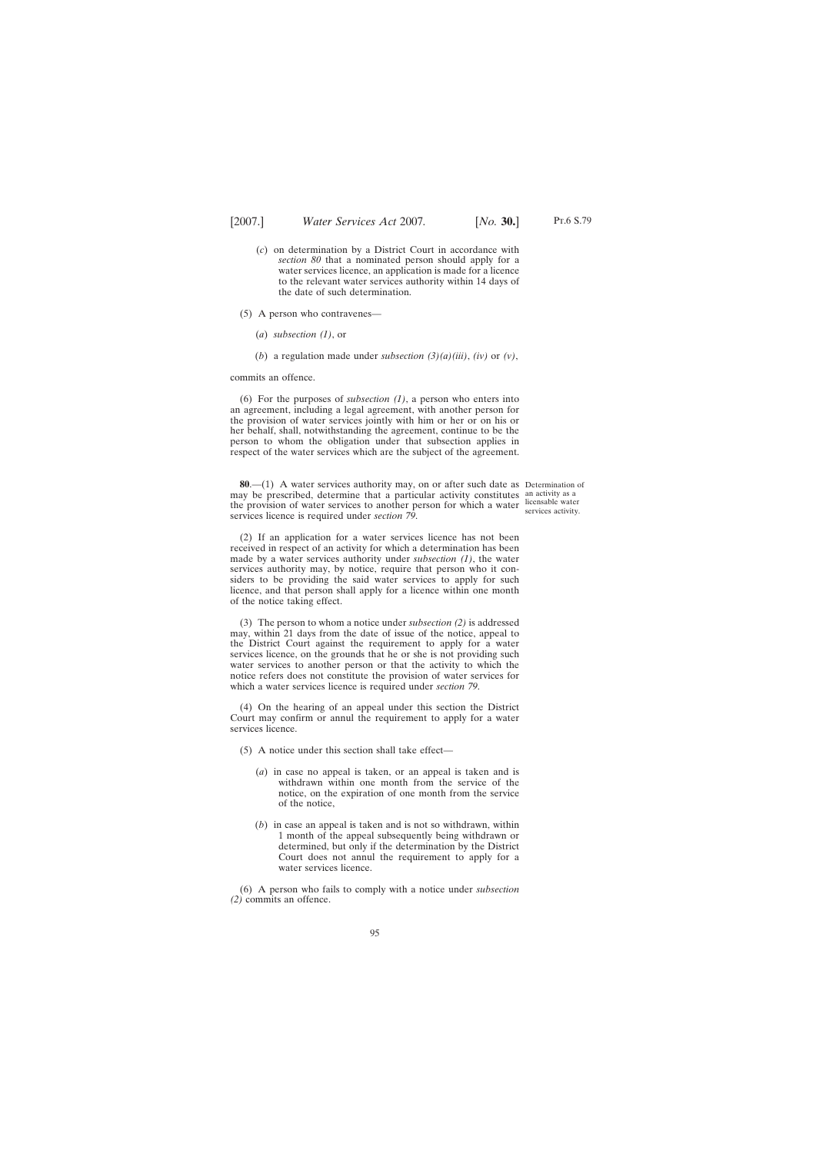the date of such determination.

- (5) A person who contravenes—
	- (*a*) *subsection (1)*, or
	- (*b*) a regulation made under *subsection (3)(a)(iii)*, *(iv)* or *(v)*,

commits an offence.

(6) For the purposes of *subsection (1)*, a person who enters into an agreement, including a legal agreement, with another person for the provision of water services jointly with him or her or on his or her behalf, shall, notwithstanding the agreement, continue to be the person to whom the obligation under that subsection applies in respect of the water services which are the subject of the agreement.

**80**.—(1) A water services authority may, on or after such date as Determination of may be prescribed, determine that a particular activity constitutes an activity as a the provision of water services to another person for which a water licensable water services licence is required under *section 79*.

services activity.

(2) If an application for a water services licence has not been received in respect of an activity for which a determination has been made by a water services authority under *subsection (1)*, the water services authority may, by notice, require that person who it considers to be providing the said water services to apply for such licence, and that person shall apply for a licence within one month of the notice taking effect.

(3) The person to whom a notice under *subsection (2)* is addressed may, within 21 days from the date of issue of the notice, appeal to the District Court against the requirement to apply for a water services licence, on the grounds that he or she is not providing such water services to another person or that the activity to which the notice refers does not constitute the provision of water services for which a water services licence is required under *section 79*.

(4) On the hearing of an appeal under this section the District Court may confirm or annul the requirement to apply for a water services licence.

- (5) A notice under this section shall take effect—
	- (*a*) in case no appeal is taken, or an appeal is taken and is withdrawn within one month from the service of the notice, on the expiration of one month from the service of the notice,
	- (*b*) in case an appeal is taken and is not so withdrawn, within 1 month of the appeal subsequently being withdrawn or determined, but only if the determination by the District Court does not annul the requirement to apply for a water services licence.

(6) A person who fails to comply with a notice under *subsection (2)* commits an offence.

Pt.6 S.79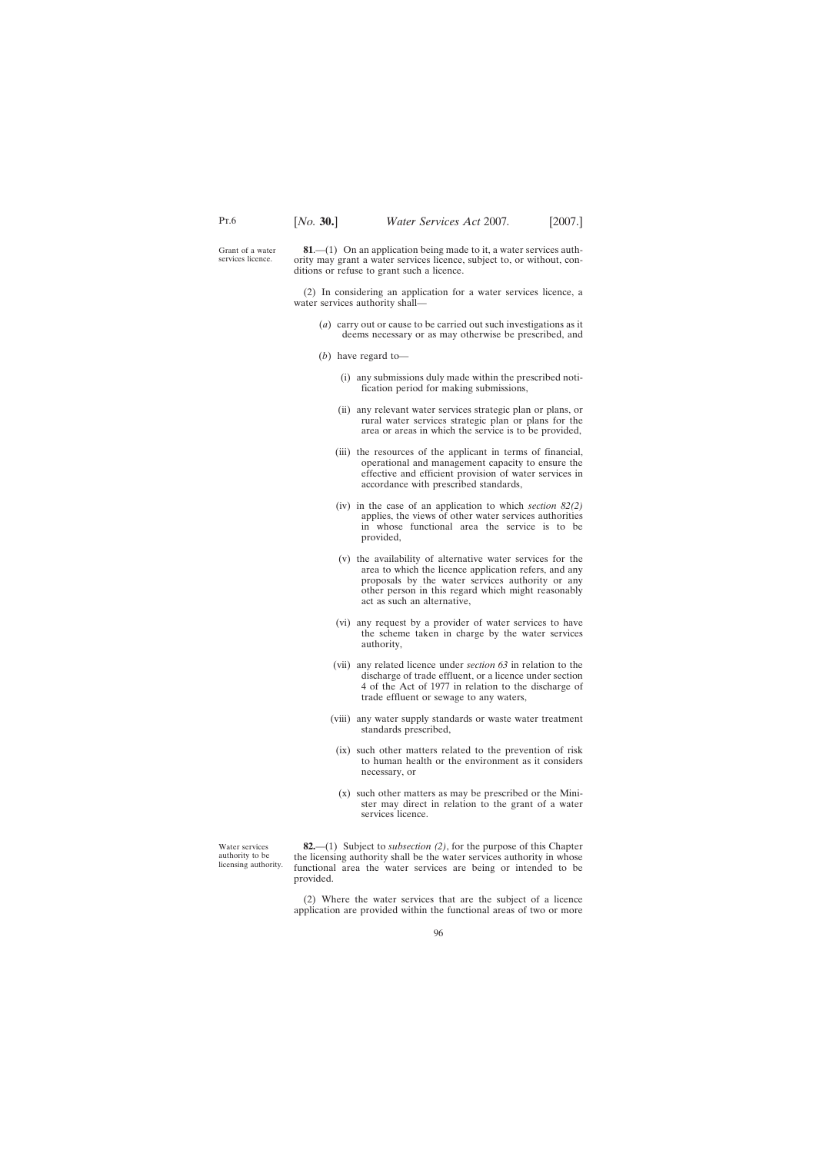Grant of a water services licence.

**81**.—(1) On an application being made to it, a water services authority may grant a water services licence, subject to, or without, conditions or refuse to grant such a licence.

(2) In considering an application for a water services licence, a water services authority shall—

- (*a*) carry out or cause to be carried out such investigations as it deems necessary or as may otherwise be prescribed, and
- (*b*) have regard to—
	- (i) any submissions duly made within the prescribed notification period for making submissions,
	- (ii) any relevant water services strategic plan or plans, or rural water services strategic plan or plans for the area or areas in which the service is to be provided,
	- (iii) the resources of the applicant in terms of financial, operational and management capacity to ensure the effective and efficient provision of water services in accordance with prescribed standards,
	- (iv) in the case of an application to which *section 82(2)* applies, the views of other water services authorities in whose functional area the service is to be provided,
	- (v) the availability of alternative water services for the area to which the licence application refers, and any proposals by the water services authority or any other person in this regard which might reasonably act as such an alternative,
	- (vi) any request by a provider of water services to have the scheme taken in charge by the water services authority,
	- (vii) any related licence under *section 63* in relation to the discharge of trade effluent, or a licence under section 4 of the Act of 1977 in relation to the discharge of trade effluent or sewage to any waters,
	- (viii) any water supply standards or waste water treatment standards prescribed,
		- (ix) such other matters related to the prevention of risk to human health or the environment as it considers necessary, or
		- (x) such other matters as may be prescribed or the Minister may direct in relation to the grant of a water services licence.

Water services authority to be licensing authority.

**82.**—(1) Subject to *subsection (2)*, for the purpose of this Chapter the licensing authority shall be the water services authority in whose functional area the water services are being or intended to be provided.

(2) Where the water services that are the subject of a licence application are provided within the functional areas of two or more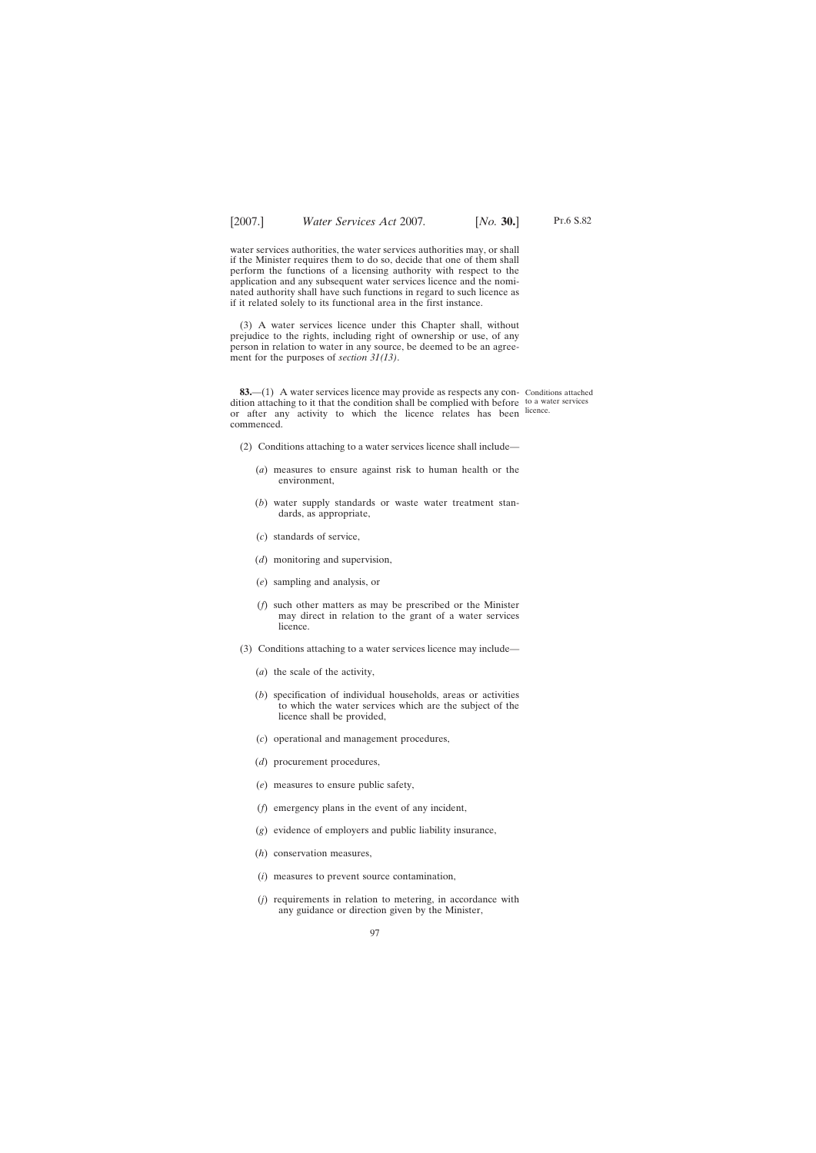water services authorities, the water services authorities may, or shall if the Minister requires them to do so, decide that one of them shall perform the functions of a licensing authority with respect to the application and any subsequent water services licence and the nominated authority shall have such functions in regard to such licence as if it related solely to its functional area in the first instance.

(3) A water services licence under this Chapter shall, without prejudice to the rights, including right of ownership or use, of any person in relation to water in any source, be deemed to be an agreement for the purposes of *section 31(13)*.

**83.**—(1) A water services licence may provide as respects any con- Conditions attached dition attaching to it that the condition shall be complied with before to a water services or after any activity to which the licence relates has been licence. commenced.

- (2) Conditions attaching to a water services licence shall include—
	- (*a*) measures to ensure against risk to human health or the environment,
	- (*b*) water supply standards or waste water treatment standards, as appropriate,
	- (*c*) standards of service,
	- (*d*) monitoring and supervision,
	- (*e*) sampling and analysis, or
	- (*f*) such other matters as may be prescribed or the Minister may direct in relation to the grant of a water services licence.
- (3) Conditions attaching to a water services licence may include—
	- (*a*) the scale of the activity,
	- (*b*) specification of individual households, areas or activities to which the water services which are the subject of the licence shall be provided,
	- (*c*) operational and management procedures,
	- (*d*) procurement procedures,
	- (*e*) measures to ensure public safety,
	- (*f*) emergency plans in the event of any incident,
	- (*g*) evidence of employers and public liability insurance,
	- (*h*) conservation measures,
	- (*i*) measures to prevent source contamination,
	- (*j*) requirements in relation to metering, in accordance with any guidance or direction given by the Minister,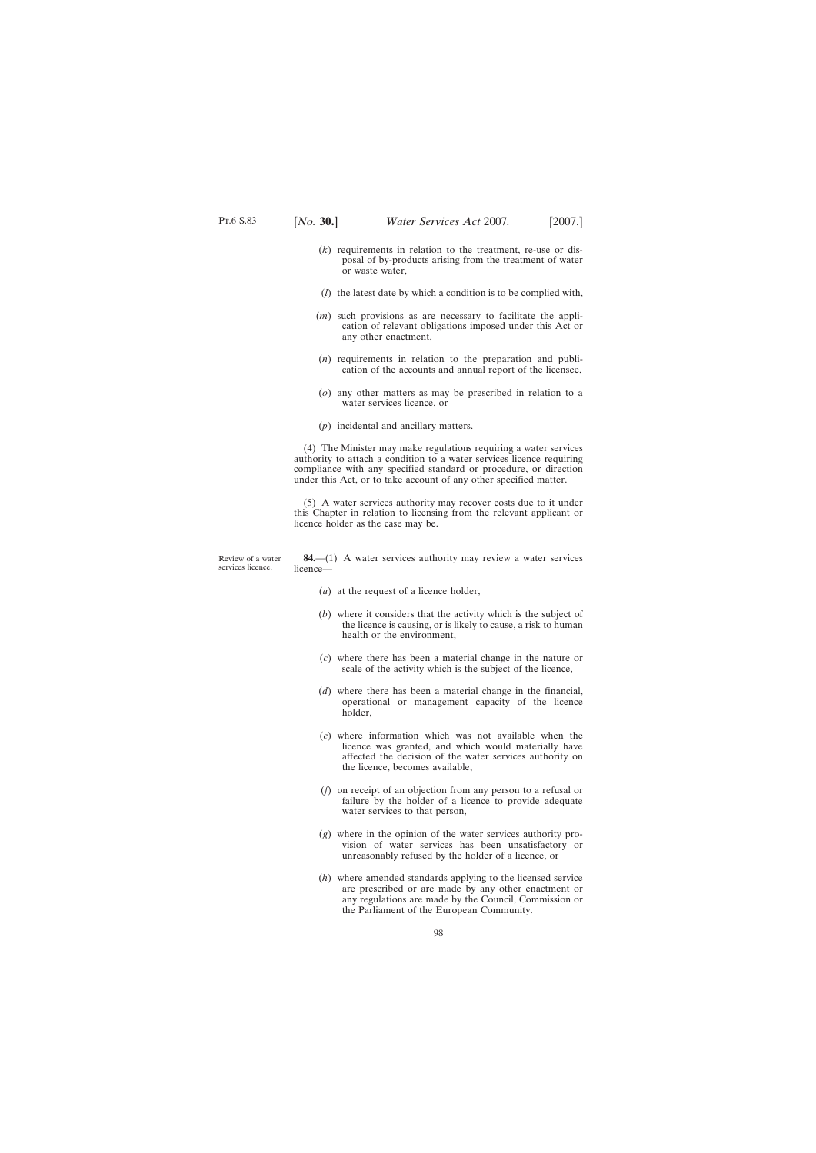- (*k*) requirements in relation to the treatment, re-use or disposal of by-products arising from the treatment of water or waste water,
- (*l*) the latest date by which a condition is to be complied with,
- (*m*) such provisions as are necessary to facilitate the application of relevant obligations imposed under this Act or any other enactment,
- (*n*) requirements in relation to the preparation and publication of the accounts and annual report of the licensee,
- (*o*) any other matters as may be prescribed in relation to a water services licence, or
- (*p*) incidental and ancillary matters.

(4) The Minister may make regulations requiring a water services authority to attach a condition to a water services licence requiring compliance with any specified standard or procedure, or direction under this Act, or to take account of any other specified matter.

(5) A water services authority may recover costs due to it under this Chapter in relation to licensing from the relevant applicant or licence holder as the case may be.

Review of a water services licence.

**84.**—(1) A water services authority may review a water services licence—

- (*a*) at the request of a licence holder,
- (*b*) where it considers that the activity which is the subject of the licence is causing, or is likely to cause, a risk to human health or the environment,
- (*c*) where there has been a material change in the nature or scale of the activity which is the subject of the licence,
- (*d*) where there has been a material change in the financial, operational or management capacity of the licence holder,
- (*e*) where information which was not available when the licence was granted, and which would materially have affected the decision of the water services authority on the licence, becomes available,
- (*f*) on receipt of an objection from any person to a refusal or failure by the holder of a licence to provide adequate water services to that person,
- (*g*) where in the opinion of the water services authority provision of water services has been unsatisfactory or unreasonably refused by the holder of a licence, or
- (*h*) where amended standards applying to the licensed service are prescribed or are made by any other enactment or any regulations are made by the Council, Commission or the Parliament of the European Community.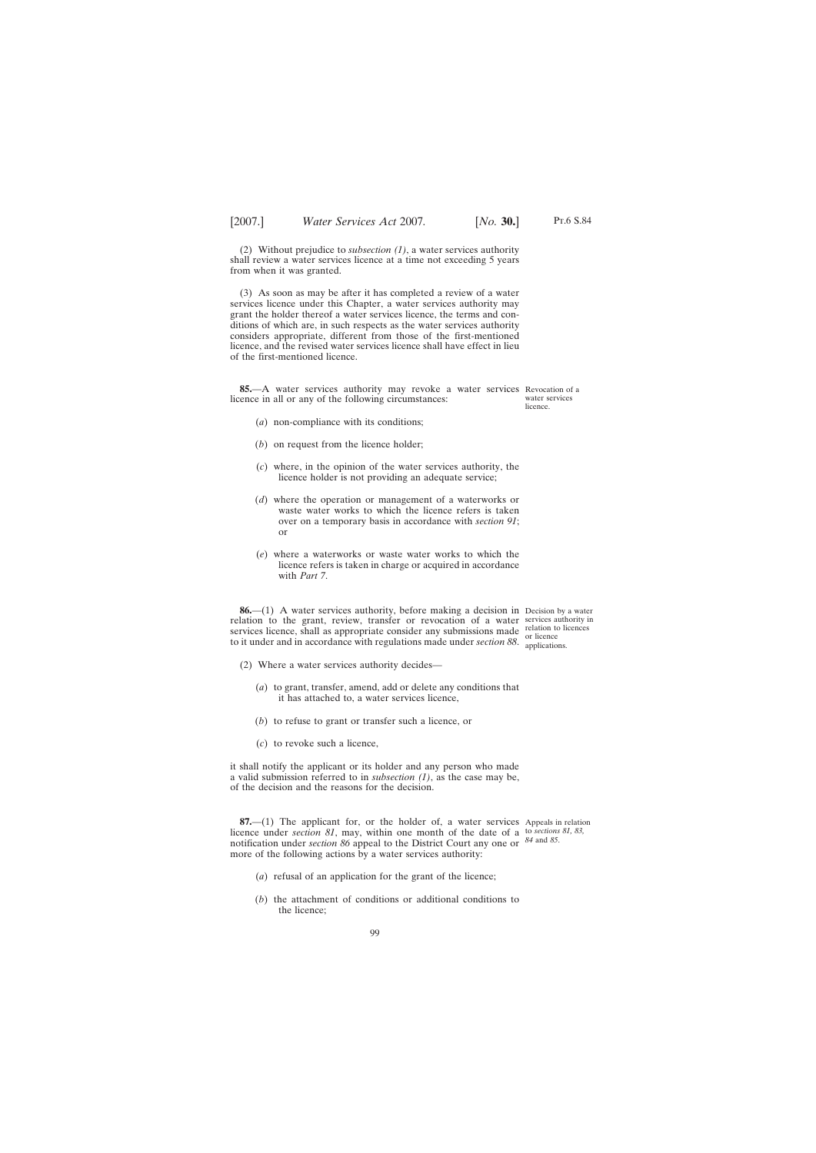(2) Without prejudice to *subsection (1)*, a water services authority shall review a water services licence at a time not exceeding 5 years from when it was granted.

(3) As soon as may be after it has completed a review of a water services licence under this Chapter, a water services authority may grant the holder thereof a water services licence, the terms and conditions of which are, in such respects as the water services authority considers appropriate, different from those of the first-mentioned licence, and the revised water services licence shall have effect in lieu of the first-mentioned licence.

**85.**—A water services authority may revoke a water services Revocation of a licence in all or any of the following circumstances:

- (*a*) non-compliance with its conditions;
- (*b*) on request from the licence holder;
- (*c*) where, in the opinion of the water services authority, the licence holder is not providing an adequate service;
- (*d*) where the operation or management of a waterworks or waste water works to which the licence refers is taken over on a temporary basis in accordance with *section 91*; or
- (*e*) where a waterworks or waste water works to which the licence refers is taken in charge or acquired in accordance with *Part 7*.

**86.**—(1) A water services authority, before making a decision in Decision by a water relation to the grant, review, transfer or revocation of a water services authority in services licence, shall as appropriate consider any submissions made relation to licences to it under and in accordance with regulations made under *section 88*. application

applications.

- (2) Where a water services authority decides—
	- (*a*) to grant, transfer, amend, add or delete any conditions that it has attached to, a water services licence,
	- (*b*) to refuse to grant or transfer such a licence, or
	- (*c*) to revoke such a licence,

it shall notify the applicant or its holder and any person who made a valid submission referred to in *subsection (1)*, as the case may be, of the decision and the reasons for the decision.

**87.**—(1) The applicant for, or the holder of, a water services Appeals in relation licence under *section 81*, may, within one month of the date of a to *sections 81, 83*, notification under *section 86* appeal to the District Court any one or *84* and *85*.more of the following actions by a water services authority:

- (*a*) refusal of an application for the grant of the licence;
- (*b*) the attachment of conditions or additional conditions to the licence;

water services licence.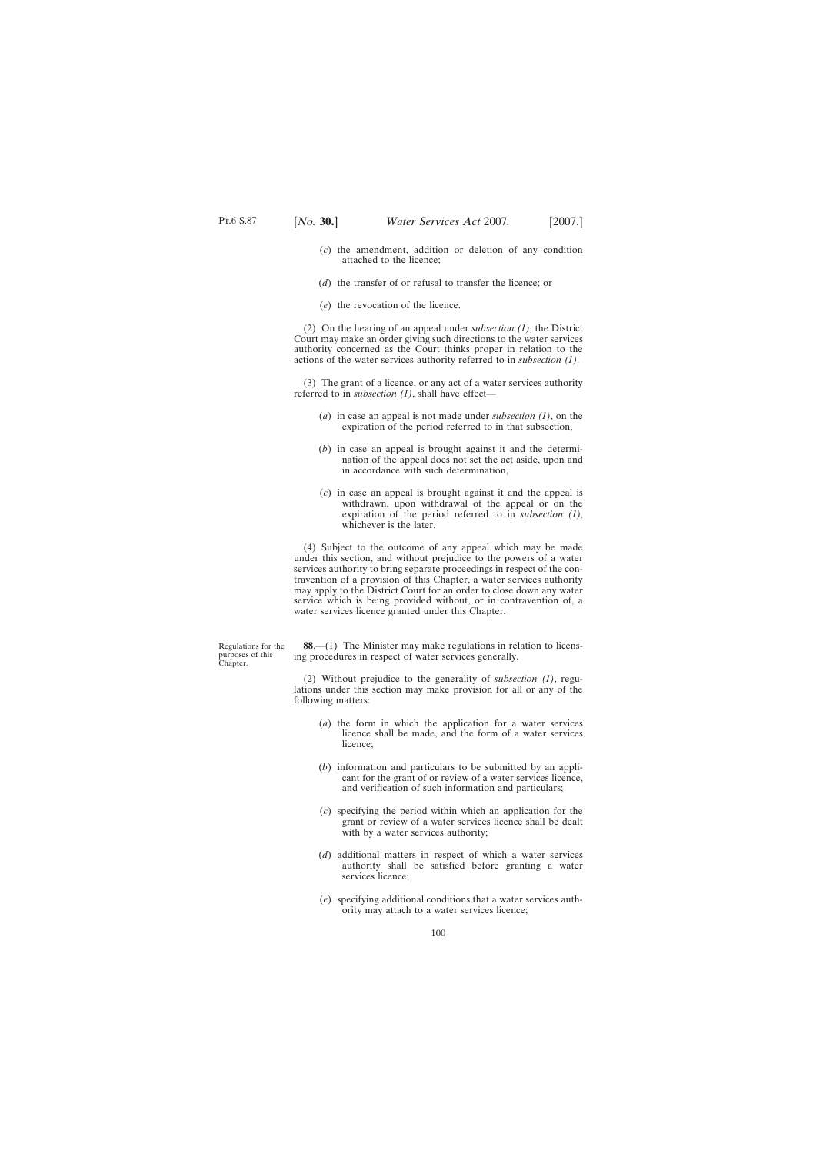- (*c*) the amendment, addition or deletion of any condition attached to the licence;
- (*d*) the transfer of or refusal to transfer the licence; or
- (*e*) the revocation of the licence.

(2) On the hearing of an appeal under *subsection (1)*, the District Court may make an order giving such directions to the water services authority concerned as the Court thinks proper in relation to the actions of the water services authority referred to in *subsection (1)*.

(3) The grant of a licence, or any act of a water services authority referred to in *subsection (1)*, shall have effect—

- (*a*) in case an appeal is not made under *subsection (1)*, on the expiration of the period referred to in that subsection,
- (*b*) in case an appeal is brought against it and the determination of the appeal does not set the act aside, upon and in accordance with such determination,
- (*c*) in case an appeal is brought against it and the appeal is withdrawn, upon withdrawal of the appeal or on the expiration of the period referred to in *subsection (1)*, whichever is the later.

(4) Subject to the outcome of any appeal which may be made under this section, and without prejudice to the powers of a water services authority to bring separate proceedings in respect of the contravention of a provision of this Chapter, a water services authority may apply to the District Court for an order to close down any water service which is being provided without, or in contravention of, a water services licence granted under this Chapter.

Regulations for the purposes of this Chapter.

**88**.—(1) The Minister may make regulations in relation to licensing procedures in respect of water services generally.

(2) Without prejudice to the generality of *subsection (1)*, regulations under this section may make provision for all or any of the following matters:

- (*a*) the form in which the application for a water services licence shall be made, and the form of a water services licence;
- (*b*) information and particulars to be submitted by an applicant for the grant of or review of a water services licence, and verification of such information and particulars;
- (*c*) specifying the period within which an application for the grant or review of a water services licence shall be dealt with by a water services authority;
- (*d*) additional matters in respect of which a water services authority shall be satisfied before granting a water services licence;
- (*e*) specifying additional conditions that a water services authority may attach to a water services licence;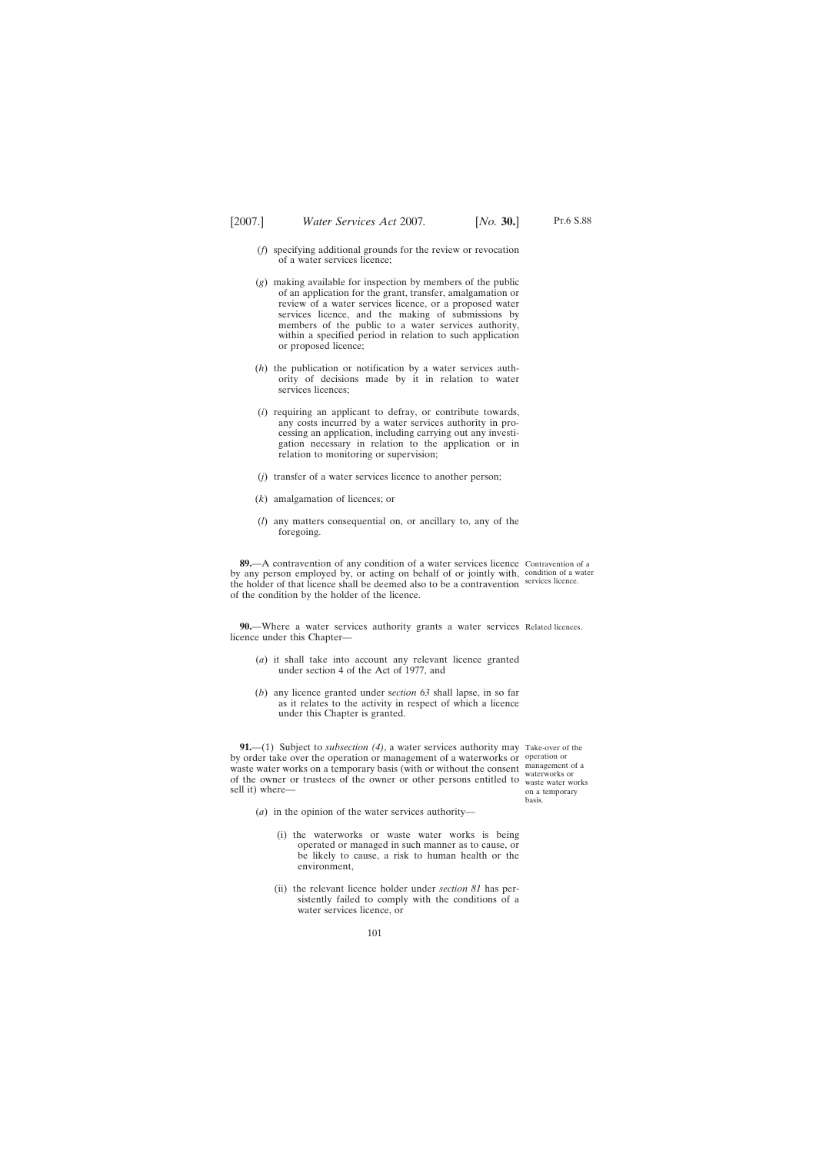- (*f*) specifying additional grounds for the review or revocation of a water services licence;
- (*g*) making available for inspection by members of the public of an application for the grant, transfer, amalgamation or review of a water services licence, or a proposed water services licence, and the making of submissions by members of the public to a water services authority, within a specified period in relation to such application or proposed licence;
- (*h*) the publication or notification by a water services authority of decisions made by it in relation to water services licences:
- (*i*) requiring an applicant to defray, or contribute towards, any costs incurred by a water services authority in processing an application, including carrying out any investigation necessary in relation to the application or in relation to monitoring or supervision;
- (*j*) transfer of a water services licence to another person;
- (*k*) amalgamation of licences; or
- (*l*) any matters consequential on, or ancillary to, any of the foregoing.

**89.**—A contravention of any condition of a water services licence Contravention of a by any person employed by, or acting on behalf of or jointly with, condition of a water the holder of that licence shall be deemed also to be a contravention services licence. of the condition by the holder of the licence.

**90.**—Where a water services authority grants a water services Related licences. licence under this Chapter—

- (*a*) it shall take into account any relevant licence granted under section 4 of the Act of 1977, and
- (*b*) any licence granted under s*ection 63* shall lapse, in so far as it relates to the activity in respect of which a licence under this Chapter is granted.

**91.**—(1) Subject to *subsection (4)*, a water services authority may Take-over of the by order take over the operation or management of a waterworks or operation or waste water works on a temporary basis (with or without the consent management of a water works on a temporary easis (with or writted the consent waterworks or<br>of the owner or trustees of the owner or other persons entitled to waste water w sell it) where—

waste water works on a temporary basis.

- (*a*) in the opinion of the water services authority—
	- (i) the waterworks or waste water works is being operated or managed in such manner as to cause, or be likely to cause, a risk to human health or the environment,
	- (ii) the relevant licence holder under *section 81* has persistently failed to comply with the conditions of a water services licence, or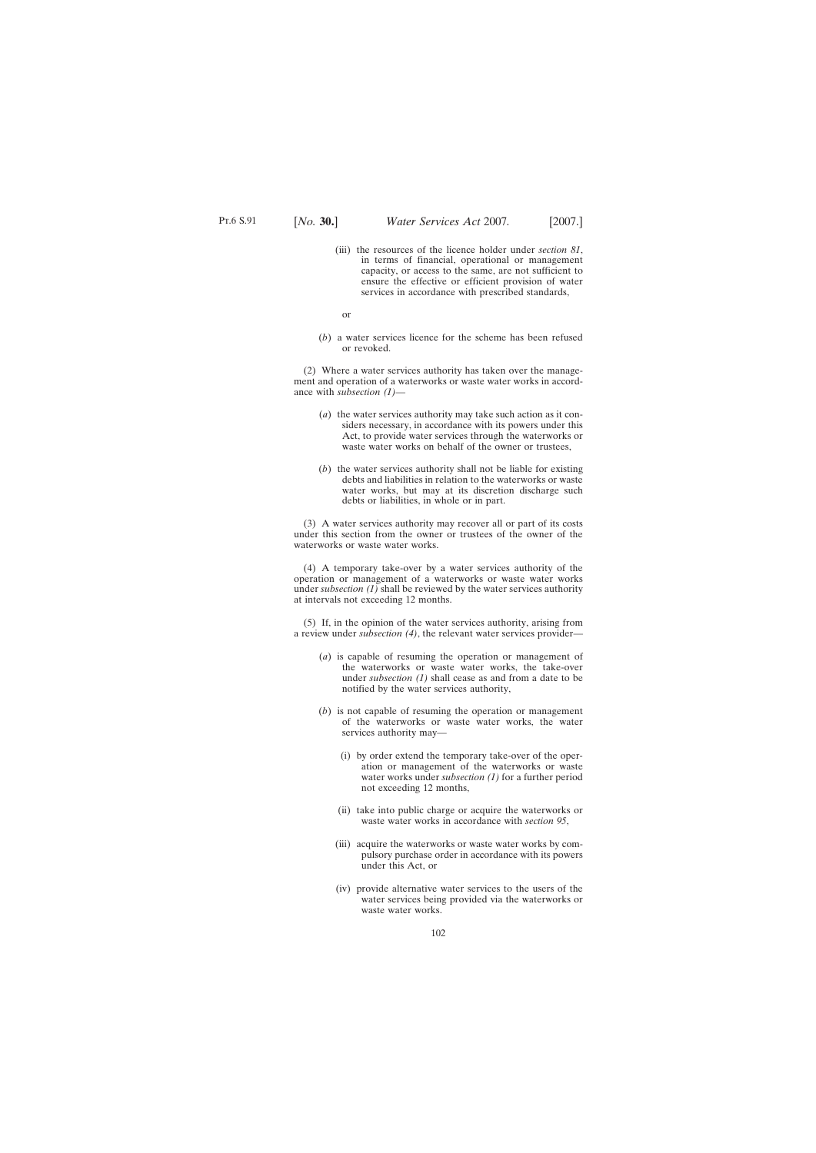(iii) the resources of the licence holder under *section 81*, in terms of financial, operational or management capacity, or access to the same, are not sufficient to ensure the effective or efficient provision of water services in accordance with prescribed standards,

or

(*b*) a water services licence for the scheme has been refused or revoked.

(2) Where a water services authority has taken over the management and operation of a waterworks or waste water works in accordance with *subsection (1)*—

- (*a*) the water services authority may take such action as it considers necessary, in accordance with its powers under this Act, to provide water services through the waterworks or waste water works on behalf of the owner or trustees,
- (*b*) the water services authority shall not be liable for existing debts and liabilities in relation to the waterworks or waste water works, but may at its discretion discharge such debts or liabilities, in whole or in part.

(3) A water services authority may recover all or part of its costs under this section from the owner or trustees of the owner of the waterworks or waste water works.

(4) A temporary take-over by a water services authority of the operation or management of a waterworks or waste water works under *subsection (1)* shall be reviewed by the water services authority at intervals not exceeding 12 months.

(5) If, in the opinion of the water services authority, arising from a review under *subsection (4)*, the relevant water services provider—

- (*a*) is capable of resuming the operation or management of the waterworks or waste water works, the take-over under *subsection (1)* shall cease as and from a date to be notified by the water services authority,
- (*b*) is not capable of resuming the operation or management of the waterworks or waste water works, the water services authority may—
	- (i) by order extend the temporary take-over of the operation or management of the waterworks or waste water works under *subsection (1)* for a further period not exceeding 12 months,
	- (ii) take into public charge or acquire the waterworks or waste water works in accordance with *section 95*,
	- (iii) acquire the waterworks or waste water works by compulsory purchase order in accordance with its powers under this Act, or
	- (iv) provide alternative water services to the users of the water services being provided via the waterworks or waste water works.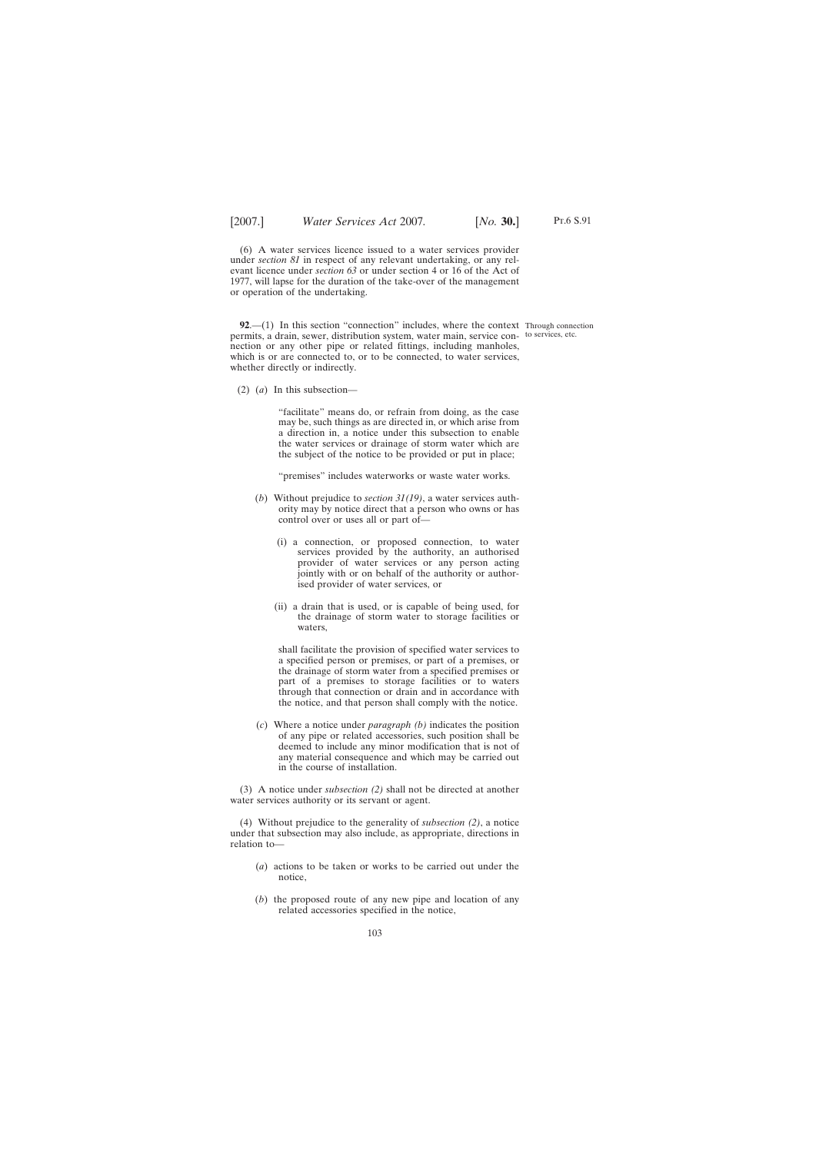(6) A water services licence issued to a water services provider under *section 81* in respect of any relevant undertaking, or any relevant licence under *section 63* or under section 4 or 16 of the Act of 1977, will lapse for the duration of the take-over of the management or operation of the undertaking.

**92.**—(1) In this section "connection" includes, where the context Through connection permits, a drain, sewer, distribution system, water main, service con-to services, etc.nection or any other pipe or related fittings, including manholes, which is or are connected to, or to be connected, to water services, whether directly or indirectly.

(2) (*a*) In this subsection—

"facilitate" means do, or refrain from doing, as the case may be, such things as are directed in, or which arise from a direction in, a notice under this subsection to enable the water services or drainage of storm water which are the subject of the notice to be provided or put in place;

"premises" includes waterworks or waste water works.

- (*b*) Without prejudice to *section 31(19)*, a water services authority may by notice direct that a person who owns or has control over or uses all or part of—
	- (i) a connection, or proposed connection, to water services provided by the authority, an authorised provider of water services or any person acting jointly with or on behalf of the authority or authorised provider of water services, or
	- (ii) a drain that is used, or is capable of being used, for the drainage of storm water to storage facilities or waters,

shall facilitate the provision of specified water services to a specified person or premises, or part of a premises, or the drainage of storm water from a specified premises or part of a premises to storage facilities or to waters through that connection or drain and in accordance with the notice, and that person shall comply with the notice.

(*c*) Where a notice under *paragraph (b)* indicates the position of any pipe or related accessories, such position shall be deemed to include any minor modification that is not of any material consequence and which may be carried out in the course of installation.

(3) A notice under *subsection (2)* shall not be directed at another water services authority or its servant or agent.

(4) Without prejudice to the generality of *subsection (2)*, a notice under that subsection may also include, as appropriate, directions in relation to—

- (*a*) actions to be taken or works to be carried out under the notice,
- (*b*) the proposed route of any new pipe and location of any related accessories specified in the notice,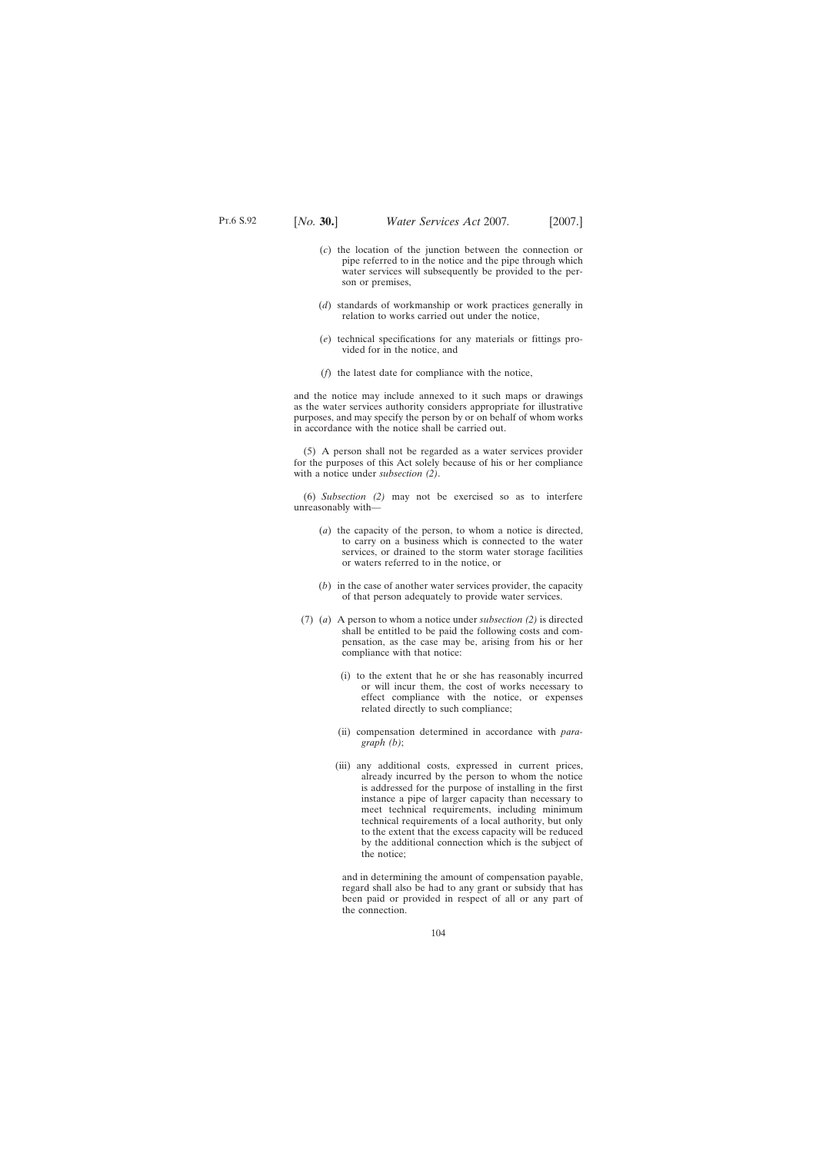- (*c*) the location of the junction between the connection or pipe referred to in the notice and the pipe through which water services will subsequently be provided to the person or premises,
- (*d*) standards of workmanship or work practices generally in relation to works carried out under the notice,
- (*e*) technical specifications for any materials or fittings provided for in the notice, and
- (*f*) the latest date for compliance with the notice,

and the notice may include annexed to it such maps or drawings as the water services authority considers appropriate for illustrative purposes, and may specify the person by or on behalf of whom works in accordance with the notice shall be carried out.

(5) A person shall not be regarded as a water services provider for the purposes of this Act solely because of his or her compliance with a notice under *subsection (2)*.

(6) *Subsection (2)* may not be exercised so as to interfere unreasonably with—

- (*a*) the capacity of the person, to whom a notice is directed, to carry on a business which is connected to the water services, or drained to the storm water storage facilities or waters referred to in the notice, or
- (*b*) in the case of another water services provider, the capacity of that person adequately to provide water services.
- (7) (*a*) A person to whom a notice under *subsection (2)* is directed shall be entitled to be paid the following costs and compensation, as the case may be, arising from his or her compliance with that notice:
	- (i) to the extent that he or she has reasonably incurred or will incur them, the cost of works necessary to effect compliance with the notice, or expenses related directly to such compliance;
	- (ii) compensation determined in accordance with *paragraph (b)*;
	- (iii) any additional costs, expressed in current prices, already incurred by the person to whom the notice is addressed for the purpose of installing in the first instance a pipe of larger capacity than necessary to meet technical requirements, including minimum technical requirements of a local authority, but only to the extent that the excess capacity will be reduced by the additional connection which is the subject of the notice;

and in determining the amount of compensation payable, regard shall also be had to any grant or subsidy that has been paid or provided in respect of all or any part of the connection.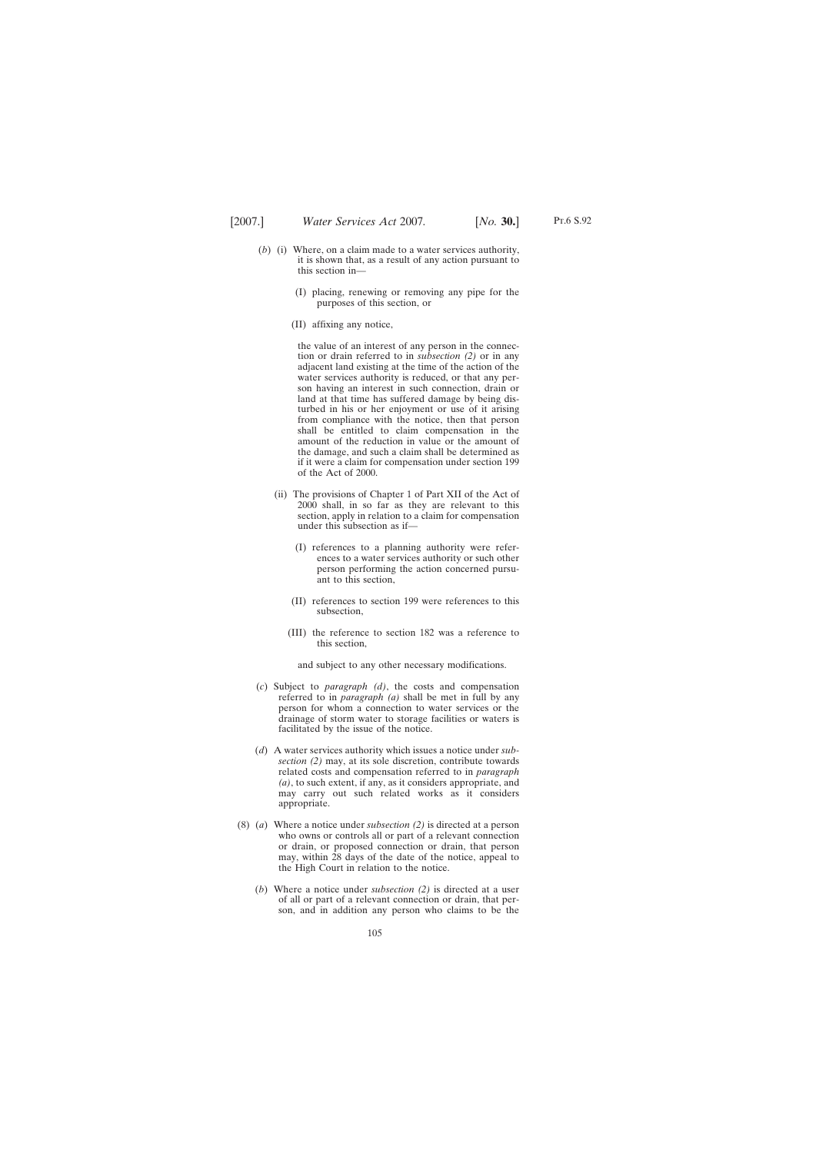- 
- (*b*) (i) Where, on a claim made to a water services authority, it is shown that, as a result of any action pursuant to this section in—
	- (I) placing, renewing or removing any pipe for the purposes of this section, or
	- (II) affixing any notice,

the value of an interest of any person in the connection or drain referred to in *subsection (2)* or in any adjacent land existing at the time of the action of the water services authority is reduced, or that any person having an interest in such connection, drain or land at that time has suffered damage by being disturbed in his or her enjoyment or use of it arising from compliance with the notice, then that person shall be entitled to claim compensation in the amount of the reduction in value or the amount of the damage, and such a claim shall be determined as if it were a claim for compensation under section 199 of the Act of 2000.

- (ii) The provisions of Chapter 1 of Part XII of the Act of 2000 shall, in so far as they are relevant to this section, apply in relation to a claim for compensation under this subsection as if—
	- (I) references to a planning authority were references to a water services authority or such other person performing the action concerned pursuant to this section,
	- (II) references to section 199 were references to this subsection,
	- (III) the reference to section 182 was a reference to this section,

and subject to any other necessary modifications.

- (*c*) Subject to *paragraph (d)*, the costs and compensation referred to in *paragraph (a)* shall be met in full by any person for whom a connection to water services or the drainage of storm water to storage facilities or waters is facilitated by the issue of the notice.
- (*d*) A water services authority which issues a notice under *subsection (2)* may, at its sole discretion, contribute towards related costs and compensation referred to in *paragraph (a)*, to such extent, if any, as it considers appropriate, and may carry out such related works as it considers appropriate.
- (8) (*a*) Where a notice under *subsection (2)* is directed at a person who owns or controls all or part of a relevant connection or drain, or proposed connection or drain, that person may, within 28 days of the date of the notice, appeal to the High Court in relation to the notice.
	- (*b*) Where a notice under *subsection (2)* is directed at a user of all or part of a relevant connection or drain, that person, and in addition any person who claims to be the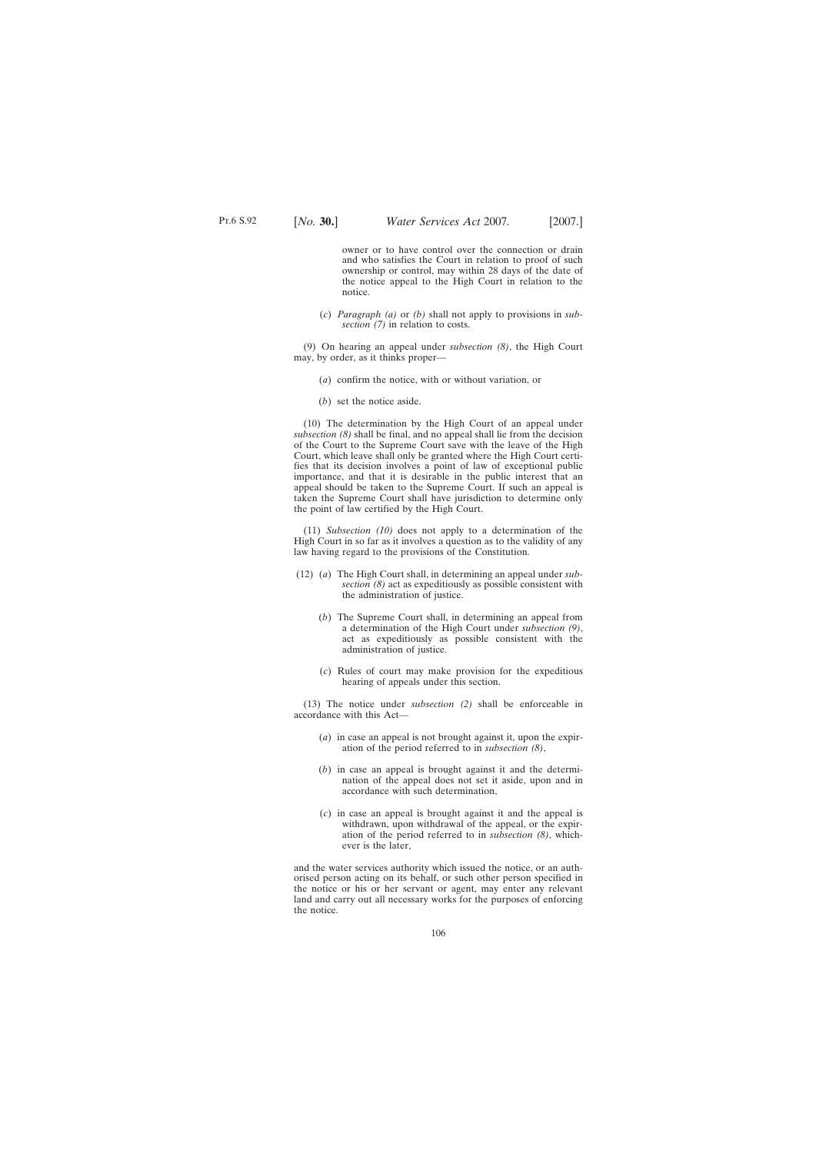owner or to have control over the connection or drain and who satisfies the Court in relation to proof of such ownership or control, may within 28 days of the date of the notice appeal to the High Court in relation to the notice.

(*c*) *Paragraph (a)* or *(b)* shall not apply to provisions in *subsection (7)* in relation to costs.

(9) On hearing an appeal under *subsection (8)*, the High Court may, by order, as it thinks proper—

- (*a*) confirm the notice, with or without variation, or
- (*b*) set the notice aside.

(10) The determination by the High Court of an appeal under *subsection (8)* shall be final, and no appeal shall lie from the decision of the Court to the Supreme Court save with the leave of the High Court, which leave shall only be granted where the High Court certifies that its decision involves a point of law of exceptional public importance, and that it is desirable in the public interest that an appeal should be taken to the Supreme Court. If such an appeal is taken the Supreme Court shall have jurisdiction to determine only the point of law certified by the High Court.

(11) *Subsection (10)* does not apply to a determination of the High Court in so far as it involves a question as to the validity of any law having regard to the provisions of the Constitution.

- (12) (*a*) The High Court shall, in determining an appeal under *subsection (8)* act as expeditiously as possible consistent with the administration of justice.
	- (*b*) The Supreme Court shall, in determining an appeal from a determination of the High Court under *subsection (9)*, act as expeditiously as possible consistent with the administration of justice.
	- (*c*) Rules of court may make provision for the expeditious hearing of appeals under this section.

(13) The notice under *subsection (2)* shall be enforceable in accordance with this Act—

- (*a*) in case an appeal is not brought against it, upon the expiration of the period referred to in *subsection (8)*,
- (*b*) in case an appeal is brought against it and the determination of the appeal does not set it aside, upon and in accordance with such determination,
- (*c*) in case an appeal is brought against it and the appeal is withdrawn, upon withdrawal of the appeal, or the expiration of the period referred to in *subsection (8)*, whichever is the later,

and the water services authority which issued the notice, or an authorised person acting on its behalf, or such other person specified in the notice or his or her servant or agent, may enter any relevant land and carry out all necessary works for the purposes of enforcing the notice.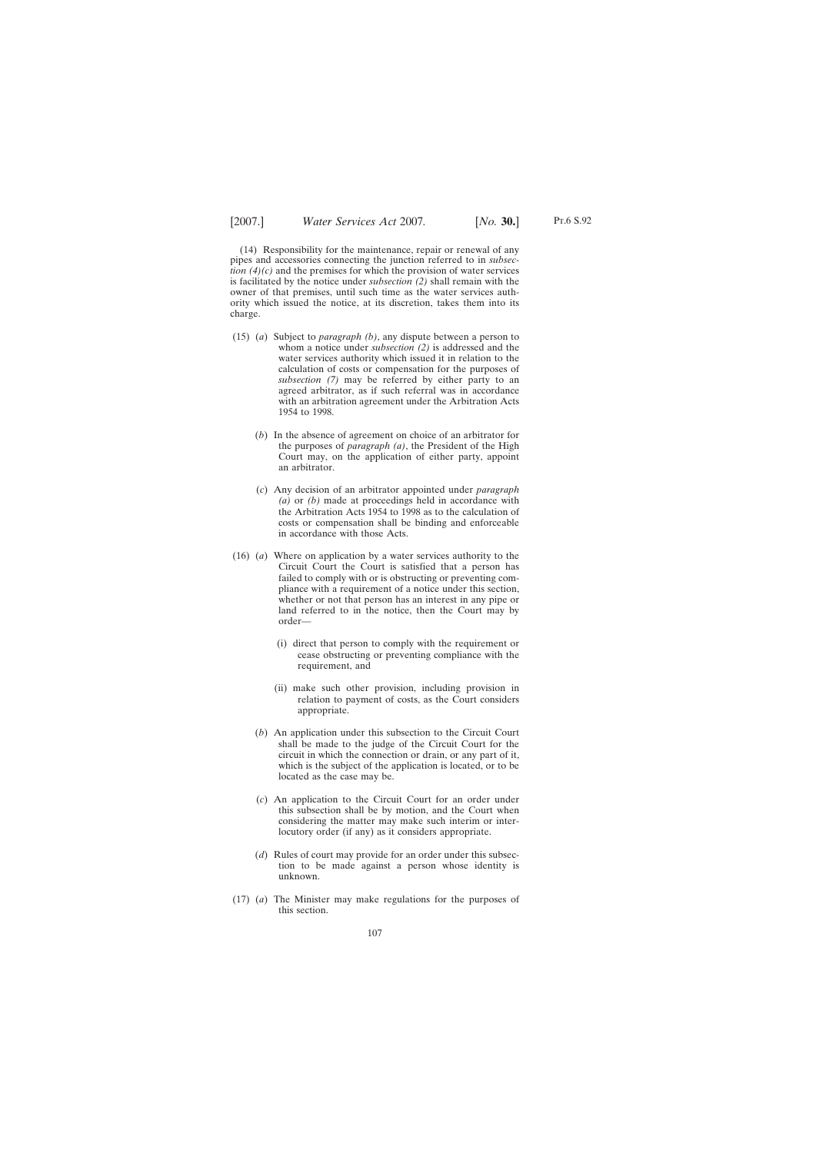Pt.6 S.92

(14) Responsibility for the maintenance, repair or renewal of any pipes and accessories connecting the junction referred to in *subsection (4)(c)* and the premises for which the provision of water services is facilitated by the notice under *subsection (2)* shall remain with the owner of that premises, until such time as the water services authority which issued the notice, at its discretion, takes them into its charge.

- (15) (*a*) Subject to *paragraph (b)*, any dispute between a person to whom a notice under *subsection (2)* is addressed and the water services authority which issued it in relation to the calculation of costs or compensation for the purposes of *subsection (7)* may be referred by either party to an agreed arbitrator, as if such referral was in accordance with an arbitration agreement under the Arbitration Acts 1954 to 1998.
	- (*b*) In the absence of agreement on choice of an arbitrator for the purposes of *paragraph (a)*, the President of the High Court may, on the application of either party, appoint an arbitrator.
	- (*c*) Any decision of an arbitrator appointed under *paragraph (a)* or *(b)* made at proceedings held in accordance with the Arbitration Acts 1954 to 1998 as to the calculation of costs or compensation shall be binding and enforceable in accordance with those Acts.
- (16) (*a*) Where on application by a water services authority to the Circuit Court the Court is satisfied that a person has failed to comply with or is obstructing or preventing compliance with a requirement of a notice under this section, whether or not that person has an interest in any pipe or land referred to in the notice, then the Court may by order—
	- (i) direct that person to comply with the requirement or cease obstructing or preventing compliance with the requirement, and
	- (ii) make such other provision, including provision in relation to payment of costs, as the Court considers appropriate.
	- (*b*) An application under this subsection to the Circuit Court shall be made to the judge of the Circuit Court for the circuit in which the connection or drain, or any part of it, which is the subject of the application is located, or to be located as the case may be.
	- (*c*) An application to the Circuit Court for an order under this subsection shall be by motion, and the Court when considering the matter may make such interim or interlocutory order (if any) as it considers appropriate.
	- (*d*) Rules of court may provide for an order under this subsection to be made against a person whose identity is unknown.
- (17) (*a*) The Minister may make regulations for the purposes of this section.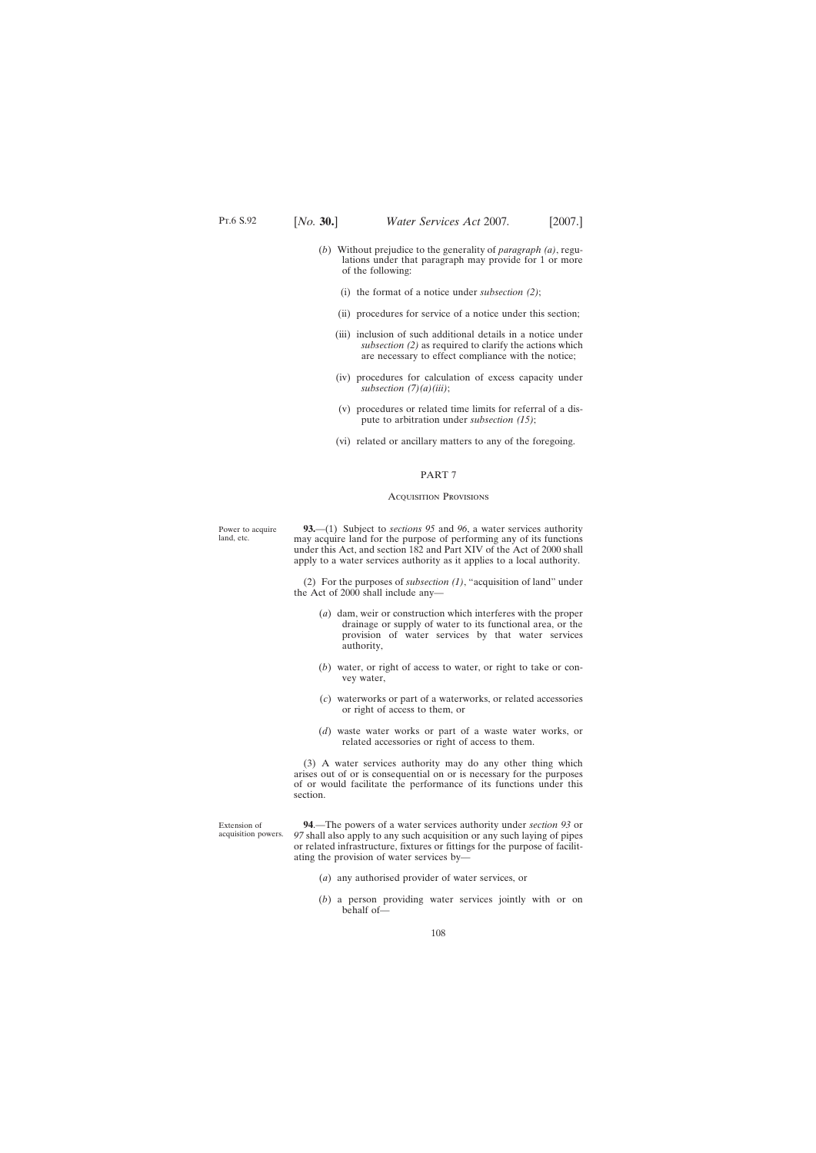- (*b*) Without prejudice to the generality of *paragraph (a)*, regulations under that paragraph may provide for 1 or more of the following:
	- (i) the format of a notice under *subsection (2)*;
	- (ii) procedures for service of a notice under this section;
	- (iii) inclusion of such additional details in a notice under *subsection (2)* as required to clarify the actions which are necessary to effect compliance with the notice;
	- (iv) procedures for calculation of excess capacity under *subsection (7)(a)(iii)*;
	- (v) procedures or related time limits for referral of a dispute to arbitration under *subsection (15)*;
	- (vi) related or ancillary matters to any of the foregoing.

#### PART 7

#### Acquisition Provisions

Power to acquire land, etc.

**93.**—(1) Subject to *sections 95* and *96*, a water services authority may acquire land for the purpose of performing any of its functions under this Act, and section 182 and Part XIV of the Act of 2000 shall apply to a water services authority as it applies to a local authority.

(2) For the purposes of *subsection (1)*, "acquisition of land" under the Act of 2000 shall include any—

- (*a*) dam, weir or construction which interferes with the proper drainage or supply of water to its functional area, or the provision of water services by that water services authority,
- (*b*) water, or right of access to water, or right to take or convey water,
- (*c*) waterworks or part of a waterworks, or related accessories or right of access to them, or
- (*d*) waste water works or part of a waste water works, or related accessories or right of access to them.

(3) A water services authority may do any other thing which arises out of or is consequential on or is necessary for the purposes of or would facilitate the performance of its functions under this section.

Extension of acquisition powers.

**94**.—The powers of a water services authority under *section 93* or *97* shall also apply to any such acquisition or any such laying of pipes or related infrastructure, fixtures or fittings for the purpose of facilitating the provision of water services by—

- (*a*) any authorised provider of water services, or
- (*b*) a person providing water services jointly with or on behalf of—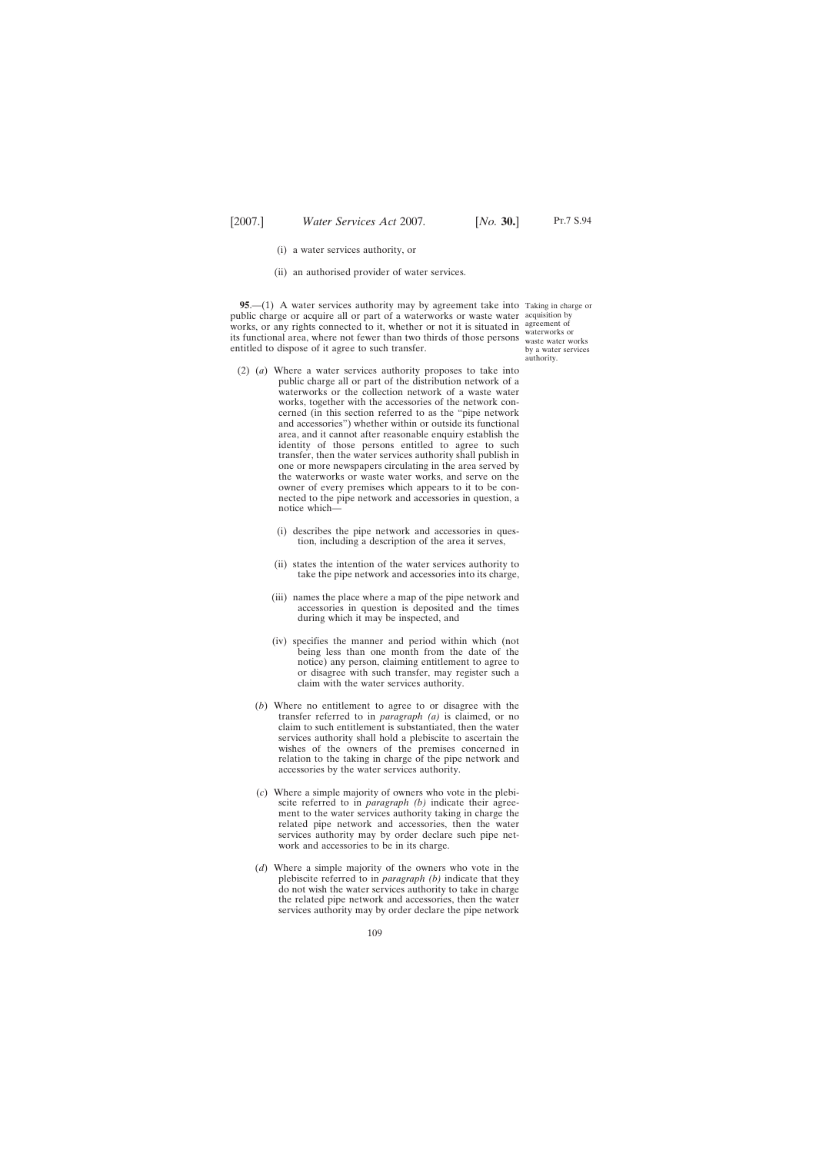- (i) a water services authority, or
- (ii) an authorised provider of water services.

**95.**—(1) A water services authority may by agreement take into Taking in charge or public charge or acquire all or part of a waterworks or waste water acquisition by works, or any rights connected to it, whether or not it is situated in agreement of works, or any rights connected to it, whether or not it is stituted in waterworks or<br>its functional area, where not fewer than two thirds of those persons waste water w entitled to dispose of it agree to such transfer.

waste water works by a water services authority.

- (2) (*a*) Where a water services authority proposes to take into public charge all or part of the distribution network of a waterworks or the collection network of a waste water works, together with the accessories of the network concerned (in this section referred to as the "pipe network and accessories") whether within or outside its functional area, and it cannot after reasonable enquiry establish the identity of those persons entitled to agree to such transfer, then the water services authority shall publish in one or more newspapers circulating in the area served by the waterworks or waste water works, and serve on the owner of every premises which appears to it to be connected to the pipe network and accessories in question, a notice which—
	- (i) describes the pipe network and accessories in question, including a description of the area it serves,
	- (ii) states the intention of the water services authority to take the pipe network and accessories into its charge,
	- (iii) names the place where a map of the pipe network and accessories in question is deposited and the times during which it may be inspected, and
	- (iv) specifies the manner and period within which (not being less than one month from the date of the notice) any person, claiming entitlement to agree to or disagree with such transfer, may register such a claim with the water services authority.
	- (*b*) Where no entitlement to agree to or disagree with the transfer referred to in *paragraph (a)* is claimed, or no claim to such entitlement is substantiated, then the water services authority shall hold a plebiscite to ascertain the wishes of the owners of the premises concerned in relation to the taking in charge of the pipe network and accessories by the water services authority.
	- (*c*) Where a simple majority of owners who vote in the plebiscite referred to in *paragraph (b)* indicate their agreement to the water services authority taking in charge the related pipe network and accessories, then the water services authority may by order declare such pipe network and accessories to be in its charge.
	- (*d*) Where a simple majority of the owners who vote in the plebiscite referred to in *paragraph (b)* indicate that they do not wish the water services authority to take in charge the related pipe network and accessories, then the water services authority may by order declare the pipe network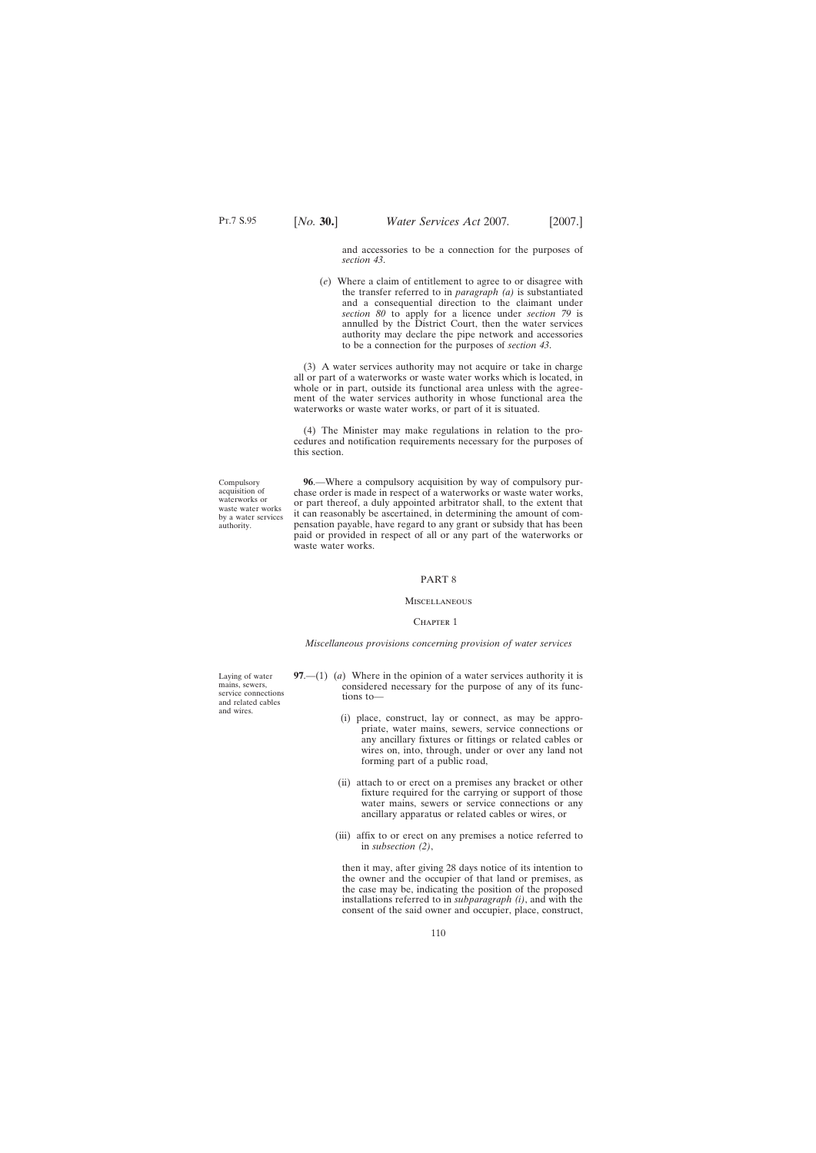and accessories to be a connection for the purposes of *section 43*.

(*e*) Where a claim of entitlement to agree to or disagree with the transfer referred to in *paragraph (a)* is substantiated and a consequential direction to the claimant under *section 80* to apply for a licence under *section 79* is annulled by the District Court, then the water services authority may declare the pipe network and accessories to be a connection for the purposes of *section 43*.

(3) A water services authority may not acquire or take in charge all or part of a waterworks or waste water works which is located, in whole or in part, outside its functional area unless with the agreement of the water services authority in whose functional area the waterworks or waste water works, or part of it is situated.

(4) The Minister may make regulations in relation to the procedures and notification requirements necessary for the purposes of this section.

**96**.—Where a compulsory acquisition by way of compulsory purchase order is made in respect of a waterworks or waste water works, or part thereof, a duly appointed arbitrator shall, to the extent that it can reasonably be ascertained, in determining the amount of compensation payable, have regard to any grant or subsidy that has been paid or provided in respect of all or any part of the waterworks or waste water works.

#### PART 8

### **MISCELLANEOUS**

#### CHAPTER 1

#### *Miscellaneous provisions concerning provision of water services*

**97**.—(1) (*a*) Where in the opinion of a water services authority it is considered necessary for the purpose of any of its functions to—

- (i) place, construct, lay or connect, as may be appropriate, water mains, sewers, service connections or any ancillary fixtures or fittings or related cables or wires on, into, through, under or over any land not forming part of a public road,
- (ii) attach to or erect on a premises any bracket or other fixture required for the carrying or support of those water mains, sewers or service connections or any ancillary apparatus or related cables or wires, or
- (iii) affix to or erect on any premises a notice referred to in *subsection (2)*,

then it may, after giving 28 days notice of its intention to the owner and the occupier of that land or premises, as the case may be, indicating the position of the proposed installations referred to in *subparagraph (i)*, and with the consent of the said owner and occupier, place, construct,

Compulsory acquisition of waterworks or waste water works by a water services authority.

mains, sewers, service connections and related cables and wires.

Laying of water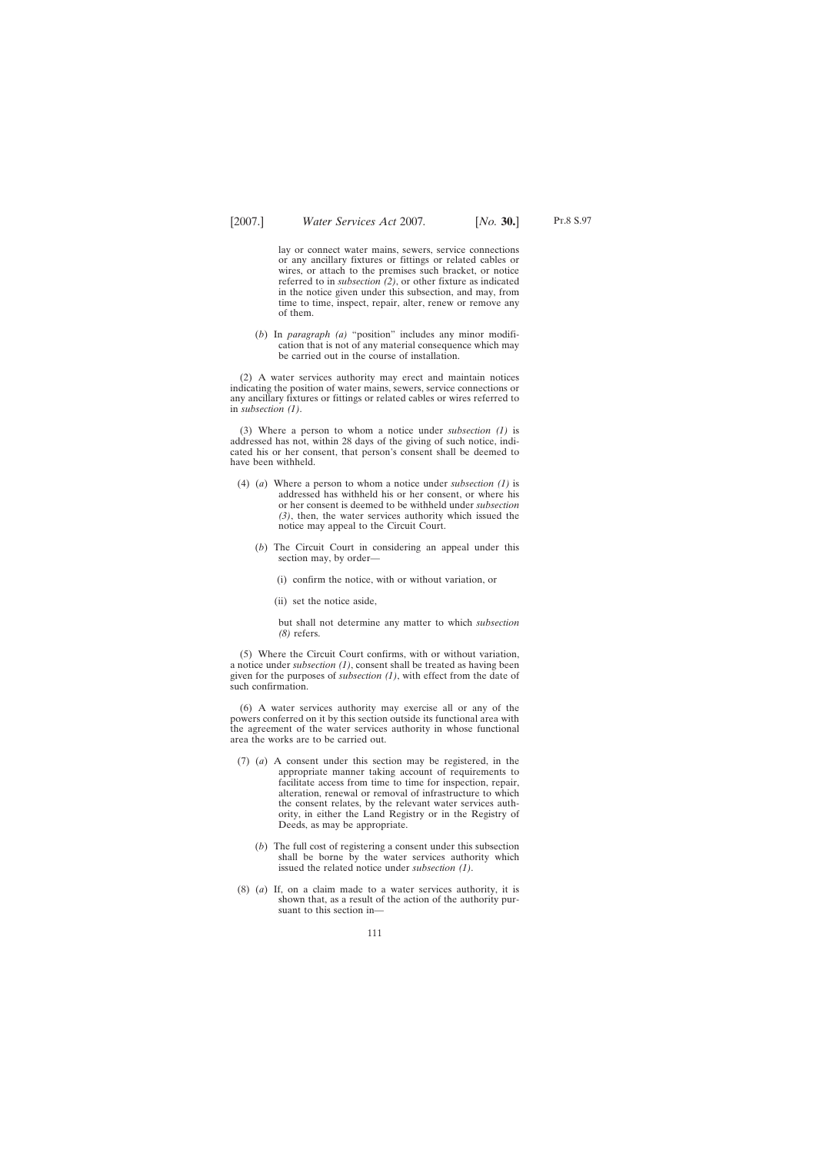Pt.8 S.97

lay or connect water mains, sewers, service connections or any ancillary fixtures or fittings or related cables or wires, or attach to the premises such bracket, or notice referred to in *subsection (2)*, or other fixture as indicated in the notice given under this subsection, and may, from time to time, inspect, repair, alter, renew or remove any of them.

(*b*) In *paragraph (a)* "position" includes any minor modification that is not of any material consequence which may be carried out in the course of installation.

(2) A water services authority may erect and maintain notices indicating the position of water mains, sewers, service connections or any ancillary fixtures or fittings or related cables or wires referred to in *subsection (1)*.

(3) Where a person to whom a notice under *subsection (1)* is addressed has not, within 28 days of the giving of such notice, indicated his or her consent, that person's consent shall be deemed to have been withheld.

- (4) (*a*) Where a person to whom a notice under *subsection (1)* is addressed has withheld his or her consent, or where his or her consent is deemed to be withheld under *subsection (3)*, then, the water services authority which issued the notice may appeal to the Circuit Court.
	- (*b*) The Circuit Court in considering an appeal under this section may, by order—
		- (i) confirm the notice, with or without variation, or
		- (ii) set the notice aside,

but shall not determine any matter to which *subsection (8)* refers.

(5) Where the Circuit Court confirms, with or without variation, a notice under *subsection (1)*, consent shall be treated as having been given for the purposes of *subsection (1)*, with effect from the date of such confirmation.

(6) A water services authority may exercise all or any of the powers conferred on it by this section outside its functional area with the agreement of the water services authority in whose functional area the works are to be carried out.

- (7) (*a*) A consent under this section may be registered, in the appropriate manner taking account of requirements to facilitate access from time to time for inspection, repair, alteration, renewal or removal of infrastructure to which the consent relates, by the relevant water services authority, in either the Land Registry or in the Registry of Deeds, as may be appropriate.
	- (*b*) The full cost of registering a consent under this subsection shall be borne by the water services authority which issued the related notice under *subsection (1)*.
- (8) (*a*) If, on a claim made to a water services authority, it is shown that, as a result of the action of the authority pursuant to this section in—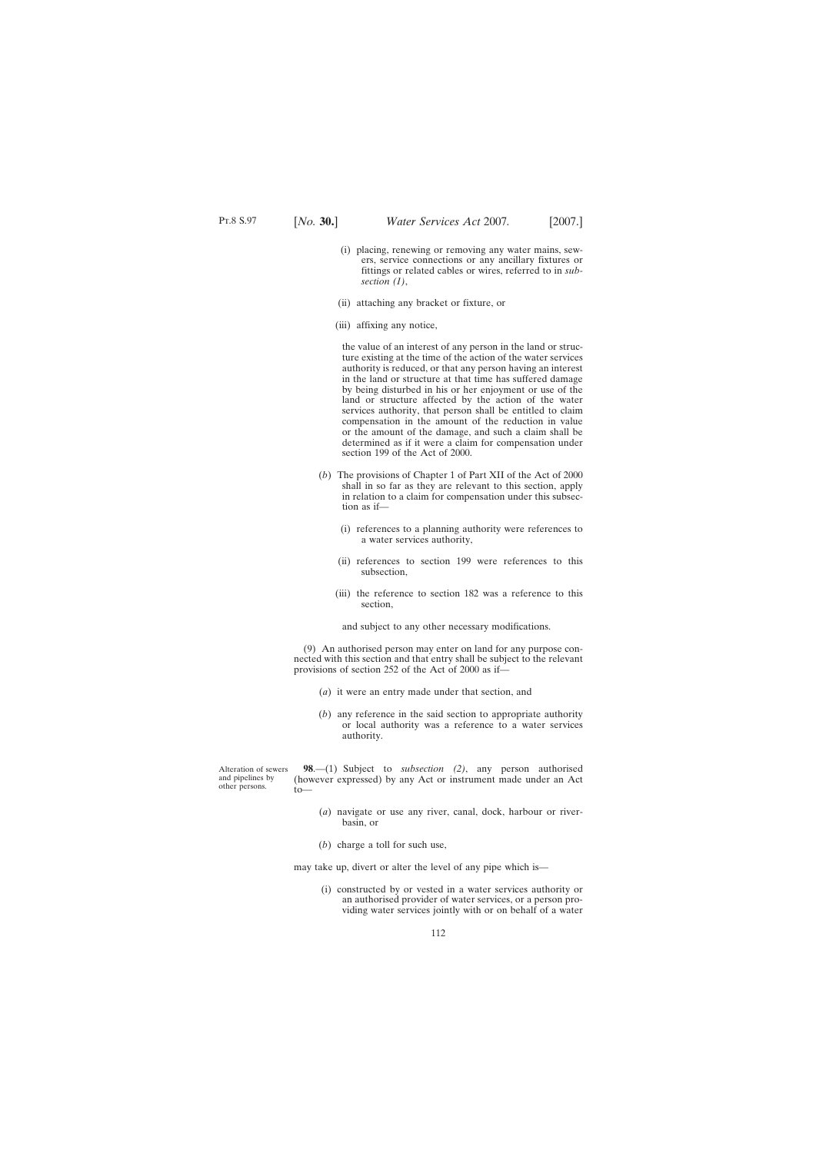- (i) placing, renewing or removing any water mains, sewers, service connections or any ancillary fixtures or fittings or related cables or wires, referred to in *subsection (1)*,
- (ii) attaching any bracket or fixture, or
- (iii) affixing any notice,

the value of an interest of any person in the land or structure existing at the time of the action of the water services authority is reduced, or that any person having an interest in the land or structure at that time has suffered damage by being disturbed in his or her enjoyment or use of the land or structure affected by the action of the water services authority, that person shall be entitled to claim compensation in the amount of the reduction in value or the amount of the damage, and such a claim shall be determined as if it were a claim for compensation under section 199 of the Act of 2000.

- (*b*) The provisions of Chapter 1 of Part XII of the Act of 2000 shall in so far as they are relevant to this section, apply in relation to a claim for compensation under this subsection as if—
	- (i) references to a planning authority were references to a water services authority,
	- (ii) references to section 199 were references to this subsection,
	- (iii) the reference to section 182 was a reference to this section,

and subject to any other necessary modifications.

(9) An authorised person may enter on land for any purpose connected with this section and that entry shall be subject to the relevant provisions of section 252 of the Act of 2000 as if—

- (*a*) it were an entry made under that section, and
- (*b*) any reference in the said section to appropriate authority or local authority was a reference to a water services authority.

Alteration of sewers and pipelines by other persons.  $to$ —

**98**.—(1) Subject to *subsection (2)*, any person authorised (however expressed) by any Act or instrument made under an Act

- (*a*) navigate or use any river, canal, dock, harbour or riverbasin, or
- (*b*) charge a toll for such use,

may take up, divert or alter the level of any pipe which is—

(i) constructed by or vested in a water services authority or an authorised provider of water services, or a person providing water services jointly with or on behalf of a water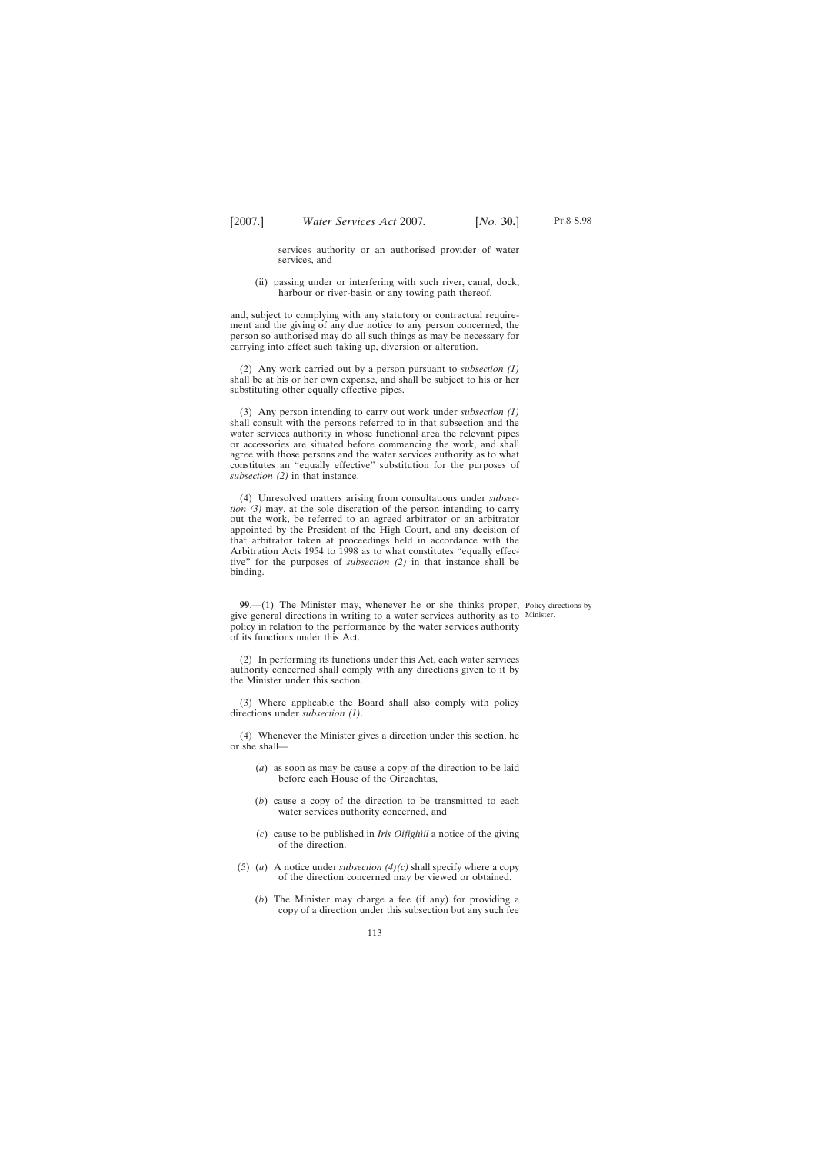services authority or an authorised provider of water services, and

(ii) passing under or interfering with such river, canal, dock, harbour or river-basin or any towing path thereof,

and, subject to complying with any statutory or contractual requirement and the giving of any due notice to any person concerned, the person so authorised may do all such things as may be necessary for carrying into effect such taking up, diversion or alteration.

(2) Any work carried out by a person pursuant to *subsection (1)* shall be at his or her own expense, and shall be subject to his or her substituting other equally effective pipes.

(3) Any person intending to carry out work under *subsection (1)* shall consult with the persons referred to in that subsection and the water services authority in whose functional area the relevant pipes or accessories are situated before commencing the work, and shall agree with those persons and the water services authority as to what constitutes an "equally effective" substitution for the purposes of *subsection (2)* in that instance.

(4) Unresolved matters arising from consultations under *subsection (3)* may, at the sole discretion of the person intending to carry out the work, be referred to an agreed arbitrator or an arbitrator appointed by the President of the High Court, and any decision of that arbitrator taken at proceedings held in accordance with the Arbitration Acts 1954 to 1998 as to what constitutes "equally effective" for the purposes of *subsection (2)* in that instance shall be binding.

**99.**—(1) The Minister may, whenever he or she thinks proper, Policy directions by give general directions in writing to a water services authority as to Minister.policy in relation to the performance by the water services authority of its functions under this Act.

(2) In performing its functions under this Act, each water services authority concerned shall comply with any directions given to it by the Minister under this section.

(3) Where applicable the Board shall also comply with policy directions under *subsection (1)*.

(4) Whenever the Minister gives a direction under this section, he or she shall—

- (*a*) as soon as may be cause a copy of the direction to be laid before each House of the Oireachtas,
- (*b*) cause a copy of the direction to be transmitted to each water services authority concerned, and
- (*c*) cause to be published in *Iris Oifigiu´il* a notice of the giving of the direction.
- (5) (*a*) A notice under *subsection (4)(c)* shall specify where a copy of the direction concerned may be viewed or obtained.
	- (*b*) The Minister may charge a fee (if any) for providing a copy of a direction under this subsection but any such fee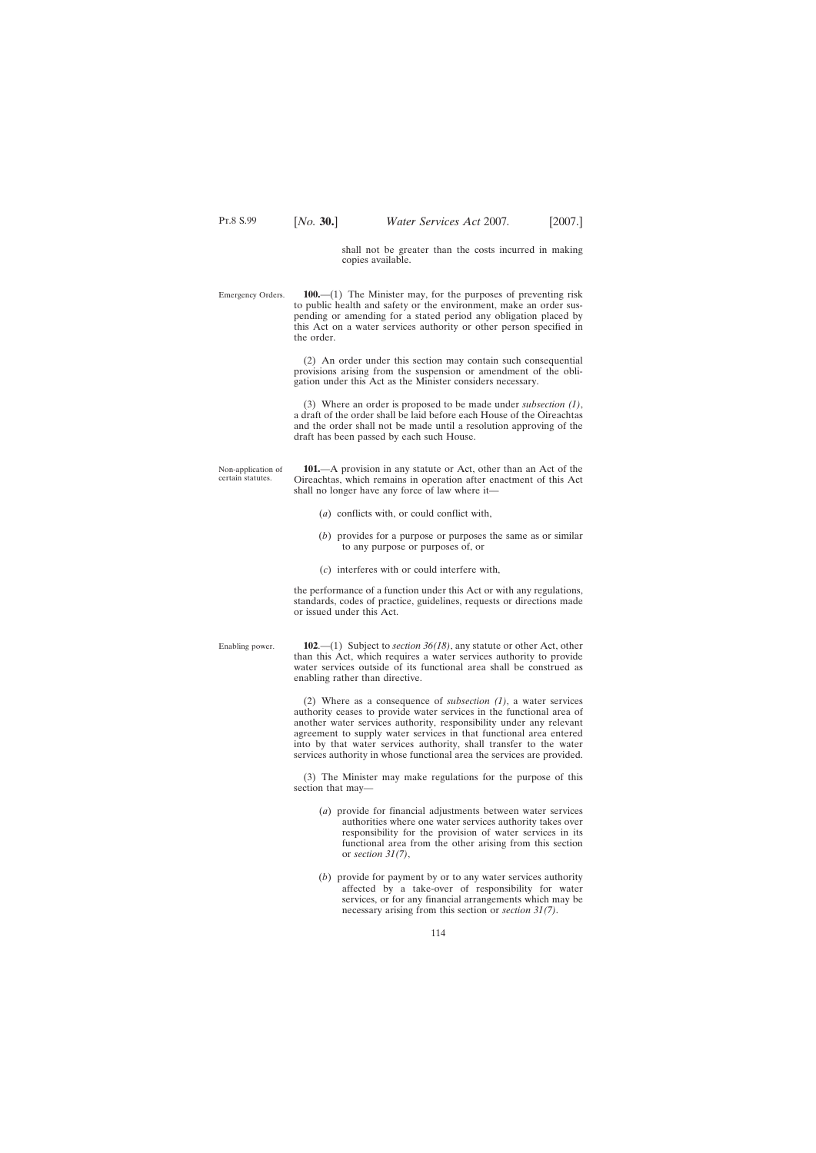shall not be greater than the costs incurred in making copies available.

Emergency Orders. **100.**—(1) The Minister may, for the purposes of preventing risk to public health and safety or the environment, make an order suspending or amending for a stated period any obligation placed by this Act on a water services authority or other person specified in the order.

> (2) An order under this section may contain such consequential provisions arising from the suspension or amendment of the obligation under this Act as the Minister considers necessary.

> (3) Where an order is proposed to be made under *subsection (1)*, a draft of the order shall be laid before each House of the Oireachtas and the order shall not be made until a resolution approving of the draft has been passed by each such House.

Non-application of certain statutes. **101.**—A provision in any statute or Act, other than an Act of the Oireachtas, which remains in operation after enactment of this Act shall no longer have any force of law where it—

- (*a*) conflicts with, or could conflict with,
- (*b*) provides for a purpose or purposes the same as or similar to any purpose or purposes of, or
- (*c*) interferes with or could interfere with,

the performance of a function under this Act or with any regulations, standards, codes of practice, guidelines, requests or directions made or issued under this Act.

| Enabling power. | 102.—(1) Subject to <i>section</i> $36(18)$ , any statute or other Act, other |
|-----------------|-------------------------------------------------------------------------------|
|                 | than this Act, which requires a water services authority to provide           |
|                 | water services outside of its functional area shall be construed as           |
|                 | enabling rather than directive.                                               |

(2) Where as a consequence of *subsection (1)*, a water services authority ceases to provide water services in the functional area of another water services authority, responsibility under any relevant agreement to supply water services in that functional area entered into by that water services authority, shall transfer to the water services authority in whose functional area the services are provided.

(3) The Minister may make regulations for the purpose of this section that may—

- (*a*) provide for financial adjustments between water services authorities where one water services authority takes over responsibility for the provision of water services in its functional area from the other arising from this section or *section 31(7)*,
- (*b*) provide for payment by or to any water services authority affected by a take-over of responsibility for water services, or for any financial arrangements which may be necessary arising from this section or *section 31(7)*.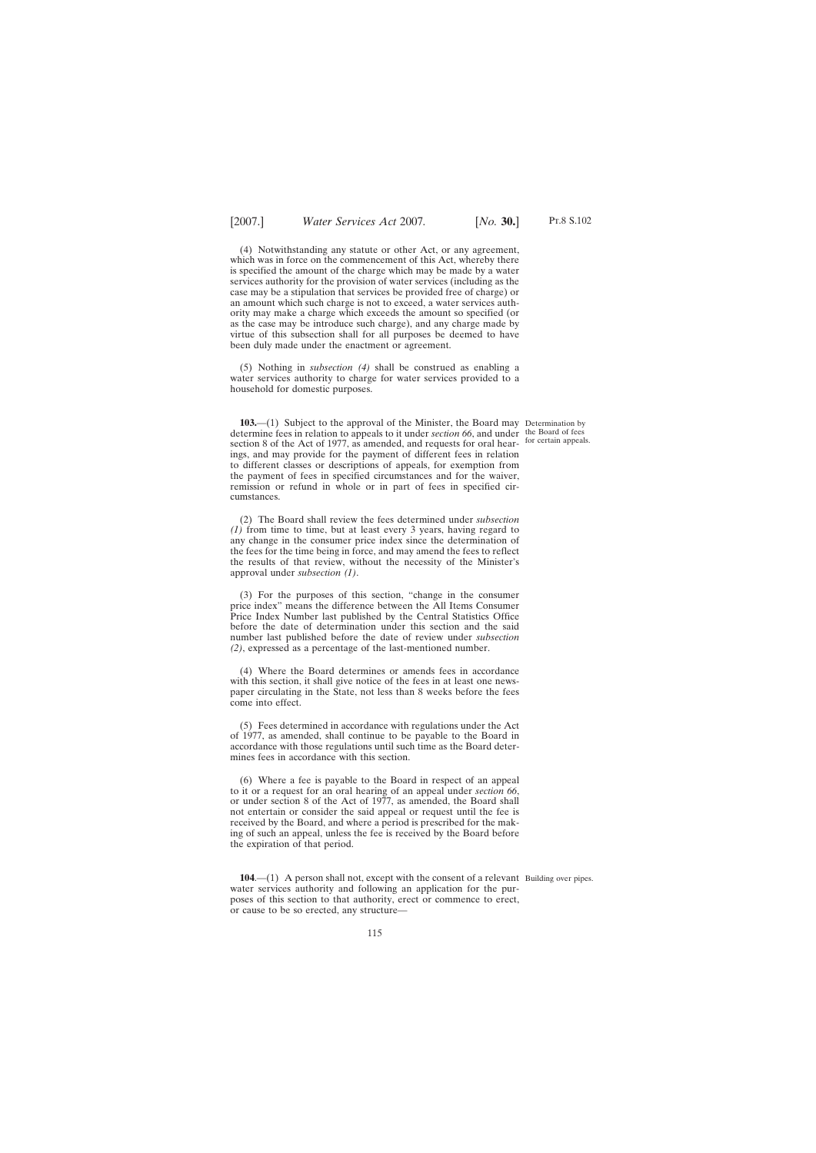(4) Notwithstanding any statute or other Act, or any agreement, which was in force on the commencement of this Act, whereby there is specified the amount of the charge which may be made by a water services authority for the provision of water services (including as the case may be a stipulation that services be provided free of charge) or an amount which such charge is not to exceed, a water services authority may make a charge which exceeds the amount so specified (or as the case may be introduce such charge), and any charge made by virtue of this subsection shall for all purposes be deemed to have been duly made under the enactment or agreement.

(5) Nothing in *subsection (4)* shall be construed as enabling a water services authority to charge for water services provided to a household for domestic purposes.

**103.**—(1) Subject to the approval of the Minister, the Board may Determination by determine fees in relation to appeals to it under *section 66*, and under the Board of fees section 8 of the Act of 1977, as amended, and requests for oral hear-<br>for certain appeals. ings, and may provide for the payment of different fees in relation to different classes or descriptions of appeals, for exemption from the payment of fees in specified circumstances and for the waiver, remission or refund in whole or in part of fees in specified circumstances.

(2) The Board shall review the fees determined under *subsection (1)* from time to time, but at least every 3 years, having regard to any change in the consumer price index since the determination of the fees for the time being in force, and may amend the fees to reflect the results of that review, without the necessity of the Minister's approval under *subsection (1)*.

(3) For the purposes of this section, "change in the consumer price index" means the difference between the All Items Consumer Price Index Number last published by the Central Statistics Office before the date of determination under this section and the said number last published before the date of review under *subsection (2)*, expressed as a percentage of the last-mentioned number.

(4) Where the Board determines or amends fees in accordance with this section, it shall give notice of the fees in at least one newspaper circulating in the State, not less than 8 weeks before the fees come into effect.

(5) Fees determined in accordance with regulations under the Act of 1977, as amended, shall continue to be payable to the Board in accordance with those regulations until such time as the Board determines fees in accordance with this section.

(6) Where a fee is payable to the Board in respect of an appeal to it or a request for an oral hearing of an appeal under *section 66*, or under section 8 of the Act of 1977, as amended, the Board shall not entertain or consider the said appeal or request until the fee is received by the Board, and where a period is prescribed for the making of such an appeal, unless the fee is received by the Board before the expiration of that period.

**104.**—(1) A person shall not, except with the consent of a relevant Building over pipes. water services authority and following an application for the purposes of this section to that authority, erect or commence to erect, or cause to be so erected, any structure—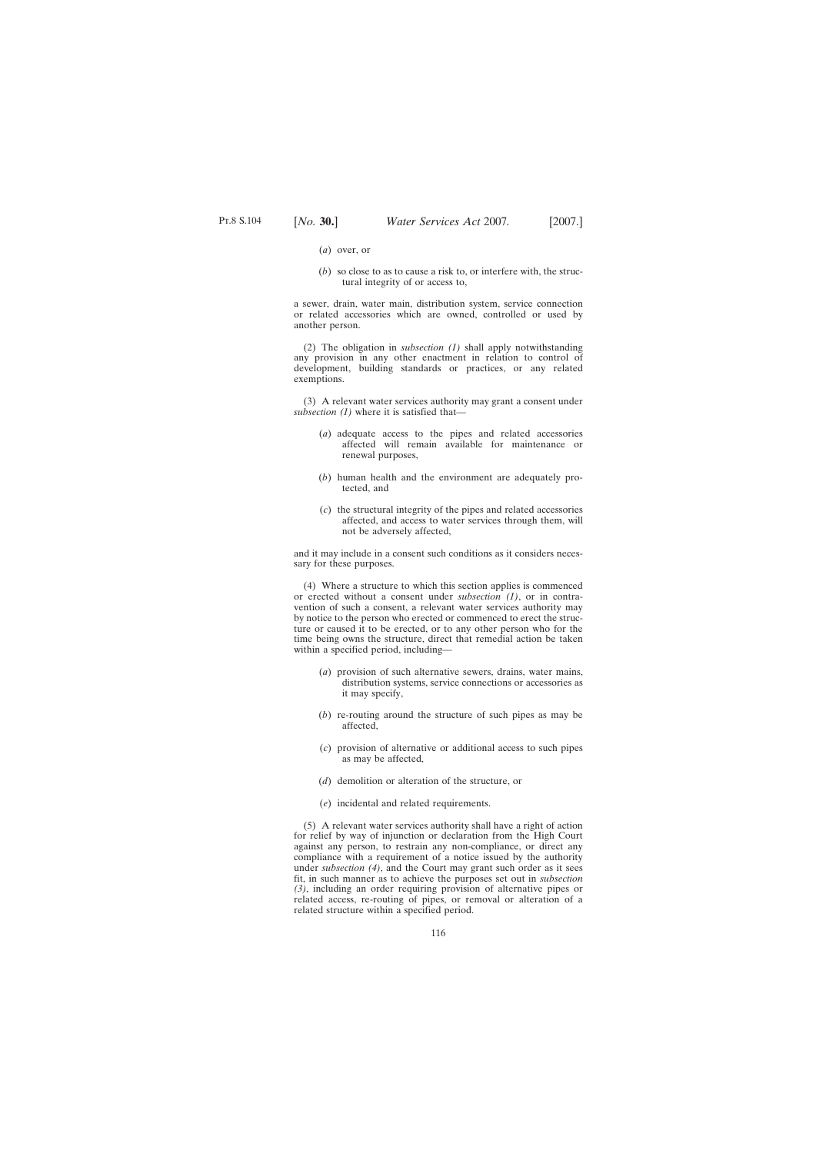- (*a*) over, or
- (*b*) so close to as to cause a risk to, or interfere with, the structural integrity of or access to,

a sewer, drain, water main, distribution system, service connection or related accessories which are owned, controlled or used by another person.

(2) The obligation in *subsection (1)* shall apply notwithstanding any provision in any other enactment in relation to control of development, building standards or practices, or any related exemptions.

(3) A relevant water services authority may grant a consent under *subsection (1)* where it is satisfied that—

- (*a*) adequate access to the pipes and related accessories affected will remain available for maintenance or renewal purposes,
- (*b*) human health and the environment are adequately protected, and
- (*c*) the structural integrity of the pipes and related accessories affected, and access to water services through them, will not be adversely affected,

and it may include in a consent such conditions as it considers necessary for these purposes.

(4) Where a structure to which this section applies is commenced or erected without a consent under *subsection (1)*, or in contravention of such a consent, a relevant water services authority may by notice to the person who erected or commenced to erect the structure or caused it to be erected, or to any other person who for the time being owns the structure, direct that remedial action be taken within a specified period, including—

- (*a*) provision of such alternative sewers, drains, water mains, distribution systems, service connections or accessories as it may specify,
- (*b*) re-routing around the structure of such pipes as may be affected,
- (*c*) provision of alternative or additional access to such pipes as may be affected,
- (*d*) demolition or alteration of the structure, or
- (*e*) incidental and related requirements.

(5) A relevant water services authority shall have a right of action for relief by way of injunction or declaration from the High Court against any person, to restrain any non-compliance, or direct any compliance with a requirement of a notice issued by the authority under *subsection (4)*, and the Court may grant such order as it sees fit, in such manner as to achieve the purposes set out in *subsection (3)*, including an order requiring provision of alternative pipes or related access, re-routing of pipes, or removal or alteration of a related structure within a specified period.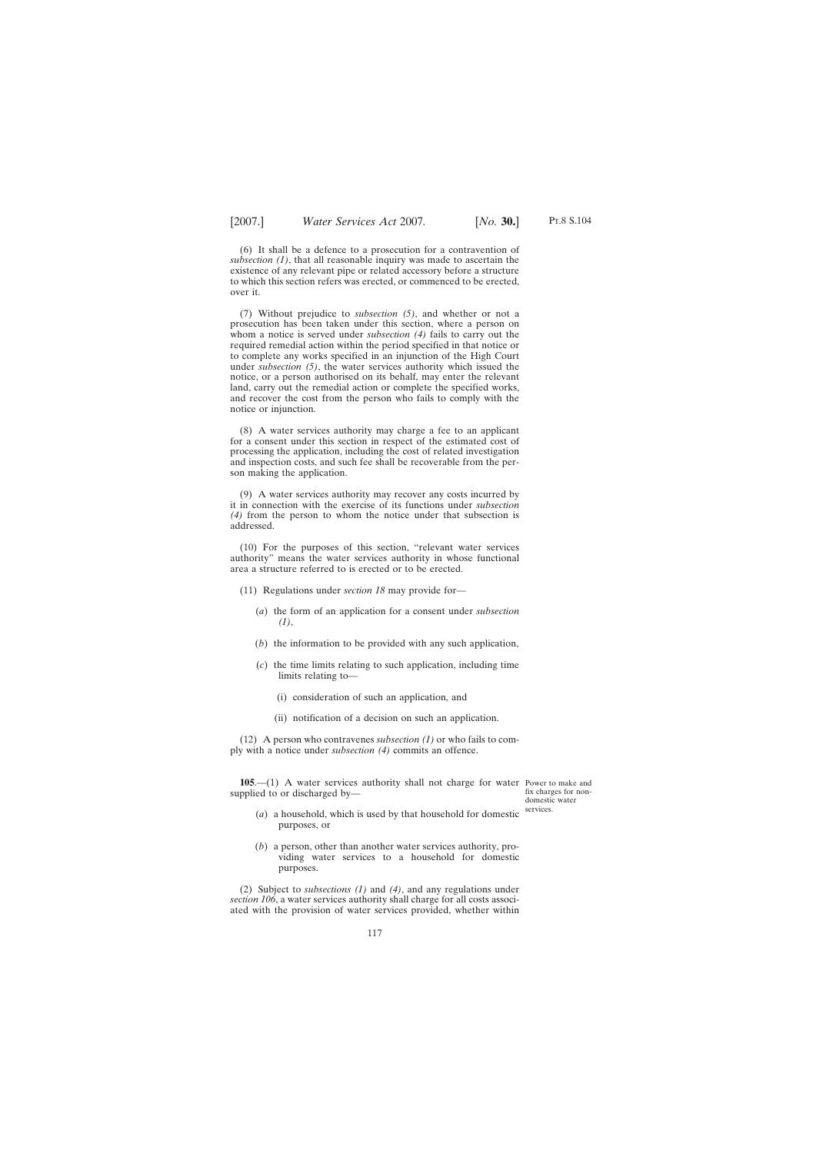Pt.8 S.104

(6) It shall be a defence to a prosecution for a contravention of *subsection (1)*, that all reasonable inquiry was made to ascertain the existence of any relevant pipe or related accessory before a structure to which this section refers was erected, or commenced to be erected, over it.

(7) Without prejudice to *subsection (5)*, and whether or not a prosecution has been taken under this section, where a person on whom a notice is served under *subsection (4)* fails to carry out the required remedial action within the period specified in that notice or to complete any works specified in an injunction of the High Court under *subsection (5)*, the water services authority which issued the notice, or a person authorised on its behalf, may enter the relevant land, carry out the remedial action or complete the specified works, and recover the cost from the person who fails to comply with the notice or injunction.

(8) A water services authority may charge a fee to an applicant for a consent under this section in respect of the estimated cost of processing the application, including the cost of related investigation and inspection costs, and such fee shall be recoverable from the person making the application.

(9) A water services authority may recover any costs incurred by it in connection with the exercise of its functions under *subsection (4)* from the person to whom the notice under that subsection is addressed.

(10) For the purposes of this section, "relevant water services authority" means the water services authority in whose functional area a structure referred to is erected or to be erected.

(11) Regulations under *section 18* may provide for—

- (*a*) the form of an application for a consent under *subsection (1)*,
- (*b*) the information to be provided with any such application,
- (*c*) the time limits relating to such application, including time limits relating to—
	- (i) consideration of such an application, and
	- (ii) notification of a decision on such an application.

(12) A person who contravenes *subsection (1)* or who fails to comply with a notice under *subsection (4)* commits an offence.

**105**.—(1) A water services authority shall not charge for water Power to make and supplied to or discharged by—

fix charges for nondomestic water services.

- (*a*) a household, which is used by that household for domestic purposes, or
- (*b*) a person, other than another water services authority, providing water services to a household for domestic purposes.

(2) Subject to *subsections (1)* and *(4)*, and any regulations under *section 106*, a water services authority shall charge for all costs associated with the provision of water services provided, whether within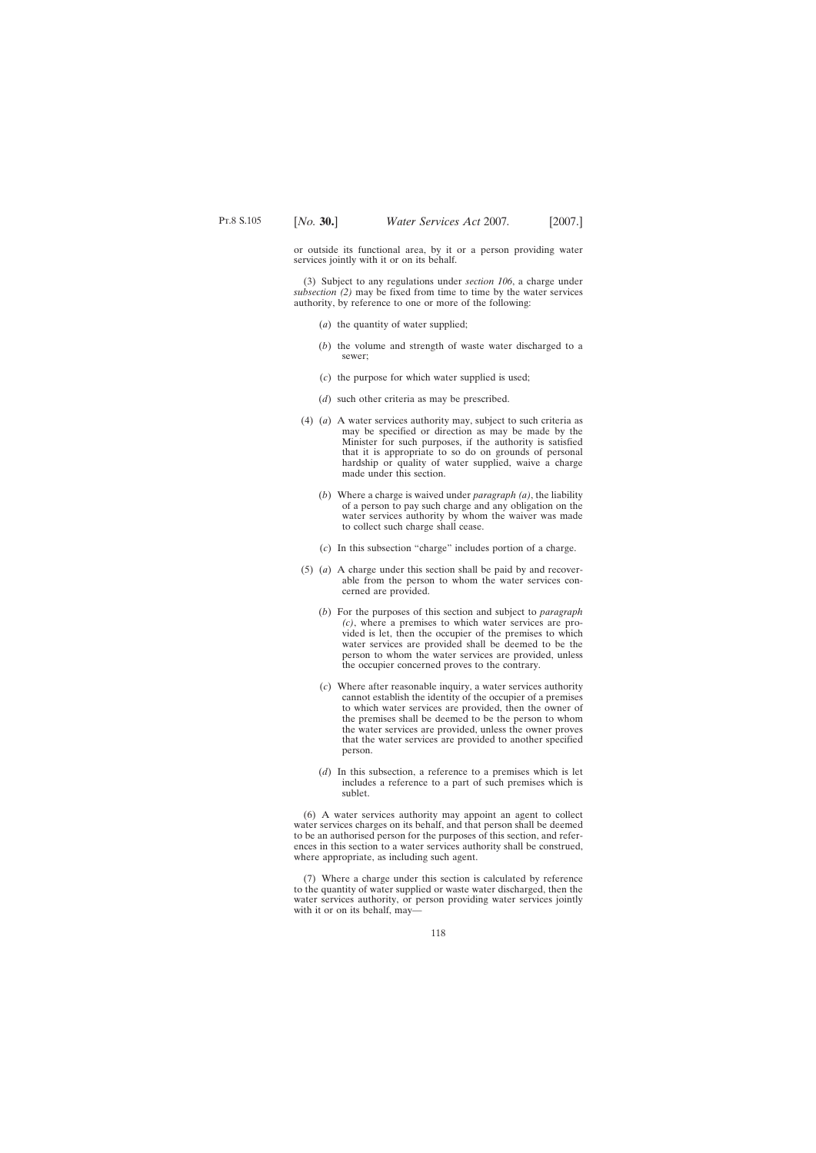or outside its functional area, by it or a person providing water services jointly with it or on its behalf.

(3) Subject to any regulations under *section 106*, a charge under *subsection (2)* may be fixed from time to time by the water services authority, by reference to one or more of the following:

- (*a*) the quantity of water supplied;
- (*b*) the volume and strength of waste water discharged to a sewer;
- (*c*) the purpose for which water supplied is used;
- (*d*) such other criteria as may be prescribed.
- (4) (*a*) A water services authority may, subject to such criteria as may be specified or direction as may be made by the Minister for such purposes, if the authority is satisfied that it is appropriate to so do on grounds of personal hardship or quality of water supplied, waive a charge made under this section.
	- (*b*) Where a charge is waived under *paragraph (a)*, the liability of a person to pay such charge and any obligation on the water services authority by whom the waiver was made to collect such charge shall cease.
	- (*c*) In this subsection "charge" includes portion of a charge.
- (5) (*a*) A charge under this section shall be paid by and recoverable from the person to whom the water services concerned are provided.
	- (*b*) For the purposes of this section and subject to *paragraph (c)*, where a premises to which water services are provided is let, then the occupier of the premises to which water services are provided shall be deemed to be the person to whom the water services are provided, unless the occupier concerned proves to the contrary.
	- (*c*) Where after reasonable inquiry, a water services authority cannot establish the identity of the occupier of a premises to which water services are provided, then the owner of the premises shall be deemed to be the person to whom the water services are provided, unless the owner proves that the water services are provided to another specified person.
	- (*d*) In this subsection, a reference to a premises which is let includes a reference to a part of such premises which is sublet.

(6) A water services authority may appoint an agent to collect water services charges on its behalf, and that person shall be deemed to be an authorised person for the purposes of this section, and references in this section to a water services authority shall be construed, where appropriate, as including such agent.

(7) Where a charge under this section is calculated by reference to the quantity of water supplied or waste water discharged, then the water services authority, or person providing water services jointly with it or on its behalf, may—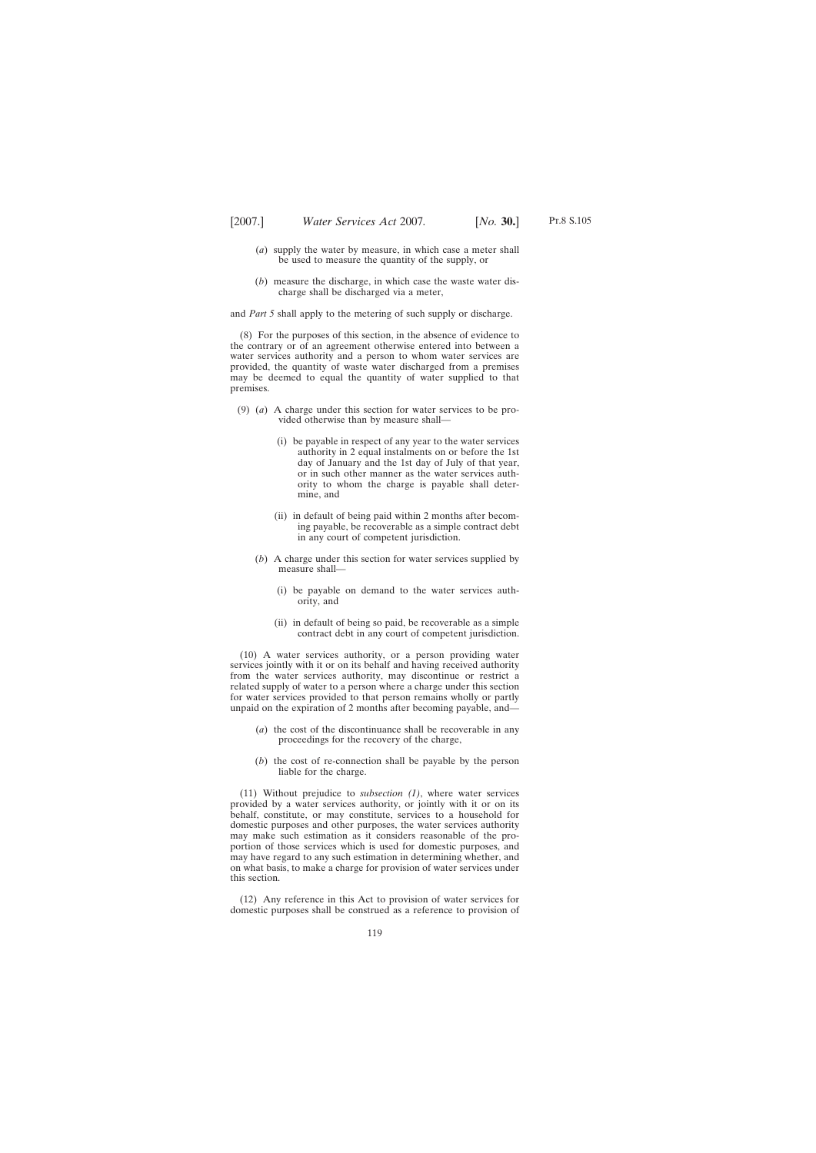- (*a*) supply the water by measure, in which case a meter shall be used to measure the quantity of the supply, or
- (*b*) measure the discharge, in which case the waste water discharge shall be discharged via a meter,

and *Part 5* shall apply to the metering of such supply or discharge.

(8) For the purposes of this section, in the absence of evidence to the contrary or of an agreement otherwise entered into between a water services authority and a person to whom water services are provided, the quantity of waste water discharged from a premises may be deemed to equal the quantity of water supplied to that premises.

- (9) (*a*) A charge under this section for water services to be provided otherwise than by measure shall—
	- (i) be payable in respect of any year to the water services authority in 2 equal instalments on or before the 1st day of January and the 1st day of July of that year, or in such other manner as the water services authority to whom the charge is payable shall determine, and
	- (ii) in default of being paid within 2 months after becoming payable, be recoverable as a simple contract debt in any court of competent jurisdiction.
	- (*b*) A charge under this section for water services supplied by measure shall—
		- (i) be payable on demand to the water services authority, and
		- (ii) in default of being so paid, be recoverable as a simple contract debt in any court of competent jurisdiction.

(10) A water services authority, or a person providing water services jointly with it or on its behalf and having received authority from the water services authority, may discontinue or restrict a related supply of water to a person where a charge under this section for water services provided to that person remains wholly or partly unpaid on the expiration of 2 months after becoming payable, and—

- (*a*) the cost of the discontinuance shall be recoverable in any proceedings for the recovery of the charge,
- (*b*) the cost of re-connection shall be payable by the person liable for the charge.

(11) Without prejudice to *subsection (1)*, where water services provided by a water services authority, or jointly with it or on its behalf, constitute, or may constitute, services to a household for domestic purposes and other purposes, the water services authority may make such estimation as it considers reasonable of the proportion of those services which is used for domestic purposes, and may have regard to any such estimation in determining whether, and on what basis, to make a charge for provision of water services under this section.

(12) Any reference in this Act to provision of water services for domestic purposes shall be construed as a reference to provision of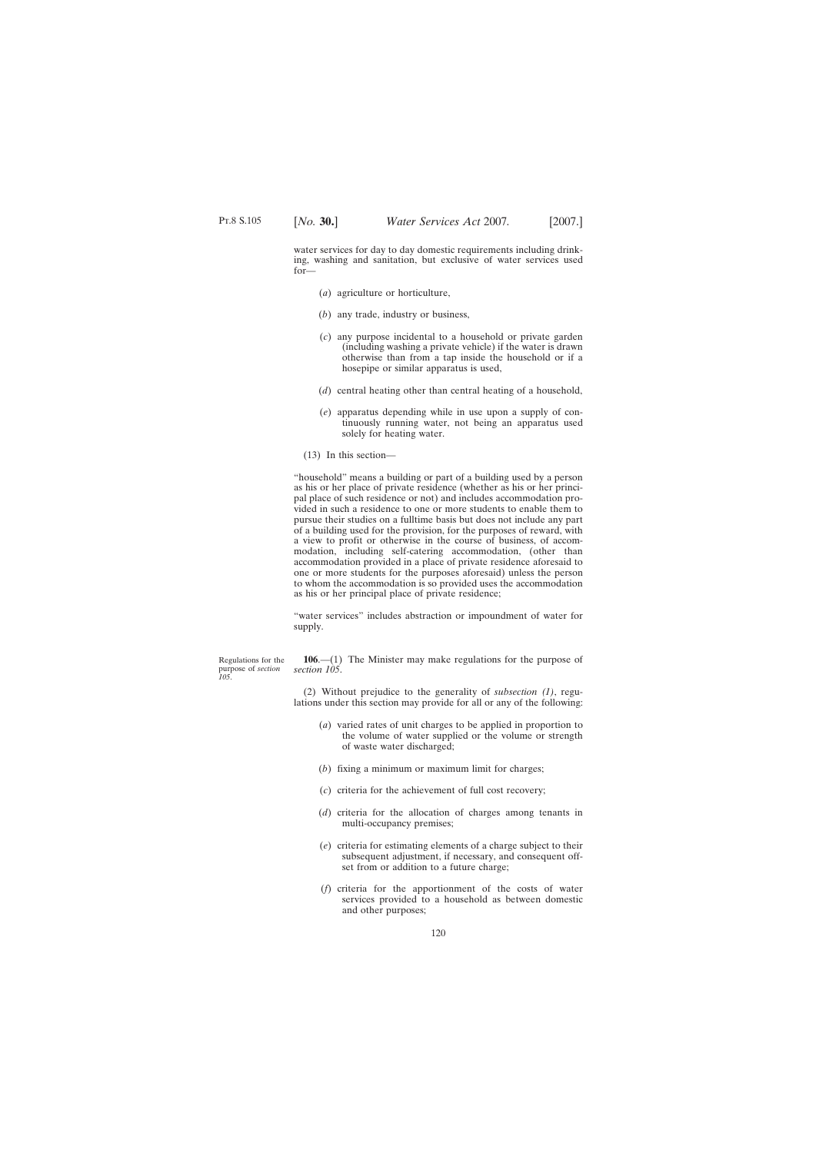water services for day to day domestic requirements including drinking, washing and sanitation, but exclusive of water services used for—

- (*a*) agriculture or horticulture,
- (*b*) any trade, industry or business,
- (*c*) any purpose incidental to a household or private garden (including washing a private vehicle) if the water is drawn otherwise than from a tap inside the household or if a hosepipe or similar apparatus is used,
- (*d*) central heating other than central heating of a household,
- (*e*) apparatus depending while in use upon a supply of continuously running water, not being an apparatus used solely for heating water.
- (13) In this section—

"household" means a building or part of a building used by a person as his or her place of private residence (whether as his or her principal place of such residence or not) and includes accommodation provided in such a residence to one or more students to enable them to pursue their studies on a fulltime basis but does not include any part of a building used for the provision, for the purposes of reward, with a view to profit or otherwise in the course of business, of accommodation, including self-catering accommodation, (other than accommodation provided in a place of private residence aforesaid to one or more students for the purposes aforesaid) unless the person to whom the accommodation is so provided uses the accommodation as his or her principal place of private residence;

"water services" includes abstraction or impoundment of water for supply.

Regulations for the purpose of *section 105*.

**106**.—(1) The Minister may make regulations for the purpose of *section 105*.

(2) Without prejudice to the generality of *subsection (1)*, regulations under this section may provide for all or any of the following:

- (*a*) varied rates of unit charges to be applied in proportion to the volume of water supplied or the volume or strength of waste water discharged;
- (*b*) fixing a minimum or maximum limit for charges;
- (*c*) criteria for the achievement of full cost recovery;
- (*d*) criteria for the allocation of charges among tenants in multi-occupancy premises;
- (*e*) criteria for estimating elements of a charge subject to their subsequent adjustment, if necessary, and consequent offset from or addition to a future charge;
- (*f*) criteria for the apportionment of the costs of water services provided to a household as between domestic and other purposes;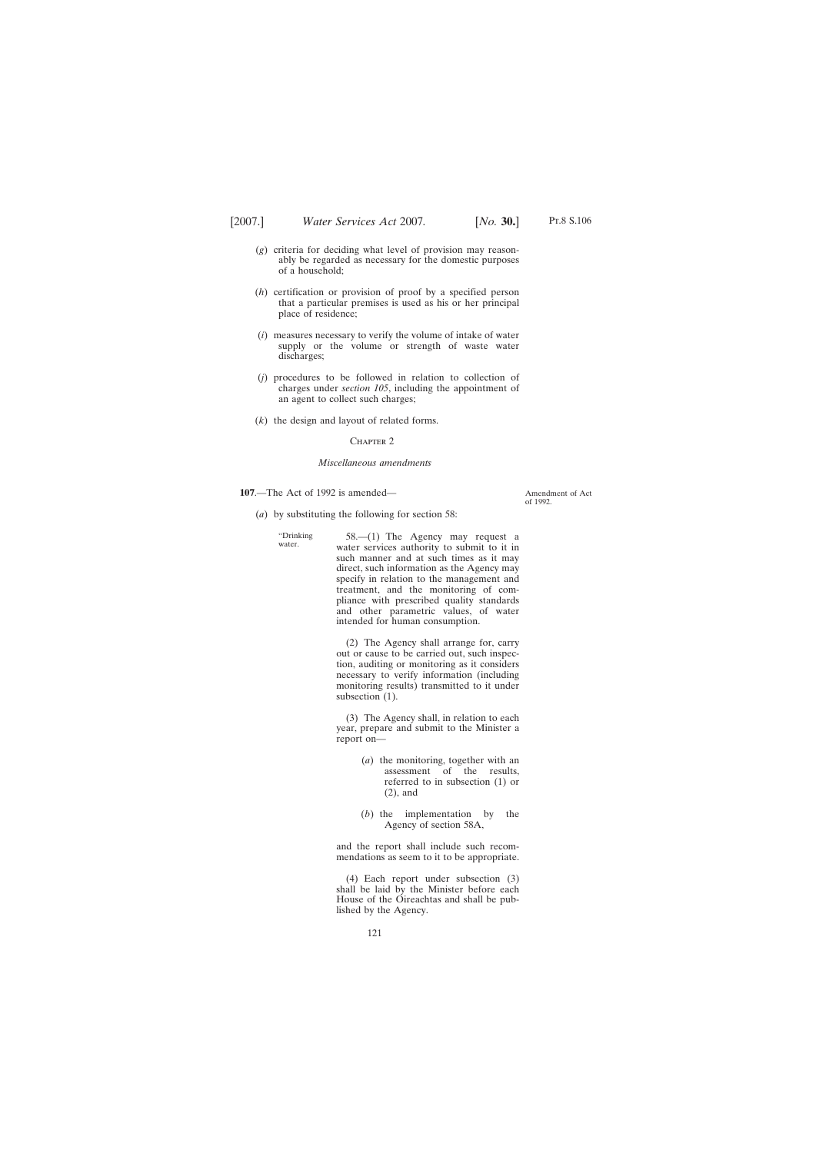- Pt.8 S.106
- (*g*) criteria for deciding what level of provision may reasonably be regarded as necessary for the domestic purposes of a household;
- (*h*) certification or provision of proof by a specified person that a particular premises is used as his or her principal place of residence;
- (*i*) measures necessary to verify the volume of intake of water supply or the volume or strength of waste water discharges;
- (*j*) procedures to be followed in relation to collection of charges under *section 105*, including the appointment of an agent to collect such charges;
- (*k*) the design and layout of related forms.

### CHAPTER<sub>2</sub>

#### *Miscellaneous amendments*

**107**.—The Act of 1992 is amended—

Amendment of Act of 1992.

- (*a*) by substituting the following for section 58:
	- "Drinking water. 58.—(1) The Agency may request a water services authority to submit to it in such manner and at such times as it may direct, such information as the Agency may specify in relation to the management and treatment, and the monitoring of compliance with prescribed quality standards and other parametric values, of water intended for human consumption.

(2) The Agency shall arrange for, carry out or cause to be carried out, such inspection, auditing or monitoring as it considers necessary to verify information (including monitoring results) transmitted to it under subsection  $(1)$ .

(3) The Agency shall, in relation to each year, prepare and submit to the Minister a report on—

- (*a*) the monitoring, together with an assessment of the results, referred to in subsection (1) or (2), and
- (*b*) the implementation by the Agency of section 58A,

and the report shall include such recommendations as seem to it to be appropriate.

(4) Each report under subsection (3) shall be laid by the Minister before each House of the Oireachtas and shall be published by the Agency.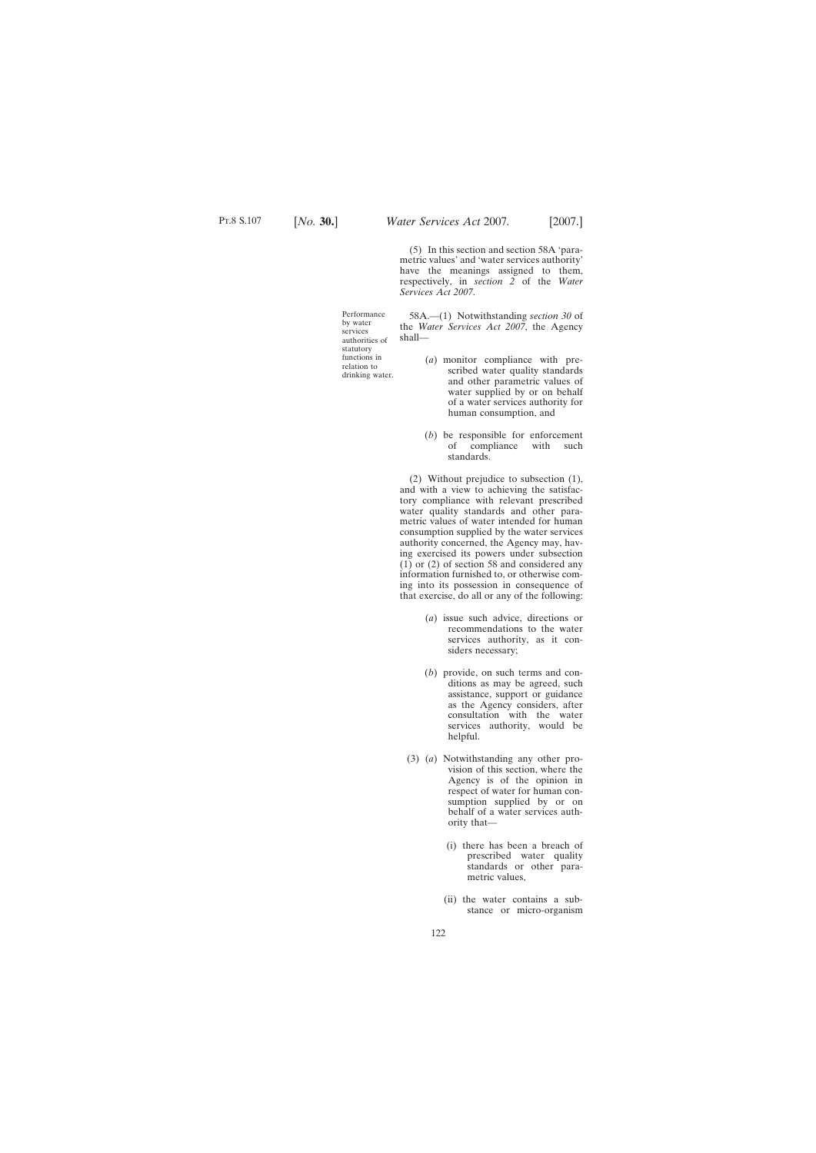(5) In this section and section 58A 'parametric values' and 'water services authority' have the meanings assigned to them, respectively, in *section 2* of the *Water Services Act 2007*.

Performance by water services authorities of statutory functions in relation to drinking water.

58A.—(1) Notwithstanding *section 30* of the *Water Services Act 2007*, the Agency shall—

- (*a*) monitor compliance with prescribed water quality standards and other parametric values of water supplied by or on behalf of a water services authority for human consumption, and
- (*b*) be responsible for enforcement of compliance with such standards.

(2) Without prejudice to subsection (1), and with a view to achieving the satisfactory compliance with relevant prescribed water quality standards and other parametric values of water intended for human consumption supplied by the water services authority concerned, the Agency may, having exercised its powers under subsection  $(1)$  or  $(2)$  of section 58 and considered any information furnished to, or otherwise coming into its possession in consequence of that exercise, do all or any of the following:

- (*a*) issue such advice, directions or recommendations to the water services authority, as it considers necessary;
- (*b*) provide, on such terms and conditions as may be agreed, such assistance, support or guidance as the Agency considers, after consultation with the water services authority, would be helpful.
- (3) (*a*) Notwithstanding any other provision of this section, where the Agency is of the opinion in respect of water for human consumption supplied by or on behalf of a water services authority that—
	- (i) there has been a breach of prescribed water quality standards or other parametric values,
	- (ii) the water contains a substance or micro-organism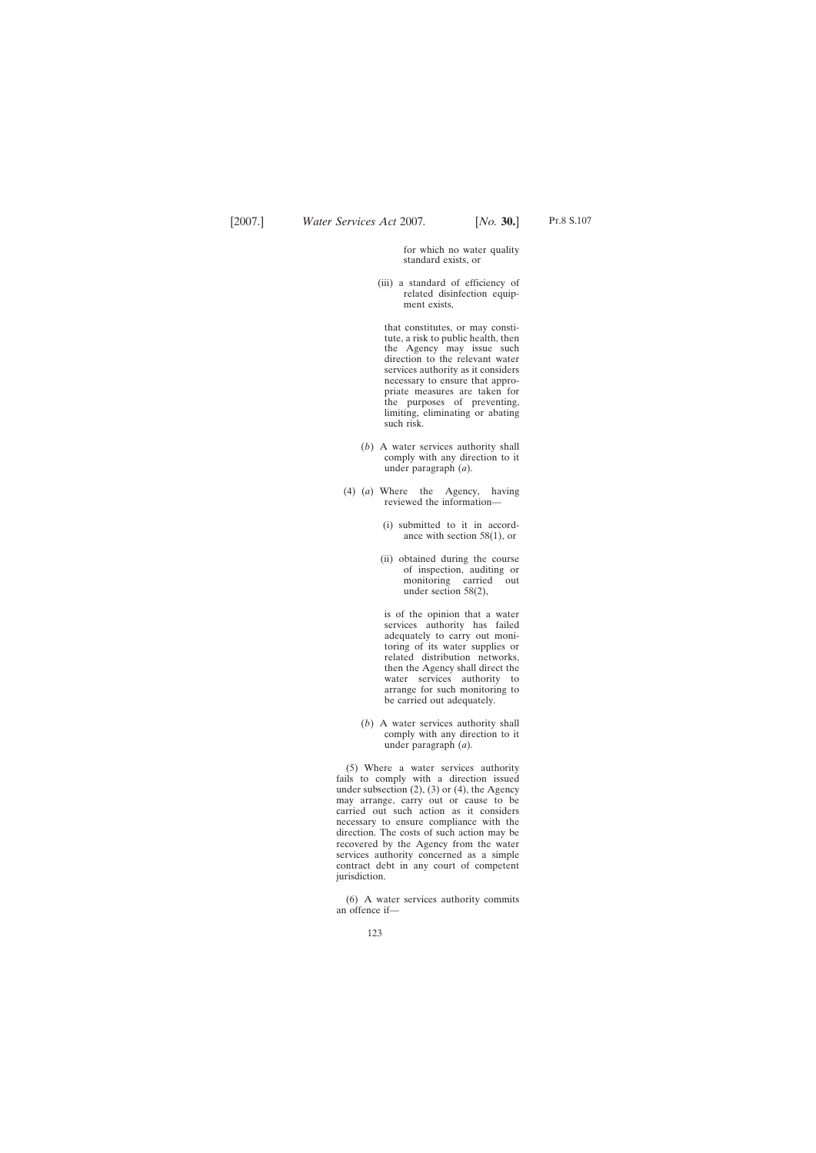for which no water quality standard exists, or

(iii) a standard of efficiency of related disinfection equipment exists,

that constitutes, or may constitute, a risk to public health, then the Agency may issue such direction to the relevant water services authority as it considers necessary to ensure that appropriate measures are taken for the purposes of preventing, limiting, eliminating or abating such risk.

- (*b*) A water services authority shall comply with any direction to it under paragraph (*a*).
- (4) (*a*) Where the Agency, having reviewed the information—
	- (i) submitted to it in accordance with section 58(1), or
	- (ii) obtained during the course of inspection, auditing or monitoring carried out under section 58(2),

is of the opinion that a water services authority has failed adequately to carry out monitoring of its water supplies or related distribution networks, then the Agency shall direct the water services authority to arrange for such monitoring to be carried out adequately.

(*b*) A water services authority shall comply with any direction to it under paragraph (*a*).

(5) Where a water services authority fails to comply with a direction issued under subsection  $(2)$ ,  $(3)$  or  $(4)$ , the Agency may arrange, carry out or cause to be carried out such action as it considers necessary to ensure compliance with the direction. The costs of such action may be recovered by the Agency from the water services authority concerned as a simple contract debt in any court of competent jurisdiction.

(6) A water services authority commits an offence if—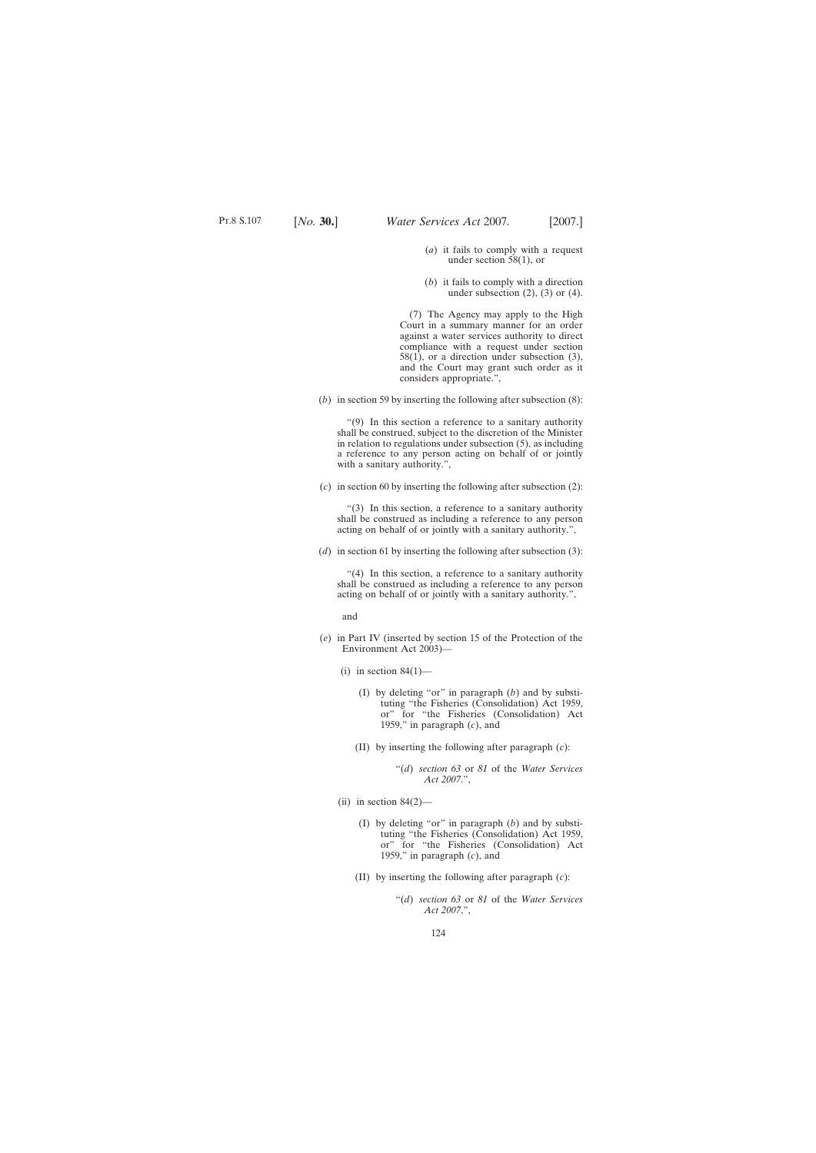- (*a*) it fails to comply with a request under section 58(1), or
- (*b*) it fails to comply with a direction under subsection  $(2)$ ,  $(3)$  or  $(4)$ .

(7) The Agency may apply to the High Court in a summary manner for an order against a water services authority to direct compliance with a request under section  $58(1)$ , or a direction under subsection  $(3)$ , and the Court may grant such order as it considers appropriate.",

(*b*) in section 59 by inserting the following after subsection (8):

"(9) In this section a reference to a sanitary authority shall be construed, subject to the discretion of the Minister in relation to regulations under subsection (5), as including a reference to any person acting on behalf of or jointly with a sanitary authority.",

(*c*) in section 60 by inserting the following after subsection (2):

"(3) In this section, a reference to a sanitary authority shall be construed as including a reference to any person acting on behalf of or jointly with a sanitary authority.",

(*d*) in section 61 by inserting the following after subsection (3):

"(4) In this section, a reference to a sanitary authority shall be construed as including a reference to any person acting on behalf of or jointly with a sanitary authority.",

and

- (*e*) in Part IV (inserted by section 15 of the Protection of the Environment Act 2003)—
	- (i) in section  $84(1)$ 
		- (I) by deleting "or" in paragraph (*b*) and by substituting "the Fisheries (Consolidation) Act 1959, or" for "the Fisheries (Consolidation) Act 1959," in paragraph (*c*), and
		- (II) by inserting the following after paragraph (*c*):
			- "(*d*) *section 63* or *81* of the *Water Services Act 2007*.",
	- (ii) in section  $84(2)$ 
		- (I) by deleting "or" in paragraph (*b*) and by substituting "the Fisheries (Consolidation) Act 1959, or" for "the Fisheries (Consolidation) Act 1959," in paragraph (*c*), and
		- (II) by inserting the following after paragraph (*c*):
			- "(*d*) *section 63* or *81* of the *Water Services Act 2007*,",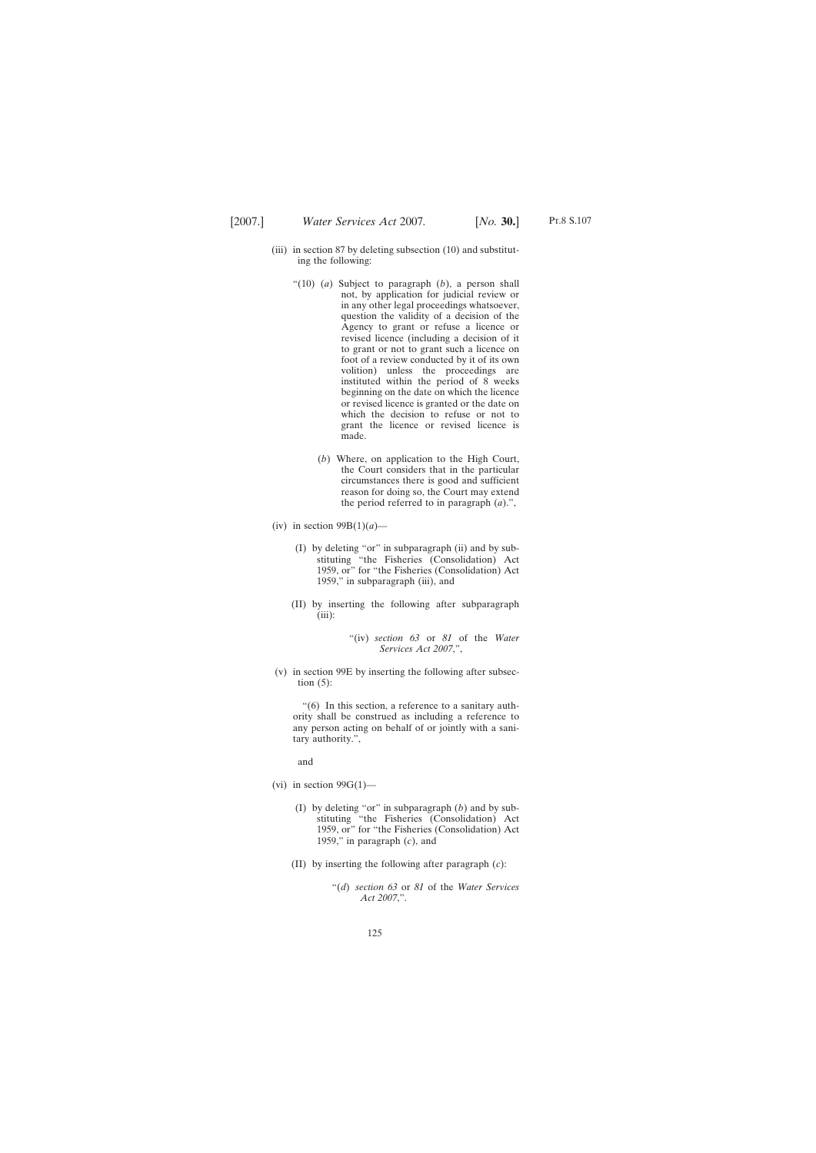- Pt.8 S.107
- (iii) in section 87 by deleting subsection (10) and substituting the following:
	- "(10) (*a*) Subject to paragraph (*b*), a person shall not, by application for judicial review or in any other legal proceedings whatsoever, question the validity of a decision of the Agency to grant or refuse a licence or revised licence (including a decision of it to grant or not to grant such a licence on foot of a review conducted by it of its own volition) unless the proceedings are instituted within the period of 8 weeks beginning on the date on which the licence or revised licence is granted or the date on which the decision to refuse or not to grant the licence or revised licence is made.
		- (*b*) Where, on application to the High Court, the Court considers that in the particular circumstances there is good and sufficient reason for doing so, the Court may extend the period referred to in paragraph (*a*).",
- (iv) in section  $99B(1)(a)$ 
	- (I) by deleting "or" in subparagraph (ii) and by substituting "the Fisheries (Consolidation) Act 1959, or" for "the Fisheries (Consolidation) Act 1959," in subparagraph (iii), and
	- (II) by inserting the following after subparagraph (iii):

"(iv) *section 63* or *81* of the *Water Services Act 2007*,",

(v) in section 99E by inserting the following after subsection  $(5)$ :

"(6) In this section, a reference to a sanitary authority shall be construed as including a reference to any person acting on behalf of or jointly with a sanitary authority.",

and

- (vi) in section  $99G(1)$ 
	- (I) by deleting "or" in subparagraph (*b*) and by substituting "the Fisheries (Consolidation) Act 1959, or" for "the Fisheries (Consolidation) Act 1959," in paragraph (*c*), and
	- (II) by inserting the following after paragraph (*c*):
		- "(*d*) *section 63* or *81* of the *Water Services Act 2007*,".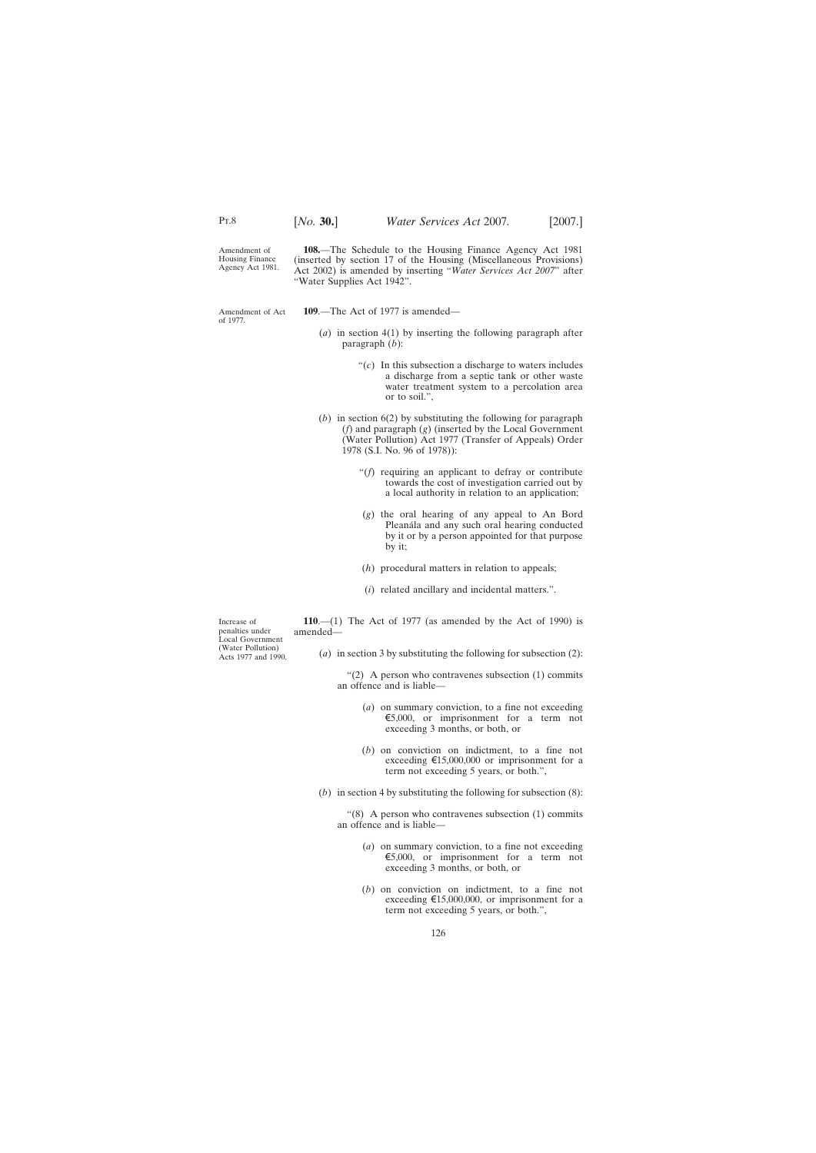Amendment of Housing Finance Agency Act 1981.

**108.**—The Schedule to the Housing Finance Agency Act 1981 (inserted by section 17 of the Housing (Miscellaneous Provisions) Act 2002) is amended by inserting "*Water Services Act 2007*" after "Water Supplies Act 1942".

Amendment of Act of 1977.

**109**.—The Act of 1977 is amended—

- (*a*) in section 4(1) by inserting the following paragraph after paragraph (*b*):
	- " $(c)$  In this subsection a discharge to waters includes a discharge from a septic tank or other waste water treatment system to a percolation area or to soil.",
- (*b*) in section 6(2) by substituting the following for paragraph (*f*) and paragraph (*g*) (inserted by the Local Government (Water Pollution) Act 1977 (Transfer of Appeals) Order 1978 (S.I. No. 96 of 1978)):
	- "(*f*) requiring an applicant to defray or contribute towards the cost of investigation carried out by a local authority in relation to an application;
	- (*g*) the oral hearing of any appeal to An Bord Pleanála and any such oral hearing conducted by it or by a person appointed for that purpose by it;
	- (*h*) procedural matters in relation to appeals;
	- (*i*) related ancillary and incidental matters.".

Increase of penalties under Local Government (Water Pollution) Acts 1977 and 1990.

**110**.—(1) The Act of 1977 (as amended by the Act of 1990) is amended—

(*a*) in section 3 by substituting the following for subsection (2):

" $(2)$  A person who contravenes subsection  $(1)$  commits an offence and is liable—

- (*a*) on summary conviction, to a fine not exceeding  $\epsilon$ 5,000, or imprisonment for a term not exceeding 3 months, or both, or
- (*b*) on conviction on indictment, to a fine not exceeding  $\text{£}15,000,000$  or imprisonment for a term not exceeding 5 years, or both.",
- (*b*) in section 4 by substituting the following for subsection (8):

" $(8)$  A person who contravenes subsection  $(1)$  commits an offence and is liable—

- (*a*) on summary conviction, to a fine not exceeding  $\epsilon$ 5,000, or imprisonment for a term not exceeding 3 months, or both, or
- (*b*) on conviction on indictment, to a fine not exceeding  $\text{£}15,000,000$ , or imprisonment for a term not exceeding 5 years, or both.",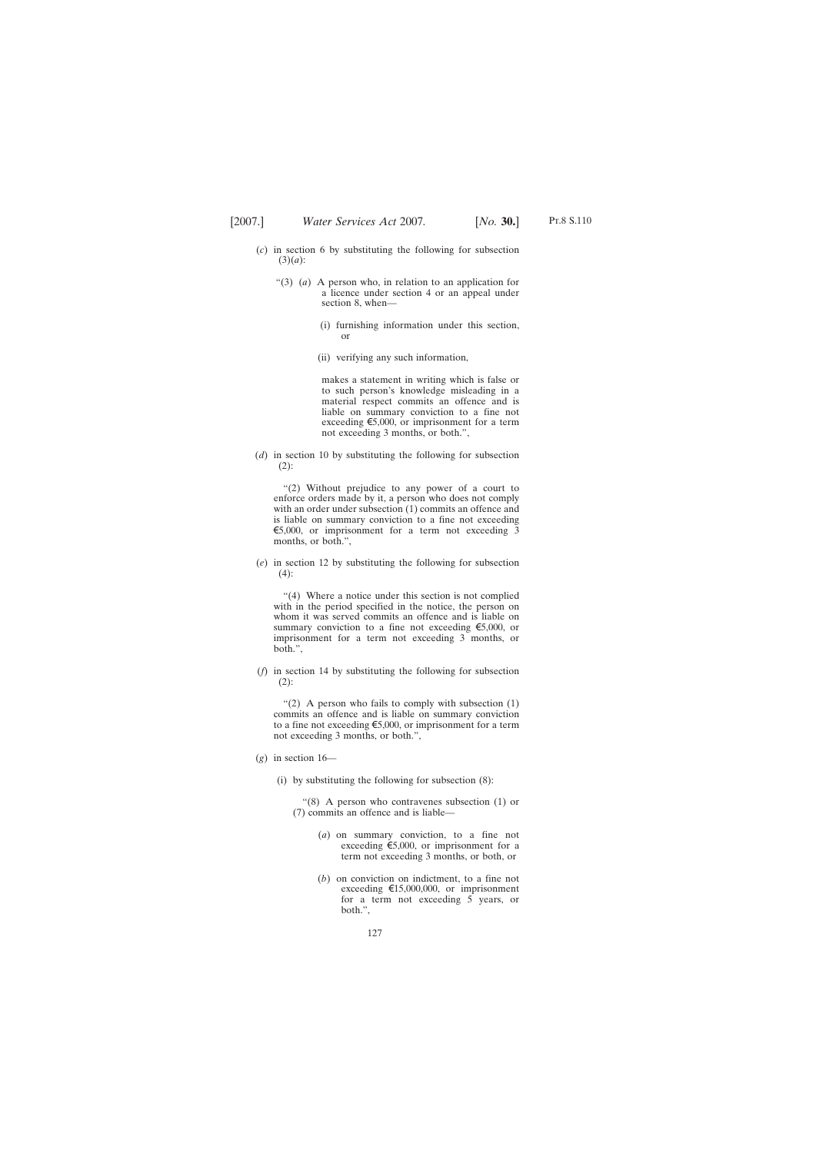- (*c*) in section 6 by substituting the following for subsection (3)(*a*):
	- "(3) (*a*) A person who, in relation to an application for a licence under section 4 or an appeal under section 8, when—
		- (i) furnishing information under this section, or
		- (ii) verifying any such information,

makes a statement in writing which is false or to such person's knowledge misleading in a material respect commits an offence and is liable on summary conviction to a fine not exceeding  $\epsilon$ 5,000, or imprisonment for a term not exceeding 3 months, or both.",

(*d*) in section 10 by substituting the following for subsection (2):

"(2) Without prejudice to any power of a court to enforce orders made by it, a person who does not comply with an order under subsection (1) commits an offence and is liable on summary conviction to a fine not exceeding  $\epsilon$ 5,000, or imprisonment for a term not exceeding 3 months, or both.",

(*e*) in section 12 by substituting the following for subsection  $(4)$ :

"(4) Where a notice under this section is not complied with in the period specified in the notice, the person on whom it was served commits an offence and is liable on summary conviction to a fine not exceeding  $\epsilon$ 5,000, or imprisonment for a term not exceeding 3 months, or both.",

(*f*) in section 14 by substituting the following for subsection  $(2)$ :

"(2) A person who fails to comply with subsection  $(1)$ commits an offence and is liable on summary conviction to a fine not exceeding  $\epsilon$ 5,000, or imprisonment for a term not exceeding 3 months, or both.",

- $(g)$  in section 16—
	- (i) by substituting the following for subsection (8):

"(8) A person who contravenes subsection (1) or (7) commits an offence and is liable—

- (*a*) on summary conviction, to a fine not exceeding  $\epsilon$ 5,000, or imprisonment for a term not exceeding 3 months, or both, or
- (*b*) on conviction on indictment, to a fine not exceeding  $\text{£}15,000,000$ , or imprisonment for a term not exceeding 5 years, or both.",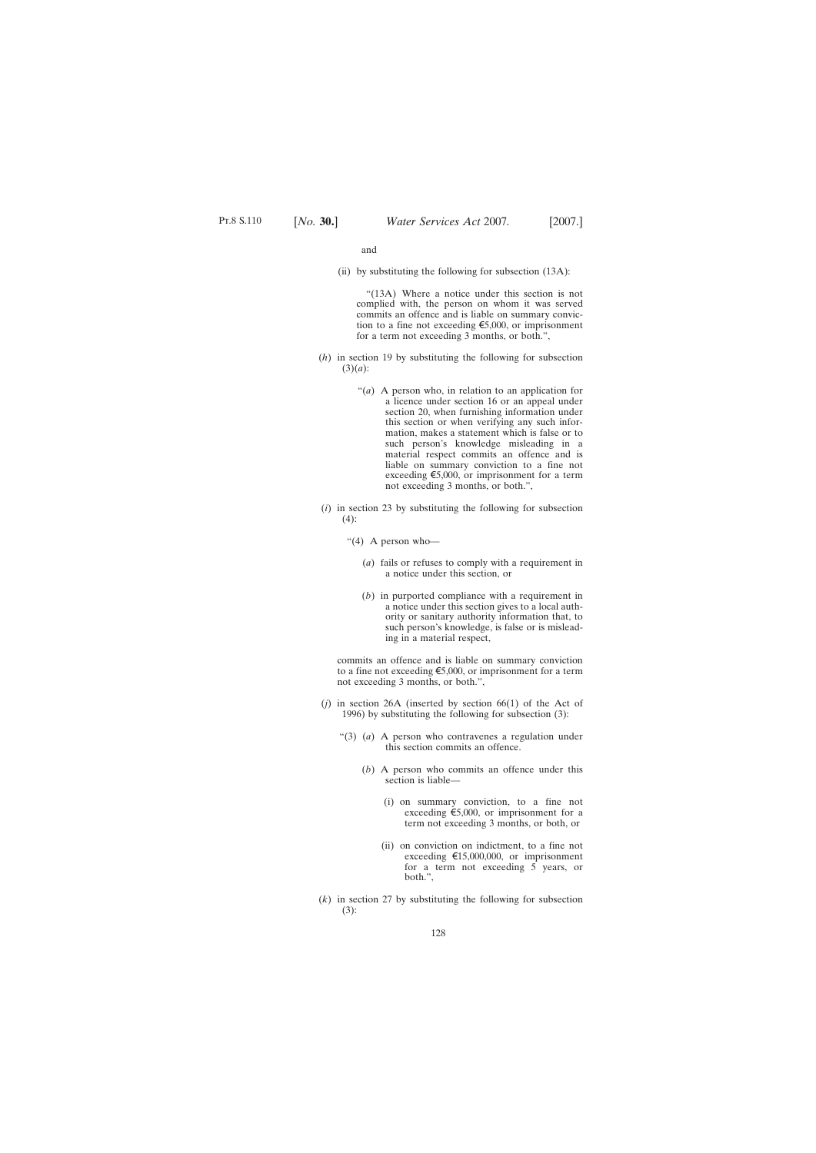and

(ii) by substituting the following for subsection (13A):

"(13A) Where a notice under this section is not complied with, the person on whom it was served commits an offence and is liable on summary conviction to a fine not exceeding  $\epsilon$ 5,000, or imprisonment for a term not exceeding 3 months, or both.",

- (*h*) in section 19 by substituting the following for subsection (3)(*a*):
	- "(*a*) A person who, in relation to an application for a licence under section 16 or an appeal under section 20, when furnishing information under this section or when verifying any such information, makes a statement which is false or to such person's knowledge misleading in a material respect commits an offence and is liable on summary conviction to a fine not exceeding  $\epsilon$ 5,000, or imprisonment for a term not exceeding 3 months, or both.",
- (*i*) in section 23 by substituting the following for subsection  $(4)$ :
	- "(4) A person who-
		- (*a*) fails or refuses to comply with a requirement in a notice under this section, or
		- (*b*) in purported compliance with a requirement in a notice under this section gives to a local authority or sanitary authority information that, to such person's knowledge, is false or is misleading in a material respect,

commits an offence and is liable on summary conviction to a fine not exceeding  $\epsilon$ 5,000, or imprisonment for a term not exceeding 3 months, or both.",

- (*j*) in section 26A (inserted by section 66(1) of the Act of 1996) by substituting the following for subsection (3):
	- "(3) (*a*) A person who contravenes a regulation under this section commits an offence.
		- (*b*) A person who commits an offence under this section is liable—
			- (i) on summary conviction, to a fine not exceeding  $\epsilon$ 5,000, or imprisonment for a term not exceeding 3 months, or both, or
			- (ii) on conviction on indictment, to a fine not exceeding  $\text{£}15,000,000$ , or imprisonment for a term not exceeding 5 years, or both.",
- (*k*) in section 27 by substituting the following for subsection (3):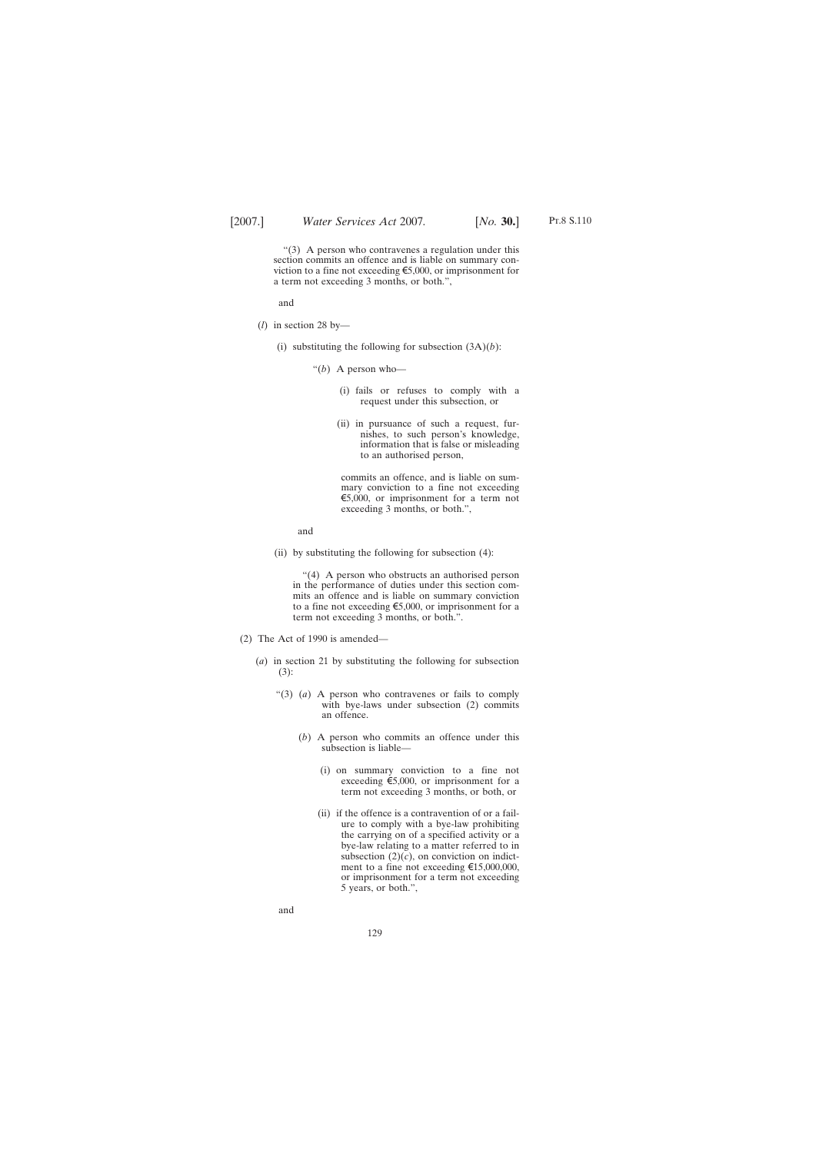a term not exceeding 3 months, or both.",

"(3) A person who contravenes a regulation under this section commits an offence and is liable on summary conviction to a fine not exceeding  $\epsilon$ 5,000, or imprisonment for

and

- (*l*) in section 28 by—
	- (i) substituting the following for subsection  $(3A)(b)$ :
		- "(*b*) A person who—
			- (i) fails or refuses to comply with a request under this subsection, or
			- (ii) in pursuance of such a request, furnishes, to such person's knowledge, information that is false or misleading to an authorised person,

commits an offence, and is liable on summary conviction to a fine not exceeding  $\epsilon$ 5,000, or imprisonment for a term not exceeding 3 months, or both.",

and

(ii) by substituting the following for subsection (4):

"(4) A person who obstructs an authorised person in the performance of duties under this section commits an offence and is liable on summary conviction to a fine not exceeding  $\epsilon$ 5,000, or imprisonment for a term not exceeding 3 months, or both.".

- (2) The Act of 1990 is amended—
	- (*a*) in section 21 by substituting the following for subsection (3):
		- "(3) (*a*) A person who contravenes or fails to comply with bye-laws under subsection (2) commits an offence.
			- (*b*) A person who commits an offence under this subsection is liable—
				- (i) on summary conviction to a fine not exceeding  $\epsilon$ 5,000, or imprisonment for a term not exceeding 3 months, or both, or
				- (ii) if the offence is a contravention of or a failure to comply with a bye-law prohibiting the carrying on of a specified activity or a bye-law relating to a matter referred to in subsection  $(2)(c)$ , on conviction on indictment to a fine not exceeding  $\text{£}15,000,000$ , or imprisonment for a term not exceeding 5 years, or both.",

and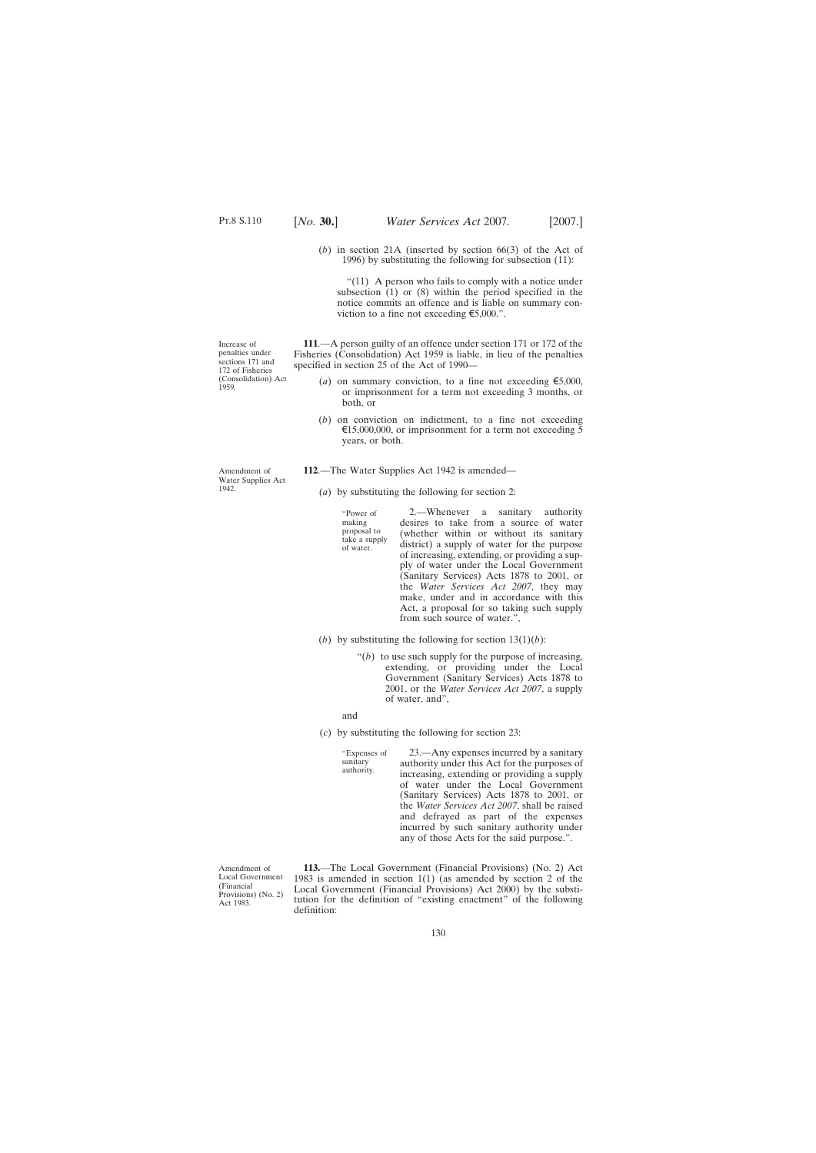- 
- (*b*) in section 21A (inserted by section 66(3) of the Act of 1996) by substituting the following for subsection (11):

"(11) A person who fails to comply with a notice under subsection  $(1)$  or  $(8)$  within the period specified in the notice commits an offence and is liable on summary conviction to a fine not exceeding  $\epsilon$ 5,000.".

**111**.—A person guilty of an offence under section 171 or 172 of the Fisheries (Consolidation) Act 1959 is liable, in lieu of the penalties specified in section 25 of the Act of 1990—

- (*a*) on summary conviction, to a fine not exceeding  $\epsilon$ 5,000, or imprisonment for a term not exceeding 3 months, or both, or
- (*b*) on conviction on indictment, to a fine not exceeding  $\text{\textsterling}15,000,000$ , or imprisonment for a term not exceeding 5 years, or both.
- **112**.—The Water Supplies Act 1942 is amended—
	- (*a*) by substituting the following for section 2:

"Power of making proposal to take a supply of water.

2.—Whenever a sanitary authority desires to take from a source of water (whether within or without its sanitary district) a supply of water for the purpose of increasing, extending, or providing a supply of water under the Local Government (Sanitary Services) Acts 1878 to 2001, or the *Water Services Act 2007*, they may make, under and in accordance with this Act, a proposal for so taking such supply from such source of water.",

- (*b*) by substituting the following for section  $13(1)(b)$ :
	- " $(b)$  to use such supply for the purpose of increasing, extending, or providing under the Local Government (Sanitary Services) Acts 1878 to 2001, or the *Water Services Act 2007*, a supply of water, and",

and

sanitary

(*c*) by substituting the following for section 23:

"Expenses of authority. 23.—Any expenses incurred by a sanitary authority under this Act for the purposes of increasing, extending or providing a supply of water under the Local Government (Sanitary Services) Acts 1878 to 2001, or the *Water Services Act 2007*, shall be raised and defrayed as part of the expenses incurred by such sanitary authority under any of those Acts for the said purpose.".

Amendment of Local Government (Financial Provisions) (No. 2) Act 1983.

**113.**—The Local Government (Financial Provisions) (No. 2) Act 1983 is amended in section 1(1) (as amended by section 2 of the Local Government (Financial Provisions) Act 2000) by the substitution for the definition of "existing enactment" of the following definition:

Increase of penalties under sections 171 and 172 of Fisheries (Consolidation) Act 1959.

Amendment of Water Supplies Act

1942.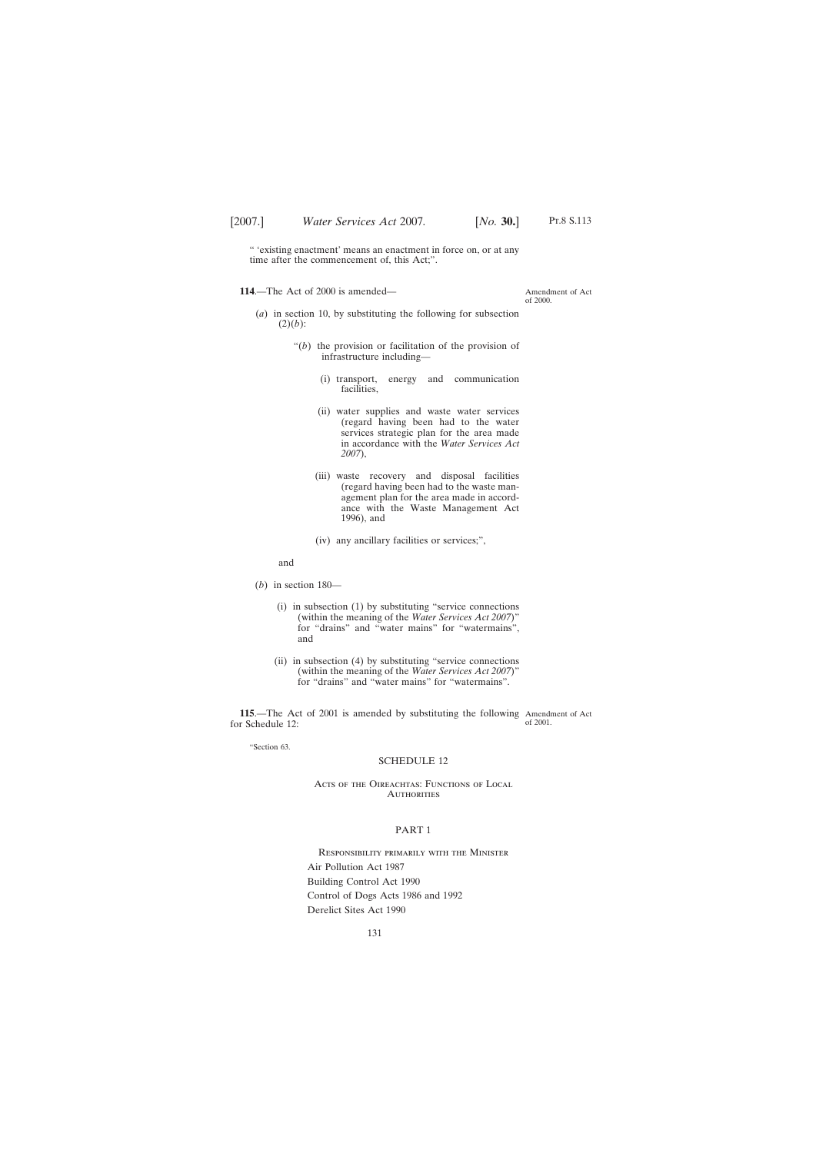" 'existing enactment' means an enactment in force on, or at any time after the commencement of, this Act;".

**114**.—The Act of 2000 is amended—

Amendment of Act of 2000.

- (*a*) in section 10, by substituting the following for subsection  $(2)(b)$ :
	- "(*b*) the provision or facilitation of the provision of infrastructure including—
		- (i) transport, energy and communication facilities,
		- (ii) water supplies and waste water services (regard having been had to the water services strategic plan for the area made in accordance with the *Water Services Act 2007*),
		- (iii) waste recovery and disposal facilities (regard having been had to the waste management plan for the area made in accordance with the Waste Management Act 1996), and
		- (iv) any ancillary facilities or services;",

and

- (*b*) in section 180—
	- (i) in subsection (1) by substituting "service connections (within the meaning of the *Water Services Act 2007*)" for "drains" and "water mains" for "watermains", and
	- (ii) in subsection (4) by substituting "service connections (within the meaning of the *Water Services Act 2007*)" for "drains" and "water mains" for "watermains".

**115**.—The Act of 2001 is amended by substituting the following Amendment of Act for Schedule 12: of 2001.

"Section 63.

#### SCHEDULE 12

### Acts of the Oireachtas: Functions of Local **AUTHORITIES**

### PART 1

Responsibility primarily with the Minister Air Pollution Act 1987 Building Control Act 1990 Control of Dogs Acts 1986 and 1992 Derelict Sites Act 1990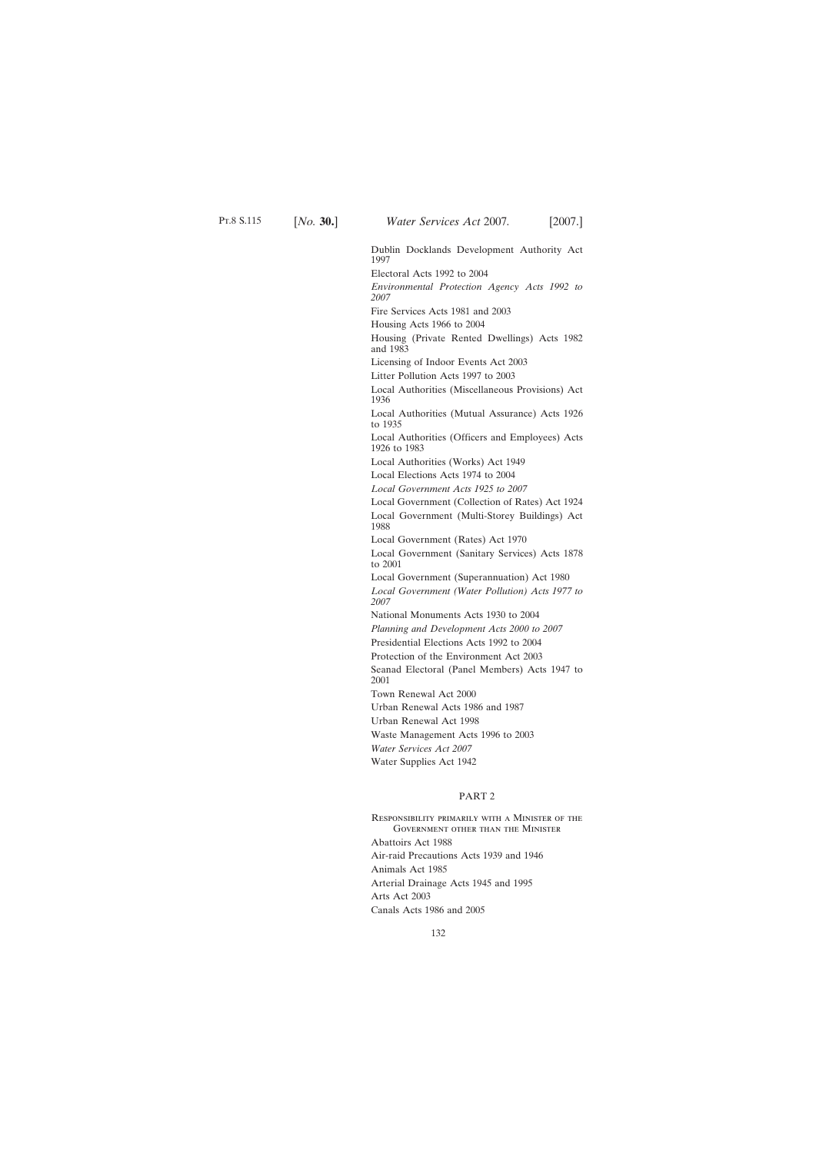Dublin Docklands Development Authority Act 1997

Electoral Acts 1992 to 2004

*Environmental Protection Agency Acts 1992 to 2007*

Fire Services Acts 1981 and 2003

Housing Acts 1966 to 2004

Housing (Private Rented Dwellings) Acts 1982 and 1983

Licensing of Indoor Events Act 2003

Litter Pollution Acts 1997 to 2003

Local Authorities (Miscellaneous Provisions) Act 1936

Local Authorities (Mutual Assurance) Acts 1926 to 1935

Local Authorities (Officers and Employees) Acts 1926 to 1983

Local Authorities (Works) Act 1949

Local Elections Acts 1974 to 2004

*Local Government Acts 1925 to 2007*

Local Government (Collection of Rates) Act 1924

Local Government (Multi-Storey Buildings) Act 1988

Local Government (Rates) Act 1970

Local Government (Sanitary Services) Acts 1878 to 2001

Local Government (Superannuation) Act 1980

*Local Government (Water Pollution) Acts 1977 to 2007*

National Monuments Acts 1930 to 2004

*Planning and Development Acts 2000 to 2007*

Presidential Elections Acts 1992 to 2004

Protection of the Environment Act 2003

Seanad Electoral (Panel Members) Acts 1947 to 2001

Town Renewal Act 2000

Urban Renewal Acts 1986 and 1987

Urban Renewal Act 1998

Waste Management Acts 1996 to 2003

*Water Services Act 2007*

Water Supplies Act 1942

### PART 2

Responsibility primarily with a Minister of the Government other than the Minister Abattoirs Act 1988 Air-raid Precautions Acts 1939 and 1946 Animals Act 1985 Arterial Drainage Acts 1945 and 1995 Arts Act 2003 Canals Acts 1986 and 2005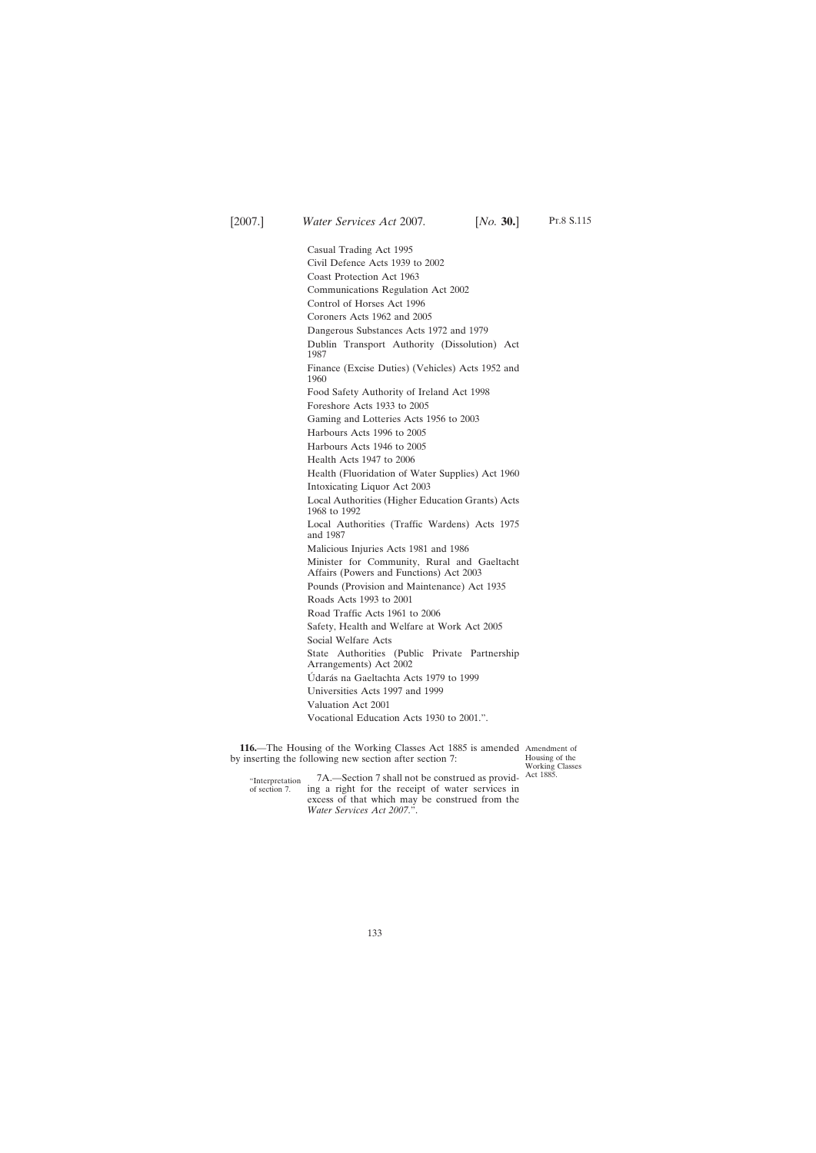Casual Trading Act 1995 Civil Defence Acts 1939 to 2002 Coast Protection Act 1963 Communications Regulation Act 2002 Control of Horses Act 1996 Coroners Acts 1962 and 2005 Dangerous Substances Acts 1972 and 1979 Dublin Transport Authority (Dissolution) Act 1987 Finance (Excise Duties) (Vehicles) Acts 1952 and 1960 Food Safety Authority of Ireland Act 1998 Foreshore Acts 1933 to 2005 Gaming and Lotteries Acts 1956 to 2003 Harbours Acts 1996 to 2005 Harbours Acts 1946 to 2005 Health Acts 1947 to 2006 Health (Fluoridation of Water Supplies) Act 1960 Intoxicating Liquor Act 2003 Local Authorities (Higher Education Grants) Acts 1968 to 1992 Local Authorities (Traffic Wardens) Acts 1975 and 1987 Malicious Injuries Acts 1981 and 1986 Minister for Community, Rural and Gaeltacht Affairs (Powers and Functions) Act 2003 Pounds (Provision and Maintenance) Act 1935 Roads Acts 1993 to 2001 Road Traffic Acts 1961 to 2006 Safety, Health and Welfare at Work Act 2005 Social Welfare Acts State Authorities (Public Private Partnership Arrangements) Act 2002 Údarás na Gaeltachta Acts 1979 to 1999 Universities Acts 1997 and 1999 Valuation Act 2001 Vocational Education Acts 1930 to 2001.".

116. The Housing of the Working Classes Act 1885 is amended Amendment of by inserting the following new section after section 7:

Housing of the Working Classes

"Interpretation of section 7. 7A.—Section 7 shall not be construed as provid- Act 1885. ing a right for the receipt of water services in excess of that which may be construed from the *Water Services Act 2007*.".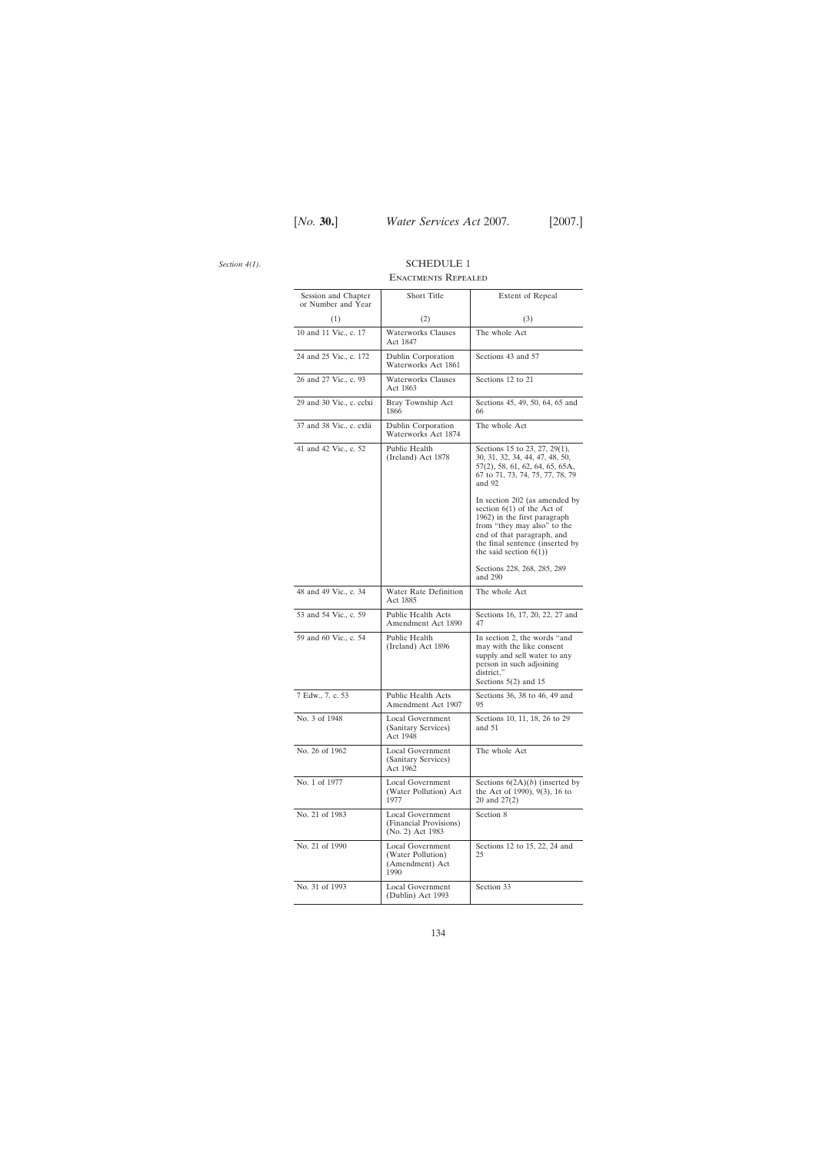*Section 4(1)*.

# SCHEDULE 1 Enactments Repealed

| Session and Chapter      | Short Title                                                      | Extent of Repeal                                                                                                                                                                                                           |
|--------------------------|------------------------------------------------------------------|----------------------------------------------------------------------------------------------------------------------------------------------------------------------------------------------------------------------------|
| or Number and Year       |                                                                  |                                                                                                                                                                                                                            |
| (1)                      | (2)                                                              | (3)                                                                                                                                                                                                                        |
| 10 and 11 Vic., c. 17    | <b>Waterworks Clauses</b><br>Act 1847                            | The whole Act                                                                                                                                                                                                              |
| 24 and 25 Vic., c. 172   | Dublin Corporation<br>Waterworks Act 1861                        | Sections 43 and 57                                                                                                                                                                                                         |
| 26 and 27 Vic., c. 93    | <b>Waterworks Clauses</b><br>Act 1863                            | Sections 12 to 21                                                                                                                                                                                                          |
| 29 and 30 Vic., c. cclxi | Bray Township Act<br>1866                                        | Sections 45, 49, 50, 64, 65 and<br>66                                                                                                                                                                                      |
| 37 and 38 Vic., c. exlii | Dublin Corporation<br>Waterworks Act 1874                        | The whole Act                                                                                                                                                                                                              |
| 41 and 42 Vic., c. 52    | Public Health<br>(Ireland) Act 1878                              | Sections 15 to 23, 27, 29(1),<br>30, 31, 32, 34, 44, 47, 48, 50,<br>$57(2)$ , 58, 61, 62, 64, 65, 65A,<br>67 to 71, 73, 74, 75, 77, 78, 79<br>and 92                                                                       |
|                          |                                                                  | In section 202 (as amended by<br>section $6(1)$ of the Act of<br>1962) in the first paragraph<br>from "they may also" to the<br>end of that paragraph, and<br>the final sentence (inserted by<br>the said section $6(1)$ ) |
|                          |                                                                  | Sections 228, 268, 285, 289<br>and 290                                                                                                                                                                                     |
| 48 and 49 Vic., c. 34    | Water Rate Definition<br>Act 1885                                | The whole Act                                                                                                                                                                                                              |
| 53 and 54 Vic., c. 59    | <b>Public Health Acts</b><br>Amendment Act 1890                  | Sections 16, 17, 20, 22, 27 and<br>47                                                                                                                                                                                      |
| 59 and 60 Vic., c. 54    | Public Health<br>(Ireland) Act 1896                              | In section 2, the words "and<br>may with the like consent<br>supply and sell water to any<br>person in such adjoining<br>district,"<br>Sections $5(2)$ and 15                                                              |
| 7 Edw., 7. c. 53         | Public Health Acts<br>Amendment Act 1907                         | Sections 36, 38 to 46, 49 and<br>95                                                                                                                                                                                        |
| No. 3 of 1948            | Local Government<br>(Sanitary Services)<br>Act 1948              | Sections 10, 11, 18, 26 to 29<br>and $51$                                                                                                                                                                                  |
| No. 26 of 1962           | Local Government<br>(Sanitary Services)<br>Act 1962              | The whole Act                                                                                                                                                                                                              |
| No. 1 of 1977            | Local Government<br>(Water Pollution) Act<br>1977                | Sections $6(2A)(b)$ (inserted by<br>the Act of 1990), 9(3), 16 to<br>20 and 27(2)                                                                                                                                          |
| No. 21 of 1983           | Local Government<br>(Financial Provisions)<br>(No. 2) Act 1983   | Section 8                                                                                                                                                                                                                  |
| No. 21 of 1990           | Local Government<br>(Water Pollution)<br>(Amendment) Act<br>1990 | Sections 12 to 15, 22, 24 and<br>25                                                                                                                                                                                        |
| No. 31 of 1993           | Local Government<br>(Dublin) Act 1993                            | Section 33                                                                                                                                                                                                                 |